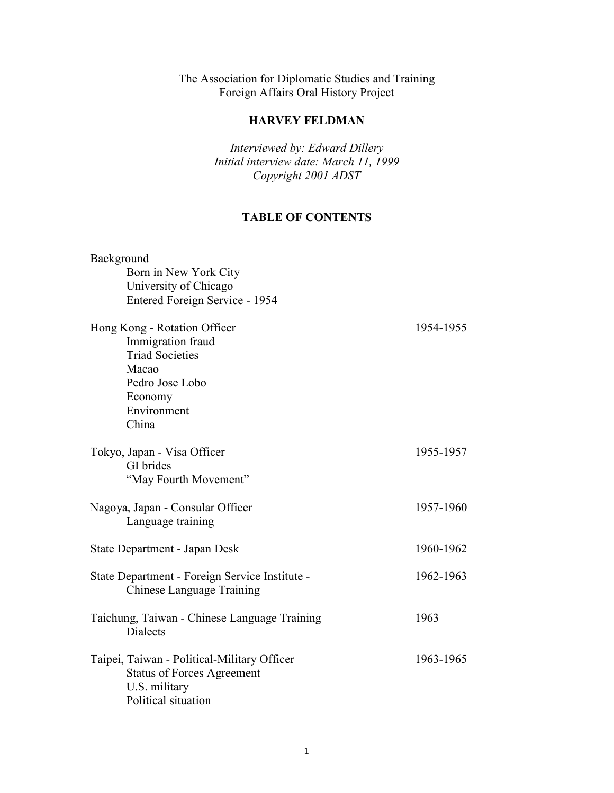The Association for Diplomatic Studies and Training Foreign Affairs Oral History Project

## **HARVEY FELDMAN**

*Interviewed by: Edward Dillery Initial interview date: March 11, 1999 Copyright 2001 ADST* 

# **TABLE OF CONTENTS**

| Background                                     |           |
|------------------------------------------------|-----------|
| Born in New York City                          |           |
| University of Chicago                          |           |
| Entered Foreign Service - 1954                 |           |
| Hong Kong - Rotation Officer                   | 1954-1955 |
| Immigration fraud                              |           |
| <b>Triad Societies</b>                         |           |
| Macao                                          |           |
| Pedro Jose Lobo                                |           |
| Economy                                        |           |
| Environment                                    |           |
| China                                          |           |
| Tokyo, Japan - Visa Officer                    | 1955-1957 |
| GI brides                                      |           |
| "May Fourth Movement"                          |           |
| Nagoya, Japan - Consular Officer               | 1957-1960 |
| Language training                              |           |
| State Department - Japan Desk                  | 1960-1962 |
|                                                |           |
| State Department - Foreign Service Institute - | 1962-1963 |
| Chinese Language Training                      |           |
| Taichung, Taiwan - Chinese Language Training   | 1963      |
| <b>Dialects</b>                                |           |
| Taipei, Taiwan - Political-Military Officer    | 1963-1965 |
| <b>Status of Forces Agreement</b>              |           |
| U.S. military                                  |           |
| Political situation                            |           |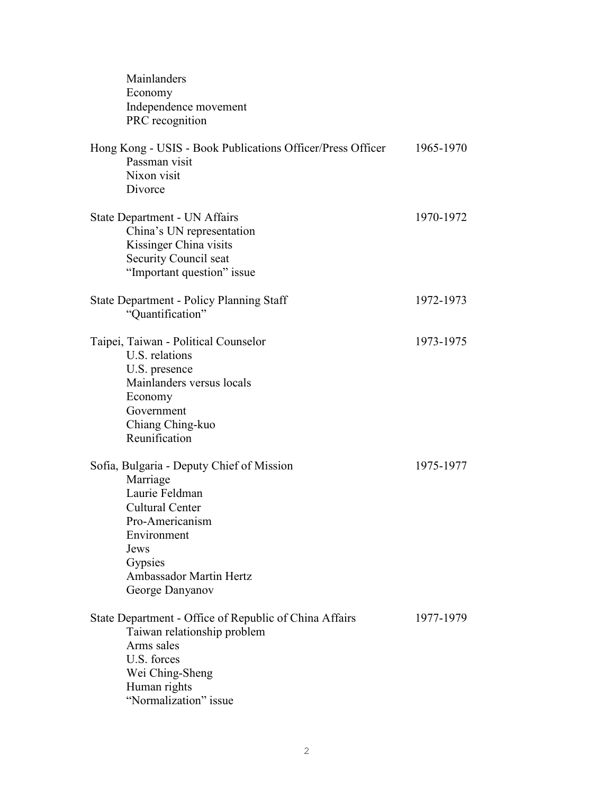| Mainlanders<br>Economy<br>Independence movement<br>PRC recognition                                                                                                                                          |           |
|-------------------------------------------------------------------------------------------------------------------------------------------------------------------------------------------------------------|-----------|
| Hong Kong - USIS - Book Publications Officer/Press Officer<br>Passman visit<br>Nixon visit<br>Divorce                                                                                                       | 1965-1970 |
| State Department - UN Affairs<br>China's UN representation<br>Kissinger China visits<br>Security Council seat<br>"Important question" issue                                                                 | 1970-1972 |
| <b>State Department - Policy Planning Staff</b><br>"Quantification"                                                                                                                                         | 1972-1973 |
| Taipei, Taiwan - Political Counselor<br>U.S. relations<br>U.S. presence<br>Mainlanders versus locals<br>Economy<br>Government<br>Chiang Ching-kuo<br>Reunification                                          | 1973-1975 |
| Sofia, Bulgaria - Deputy Chief of Mission<br>Marriage<br>Laurie Feldman<br><b>Cultural Center</b><br>Pro-Americanism<br>Environment<br>Jews<br>Gypsies<br><b>Ambassador Martin Hertz</b><br>George Danyanov | 1975-1977 |
| State Department - Office of Republic of China Affairs<br>Taiwan relationship problem<br>Arms sales<br>U.S. forces<br>Wei Ching-Sheng<br>Human rights<br>"Normalization" issue                              | 1977-1979 |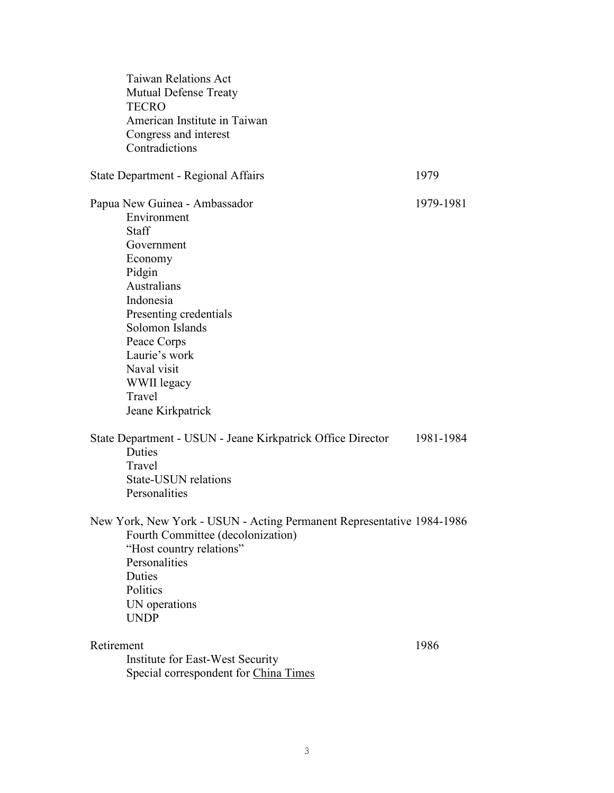| <b>Taiwan Relations Act</b><br><b>Mutual Defense Treaty</b><br><b>TECRO</b><br>American Institute in Taiwan<br>Congress and interest<br>Contradictions                                                                                                                |           |
|-----------------------------------------------------------------------------------------------------------------------------------------------------------------------------------------------------------------------------------------------------------------------|-----------|
| State Department - Regional Affairs                                                                                                                                                                                                                                   | 1979      |
| Papua New Guinea - Ambassador<br>Environment<br><b>Staff</b><br>Government<br>Economy<br>Pidgin<br>Australians<br>Indonesia<br>Presenting credentials<br>Solomon Islands<br>Peace Corps<br>Laurie's work<br>Naval visit<br>WWII legacy<br>Travel<br>Jeane Kirkpatrick | 1979-1981 |
| State Department - USUN - Jeane Kirkpatrick Office Director<br>Duties<br>Travel<br><b>State-USUN relations</b><br>Personalities                                                                                                                                       | 1981-1984 |
| New York, New York - USUN - Acting Permanent Representative 1984-1986<br>Fourth Committee (decolonization)<br>"Host country relations"<br>Personalities<br>Duties<br>Politics<br>UN operations<br><b>UNDP</b>                                                         |           |
| Retirement<br>Institute for East-West Security<br>Special correspondent for China Times                                                                                                                                                                               | 1986      |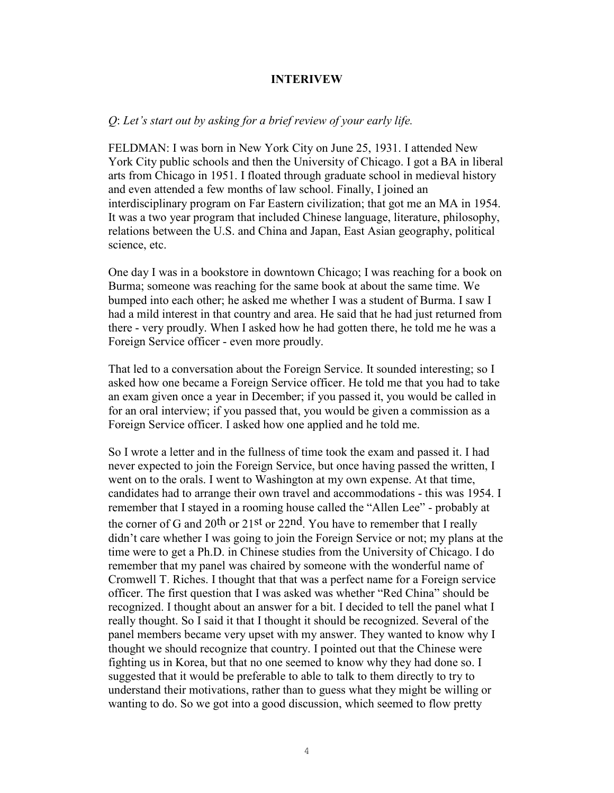#### **INTERIVEW**

#### *Q*: *Let's start out by asking for a brief review of your early life.*

FELDMAN: I was born in New York City on June 25, 1931. I attended New York City public schools and then the University of Chicago. I got a BA in liberal arts from Chicago in 1951. I floated through graduate school in medieval history and even attended a few months of law school. Finally, I joined an interdisciplinary program on Far Eastern civilization; that got me an MA in 1954. It was a two year program that included Chinese language, literature, philosophy, relations between the U.S. and China and Japan, East Asian geography, political science, etc.

One day I was in a bookstore in downtown Chicago; I was reaching for a book on Burma; someone was reaching for the same book at about the same time. We bumped into each other; he asked me whether I was a student of Burma. I saw I had a mild interest in that country and area. He said that he had just returned from there - very proudly. When I asked how he had gotten there, he told me he was a Foreign Service officer - even more proudly.

That led to a conversation about the Foreign Service. It sounded interesting; so I asked how one became a Foreign Service officer. He told me that you had to take an exam given once a year in December; if you passed it, you would be called in for an oral interview; if you passed that, you would be given a commission as a Foreign Service officer. I asked how one applied and he told me.

So I wrote a letter and in the fullness of time took the exam and passed it. I had never expected to join the Foreign Service, but once having passed the written, I went on to the orals. I went to Washington at my own expense. At that time, candidates had to arrange their own travel and accommodations - this was 1954. I remember that I stayed in a rooming house called the "Allen Lee" - probably at the corner of G and 20<sup>th</sup> or 21<sup>st</sup> or 22<sup>nd</sup>. You have to remember that I really didn't care whether I was going to join the Foreign Service or not; my plans at the time were to get a Ph.D. in Chinese studies from the University of Chicago. I do remember that my panel was chaired by someone with the wonderful name of Cromwell T. Riches. I thought that that was a perfect name for a Foreign service officer. The first question that I was asked was whether "Red China" should be recognized. I thought about an answer for a bit. I decided to tell the panel what I really thought. So I said it that I thought it should be recognized. Several of the panel members became very upset with my answer. They wanted to know why I thought we should recognize that country. I pointed out that the Chinese were fighting us in Korea, but that no one seemed to know why they had done so. I suggested that it would be preferable to able to talk to them directly to try to understand their motivations, rather than to guess what they might be willing or wanting to do. So we got into a good discussion, which seemed to flow pretty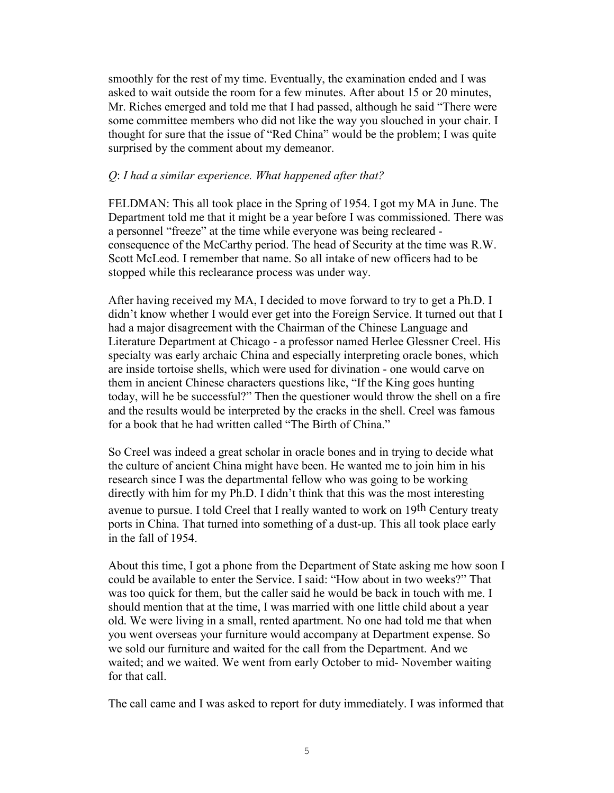smoothly for the rest of my time. Eventually, the examination ended and I was asked to wait outside the room for a few minutes. After about 15 or 20 minutes, Mr. Riches emerged and told me that I had passed, although he said "There were some committee members who did not like the way you slouched in your chair. I thought for sure that the issue of "Red China" would be the problem; I was quite surprised by the comment about my demeanor.

### *Q*: *I had a similar experience. What happened after that?*

FELDMAN: This all took place in the Spring of 1954. I got my MA in June. The Department told me that it might be a year before I was commissioned. There was a personnel "freeze" at the time while everyone was being recleared consequence of the McCarthy period. The head of Security at the time was R.W. Scott McLeod. I remember that name. So all intake of new officers had to be stopped while this reclearance process was under way.

After having received my MA, I decided to move forward to try to get a Ph.D. I didn't know whether I would ever get into the Foreign Service. It turned out that I had a major disagreement with the Chairman of the Chinese Language and Literature Department at Chicago - a professor named Herlee Glessner Creel. His specialty was early archaic China and especially interpreting oracle bones, which are inside tortoise shells, which were used for divination - one would carve on them in ancient Chinese characters questions like, "If the King goes hunting today, will he be successful?" Then the questioner would throw the shell on a fire and the results would be interpreted by the cracks in the shell. Creel was famous for a book that he had written called "The Birth of China."

So Creel was indeed a great scholar in oracle bones and in trying to decide what the culture of ancient China might have been. He wanted me to join him in his research since I was the departmental fellow who was going to be working directly with him for my Ph.D. I didn't think that this was the most interesting avenue to pursue. I told Creel that I really wanted to work on 19th Century treaty ports in China. That turned into something of a dust-up. This all took place early in the fall of 1954.

About this time, I got a phone from the Department of State asking me how soon I could be available to enter the Service. I said: "How about in two weeks?" That was too quick for them, but the caller said he would be back in touch with me. I should mention that at the time, I was married with one little child about a year old. We were living in a small, rented apartment. No one had told me that when you went overseas your furniture would accompany at Department expense. So we sold our furniture and waited for the call from the Department. And we waited; and we waited. We went from early October to mid- November waiting for that call.

The call came and I was asked to report for duty immediately. I was informed that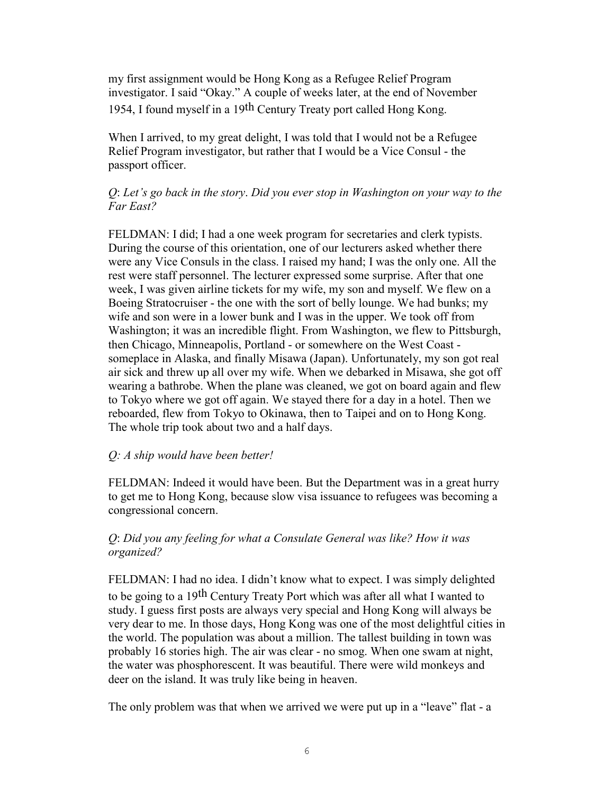my first assignment would be Hong Kong as a Refugee Relief Program investigator. I said "Okay." A couple of weeks later, at the end of November 1954, I found myself in a 19th Century Treaty port called Hong Kong.

When I arrived, to my great delight, I was told that I would not be a Refugee Relief Program investigator, but rather that I would be a Vice Consul - the passport officer.

## *Q*: *Let's go back in the story*. *Did you ever stop in Washington on your way to the Far East?*

FELDMAN: I did; I had a one week program for secretaries and clerk typists. During the course of this orientation, one of our lecturers asked whether there were any Vice Consuls in the class. I raised my hand; I was the only one. All the rest were staff personnel. The lecturer expressed some surprise. After that one week, I was given airline tickets for my wife, my son and myself. We flew on a Boeing Stratocruiser - the one with the sort of belly lounge. We had bunks; my wife and son were in a lower bunk and I was in the upper. We took off from Washington; it was an incredible flight. From Washington, we flew to Pittsburgh, then Chicago, Minneapolis, Portland - or somewhere on the West Coast someplace in Alaska, and finally Misawa (Japan). Unfortunately, my son got real air sick and threw up all over my wife. When we debarked in Misawa, she got off wearing a bathrobe. When the plane was cleaned, we got on board again and flew to Tokyo where we got off again. We stayed there for a day in a hotel. Then we reboarded, flew from Tokyo to Okinawa, then to Taipei and on to Hong Kong. The whole trip took about two and a half days.

### *Q: A ship would have been better!*

FELDMAN: Indeed it would have been. But the Department was in a great hurry to get me to Hong Kong, because slow visa issuance to refugees was becoming a congressional concern.

## *Q*: *Did you any feeling for what a Consulate General was like? How it was organized?*

FELDMAN: I had no idea. I didn't know what to expect. I was simply delighted to be going to a 19th Century Treaty Port which was after all what I wanted to study. I guess first posts are always very special and Hong Kong will always be very dear to me. In those days, Hong Kong was one of the most delightful cities in the world. The population was about a million. The tallest building in town was probably 16 stories high. The air was clear - no smog. When one swam at night, the water was phosphorescent. It was beautiful. There were wild monkeys and deer on the island. It was truly like being in heaven.

The only problem was that when we arrived we were put up in a "leave" flat - a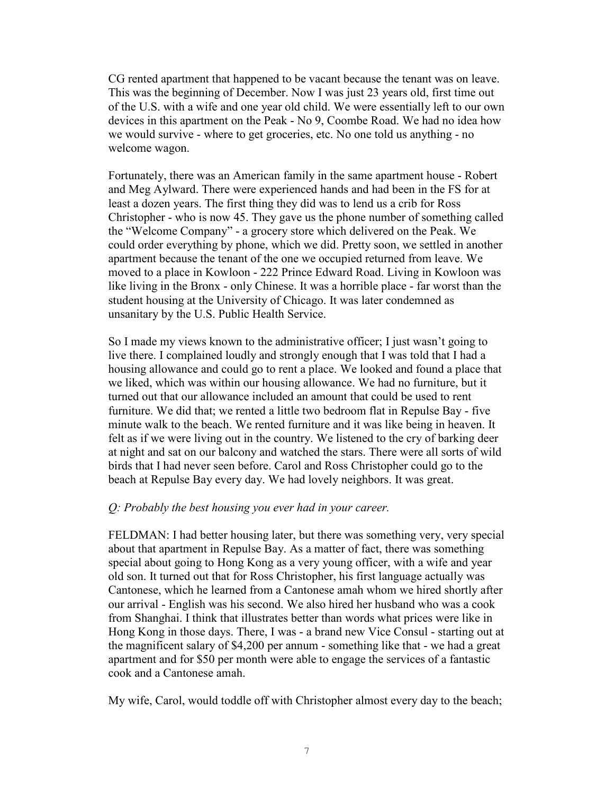CG rented apartment that happened to be vacant because the tenant was on leave. This was the beginning of December. Now I was just 23 years old, first time out of the U.S. with a wife and one year old child. We were essentially left to our own devices in this apartment on the Peak - No 9, Coombe Road. We had no idea how we would survive - where to get groceries, etc. No one told us anything - no welcome wagon.

Fortunately, there was an American family in the same apartment house - Robert and Meg Aylward. There were experienced hands and had been in the FS for at least a dozen years. The first thing they did was to lend us a crib for Ross Christopher - who is now 45. They gave us the phone number of something called the "Welcome Company" - a grocery store which delivered on the Peak. We could order everything by phone, which we did. Pretty soon, we settled in another apartment because the tenant of the one we occupied returned from leave. We moved to a place in Kowloon - 222 Prince Edward Road. Living in Kowloon was like living in the Bronx - only Chinese. It was a horrible place - far worst than the student housing at the University of Chicago. It was later condemned as unsanitary by the U.S. Public Health Service.

So I made my views known to the administrative officer; I just wasn't going to live there. I complained loudly and strongly enough that I was told that I had a housing allowance and could go to rent a place. We looked and found a place that we liked, which was within our housing allowance. We had no furniture, but it turned out that our allowance included an amount that could be used to rent furniture. We did that; we rented a little two bedroom flat in Repulse Bay - five minute walk to the beach. We rented furniture and it was like being in heaven. It felt as if we were living out in the country. We listened to the cry of barking deer at night and sat on our balcony and watched the stars. There were all sorts of wild birds that I had never seen before. Carol and Ross Christopher could go to the beach at Repulse Bay every day. We had lovely neighbors. It was great.

### *Q: Probably the best housing you ever had in your career.*

FELDMAN: I had better housing later, but there was something very, very special about that apartment in Repulse Bay. As a matter of fact, there was something special about going to Hong Kong as a very young officer, with a wife and year old son. It turned out that for Ross Christopher, his first language actually was Cantonese, which he learned from a Cantonese amah whom we hired shortly after our arrival - English was his second. We also hired her husband who was a cook from Shanghai. I think that illustrates better than words what prices were like in Hong Kong in those days. There, I was - a brand new Vice Consul - starting out at the magnificent salary of \$4,200 per annum - something like that - we had a great apartment and for \$50 per month were able to engage the services of a fantastic cook and a Cantonese amah.

My wife, Carol, would toddle off with Christopher almost every day to the beach;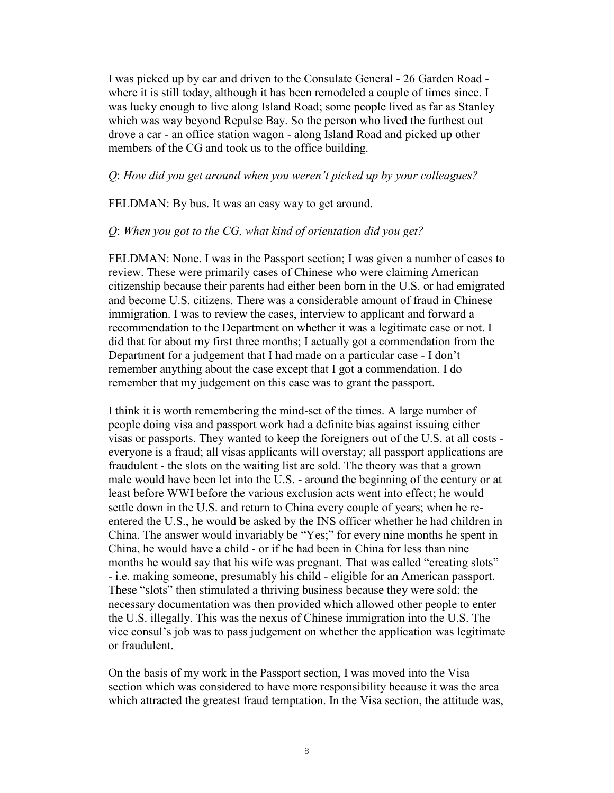I was picked up by car and driven to the Consulate General - 26 Garden Road where it is still today, although it has been remodeled a couple of times since. I was lucky enough to live along Island Road; some people lived as far as Stanley which was way beyond Repulse Bay. So the person who lived the furthest out drove a car - an office station wagon - along Island Road and picked up other members of the CG and took us to the office building.

#### *Q*: *How did you get around when you weren't picked up by your colleagues?*

FELDMAN: By bus. It was an easy way to get around.

#### *Q*: *When you got to the CG, what kind of orientation did you get?*

FELDMAN: None. I was in the Passport section; I was given a number of cases to review. These were primarily cases of Chinese who were claiming American citizenship because their parents had either been born in the U.S. or had emigrated and become U.S. citizens. There was a considerable amount of fraud in Chinese immigration. I was to review the cases, interview to applicant and forward a recommendation to the Department on whether it was a legitimate case or not. I did that for about my first three months; I actually got a commendation from the Department for a judgement that I had made on a particular case - I don't remember anything about the case except that I got a commendation. I do remember that my judgement on this case was to grant the passport.

I think it is worth remembering the mind-set of the times. A large number of people doing visa and passport work had a definite bias against issuing either visas or passports. They wanted to keep the foreigners out of the U.S. at all costs everyone is a fraud; all visas applicants will overstay; all passport applications are fraudulent - the slots on the waiting list are sold. The theory was that a grown male would have been let into the U.S. - around the beginning of the century or at least before WWI before the various exclusion acts went into effect; he would settle down in the U.S. and return to China every couple of years; when he reentered the U.S., he would be asked by the INS officer whether he had children in China. The answer would invariably be "Yes;" for every nine months he spent in China, he would have a child - or if he had been in China for less than nine months he would say that his wife was pregnant. That was called "creating slots" - i.e. making someone, presumably his child - eligible for an American passport. These "slots" then stimulated a thriving business because they were sold; the necessary documentation was then provided which allowed other people to enter the U.S. illegally. This was the nexus of Chinese immigration into the U.S. The vice consul's job was to pass judgement on whether the application was legitimate or fraudulent.

On the basis of my work in the Passport section, I was moved into the Visa section which was considered to have more responsibility because it was the area which attracted the greatest fraud temptation. In the Visa section, the attitude was,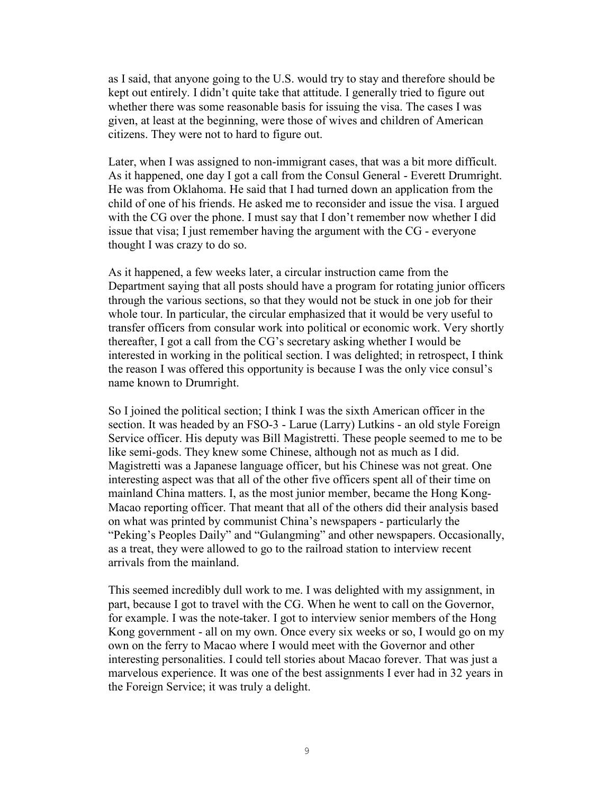as I said, that anyone going to the U.S. would try to stay and therefore should be kept out entirely. I didn't quite take that attitude. I generally tried to figure out whether there was some reasonable basis for issuing the visa. The cases I was given, at least at the beginning, were those of wives and children of American citizens. They were not to hard to figure out.

Later, when I was assigned to non-immigrant cases, that was a bit more difficult. As it happened, one day I got a call from the Consul General - Everett Drumright. He was from Oklahoma. He said that I had turned down an application from the child of one of his friends. He asked me to reconsider and issue the visa. I argued with the CG over the phone. I must say that I don't remember now whether I did issue that visa; I just remember having the argument with the CG - everyone thought I was crazy to do so.

As it happened, a few weeks later, a circular instruction came from the Department saying that all posts should have a program for rotating junior officers through the various sections, so that they would not be stuck in one job for their whole tour. In particular, the circular emphasized that it would be very useful to transfer officers from consular work into political or economic work. Very shortly thereafter, I got a call from the CG's secretary asking whether I would be interested in working in the political section. I was delighted; in retrospect, I think the reason I was offered this opportunity is because I was the only vice consul's name known to Drumright.

So I joined the political section; I think I was the sixth American officer in the section. It was headed by an FSO-3 - Larue (Larry) Lutkins - an old style Foreign Service officer. His deputy was Bill Magistretti. These people seemed to me to be like semi-gods. They knew some Chinese, although not as much as I did. Magistretti was a Japanese language officer, but his Chinese was not great. One interesting aspect was that all of the other five officers spent all of their time on mainland China matters. I, as the most junior member, became the Hong Kong-Macao reporting officer. That meant that all of the others did their analysis based on what was printed by communist China's newspapers - particularly the "Peking's Peoples Daily" and "Gulangming" and other newspapers. Occasionally, as a treat, they were allowed to go to the railroad station to interview recent arrivals from the mainland.

This seemed incredibly dull work to me. I was delighted with my assignment, in part, because I got to travel with the CG. When he went to call on the Governor, for example. I was the note-taker. I got to interview senior members of the Hong Kong government - all on my own. Once every six weeks or so, I would go on my own on the ferry to Macao where I would meet with the Governor and other interesting personalities. I could tell stories about Macao forever. That was just a marvelous experience. It was one of the best assignments I ever had in 32 years in the Foreign Service; it was truly a delight.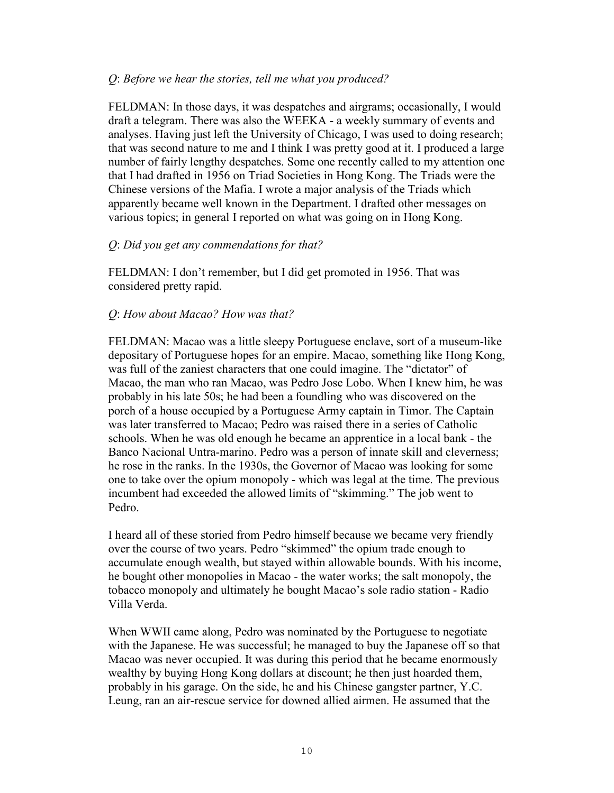### *Q*: *Before we hear the stories, tell me what you produced?*

FELDMAN: In those days, it was despatches and airgrams; occasionally, I would draft a telegram. There was also the WEEKA - a weekly summary of events and analyses. Having just left the University of Chicago, I was used to doing research; that was second nature to me and I think I was pretty good at it. I produced a large number of fairly lengthy despatches. Some one recently called to my attention one that I had drafted in 1956 on Triad Societies in Hong Kong. The Triads were the Chinese versions of the Mafia. I wrote a major analysis of the Triads which apparently became well known in the Department. I drafted other messages on various topics; in general I reported on what was going on in Hong Kong.

### *Q*: *Did you get any commendations for that?*

FELDMAN: I don't remember, but I did get promoted in 1956. That was considered pretty rapid.

#### *Q*: *How about Macao? How was that?*

FELDMAN: Macao was a little sleepy Portuguese enclave, sort of a museum-like depositary of Portuguese hopes for an empire. Macao, something like Hong Kong, was full of the zaniest characters that one could imagine. The "dictator" of Macao, the man who ran Macao, was Pedro Jose Lobo. When I knew him, he was probably in his late 50s; he had been a foundling who was discovered on the porch of a house occupied by a Portuguese Army captain in Timor. The Captain was later transferred to Macao; Pedro was raised there in a series of Catholic schools. When he was old enough he became an apprentice in a local bank - the Banco Nacional Untra-marino. Pedro was a person of innate skill and cleverness; he rose in the ranks. In the 1930s, the Governor of Macao was looking for some one to take over the opium monopoly - which was legal at the time. The previous incumbent had exceeded the allowed limits of "skimming." The job went to Pedro.

I heard all of these storied from Pedro himself because we became very friendly over the course of two years. Pedro "skimmed" the opium trade enough to accumulate enough wealth, but stayed within allowable bounds. With his income, he bought other monopolies in Macao - the water works; the salt monopoly, the tobacco monopoly and ultimately he bought Macao's sole radio station - Radio Villa Verda.

When WWII came along, Pedro was nominated by the Portuguese to negotiate with the Japanese. He was successful; he managed to buy the Japanese off so that Macao was never occupied. It was during this period that he became enormously wealthy by buying Hong Kong dollars at discount; he then just hoarded them, probably in his garage. On the side, he and his Chinese gangster partner, Y.C. Leung, ran an air-rescue service for downed allied airmen. He assumed that the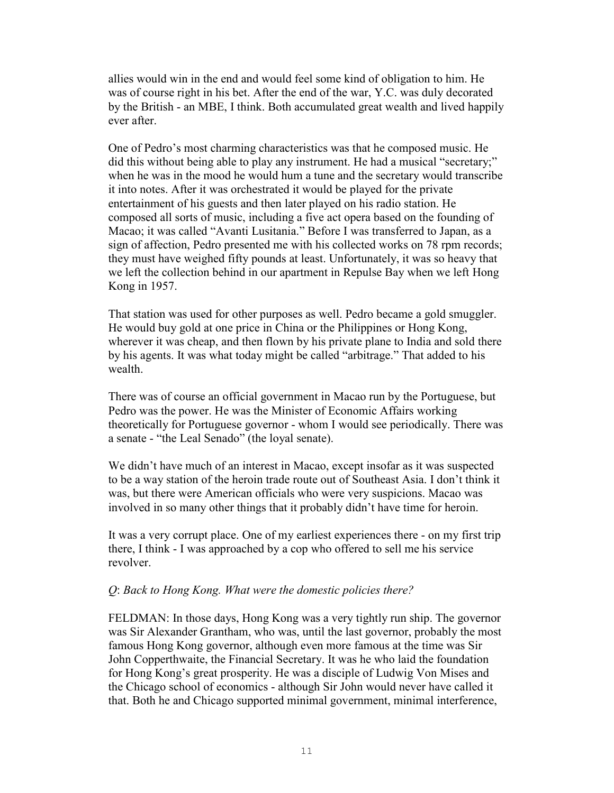allies would win in the end and would feel some kind of obligation to him. He was of course right in his bet. After the end of the war, Y.C. was duly decorated by the British - an MBE, I think. Both accumulated great wealth and lived happily ever after.

One of Pedro's most charming characteristics was that he composed music. He did this without being able to play any instrument. He had a musical "secretary;" when he was in the mood he would hum a tune and the secretary would transcribe it into notes. After it was orchestrated it would be played for the private entertainment of his guests and then later played on his radio station. He composed all sorts of music, including a five act opera based on the founding of Macao; it was called "Avanti Lusitania." Before I was transferred to Japan, as a sign of affection, Pedro presented me with his collected works on 78 rpm records; they must have weighed fifty pounds at least. Unfortunately, it was so heavy that we left the collection behind in our apartment in Repulse Bay when we left Hong Kong in 1957.

That station was used for other purposes as well. Pedro became a gold smuggler. He would buy gold at one price in China or the Philippines or Hong Kong, wherever it was cheap, and then flown by his private plane to India and sold there by his agents. It was what today might be called "arbitrage." That added to his wealth.

There was of course an official government in Macao run by the Portuguese, but Pedro was the power. He was the Minister of Economic Affairs working theoretically for Portuguese governor - whom I would see periodically. There was a senate - "the Leal Senado" (the loyal senate).

We didn't have much of an interest in Macao, except insofar as it was suspected to be a way station of the heroin trade route out of Southeast Asia. I don't think it was, but there were American officials who were very suspicions. Macao was involved in so many other things that it probably didn't have time for heroin.

It was a very corrupt place. One of my earliest experiences there - on my first trip there, I think - I was approached by a cop who offered to sell me his service revolver.

### *Q*: *Back to Hong Kong. What were the domestic policies there?*

FELDMAN: In those days, Hong Kong was a very tightly run ship. The governor was Sir Alexander Grantham, who was, until the last governor, probably the most famous Hong Kong governor, although even more famous at the time was Sir John Copperthwaite, the Financial Secretary. It was he who laid the foundation for Hong Kong's great prosperity. He was a disciple of Ludwig Von Mises and the Chicago school of economics - although Sir John would never have called it that. Both he and Chicago supported minimal government, minimal interference,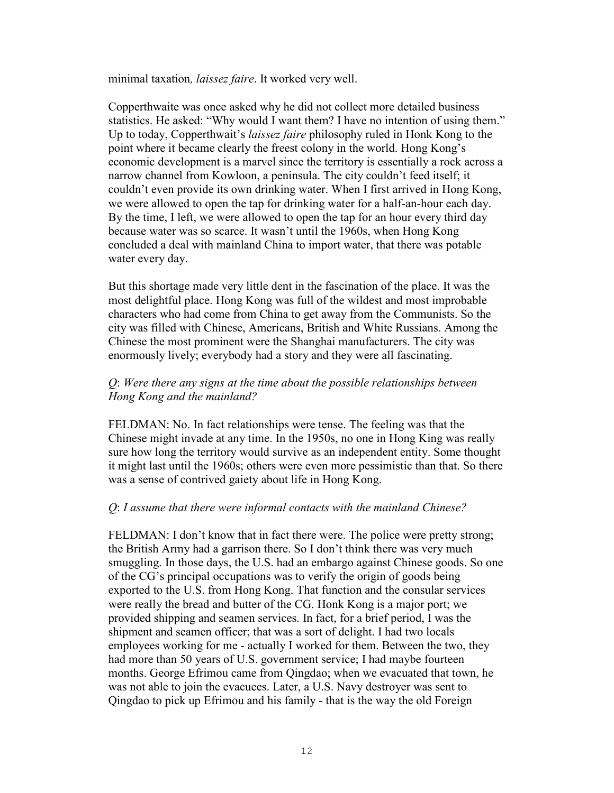minimal taxation*, laissez faire*. It worked very well.

Copperthwaite was once asked why he did not collect more detailed business statistics. He asked: "Why would I want them? I have no intention of using them." Up to today, Copperthwait's *laissez faire* philosophy ruled in Honk Kong to the point where it became clearly the freest colony in the world. Hong Kong's economic development is a marvel since the territory is essentially a rock across a narrow channel from Kowloon, a peninsula. The city couldn't feed itself; it couldn't even provide its own drinking water. When I first arrived in Hong Kong, we were allowed to open the tap for drinking water for a half-an-hour each day. By the time, I left, we were allowed to open the tap for an hour every third day because water was so scarce. It wasn't until the 1960s, when Hong Kong concluded a deal with mainland China to import water, that there was potable water every day.

But this shortage made very little dent in the fascination of the place. It was the most delightful place. Hong Kong was full of the wildest and most improbable characters who had come from China to get away from the Communists. So the city was filled with Chinese, Americans, British and White Russians. Among the Chinese the most prominent were the Shanghai manufacturers. The city was enormously lively; everybody had a story and they were all fascinating.

## *Q*: *Were there any signs at the time about the possible relationships between Hong Kong and the mainland?*

FELDMAN: No. In fact relationships were tense. The feeling was that the Chinese might invade at any time. In the 1950s, no one in Hong King was really sure how long the territory would survive as an independent entity. Some thought it might last until the 1960s; others were even more pessimistic than that. So there was a sense of contrived gaiety about life in Hong Kong.

### *Q*: *I assume that there were informal contacts with the mainland Chinese?*

FELDMAN: I don't know that in fact there were. The police were pretty strong; the British Army had a garrison there. So I don't think there was very much smuggling. In those days, the U.S. had an embargo against Chinese goods. So one of the CG's principal occupations was to verify the origin of goods being exported to the U.S. from Hong Kong. That function and the consular services were really the bread and butter of the CG. Honk Kong is a major port; we provided shipping and seamen services. In fact, for a brief period, I was the shipment and seamen officer; that was a sort of delight. I had two locals employees working for me - actually I worked for them. Between the two, they had more than 50 years of U.S. government service; I had maybe fourteen months. George Efrimou came from Qingdao; when we evacuated that town, he was not able to join the evacuees. Later, a U.S. Navy destroyer was sent to Qingdao to pick up Efrimou and his family - that is the way the old Foreign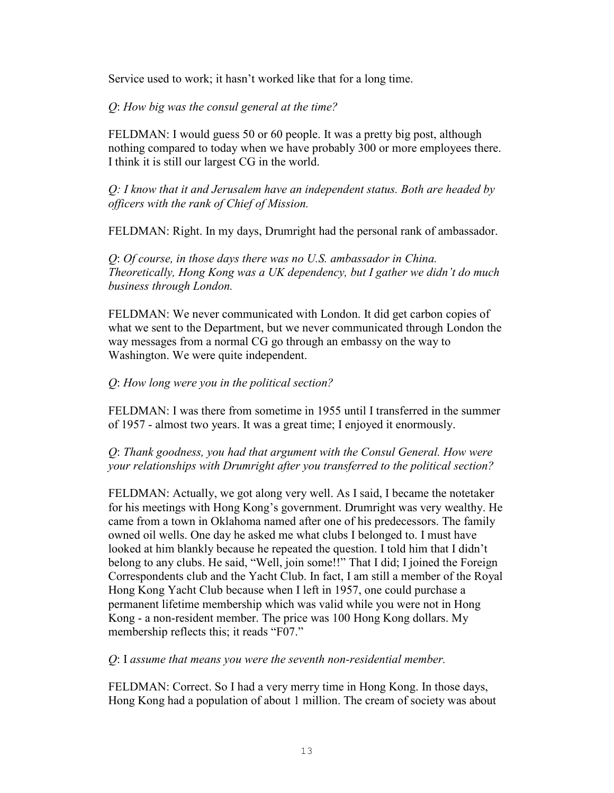Service used to work; it hasn't worked like that for a long time.

*Q*: *How big was the consul general at the time?* 

FELDMAN: I would guess 50 or 60 people. It was a pretty big post, although nothing compared to today when we have probably 300 or more employees there. I think it is still our largest CG in the world.

*Q: I know that it and Jerusalem have an independent status. Both are headed by officers with the rank of Chief of Mission.*

FELDMAN: Right. In my days, Drumright had the personal rank of ambassador.

*Q*: *Of course, in those days there was no U.S. ambassador in China. Theoretically, Hong Kong was a UK dependency, but I gather we didn't do much business through London.*

FELDMAN: We never communicated with London. It did get carbon copies of what we sent to the Department, but we never communicated through London the way messages from a normal CG go through an embassy on the way to Washington. We were quite independent.

*Q*: *How long were you in the political section?* 

FELDMAN: I was there from sometime in 1955 until I transferred in the summer of 1957 - almost two years. It was a great time; I enjoyed it enormously.

*Q*: *Thank goodness, you had that argument with the Consul General. How were your relationships with Drumright after you transferred to the political section?* 

FELDMAN: Actually, we got along very well. As I said, I became the notetaker for his meetings with Hong Kong's government. Drumright was very wealthy. He came from a town in Oklahoma named after one of his predecessors. The family owned oil wells. One day he asked me what clubs I belonged to. I must have looked at him blankly because he repeated the question. I told him that I didn't belong to any clubs. He said, "Well, join some!!" That I did; I joined the Foreign Correspondents club and the Yacht Club. In fact, I am still a member of the Royal Hong Kong Yacht Club because when I left in 1957, one could purchase a permanent lifetime membership which was valid while you were not in Hong Kong - a non-resident member. The price was 100 Hong Kong dollars. My membership reflects this; it reads "F07."

*Q*: I *assume that means you were the seventh non-residential member.* 

FELDMAN: Correct. So I had a very merry time in Hong Kong. In those days, Hong Kong had a population of about 1 million. The cream of society was about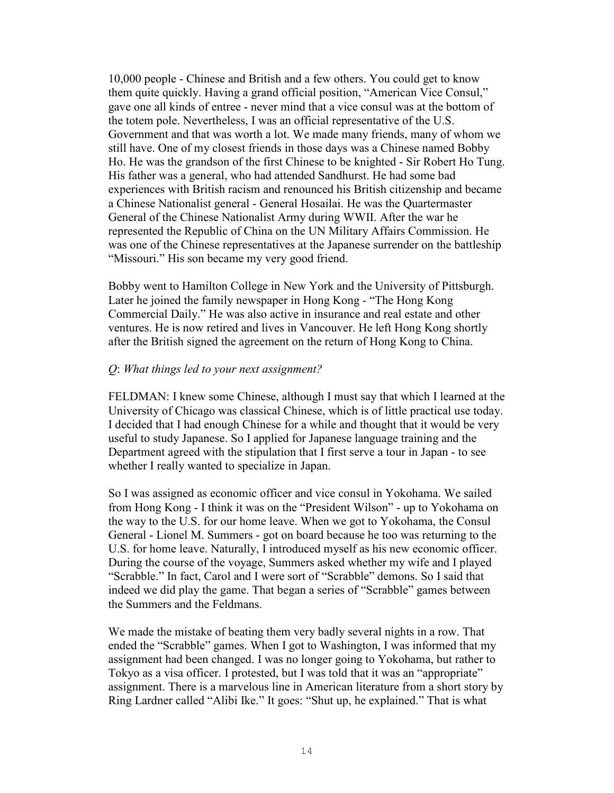10,000 people - Chinese and British and a few others. You could get to know them quite quickly. Having a grand official position, "American Vice Consul," gave one all kinds of entree - never mind that a vice consul was at the bottom of the totem pole. Nevertheless, I was an official representative of the U.S. Government and that was worth a lot. We made many friends, many of whom we still have. One of my closest friends in those days was a Chinese named Bobby Ho. He was the grandson of the first Chinese to be knighted - Sir Robert Ho Tung. His father was a general, who had attended Sandhurst. He had some bad experiences with British racism and renounced his British citizenship and became a Chinese Nationalist general - General Hosailai. He was the Quartermaster General of the Chinese Nationalist Army during WWII. After the war he represented the Republic of China on the UN Military Affairs Commission. He was one of the Chinese representatives at the Japanese surrender on the battleship "Missouri." His son became my very good friend.

Bobby went to Hamilton College in New York and the University of Pittsburgh. Later he joined the family newspaper in Hong Kong - "The Hong Kong Commercial Daily." He was also active in insurance and real estate and other ventures. He is now retired and lives in Vancouver. He left Hong Kong shortly after the British signed the agreement on the return of Hong Kong to China.

## *Q*: *What things led to your next assignment?*

FELDMAN: I knew some Chinese, although I must say that which I learned at the University of Chicago was classical Chinese, which is of little practical use today. I decided that I had enough Chinese for a while and thought that it would be very useful to study Japanese. So I applied for Japanese language training and the Department agreed with the stipulation that I first serve a tour in Japan - to see whether I really wanted to specialize in Japan.

So I was assigned as economic officer and vice consul in Yokohama. We sailed from Hong Kong - I think it was on the "President Wilson" - up to Yokohama on the way to the U.S. for our home leave. When we got to Yokohama, the Consul General - Lionel M. Summers - got on board because he too was returning to the U.S. for home leave. Naturally, I introduced myself as his new economic officer. During the course of the voyage, Summers asked whether my wife and I played "Scrabble." In fact, Carol and I were sort of "Scrabble" demons. So I said that indeed we did play the game. That began a series of "Scrabble" games between the Summers and the Feldmans.

We made the mistake of beating them very badly several nights in a row. That ended the "Scrabble" games. When I got to Washington, I was informed that my assignment had been changed. I was no longer going to Yokohama, but rather to Tokyo as a visa officer. I protested, but I was told that it was an "appropriate" assignment. There is a marvelous line in American literature from a short story by Ring Lardner called "Alibi Ike." It goes: "Shut up, he explained." That is what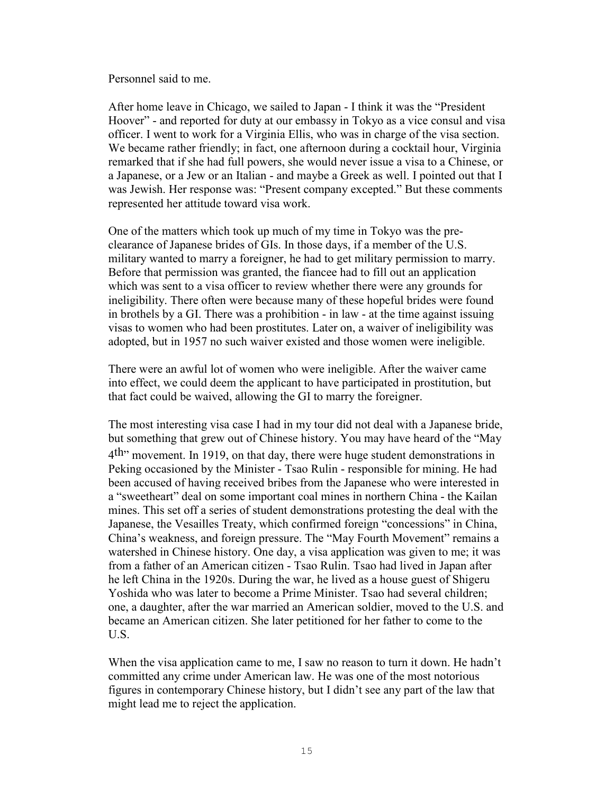Personnel said to me.

After home leave in Chicago, we sailed to Japan - I think it was the "President Hoover" - and reported for duty at our embassy in Tokyo as a vice consul and visa officer. I went to work for a Virginia Ellis, who was in charge of the visa section. We became rather friendly; in fact, one afternoon during a cocktail hour, Virginia remarked that if she had full powers, she would never issue a visa to a Chinese, or a Japanese, or a Jew or an Italian - and maybe a Greek as well. I pointed out that I was Jewish. Her response was: "Present company excepted." But these comments represented her attitude toward visa work.

One of the matters which took up much of my time in Tokyo was the preclearance of Japanese brides of GIs. In those days, if a member of the U.S. military wanted to marry a foreigner, he had to get military permission to marry. Before that permission was granted, the fiancee had to fill out an application which was sent to a visa officer to review whether there were any grounds for ineligibility. There often were because many of these hopeful brides were found in brothels by a GI. There was a prohibition - in law - at the time against issuing visas to women who had been prostitutes. Later on, a waiver of ineligibility was adopted, but in 1957 no such waiver existed and those women were ineligible.

There were an awful lot of women who were ineligible. After the waiver came into effect, we could deem the applicant to have participated in prostitution, but that fact could be waived, allowing the GI to marry the foreigner.

The most interesting visa case I had in my tour did not deal with a Japanese bride, but something that grew out of Chinese history. You may have heard of the "May 4<sup>th</sup> movement. In 1919, on that day, there were huge student demonstrations in Peking occasioned by the Minister - Tsao Rulin - responsible for mining. He had been accused of having received bribes from the Japanese who were interested in a "sweetheart" deal on some important coal mines in northern China - the Kailan mines. This set off a series of student demonstrations protesting the deal with the Japanese, the Vesailles Treaty, which confirmed foreign "concessions" in China, China's weakness, and foreign pressure. The "May Fourth Movement" remains a watershed in Chinese history. One day, a visa application was given to me; it was from a father of an American citizen - Tsao Rulin. Tsao had lived in Japan after he left China in the 1920s. During the war, he lived as a house guest of Shigeru Yoshida who was later to become a Prime Minister. Tsao had several children; one, a daughter, after the war married an American soldier, moved to the U.S. and became an American citizen. She later petitioned for her father to come to the U.S.

When the visa application came to me, I saw no reason to turn it down. He hadn't committed any crime under American law. He was one of the most notorious figures in contemporary Chinese history, but I didn't see any part of the law that might lead me to reject the application.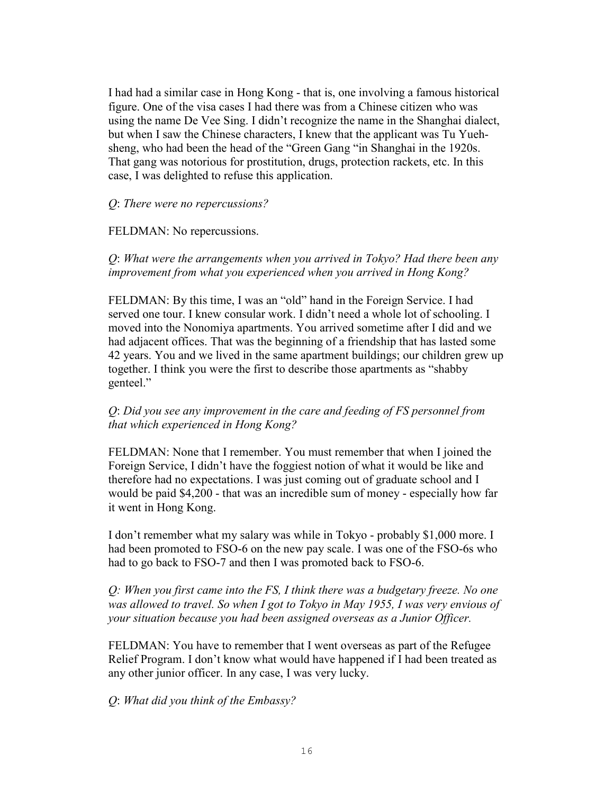I had had a similar case in Hong Kong - that is, one involving a famous historical figure. One of the visa cases I had there was from a Chinese citizen who was using the name De Vee Sing. I didn't recognize the name in the Shanghai dialect, but when I saw the Chinese characters, I knew that the applicant was Tu Yuehsheng, who had been the head of the "Green Gang "in Shanghai in the 1920s. That gang was notorious for prostitution, drugs, protection rackets, etc. In this case, I was delighted to refuse this application.

#### *Q*: *There were no repercussions?*

#### FELDMAN: No repercussions.

*Q*: *What were the arrangements when you arrived in Tokyo? Had there been any improvement from what you experienced when you arrived in Hong Kong?*

FELDMAN: By this time, I was an "old" hand in the Foreign Service. I had served one tour. I knew consular work. I didn't need a whole lot of schooling. I moved into the Nonomiya apartments. You arrived sometime after I did and we had adjacent offices. That was the beginning of a friendship that has lasted some 42 years. You and we lived in the same apartment buildings; our children grew up together. I think you were the first to describe those apartments as "shabby genteel."

## *Q*: *Did you see any improvement in the care and feeding of FS personnel from that which experienced in Hong Kong?*

FELDMAN: None that I remember. You must remember that when I joined the Foreign Service, I didn't have the foggiest notion of what it would be like and therefore had no expectations. I was just coming out of graduate school and I would be paid \$4,200 - that was an incredible sum of money - especially how far it went in Hong Kong.

I don't remember what my salary was while in Tokyo - probably \$1,000 more. I had been promoted to FSO-6 on the new pay scale. I was one of the FSO-6s who had to go back to FSO-7 and then I was promoted back to FSO-6.

*Q: When you first came into the FS, I think there was a budgetary freeze. No one was allowed to travel. So when I got to Tokyo in May 1955, I was very envious of your situation because you had been assigned overseas as a Junior Officer.* 

FELDMAN: You have to remember that I went overseas as part of the Refugee Relief Program. I don't know what would have happened if I had been treated as any other junior officer. In any case, I was very lucky.

*Q*: *What did you think of the Embassy?*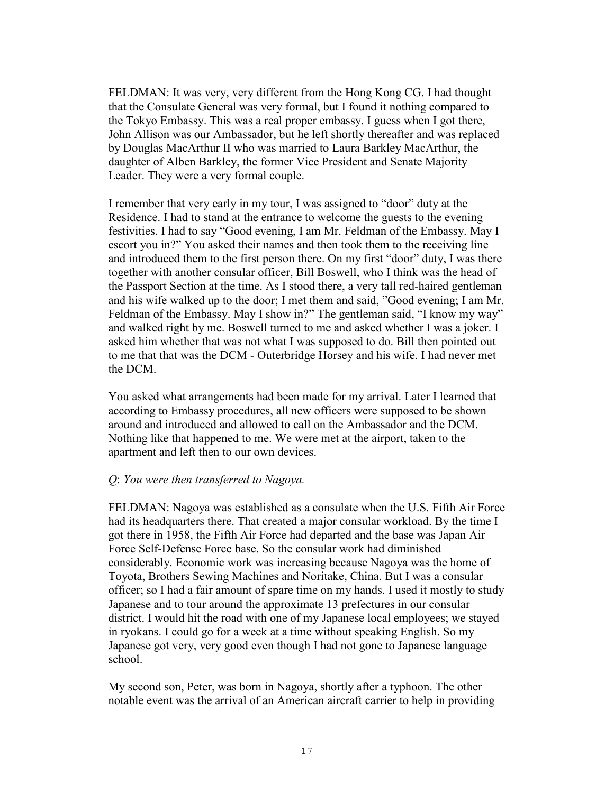FELDMAN: It was very, very different from the Hong Kong CG. I had thought that the Consulate General was very formal, but I found it nothing compared to the Tokyo Embassy. This was a real proper embassy. I guess when I got there, John Allison was our Ambassador, but he left shortly thereafter and was replaced by Douglas MacArthur II who was married to Laura Barkley MacArthur, the daughter of Alben Barkley, the former Vice President and Senate Majority Leader. They were a very formal couple.

I remember that very early in my tour, I was assigned to "door" duty at the Residence. I had to stand at the entrance to welcome the guests to the evening festivities. I had to say "Good evening, I am Mr. Feldman of the Embassy. May I escort you in?" You asked their names and then took them to the receiving line and introduced them to the first person there. On my first "door" duty, I was there together with another consular officer, Bill Boswell, who I think was the head of the Passport Section at the time. As I stood there, a very tall red-haired gentleman and his wife walked up to the door; I met them and said, "Good evening; I am Mr. Feldman of the Embassy. May I show in?" The gentleman said, "I know my way" and walked right by me. Boswell turned to me and asked whether I was a joker. I asked him whether that was not what I was supposed to do. Bill then pointed out to me that that was the DCM - Outerbridge Horsey and his wife. I had never met the DCM.

You asked what arrangements had been made for my arrival. Later I learned that according to Embassy procedures, all new officers were supposed to be shown around and introduced and allowed to call on the Ambassador and the DCM. Nothing like that happened to me. We were met at the airport, taken to the apartment and left then to our own devices.

#### *Q*: *You were then transferred to Nagoya.*

FELDMAN: Nagoya was established as a consulate when the U.S. Fifth Air Force had its headquarters there. That created a major consular workload. By the time I got there in 1958, the Fifth Air Force had departed and the base was Japan Air Force Self-Defense Force base. So the consular work had diminished considerably. Economic work was increasing because Nagoya was the home of Toyota, Brothers Sewing Machines and Noritake, China. But I was a consular officer; so I had a fair amount of spare time on my hands. I used it mostly to study Japanese and to tour around the approximate 13 prefectures in our consular district. I would hit the road with one of my Japanese local employees; we stayed in ryokans. I could go for a week at a time without speaking English. So my Japanese got very, very good even though I had not gone to Japanese language school.

My second son, Peter, was born in Nagoya, shortly after a typhoon. The other notable event was the arrival of an American aircraft carrier to help in providing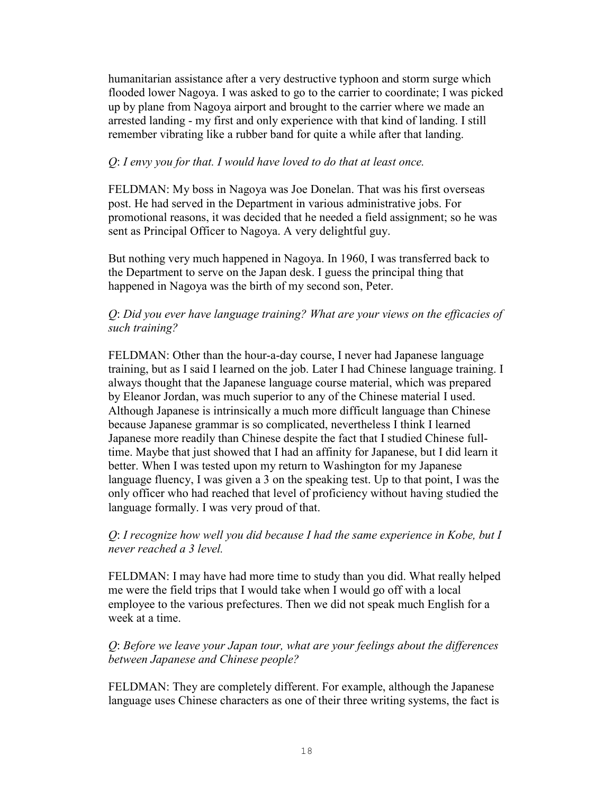humanitarian assistance after a very destructive typhoon and storm surge which flooded lower Nagoya. I was asked to go to the carrier to coordinate; I was picked up by plane from Nagoya airport and brought to the carrier where we made an arrested landing - my first and only experience with that kind of landing. I still remember vibrating like a rubber band for quite a while after that landing.

## *Q*: *I envy you for that. I would have loved to do that at least once.*

FELDMAN: My boss in Nagoya was Joe Donelan. That was his first overseas post. He had served in the Department in various administrative jobs. For promotional reasons, it was decided that he needed a field assignment; so he was sent as Principal Officer to Nagoya. A very delightful guy.

But nothing very much happened in Nagoya. In 1960, I was transferred back to the Department to serve on the Japan desk. I guess the principal thing that happened in Nagoya was the birth of my second son, Peter.

## *Q*: *Did you ever have language training? What are your views on the efficacies of such training?*

FELDMAN: Other than the hour-a-day course, I never had Japanese language training, but as I said I learned on the job. Later I had Chinese language training. I always thought that the Japanese language course material, which was prepared by Eleanor Jordan, was much superior to any of the Chinese material I used. Although Japanese is intrinsically a much more difficult language than Chinese because Japanese grammar is so complicated, nevertheless I think I learned Japanese more readily than Chinese despite the fact that I studied Chinese fulltime. Maybe that just showed that I had an affinity for Japanese, but I did learn it better. When I was tested upon my return to Washington for my Japanese language fluency, I was given a 3 on the speaking test. Up to that point, I was the only officer who had reached that level of proficiency without having studied the language formally. I was very proud of that.

## *Q*: *I recognize how well you did because I had the same experience in Kobe, but I never reached a 3 level.*

FELDMAN: I may have had more time to study than you did. What really helped me were the field trips that I would take when I would go off with a local employee to the various prefectures. Then we did not speak much English for a week at a time.

## *Q*: *Before we leave your Japan tour, what are your feelings about the differences between Japanese and Chinese people?*

FELDMAN: They are completely different. For example, although the Japanese language uses Chinese characters as one of their three writing systems, the fact is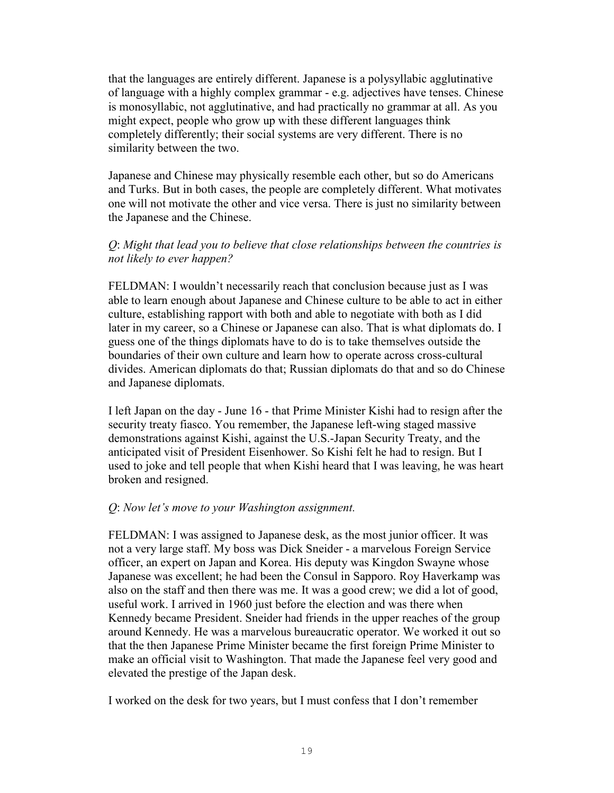that the languages are entirely different. Japanese is a polysyllabic agglutinative of language with a highly complex grammar - e.g. adjectives have tenses. Chinese is monosyllabic, not agglutinative, and had practically no grammar at all. As you might expect, people who grow up with these different languages think completely differently; their social systems are very different. There is no similarity between the two.

Japanese and Chinese may physically resemble each other, but so do Americans and Turks. But in both cases, the people are completely different. What motivates one will not motivate the other and vice versa. There is just no similarity between the Japanese and the Chinese.

## *Q*: *Might that lead you to believe that close relationships between the countries is not likely to ever happen?*

FELDMAN: I wouldn't necessarily reach that conclusion because just as I was able to learn enough about Japanese and Chinese culture to be able to act in either culture, establishing rapport with both and able to negotiate with both as I did later in my career, so a Chinese or Japanese can also. That is what diplomats do. I guess one of the things diplomats have to do is to take themselves outside the boundaries of their own culture and learn how to operate across cross-cultural divides. American diplomats do that; Russian diplomats do that and so do Chinese and Japanese diplomats.

I left Japan on the day - June 16 - that Prime Minister Kishi had to resign after the security treaty fiasco. You remember, the Japanese left-wing staged massive demonstrations against Kishi, against the U.S.-Japan Security Treaty, and the anticipated visit of President Eisenhower. So Kishi felt he had to resign. But I used to joke and tell people that when Kishi heard that I was leaving, he was heart broken and resigned.

### *Q*: *Now let's move to your Washington assignment.*

FELDMAN: I was assigned to Japanese desk, as the most junior officer. It was not a very large staff. My boss was Dick Sneider - a marvelous Foreign Service officer, an expert on Japan and Korea. His deputy was Kingdon Swayne whose Japanese was excellent; he had been the Consul in Sapporo. Roy Haverkamp was also on the staff and then there was me. It was a good crew; we did a lot of good, useful work. I arrived in 1960 just before the election and was there when Kennedy became President. Sneider had friends in the upper reaches of the group around Kennedy. He was a marvelous bureaucratic operator. We worked it out so that the then Japanese Prime Minister became the first foreign Prime Minister to make an official visit to Washington. That made the Japanese feel very good and elevated the prestige of the Japan desk.

I worked on the desk for two years, but I must confess that I don't remember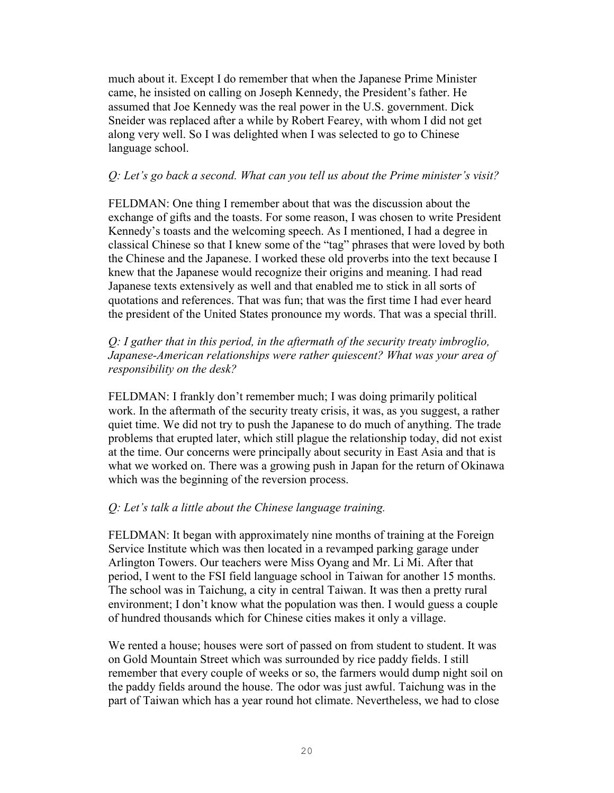much about it. Except I do remember that when the Japanese Prime Minister came, he insisted on calling on Joseph Kennedy, the President's father. He assumed that Joe Kennedy was the real power in the U.S. government. Dick Sneider was replaced after a while by Robert Fearey, with whom I did not get along very well. So I was delighted when I was selected to go to Chinese language school.

## *Q: Let's go back a second. What can you tell us about the Prime minister's visit?*

FELDMAN: One thing I remember about that was the discussion about the exchange of gifts and the toasts. For some reason, I was chosen to write President Kennedy's toasts and the welcoming speech. As I mentioned, I had a degree in classical Chinese so that I knew some of the "tag" phrases that were loved by both the Chinese and the Japanese. I worked these old proverbs into the text because I knew that the Japanese would recognize their origins and meaning. I had read Japanese texts extensively as well and that enabled me to stick in all sorts of quotations and references. That was fun; that was the first time I had ever heard the president of the United States pronounce my words. That was a special thrill.

## *Q: I gather that in this period, in the aftermath of the security treaty imbroglio, Japanese-American relationships were rather quiescent? What was your area of responsibility on the desk?*

FELDMAN: I frankly don't remember much; I was doing primarily political work. In the aftermath of the security treaty crisis, it was, as you suggest, a rather quiet time. We did not try to push the Japanese to do much of anything. The trade problems that erupted later, which still plague the relationship today, did not exist at the time. Our concerns were principally about security in East Asia and that is what we worked on. There was a growing push in Japan for the return of Okinawa which was the beginning of the reversion process.

## *Q: Let's talk a little about the Chinese language training.*

FELDMAN: It began with approximately nine months of training at the Foreign Service Institute which was then located in a revamped parking garage under Arlington Towers. Our teachers were Miss Oyang and Mr. Li Mi. After that period, I went to the FSI field language school in Taiwan for another 15 months. The school was in Taichung, a city in central Taiwan. It was then a pretty rural environment; I don't know what the population was then. I would guess a couple of hundred thousands which for Chinese cities makes it only a village.

We rented a house; houses were sort of passed on from student to student. It was on Gold Mountain Street which was surrounded by rice paddy fields. I still remember that every couple of weeks or so, the farmers would dump night soil on the paddy fields around the house. The odor was just awful. Taichung was in the part of Taiwan which has a year round hot climate. Nevertheless, we had to close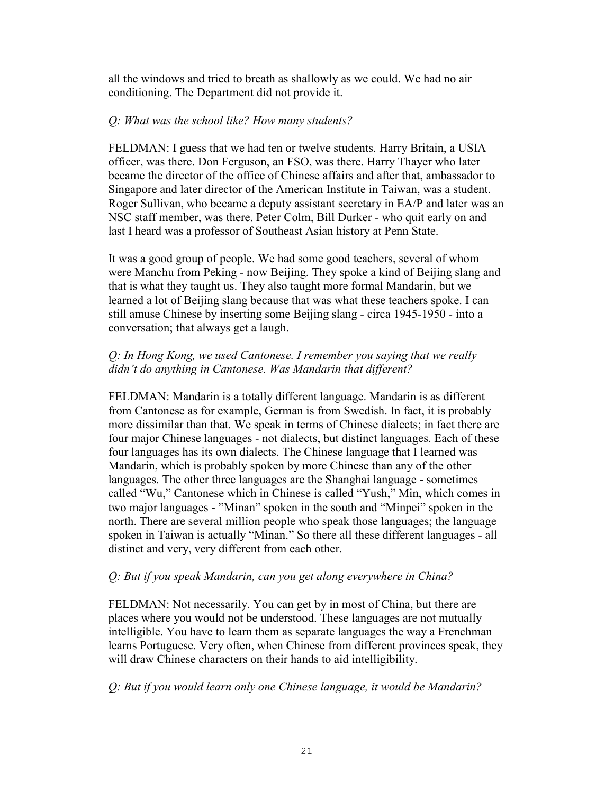all the windows and tried to breath as shallowly as we could. We had no air conditioning. The Department did not provide it.

## *Q: What was the school like? How many students?*

FELDMAN: I guess that we had ten or twelve students. Harry Britain, a USIA officer, was there. Don Ferguson, an FSO, was there. Harry Thayer who later became the director of the office of Chinese affairs and after that, ambassador to Singapore and later director of the American Institute in Taiwan, was a student. Roger Sullivan, who became a deputy assistant secretary in EA/P and later was an NSC staff member, was there. Peter Colm, Bill Durker - who quit early on and last I heard was a professor of Southeast Asian history at Penn State.

It was a good group of people. We had some good teachers, several of whom were Manchu from Peking - now Beijing. They spoke a kind of Beijing slang and that is what they taught us. They also taught more formal Mandarin, but we learned a lot of Beijing slang because that was what these teachers spoke. I can still amuse Chinese by inserting some Beijing slang - circa 1945-1950 - into a conversation; that always get a laugh.

## *Q: In Hong Kong, we used Cantonese. I remember you saying that we really didn't do anything in Cantonese. Was Mandarin that different?*

FELDMAN: Mandarin is a totally different language. Mandarin is as different from Cantonese as for example, German is from Swedish. In fact, it is probably more dissimilar than that. We speak in terms of Chinese dialects; in fact there are four major Chinese languages - not dialects, but distinct languages. Each of these four languages has its own dialects. The Chinese language that I learned was Mandarin, which is probably spoken by more Chinese than any of the other languages. The other three languages are the Shanghai language - sometimes called "Wu," Cantonese which in Chinese is called "Yush," Min, which comes in two major languages - "Minan" spoken in the south and "Minpei" spoken in the north. There are several million people who speak those languages; the language spoken in Taiwan is actually "Minan." So there all these different languages - all distinct and very, very different from each other.

## *Q: But if you speak Mandarin, can you get along everywhere in China?*

FELDMAN: Not necessarily. You can get by in most of China, but there are places where you would not be understood. These languages are not mutually intelligible. You have to learn them as separate languages the way a Frenchman learns Portuguese. Very often, when Chinese from different provinces speak, they will draw Chinese characters on their hands to aid intelligibility.

## *Q: But if you would learn only one Chinese language, it would be Mandarin?*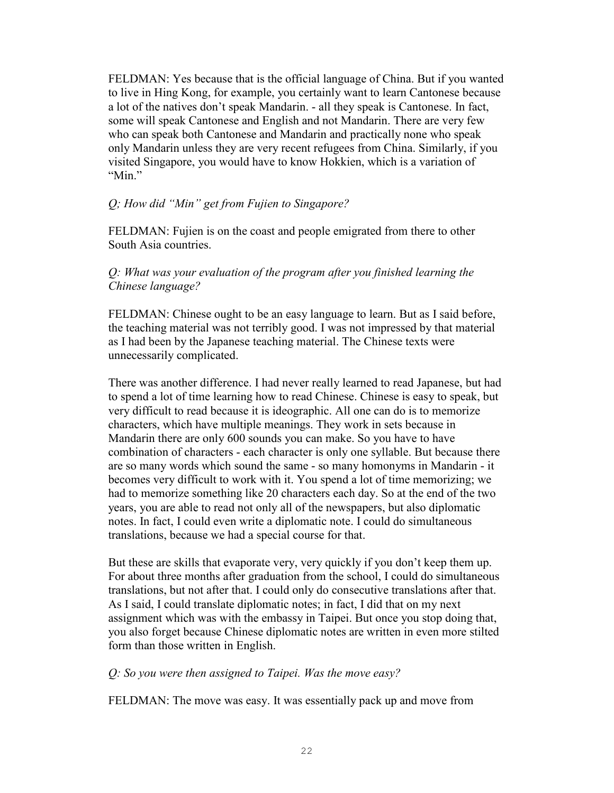FELDMAN: Yes because that is the official language of China. But if you wanted to live in Hing Kong, for example, you certainly want to learn Cantonese because a lot of the natives don't speak Mandarin. - all they speak is Cantonese. In fact, some will speak Cantonese and English and not Mandarin. There are very few who can speak both Cantonese and Mandarin and practically none who speak only Mandarin unless they are very recent refugees from China. Similarly, if you visited Singapore, you would have to know Hokkien, which is a variation of "Min"

## *Q; How did "Min" get from Fujien to Singapore?*

FELDMAN: Fujien is on the coast and people emigrated from there to other South Asia countries.

## *Q: What was your evaluation of the program after you finished learning the Chinese language?*

FELDMAN: Chinese ought to be an easy language to learn. But as I said before, the teaching material was not terribly good. I was not impressed by that material as I had been by the Japanese teaching material. The Chinese texts were unnecessarily complicated.

There was another difference. I had never really learned to read Japanese, but had to spend a lot of time learning how to read Chinese. Chinese is easy to speak, but very difficult to read because it is ideographic. All one can do is to memorize characters, which have multiple meanings. They work in sets because in Mandarin there are only 600 sounds you can make. So you have to have combination of characters - each character is only one syllable. But because there are so many words which sound the same - so many homonyms in Mandarin - it becomes very difficult to work with it. You spend a lot of time memorizing; we had to memorize something like 20 characters each day. So at the end of the two years, you are able to read not only all of the newspapers, but also diplomatic notes. In fact, I could even write a diplomatic note. I could do simultaneous translations, because we had a special course for that.

But these are skills that evaporate very, very quickly if you don't keep them up. For about three months after graduation from the school, I could do simultaneous translations, but not after that. I could only do consecutive translations after that. As I said, I could translate diplomatic notes; in fact, I did that on my next assignment which was with the embassy in Taipei. But once you stop doing that, you also forget because Chinese diplomatic notes are written in even more stilted form than those written in English.

### *Q: So you were then assigned to Taipei. Was the move easy?*

FELDMAN: The move was easy. It was essentially pack up and move from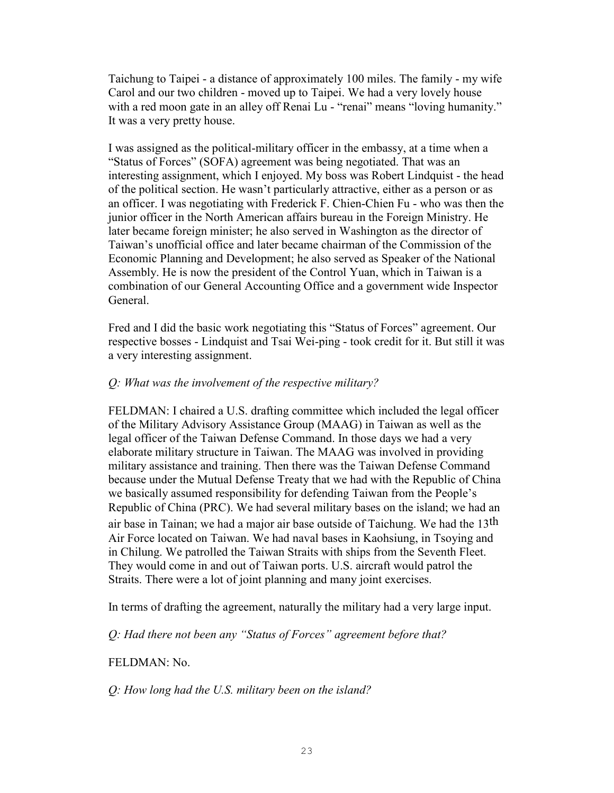Taichung to Taipei - a distance of approximately 100 miles. The family - my wife Carol and our two children - moved up to Taipei. We had a very lovely house with a red moon gate in an alley off Renai Lu - "renai" means "loving humanity." It was a very pretty house.

I was assigned as the political-military officer in the embassy, at a time when a "Status of Forces" (SOFA) agreement was being negotiated. That was an interesting assignment, which I enjoyed. My boss was Robert Lindquist - the head of the political section. He wasn't particularly attractive, either as a person or as an officer. I was negotiating with Frederick F. Chien-Chien Fu - who was then the junior officer in the North American affairs bureau in the Foreign Ministry. He later became foreign minister; he also served in Washington as the director of Taiwan's unofficial office and later became chairman of the Commission of the Economic Planning and Development; he also served as Speaker of the National Assembly. He is now the president of the Control Yuan, which in Taiwan is a combination of our General Accounting Office and a government wide Inspector General.

Fred and I did the basic work negotiating this "Status of Forces" agreement. Our respective bosses - Lindquist and Tsai Wei-ping - took credit for it. But still it was a very interesting assignment.

## *Q: What was the involvement of the respective military?*

FELDMAN: I chaired a U.S. drafting committee which included the legal officer of the Military Advisory Assistance Group (MAAG) in Taiwan as well as the legal officer of the Taiwan Defense Command. In those days we had a very elaborate military structure in Taiwan. The MAAG was involved in providing military assistance and training. Then there was the Taiwan Defense Command because under the Mutual Defense Treaty that we had with the Republic of China we basically assumed responsibility for defending Taiwan from the People's Republic of China (PRC). We had several military bases on the island; we had an air base in Tainan; we had a major air base outside of Taichung. We had the 13th Air Force located on Taiwan. We had naval bases in Kaohsiung, in Tsoying and in Chilung. We patrolled the Taiwan Straits with ships from the Seventh Fleet. They would come in and out of Taiwan ports. U.S. aircraft would patrol the Straits. There were a lot of joint planning and many joint exercises.

In terms of drafting the agreement, naturally the military had a very large input.

*Q: Had there not been any "Status of Forces" agreement before that?* 

## FELDMAN: No.

*Q: How long had the U.S. military been on the island?*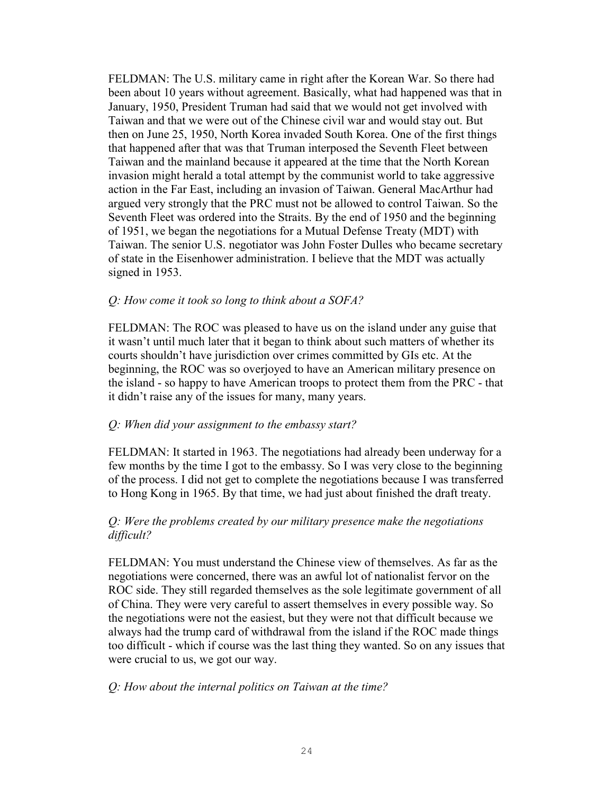FELDMAN: The U.S. military came in right after the Korean War. So there had been about 10 years without agreement. Basically, what had happened was that in January, 1950, President Truman had said that we would not get involved with Taiwan and that we were out of the Chinese civil war and would stay out. But then on June 25, 1950, North Korea invaded South Korea. One of the first things that happened after that was that Truman interposed the Seventh Fleet between Taiwan and the mainland because it appeared at the time that the North Korean invasion might herald a total attempt by the communist world to take aggressive action in the Far East, including an invasion of Taiwan. General MacArthur had argued very strongly that the PRC must not be allowed to control Taiwan. So the Seventh Fleet was ordered into the Straits. By the end of 1950 and the beginning of 1951, we began the negotiations for a Mutual Defense Treaty (MDT) with Taiwan. The senior U.S. negotiator was John Foster Dulles who became secretary of state in the Eisenhower administration. I believe that the MDT was actually signed in 1953.

## *Q: How come it took so long to think about a SOFA?*

FELDMAN: The ROC was pleased to have us on the island under any guise that it wasn't until much later that it began to think about such matters of whether its courts shouldn't have jurisdiction over crimes committed by GIs etc. At the beginning, the ROC was so overjoyed to have an American military presence on the island - so happy to have American troops to protect them from the PRC - that it didn't raise any of the issues for many, many years.

### *Q: When did your assignment to the embassy start?*

FELDMAN: It started in 1963. The negotiations had already been underway for a few months by the time I got to the embassy. So I was very close to the beginning of the process. I did not get to complete the negotiations because I was transferred to Hong Kong in 1965. By that time, we had just about finished the draft treaty.

## *Q: Were the problems created by our military presence make the negotiations difficult?*

FELDMAN: You must understand the Chinese view of themselves. As far as the negotiations were concerned, there was an awful lot of nationalist fervor on the ROC side. They still regarded themselves as the sole legitimate government of all of China. They were very careful to assert themselves in every possible way. So the negotiations were not the easiest, but they were not that difficult because we always had the trump card of withdrawal from the island if the ROC made things too difficult - which if course was the last thing they wanted. So on any issues that were crucial to us, we got our way.

#### *Q: How about the internal politics on Taiwan at the time?*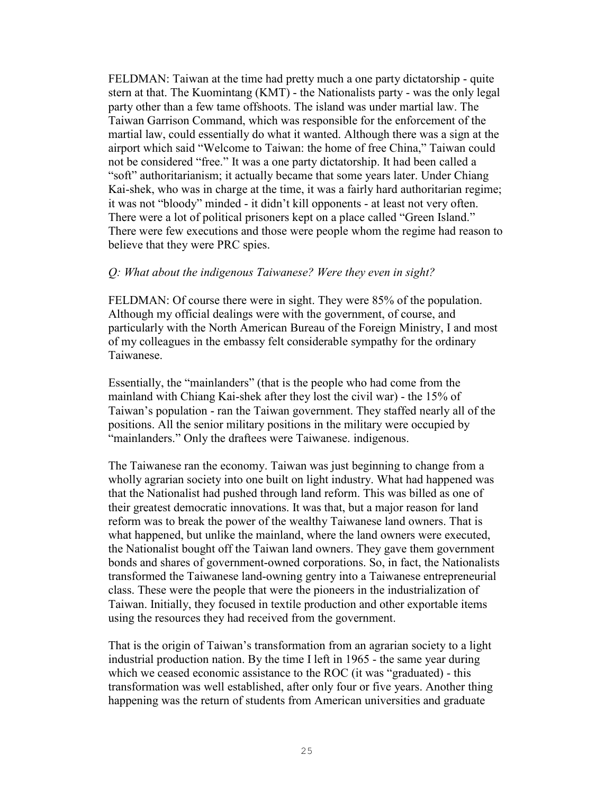FELDMAN: Taiwan at the time had pretty much a one party dictatorship - quite stern at that. The Kuomintang (KMT) - the Nationalists party - was the only legal party other than a few tame offshoots. The island was under martial law. The Taiwan Garrison Command, which was responsible for the enforcement of the martial law, could essentially do what it wanted. Although there was a sign at the airport which said "Welcome to Taiwan: the home of free China," Taiwan could not be considered "free." It was a one party dictatorship. It had been called a "soft" authoritarianism; it actually became that some years later. Under Chiang Kai-shek, who was in charge at the time, it was a fairly hard authoritarian regime; it was not "bloody" minded - it didn't kill opponents - at least not very often. There were a lot of political prisoners kept on a place called "Green Island." There were few executions and those were people whom the regime had reason to believe that they were PRC spies.

### *Q: What about the indigenous Taiwanese? Were they even in sight?*

FELDMAN: Of course there were in sight. They were 85% of the population. Although my official dealings were with the government, of course, and particularly with the North American Bureau of the Foreign Ministry, I and most of my colleagues in the embassy felt considerable sympathy for the ordinary Taiwanese.

Essentially, the "mainlanders" (that is the people who had come from the mainland with Chiang Kai-shek after they lost the civil war) - the 15% of Taiwan's population - ran the Taiwan government. They staffed nearly all of the positions. All the senior military positions in the military were occupied by "mainlanders." Only the draftees were Taiwanese. indigenous.

The Taiwanese ran the economy. Taiwan was just beginning to change from a wholly agrarian society into one built on light industry. What had happened was that the Nationalist had pushed through land reform. This was billed as one of their greatest democratic innovations. It was that, but a major reason for land reform was to break the power of the wealthy Taiwanese land owners. That is what happened, but unlike the mainland, where the land owners were executed, the Nationalist bought off the Taiwan land owners. They gave them government bonds and shares of government-owned corporations. So, in fact, the Nationalists transformed the Taiwanese land-owning gentry into a Taiwanese entrepreneurial class. These were the people that were the pioneers in the industrialization of Taiwan. Initially, they focused in textile production and other exportable items using the resources they had received from the government.

That is the origin of Taiwan's transformation from an agrarian society to a light industrial production nation. By the time I left in 1965 - the same year during which we ceased economic assistance to the ROC (it was "graduated) - this transformation was well established, after only four or five years. Another thing happening was the return of students from American universities and graduate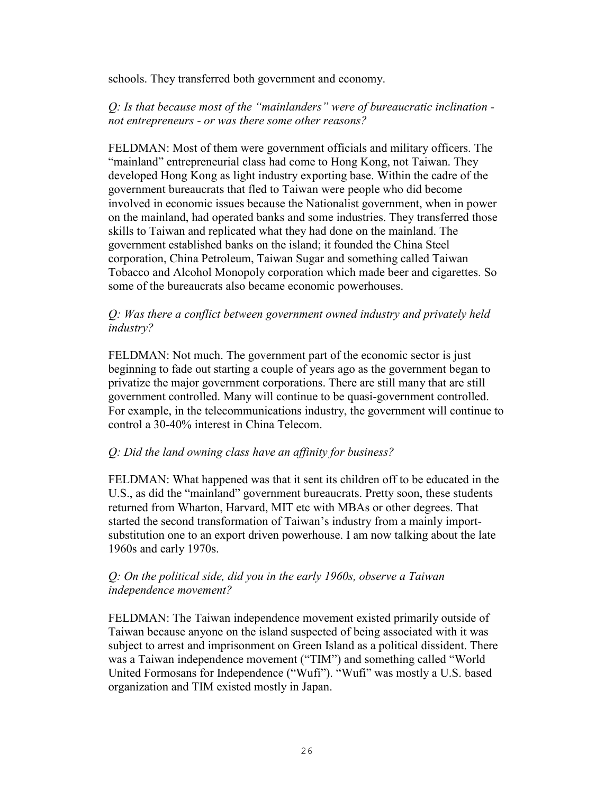schools. They transferred both government and economy.

## *Q: Is that because most of the "mainlanders" were of bureaucratic inclination not entrepreneurs - or was there some other reasons?*

FELDMAN: Most of them were government officials and military officers. The "mainland" entrepreneurial class had come to Hong Kong, not Taiwan. They developed Hong Kong as light industry exporting base. Within the cadre of the government bureaucrats that fled to Taiwan were people who did become involved in economic issues because the Nationalist government, when in power on the mainland, had operated banks and some industries. They transferred those skills to Taiwan and replicated what they had done on the mainland. The government established banks on the island; it founded the China Steel corporation, China Petroleum, Taiwan Sugar and something called Taiwan Tobacco and Alcohol Monopoly corporation which made beer and cigarettes. So some of the bureaucrats also became economic powerhouses.

## *Q: Was there a conflict between government owned industry and privately held industry?*

FELDMAN: Not much. The government part of the economic sector is just beginning to fade out starting a couple of years ago as the government began to privatize the major government corporations. There are still many that are still government controlled. Many will continue to be quasi-government controlled. For example, in the telecommunications industry, the government will continue to control a 30-40% interest in China Telecom.

## *Q: Did the land owning class have an affinity for business?*

FELDMAN: What happened was that it sent its children off to be educated in the U.S., as did the "mainland" government bureaucrats. Pretty soon, these students returned from Wharton, Harvard, MIT etc with MBAs or other degrees. That started the second transformation of Taiwan's industry from a mainly importsubstitution one to an export driven powerhouse. I am now talking about the late 1960s and early 1970s.

## *Q: On the political side, did you in the early 1960s, observe a Taiwan independence movement?*

FELDMAN: The Taiwan independence movement existed primarily outside of Taiwan because anyone on the island suspected of being associated with it was subject to arrest and imprisonment on Green Island as a political dissident. There was a Taiwan independence movement ("TIM") and something called "World United Formosans for Independence ("Wufi"). "Wufi" was mostly a U.S. based organization and TIM existed mostly in Japan.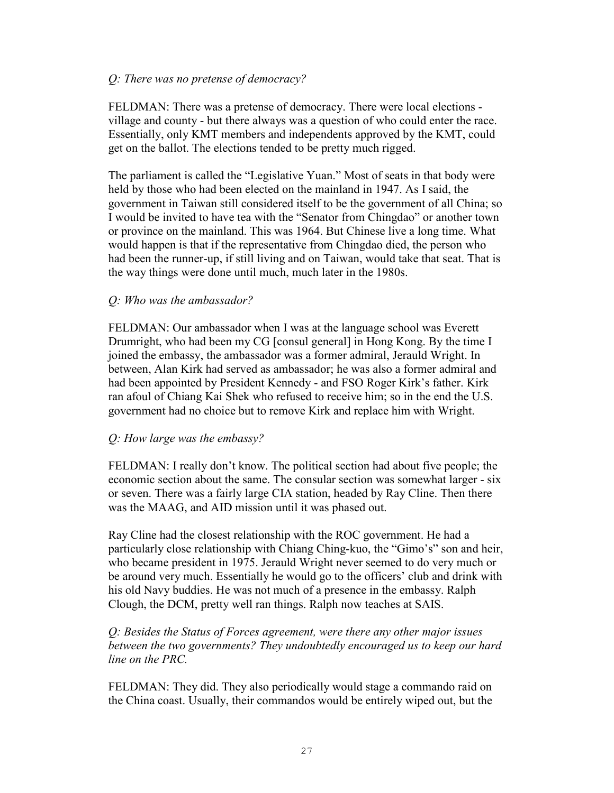### *Q: There was no pretense of democracy?*

FELDMAN: There was a pretense of democracy. There were local elections village and county - but there always was a question of who could enter the race. Essentially, only KMT members and independents approved by the KMT, could get on the ballot. The elections tended to be pretty much rigged.

The parliament is called the "Legislative Yuan." Most of seats in that body were held by those who had been elected on the mainland in 1947. As I said, the government in Taiwan still considered itself to be the government of all China; so I would be invited to have tea with the "Senator from Chingdao" or another town or province on the mainland. This was 1964. But Chinese live a long time. What would happen is that if the representative from Chingdao died, the person who had been the runner-up, if still living and on Taiwan, would take that seat. That is the way things were done until much, much later in the 1980s.

## *Q: Who was the ambassador?*

FELDMAN: Our ambassador when I was at the language school was Everett Drumright, who had been my CG [consul general] in Hong Kong. By the time I joined the embassy, the ambassador was a former admiral, Jerauld Wright. In between, Alan Kirk had served as ambassador; he was also a former admiral and had been appointed by President Kennedy - and FSO Roger Kirk's father. Kirk ran afoul of Chiang Kai Shek who refused to receive him; so in the end the U.S. government had no choice but to remove Kirk and replace him with Wright.

### *Q: How large was the embassy?*

FELDMAN: I really don't know. The political section had about five people; the economic section about the same. The consular section was somewhat larger - six or seven. There was a fairly large CIA station, headed by Ray Cline. Then there was the MAAG, and AID mission until it was phased out.

Ray Cline had the closest relationship with the ROC government. He had a particularly close relationship with Chiang Ching-kuo, the "Gimo's" son and heir, who became president in 1975. Jerauld Wright never seemed to do very much or be around very much. Essentially he would go to the officers' club and drink with his old Navy buddies. He was not much of a presence in the embassy. Ralph Clough, the DCM, pretty well ran things. Ralph now teaches at SAIS.

## *Q: Besides the Status of Forces agreement, were there any other major issues between the two governments? They undoubtedly encouraged us to keep our hard line on the PRC.*

FELDMAN: They did. They also periodically would stage a commando raid on the China coast. Usually, their commandos would be entirely wiped out, but the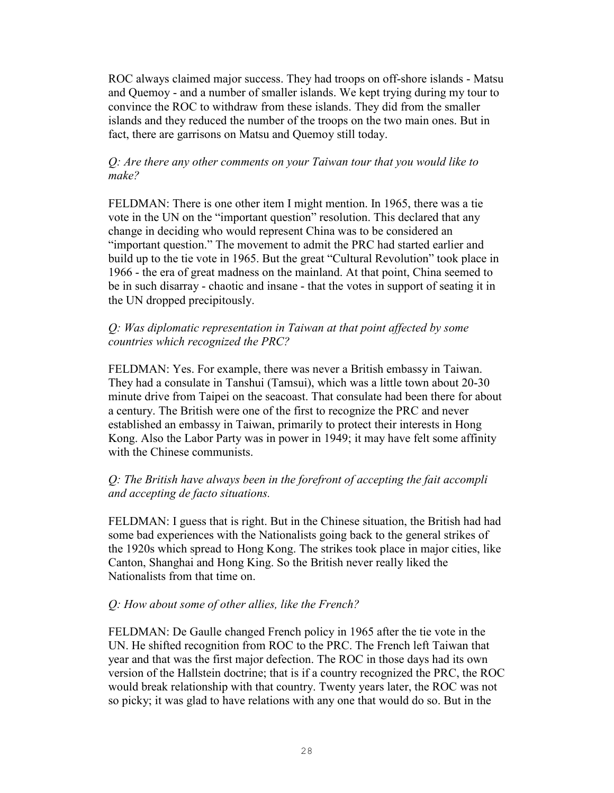ROC always claimed major success. They had troops on off-shore islands - Matsu and Quemoy - and a number of smaller islands. We kept trying during my tour to convince the ROC to withdraw from these islands. They did from the smaller islands and they reduced the number of the troops on the two main ones. But in fact, there are garrisons on Matsu and Quemoy still today.

## *Q: Are there any other comments on your Taiwan tour that you would like to make?*

FELDMAN: There is one other item I might mention. In 1965, there was a tie vote in the UN on the "important question" resolution. This declared that any change in deciding who would represent China was to be considered an "important question." The movement to admit the PRC had started earlier and build up to the tie vote in 1965. But the great "Cultural Revolution" took place in 1966 - the era of great madness on the mainland. At that point, China seemed to be in such disarray - chaotic and insane - that the votes in support of seating it in the UN dropped precipitously.

## *Q: Was diplomatic representation in Taiwan at that point affected by some countries which recognized the PRC?*

FELDMAN: Yes. For example, there was never a British embassy in Taiwan. They had a consulate in Tanshui (Tamsui), which was a little town about 20-30 minute drive from Taipei on the seacoast. That consulate had been there for about a century. The British were one of the first to recognize the PRC and never established an embassy in Taiwan, primarily to protect their interests in Hong Kong. Also the Labor Party was in power in 1949; it may have felt some affinity with the Chinese communists.

## *Q: The British have always been in the forefront of accepting the fait accompli and accepting de facto situations.*

FELDMAN: I guess that is right. But in the Chinese situation, the British had had some bad experiences with the Nationalists going back to the general strikes of the 1920s which spread to Hong Kong. The strikes took place in major cities, like Canton, Shanghai and Hong King. So the British never really liked the Nationalists from that time on.

## *Q: How about some of other allies, like the French?*

FELDMAN: De Gaulle changed French policy in 1965 after the tie vote in the UN. He shifted recognition from ROC to the PRC. The French left Taiwan that year and that was the first major defection. The ROC in those days had its own version of the Hallstein doctrine; that is if a country recognized the PRC, the ROC would break relationship with that country. Twenty years later, the ROC was not so picky; it was glad to have relations with any one that would do so. But in the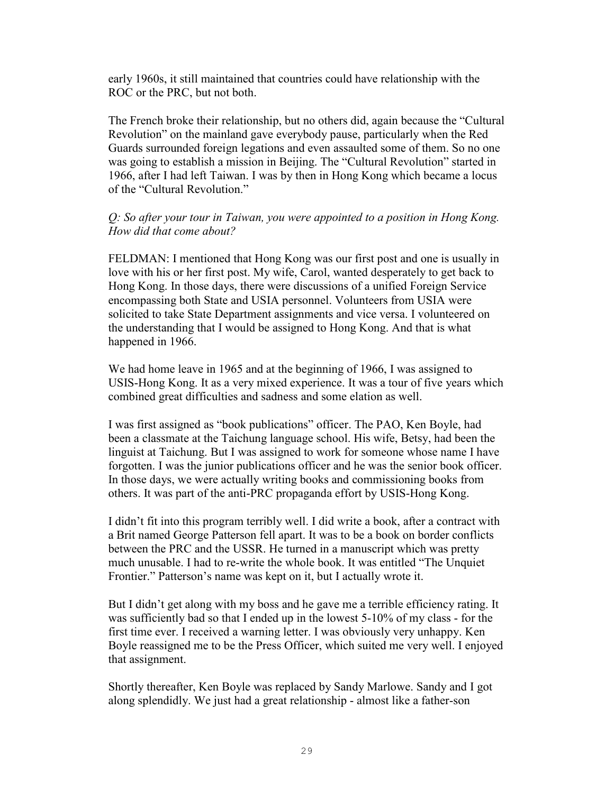early 1960s, it still maintained that countries could have relationship with the ROC or the PRC, but not both.

The French broke their relationship, but no others did, again because the "Cultural Revolution" on the mainland gave everybody pause, particularly when the Red Guards surrounded foreign legations and even assaulted some of them. So no one was going to establish a mission in Beijing. The "Cultural Revolution" started in 1966, after I had left Taiwan. I was by then in Hong Kong which became a locus of the "Cultural Revolution."

## *Q: So after your tour in Taiwan, you were appointed to a position in Hong Kong. How did that come about?*

FELDMAN: I mentioned that Hong Kong was our first post and one is usually in love with his or her first post. My wife, Carol, wanted desperately to get back to Hong Kong. In those days, there were discussions of a unified Foreign Service encompassing both State and USIA personnel. Volunteers from USIA were solicited to take State Department assignments and vice versa. I volunteered on the understanding that I would be assigned to Hong Kong. And that is what happened in 1966.

We had home leave in 1965 and at the beginning of 1966, I was assigned to USIS-Hong Kong. It as a very mixed experience. It was a tour of five years which combined great difficulties and sadness and some elation as well.

I was first assigned as "book publications" officer. The PAO, Ken Boyle, had been a classmate at the Taichung language school. His wife, Betsy, had been the linguist at Taichung. But I was assigned to work for someone whose name I have forgotten. I was the junior publications officer and he was the senior book officer. In those days, we were actually writing books and commissioning books from others. It was part of the anti-PRC propaganda effort by USIS-Hong Kong.

I didn't fit into this program terribly well. I did write a book, after a contract with a Brit named George Patterson fell apart. It was to be a book on border conflicts between the PRC and the USSR. He turned in a manuscript which was pretty much unusable. I had to re-write the whole book. It was entitled "The Unquiet Frontier." Patterson's name was kept on it, but I actually wrote it.

But I didn't get along with my boss and he gave me a terrible efficiency rating. It was sufficiently bad so that I ended up in the lowest 5-10% of my class - for the first time ever. I received a warning letter. I was obviously very unhappy. Ken Boyle reassigned me to be the Press Officer, which suited me very well. I enjoyed that assignment.

Shortly thereafter, Ken Boyle was replaced by Sandy Marlowe. Sandy and I got along splendidly. We just had a great relationship - almost like a father-son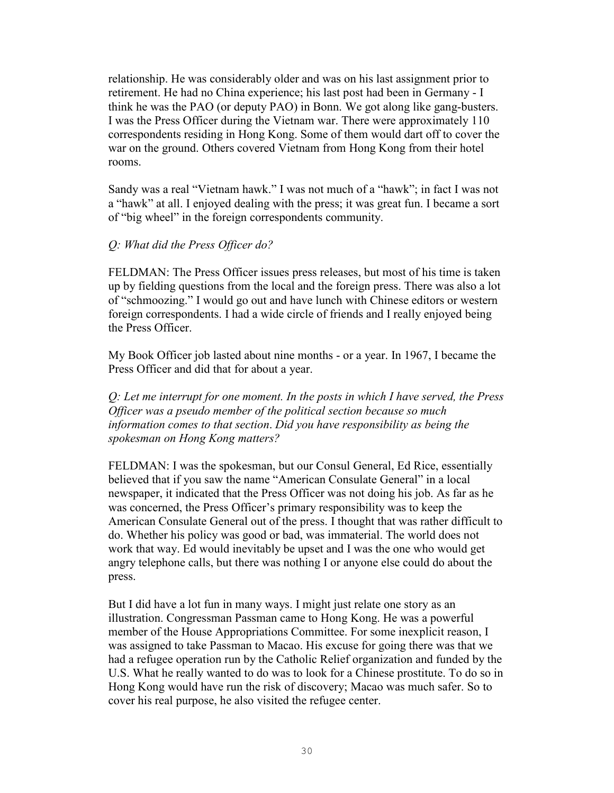relationship. He was considerably older and was on his last assignment prior to retirement. He had no China experience; his last post had been in Germany - I think he was the PAO (or deputy PAO) in Bonn. We got along like gang-busters. I was the Press Officer during the Vietnam war. There were approximately 110 correspondents residing in Hong Kong. Some of them would dart off to cover the war on the ground. Others covered Vietnam from Hong Kong from their hotel rooms.

Sandy was a real "Vietnam hawk." I was not much of a "hawk"; in fact I was not a "hawk" at all. I enjoyed dealing with the press; it was great fun. I became a sort of "big wheel" in the foreign correspondents community.

## *Q: What did the Press Officer do?*

FELDMAN: The Press Officer issues press releases, but most of his time is taken up by fielding questions from the local and the foreign press. There was also a lot of "schmoozing." I would go out and have lunch with Chinese editors or western foreign correspondents. I had a wide circle of friends and I really enjoyed being the Press Officer.

My Book Officer job lasted about nine months - or a year. In 1967, I became the Press Officer and did that for about a year.

*Q: Let me interrupt for one moment. In the posts in which I have served, the Press Officer was a pseudo member of the political section because so much information comes to that section*. *Did you have responsibility as being the spokesman on Hong Kong matters?* 

FELDMAN: I was the spokesman, but our Consul General, Ed Rice, essentially believed that if you saw the name "American Consulate General" in a local newspaper, it indicated that the Press Officer was not doing his job. As far as he was concerned, the Press Officer's primary responsibility was to keep the American Consulate General out of the press. I thought that was rather difficult to do. Whether his policy was good or bad, was immaterial. The world does not work that way. Ed would inevitably be upset and I was the one who would get angry telephone calls, but there was nothing I or anyone else could do about the press.

But I did have a lot fun in many ways. I might just relate one story as an illustration. Congressman Passman came to Hong Kong. He was a powerful member of the House Appropriations Committee. For some inexplicit reason, I was assigned to take Passman to Macao. His excuse for going there was that we had a refugee operation run by the Catholic Relief organization and funded by the U.S. What he really wanted to do was to look for a Chinese prostitute. To do so in Hong Kong would have run the risk of discovery; Macao was much safer. So to cover his real purpose, he also visited the refugee center.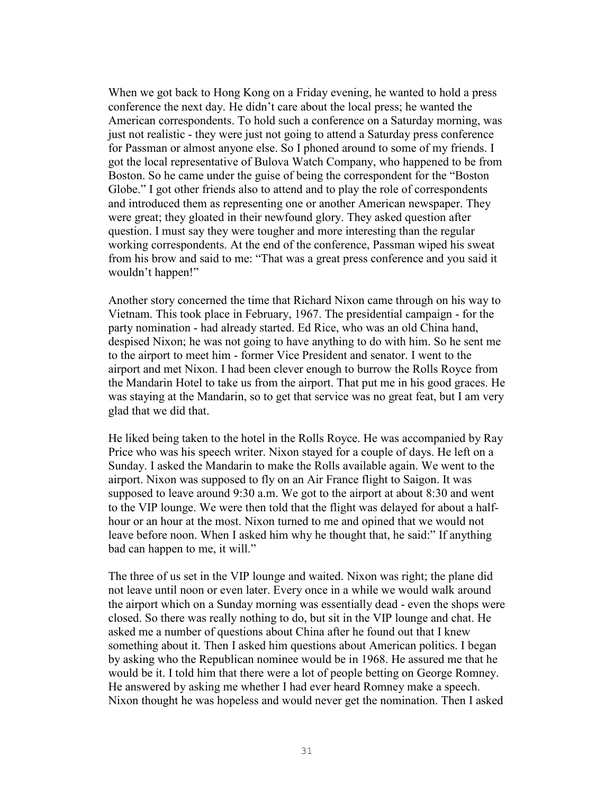When we got back to Hong Kong on a Friday evening, he wanted to hold a press conference the next day. He didn't care about the local press; he wanted the American correspondents. To hold such a conference on a Saturday morning, was just not realistic - they were just not going to attend a Saturday press conference for Passman or almost anyone else. So I phoned around to some of my friends. I got the local representative of Bulova Watch Company, who happened to be from Boston. So he came under the guise of being the correspondent for the "Boston Globe." I got other friends also to attend and to play the role of correspondents and introduced them as representing one or another American newspaper. They were great; they gloated in their newfound glory. They asked question after question. I must say they were tougher and more interesting than the regular working correspondents. At the end of the conference, Passman wiped his sweat from his brow and said to me: "That was a great press conference and you said it wouldn't happen!"

Another story concerned the time that Richard Nixon came through on his way to Vietnam. This took place in February, 1967. The presidential campaign - for the party nomination - had already started. Ed Rice, who was an old China hand, despised Nixon; he was not going to have anything to do with him. So he sent me to the airport to meet him - former Vice President and senator. I went to the airport and met Nixon. I had been clever enough to burrow the Rolls Royce from the Mandarin Hotel to take us from the airport. That put me in his good graces. He was staying at the Mandarin, so to get that service was no great feat, but I am very glad that we did that.

He liked being taken to the hotel in the Rolls Royce. He was accompanied by Ray Price who was his speech writer. Nixon stayed for a couple of days. He left on a Sunday. I asked the Mandarin to make the Rolls available again. We went to the airport. Nixon was supposed to fly on an Air France flight to Saigon. It was supposed to leave around 9:30 a.m. We got to the airport at about 8:30 and went to the VIP lounge. We were then told that the flight was delayed for about a halfhour or an hour at the most. Nixon turned to me and opined that we would not leave before noon. When I asked him why he thought that, he said:" If anything bad can happen to me, it will."

The three of us set in the VIP lounge and waited. Nixon was right; the plane did not leave until noon or even later. Every once in a while we would walk around the airport which on a Sunday morning was essentially dead - even the shops were closed. So there was really nothing to do, but sit in the VIP lounge and chat. He asked me a number of questions about China after he found out that I knew something about it. Then I asked him questions about American politics. I began by asking who the Republican nominee would be in 1968. He assured me that he would be it. I told him that there were a lot of people betting on George Romney. He answered by asking me whether I had ever heard Romney make a speech. Nixon thought he was hopeless and would never get the nomination. Then I asked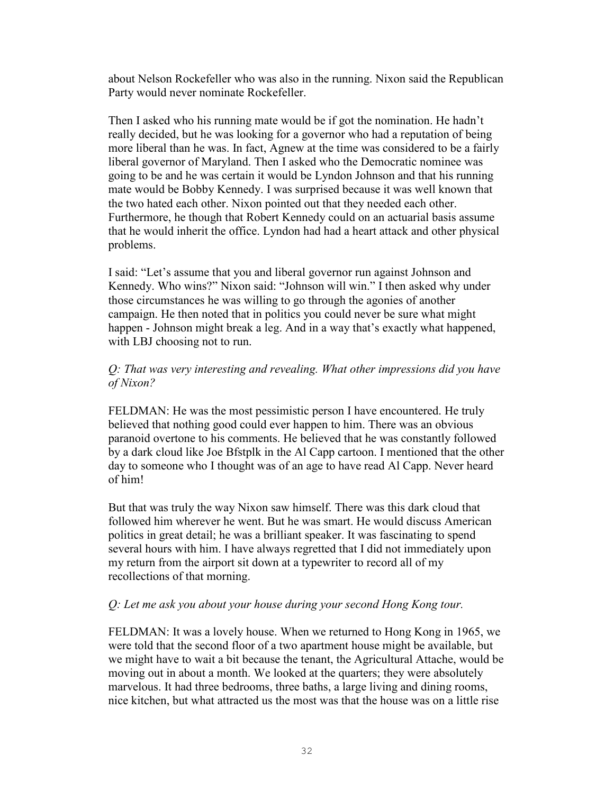about Nelson Rockefeller who was also in the running. Nixon said the Republican Party would never nominate Rockefeller.

Then I asked who his running mate would be if got the nomination. He hadn't really decided, but he was looking for a governor who had a reputation of being more liberal than he was. In fact, Agnew at the time was considered to be a fairly liberal governor of Maryland. Then I asked who the Democratic nominee was going to be and he was certain it would be Lyndon Johnson and that his running mate would be Bobby Kennedy. I was surprised because it was well known that the two hated each other. Nixon pointed out that they needed each other. Furthermore, he though that Robert Kennedy could on an actuarial basis assume that he would inherit the office. Lyndon had had a heart attack and other physical problems.

I said: "Let's assume that you and liberal governor run against Johnson and Kennedy. Who wins?" Nixon said: "Johnson will win." I then asked why under those circumstances he was willing to go through the agonies of another campaign. He then noted that in politics you could never be sure what might happen - Johnson might break a leg. And in a way that's exactly what happened, with LBJ choosing not to run.

## *Q: That was very interesting and revealing. What other impressions did you have of Nixon?*

FELDMAN: He was the most pessimistic person I have encountered. He truly believed that nothing good could ever happen to him. There was an obvious paranoid overtone to his comments. He believed that he was constantly followed by a dark cloud like Joe Bfstplk in the Al Capp cartoon. I mentioned that the other day to someone who I thought was of an age to have read Al Capp. Never heard of him!

But that was truly the way Nixon saw himself. There was this dark cloud that followed him wherever he went. But he was smart. He would discuss American politics in great detail; he was a brilliant speaker. It was fascinating to spend several hours with him. I have always regretted that I did not immediately upon my return from the airport sit down at a typewriter to record all of my recollections of that morning.

### *Q: Let me ask you about your house during your second Hong Kong tour.*

FELDMAN: It was a lovely house. When we returned to Hong Kong in 1965, we were told that the second floor of a two apartment house might be available, but we might have to wait a bit because the tenant, the Agricultural Attache, would be moving out in about a month. We looked at the quarters; they were absolutely marvelous. It had three bedrooms, three baths, a large living and dining rooms, nice kitchen, but what attracted us the most was that the house was on a little rise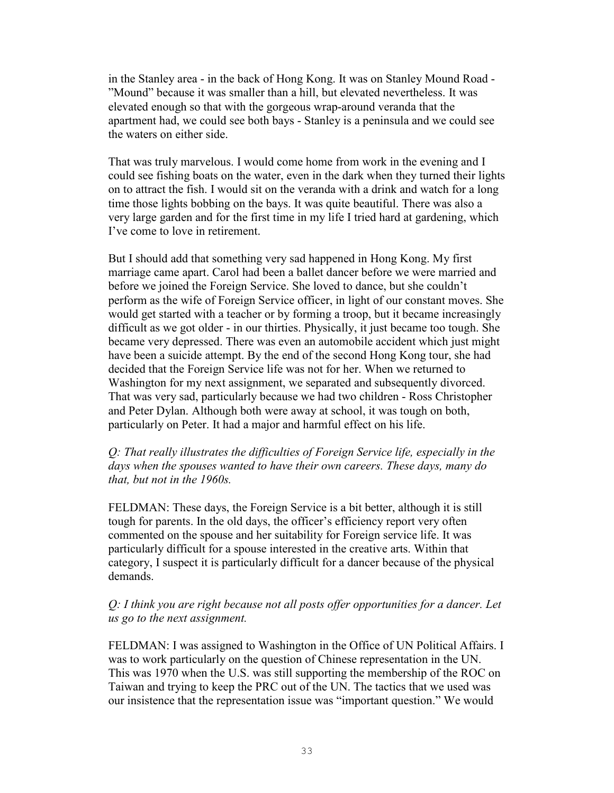in the Stanley area - in the back of Hong Kong. It was on Stanley Mound Road - "Mound" because it was smaller than a hill, but elevated nevertheless. It was elevated enough so that with the gorgeous wrap-around veranda that the apartment had, we could see both bays - Stanley is a peninsula and we could see the waters on either side.

That was truly marvelous. I would come home from work in the evening and I could see fishing boats on the water, even in the dark when they turned their lights on to attract the fish. I would sit on the veranda with a drink and watch for a long time those lights bobbing on the bays. It was quite beautiful. There was also a very large garden and for the first time in my life I tried hard at gardening, which I've come to love in retirement.

But I should add that something very sad happened in Hong Kong. My first marriage came apart. Carol had been a ballet dancer before we were married and before we joined the Foreign Service. She loved to dance, but she couldn't perform as the wife of Foreign Service officer, in light of our constant moves. She would get started with a teacher or by forming a troop, but it became increasingly difficult as we got older - in our thirties. Physically, it just became too tough. She became very depressed. There was even an automobile accident which just might have been a suicide attempt. By the end of the second Hong Kong tour, she had decided that the Foreign Service life was not for her. When we returned to Washington for my next assignment, we separated and subsequently divorced. That was very sad, particularly because we had two children - Ross Christopher and Peter Dylan. Although both were away at school, it was tough on both, particularly on Peter. It had a major and harmful effect on his life.

## *Q: That really illustrates the difficulties of Foreign Service life, especially in the days when the spouses wanted to have their own careers. These days, many do that, but not in the 1960s.*

FELDMAN: These days, the Foreign Service is a bit better, although it is still tough for parents. In the old days, the officer's efficiency report very often commented on the spouse and her suitability for Foreign service life. It was particularly difficult for a spouse interested in the creative arts. Within that category, I suspect it is particularly difficult for a dancer because of the physical demands.

## *Q: I think you are right because not all posts offer opportunities for a dancer. Let us go to the next assignment.*

FELDMAN: I was assigned to Washington in the Office of UN Political Affairs. I was to work particularly on the question of Chinese representation in the UN. This was 1970 when the U.S. was still supporting the membership of the ROC on Taiwan and trying to keep the PRC out of the UN. The tactics that we used was our insistence that the representation issue was "important question." We would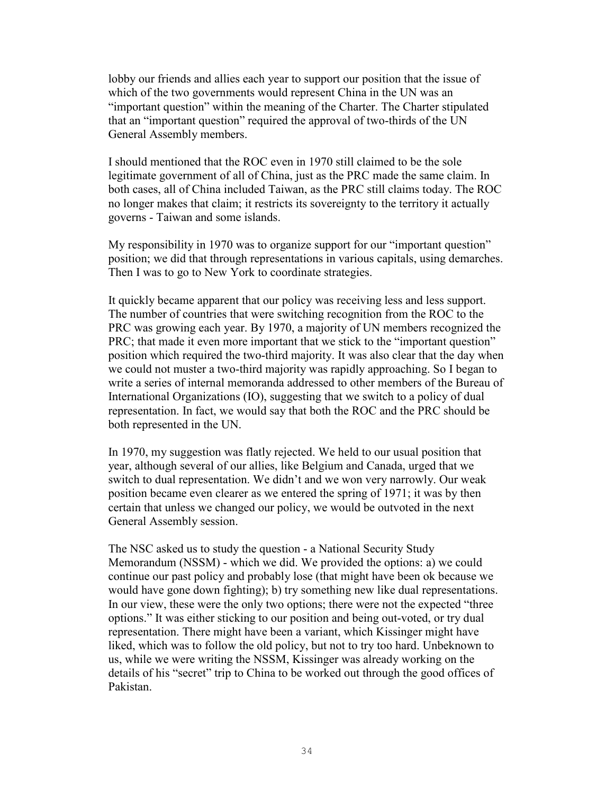lobby our friends and allies each year to support our position that the issue of which of the two governments would represent China in the UN was an "important question" within the meaning of the Charter. The Charter stipulated that an "important question" required the approval of two-thirds of the UN General Assembly members.

I should mentioned that the ROC even in 1970 still claimed to be the sole legitimate government of all of China, just as the PRC made the same claim. In both cases, all of China included Taiwan, as the PRC still claims today. The ROC no longer makes that claim; it restricts its sovereignty to the territory it actually governs - Taiwan and some islands.

My responsibility in 1970 was to organize support for our "important question" position; we did that through representations in various capitals, using demarches. Then I was to go to New York to coordinate strategies.

It quickly became apparent that our policy was receiving less and less support. The number of countries that were switching recognition from the ROC to the PRC was growing each year. By 1970, a majority of UN members recognized the PRC; that made it even more important that we stick to the "important question" position which required the two-third majority. It was also clear that the day when we could not muster a two-third majority was rapidly approaching. So I began to write a series of internal memoranda addressed to other members of the Bureau of International Organizations (IO), suggesting that we switch to a policy of dual representation. In fact, we would say that both the ROC and the PRC should be both represented in the UN.

In 1970, my suggestion was flatly rejected. We held to our usual position that year, although several of our allies, like Belgium and Canada, urged that we switch to dual representation. We didn't and we won very narrowly. Our weak position became even clearer as we entered the spring of 1971; it was by then certain that unless we changed our policy, we would be outvoted in the next General Assembly session.

The NSC asked us to study the question - a National Security Study Memorandum (NSSM) - which we did. We provided the options: a) we could continue our past policy and probably lose (that might have been ok because we would have gone down fighting); b) try something new like dual representations. In our view, these were the only two options; there were not the expected "three options." It was either sticking to our position and being out-voted, or try dual representation. There might have been a variant, which Kissinger might have liked, which was to follow the old policy, but not to try too hard. Unbeknown to us, while we were writing the NSSM, Kissinger was already working on the details of his "secret" trip to China to be worked out through the good offices of Pakistan.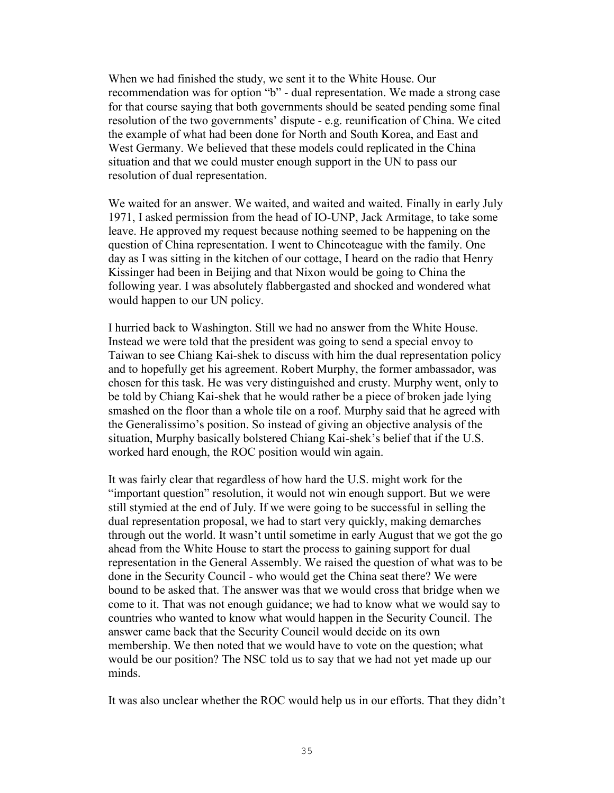When we had finished the study, we sent it to the White House. Our recommendation was for option "b" - dual representation. We made a strong case for that course saying that both governments should be seated pending some final resolution of the two governments' dispute - e.g. reunification of China. We cited the example of what had been done for North and South Korea, and East and West Germany. We believed that these models could replicated in the China situation and that we could muster enough support in the UN to pass our resolution of dual representation.

We waited for an answer. We waited, and waited and waited. Finally in early July 1971, I asked permission from the head of IO-UNP, Jack Armitage, to take some leave. He approved my request because nothing seemed to be happening on the question of China representation. I went to Chincoteague with the family. One day as I was sitting in the kitchen of our cottage, I heard on the radio that Henry Kissinger had been in Beijing and that Nixon would be going to China the following year. I was absolutely flabbergasted and shocked and wondered what would happen to our UN policy.

I hurried back to Washington. Still we had no answer from the White House. Instead we were told that the president was going to send a special envoy to Taiwan to see Chiang Kai-shek to discuss with him the dual representation policy and to hopefully get his agreement. Robert Murphy, the former ambassador, was chosen for this task. He was very distinguished and crusty. Murphy went, only to be told by Chiang Kai-shek that he would rather be a piece of broken jade lying smashed on the floor than a whole tile on a roof. Murphy said that he agreed with the Generalissimo's position. So instead of giving an objective analysis of the situation, Murphy basically bolstered Chiang Kai-shek's belief that if the U.S. worked hard enough, the ROC position would win again.

It was fairly clear that regardless of how hard the U.S. might work for the "important question" resolution, it would not win enough support. But we were still stymied at the end of July. If we were going to be successful in selling the dual representation proposal, we had to start very quickly, making demarches through out the world. It wasn't until sometime in early August that we got the go ahead from the White House to start the process to gaining support for dual representation in the General Assembly. We raised the question of what was to be done in the Security Council - who would get the China seat there? We were bound to be asked that. The answer was that we would cross that bridge when we come to it. That was not enough guidance; we had to know what we would say to countries who wanted to know what would happen in the Security Council. The answer came back that the Security Council would decide on its own membership. We then noted that we would have to vote on the question; what would be our position? The NSC told us to say that we had not yet made up our minds.

It was also unclear whether the ROC would help us in our efforts. That they didn't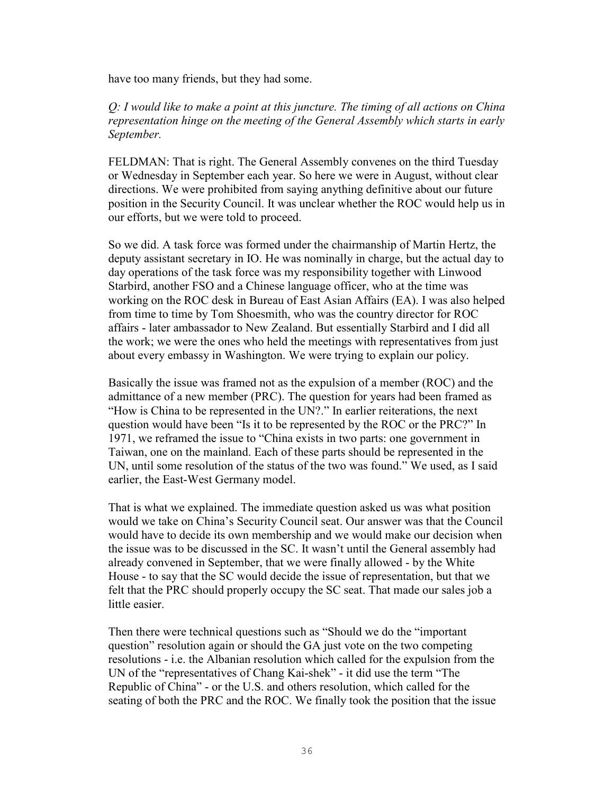have too many friends, but they had some.

*Q: I would like to make a point at this juncture. The timing of all actions on China representation hinge on the meeting of the General Assembly which starts in early September.*

FELDMAN: That is right. The General Assembly convenes on the third Tuesday or Wednesday in September each year. So here we were in August, without clear directions. We were prohibited from saying anything definitive about our future position in the Security Council. It was unclear whether the ROC would help us in our efforts, but we were told to proceed.

So we did. A task force was formed under the chairmanship of Martin Hertz, the deputy assistant secretary in IO. He was nominally in charge, but the actual day to day operations of the task force was my responsibility together with Linwood Starbird, another FSO and a Chinese language officer, who at the time was working on the ROC desk in Bureau of East Asian Affairs (EA). I was also helped from time to time by Tom Shoesmith, who was the country director for ROC affairs - later ambassador to New Zealand. But essentially Starbird and I did all the work; we were the ones who held the meetings with representatives from just about every embassy in Washington. We were trying to explain our policy.

Basically the issue was framed not as the expulsion of a member (ROC) and the admittance of a new member (PRC). The question for years had been framed as "How is China to be represented in the UN?." In earlier reiterations, the next question would have been "Is it to be represented by the ROC or the PRC?" In 1971, we reframed the issue to "China exists in two parts: one government in Taiwan, one on the mainland. Each of these parts should be represented in the UN, until some resolution of the status of the two was found." We used, as I said earlier, the East-West Germany model.

That is what we explained. The immediate question asked us was what position would we take on China's Security Council seat. Our answer was that the Council would have to decide its own membership and we would make our decision when the issue was to be discussed in the SC. It wasn't until the General assembly had already convened in September, that we were finally allowed - by the White House - to say that the SC would decide the issue of representation, but that we felt that the PRC should properly occupy the SC seat. That made our sales job a little easier.

Then there were technical questions such as "Should we do the "important question" resolution again or should the GA just vote on the two competing resolutions - i.e. the Albanian resolution which called for the expulsion from the UN of the "representatives of Chang Kai-shek" - it did use the term "The Republic of China" - or the U.S. and others resolution, which called for the seating of both the PRC and the ROC. We finally took the position that the issue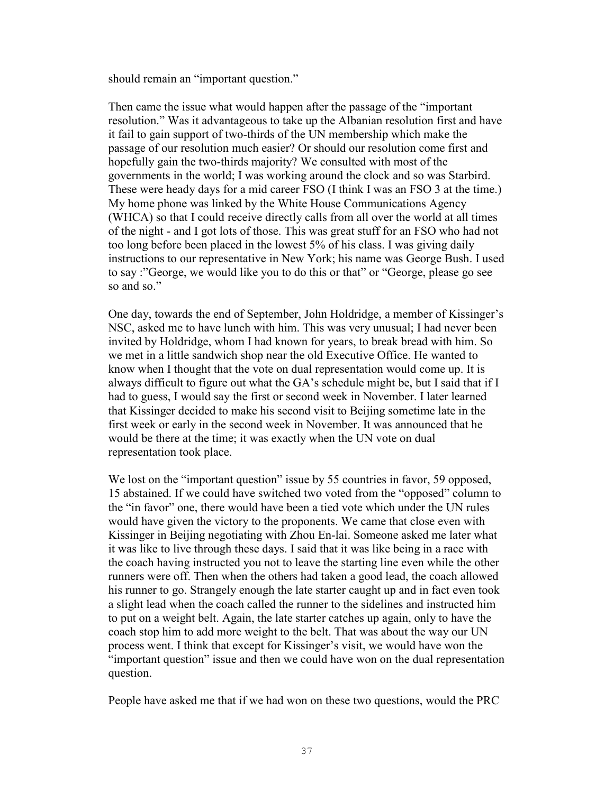should remain an "important question."

Then came the issue what would happen after the passage of the "important resolution." Was it advantageous to take up the Albanian resolution first and have it fail to gain support of two-thirds of the UN membership which make the passage of our resolution much easier? Or should our resolution come first and hopefully gain the two-thirds majority? We consulted with most of the governments in the world; I was working around the clock and so was Starbird. These were heady days for a mid career FSO (I think I was an FSO 3 at the time.) My home phone was linked by the White House Communications Agency (WHCA) so that I could receive directly calls from all over the world at all times of the night - and I got lots of those. This was great stuff for an FSO who had not too long before been placed in the lowest 5% of his class. I was giving daily instructions to our representative in New York; his name was George Bush. I used to say :"George, we would like you to do this or that" or "George, please go see so and so."

One day, towards the end of September, John Holdridge, a member of Kissinger's NSC, asked me to have lunch with him. This was very unusual; I had never been invited by Holdridge, whom I had known for years, to break bread with him. So we met in a little sandwich shop near the old Executive Office. He wanted to know when I thought that the vote on dual representation would come up. It is always difficult to figure out what the GA's schedule might be, but I said that if I had to guess, I would say the first or second week in November. I later learned that Kissinger decided to make his second visit to Beijing sometime late in the first week or early in the second week in November. It was announced that he would be there at the time; it was exactly when the UN vote on dual representation took place.

We lost on the "important question" issue by 55 countries in favor, 59 opposed, 15 abstained. If we could have switched two voted from the "opposed" column to the "in favor" one, there would have been a tied vote which under the UN rules would have given the victory to the proponents. We came that close even with Kissinger in Beijing negotiating with Zhou En-lai. Someone asked me later what it was like to live through these days. I said that it was like being in a race with the coach having instructed you not to leave the starting line even while the other runners were off. Then when the others had taken a good lead, the coach allowed his runner to go. Strangely enough the late starter caught up and in fact even took a slight lead when the coach called the runner to the sidelines and instructed him to put on a weight belt. Again, the late starter catches up again, only to have the coach stop him to add more weight to the belt. That was about the way our UN process went. I think that except for Kissinger's visit, we would have won the "important question" issue and then we could have won on the dual representation question.

People have asked me that if we had won on these two questions, would the PRC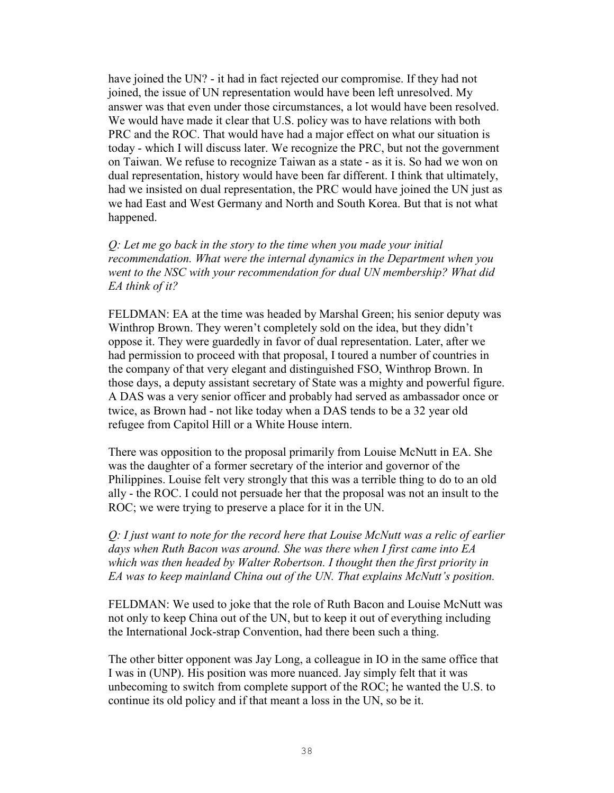have joined the UN? - it had in fact rejected our compromise. If they had not joined, the issue of UN representation would have been left unresolved. My answer was that even under those circumstances, a lot would have been resolved. We would have made it clear that U.S. policy was to have relations with both PRC and the ROC. That would have had a major effect on what our situation is today - which I will discuss later. We recognize the PRC, but not the government on Taiwan. We refuse to recognize Taiwan as a state - as it is. So had we won on dual representation, history would have been far different. I think that ultimately, had we insisted on dual representation, the PRC would have joined the UN just as we had East and West Germany and North and South Korea. But that is not what happened.

*Q: Let me go back in the story to the time when you made your initial recommendation. What were the internal dynamics in the Department when you went to the NSC with your recommendation for dual UN membership? What did EA think of it?*

FELDMAN: EA at the time was headed by Marshal Green; his senior deputy was Winthrop Brown. They weren't completely sold on the idea, but they didn't oppose it. They were guardedly in favor of dual representation. Later, after we had permission to proceed with that proposal, I toured a number of countries in the company of that very elegant and distinguished FSO, Winthrop Brown. In those days, a deputy assistant secretary of State was a mighty and powerful figure. A DAS was a very senior officer and probably had served as ambassador once or twice, as Brown had - not like today when a DAS tends to be a 32 year old refugee from Capitol Hill or a White House intern.

There was opposition to the proposal primarily from Louise McNutt in EA. She was the daughter of a former secretary of the interior and governor of the Philippines. Louise felt very strongly that this was a terrible thing to do to an old ally - the ROC. I could not persuade her that the proposal was not an insult to the ROC; we were trying to preserve a place for it in the UN.

*Q: I just want to note for the record here that Louise McNutt was a relic of earlier days when Ruth Bacon was around. She was there when I first came into EA which was then headed by Walter Robertson. I thought then the first priority in EA was to keep mainland China out of the UN. That explains McNutt's position.* 

FELDMAN: We used to joke that the role of Ruth Bacon and Louise McNutt was not only to keep China out of the UN, but to keep it out of everything including the International Jock-strap Convention, had there been such a thing.

The other bitter opponent was Jay Long, a colleague in IO in the same office that I was in (UNP). His position was more nuanced. Jay simply felt that it was unbecoming to switch from complete support of the ROC; he wanted the U.S. to continue its old policy and if that meant a loss in the UN, so be it.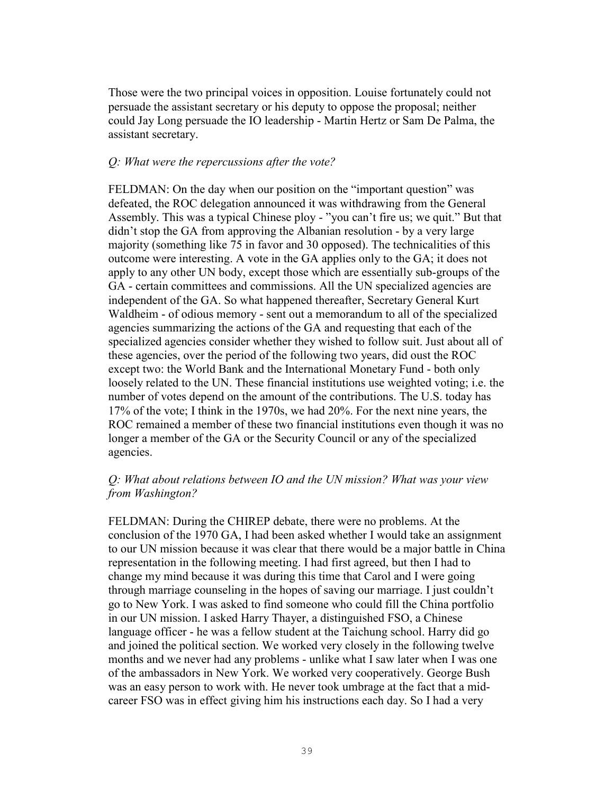Those were the two principal voices in opposition. Louise fortunately could not persuade the assistant secretary or his deputy to oppose the proposal; neither could Jay Long persuade the IO leadership - Martin Hertz or Sam De Palma, the assistant secretary.

#### *Q: What were the repercussions after the vote?*

FELDMAN: On the day when our position on the "important question" was defeated, the ROC delegation announced it was withdrawing from the General Assembly. This was a typical Chinese ploy - "you can't fire us; we quit." But that didn't stop the GA from approving the Albanian resolution - by a very large majority (something like 75 in favor and 30 opposed). The technicalities of this outcome were interesting. A vote in the GA applies only to the GA; it does not apply to any other UN body, except those which are essentially sub-groups of the GA - certain committees and commissions. All the UN specialized agencies are independent of the GA. So what happened thereafter, Secretary General Kurt Waldheim - of odious memory - sent out a memorandum to all of the specialized agencies summarizing the actions of the GA and requesting that each of the specialized agencies consider whether they wished to follow suit. Just about all of these agencies, over the period of the following two years, did oust the ROC except two: the World Bank and the International Monetary Fund - both only loosely related to the UN. These financial institutions use weighted voting; i.e. the number of votes depend on the amount of the contributions. The U.S. today has 17% of the vote; I think in the 1970s, we had 20%. For the next nine years, the ROC remained a member of these two financial institutions even though it was no longer a member of the GA or the Security Council or any of the specialized agencies.

### *Q: What about relations between IO and the UN mission? What was your view from Washington?*

FELDMAN: During the CHIREP debate, there were no problems. At the conclusion of the 1970 GA, I had been asked whether I would take an assignment to our UN mission because it was clear that there would be a major battle in China representation in the following meeting. I had first agreed, but then I had to change my mind because it was during this time that Carol and I were going through marriage counseling in the hopes of saving our marriage. I just couldn't go to New York. I was asked to find someone who could fill the China portfolio in our UN mission. I asked Harry Thayer, a distinguished FSO, a Chinese language officer - he was a fellow student at the Taichung school. Harry did go and joined the political section. We worked very closely in the following twelve months and we never had any problems - unlike what I saw later when I was one of the ambassadors in New York. We worked very cooperatively. George Bush was an easy person to work with. He never took umbrage at the fact that a midcareer FSO was in effect giving him his instructions each day. So I had a very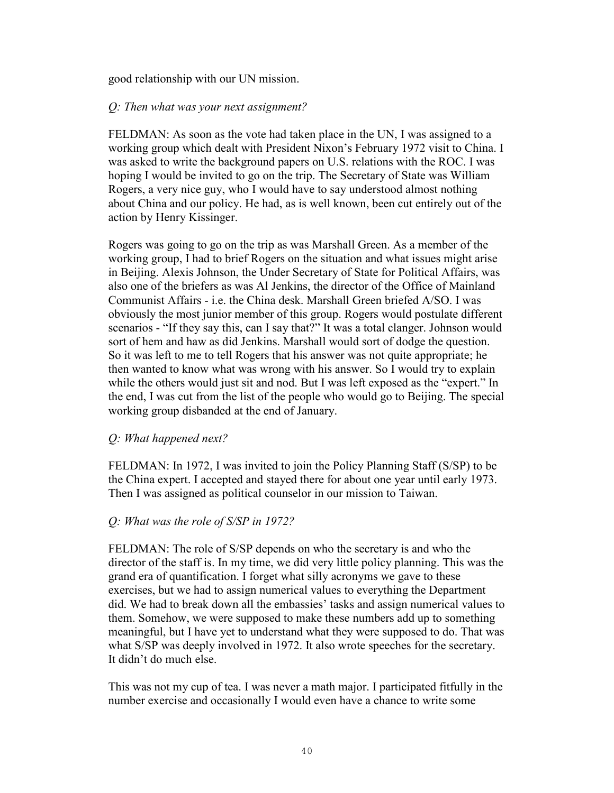good relationship with our UN mission.

### *Q: Then what was your next assignment?*

FELDMAN: As soon as the vote had taken place in the UN, I was assigned to a working group which dealt with President Nixon's February 1972 visit to China. I was asked to write the background papers on U.S. relations with the ROC. I was hoping I would be invited to go on the trip. The Secretary of State was William Rogers, a very nice guy, who I would have to say understood almost nothing about China and our policy. He had, as is well known, been cut entirely out of the action by Henry Kissinger.

Rogers was going to go on the trip as was Marshall Green. As a member of the working group, I had to brief Rogers on the situation and what issues might arise in Beijing. Alexis Johnson, the Under Secretary of State for Political Affairs, was also one of the briefers as was Al Jenkins, the director of the Office of Mainland Communist Affairs - i.e. the China desk. Marshall Green briefed A/SO. I was obviously the most junior member of this group. Rogers would postulate different scenarios - "If they say this, can I say that?" It was a total clanger. Johnson would sort of hem and haw as did Jenkins. Marshall would sort of dodge the question. So it was left to me to tell Rogers that his answer was not quite appropriate; he then wanted to know what was wrong with his answer. So I would try to explain while the others would just sit and nod. But I was left exposed as the "expert." In the end, I was cut from the list of the people who would go to Beijing. The special working group disbanded at the end of January.

### *Q: What happened next?*

FELDMAN: In 1972, I was invited to join the Policy Planning Staff (S/SP) to be the China expert. I accepted and stayed there for about one year until early 1973. Then I was assigned as political counselor in our mission to Taiwan.

### *Q: What was the role of S/SP in 1972?*

FELDMAN: The role of S/SP depends on who the secretary is and who the director of the staff is. In my time, we did very little policy planning. This was the grand era of quantification. I forget what silly acronyms we gave to these exercises, but we had to assign numerical values to everything the Department did. We had to break down all the embassies' tasks and assign numerical values to them. Somehow, we were supposed to make these numbers add up to something meaningful, but I have yet to understand what they were supposed to do. That was what S/SP was deeply involved in 1972. It also wrote speeches for the secretary. It didn't do much else.

This was not my cup of tea. I was never a math major. I participated fitfully in the number exercise and occasionally I would even have a chance to write some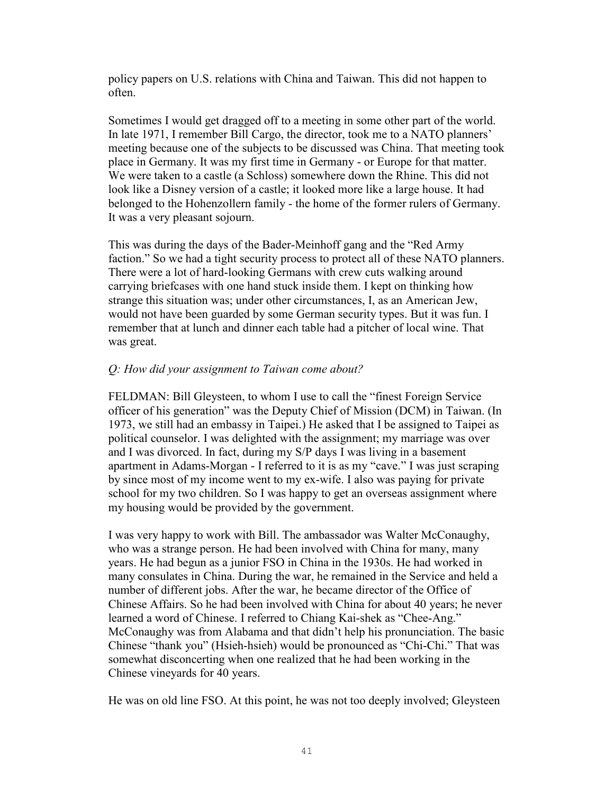policy papers on U.S. relations with China and Taiwan. This did not happen to often.

Sometimes I would get dragged off to a meeting in some other part of the world. In late 1971, I remember Bill Cargo, the director, took me to a NATO planners' meeting because one of the subjects to be discussed was China. That meeting took place in Germany. It was my first time in Germany - or Europe for that matter. We were taken to a castle (a Schloss) somewhere down the Rhine. This did not look like a Disney version of a castle; it looked more like a large house. It had belonged to the Hohenzollern family - the home of the former rulers of Germany. It was a very pleasant sojourn.

This was during the days of the Bader-Meinhoff gang and the "Red Army faction." So we had a tight security process to protect all of these NATO planners. There were a lot of hard-looking Germans with crew cuts walking around carrying briefcases with one hand stuck inside them. I kept on thinking how strange this situation was; under other circumstances, I, as an American Jew, would not have been guarded by some German security types. But it was fun. I remember that at lunch and dinner each table had a pitcher of local wine. That was great.

### *Q: How did your assignment to Taiwan come about?*

FELDMAN: Bill Gleysteen, to whom I use to call the "finest Foreign Service officer of his generation" was the Deputy Chief of Mission (DCM) in Taiwan. (In 1973, we still had an embassy in Taipei.) He asked that I be assigned to Taipei as political counselor. I was delighted with the assignment; my marriage was over and I was divorced. In fact, during my S/P days I was living in a basement apartment in Adams-Morgan - I referred to it is as my "cave." I was just scraping by since most of my income went to my ex-wife. I also was paying for private school for my two children. So I was happy to get an overseas assignment where my housing would be provided by the government.

I was very happy to work with Bill. The ambassador was Walter McConaughy, who was a strange person. He had been involved with China for many, many years. He had begun as a junior FSO in China in the 1930s. He had worked in many consulates in China. During the war, he remained in the Service and held a number of different jobs. After the war, he became director of the Office of Chinese Affairs. So he had been involved with China for about 40 years; he never learned a word of Chinese. I referred to Chiang Kai-shek as "Chee-Ang." McConaughy was from Alabama and that didn't help his pronunciation. The basic Chinese "thank you" (Hsieh-hsieh) would be pronounced as "Chi-Chi." That was somewhat disconcerting when one realized that he had been working in the Chinese vineyards for 40 years.

He was on old line FSO. At this point, he was not too deeply involved; Gleysteen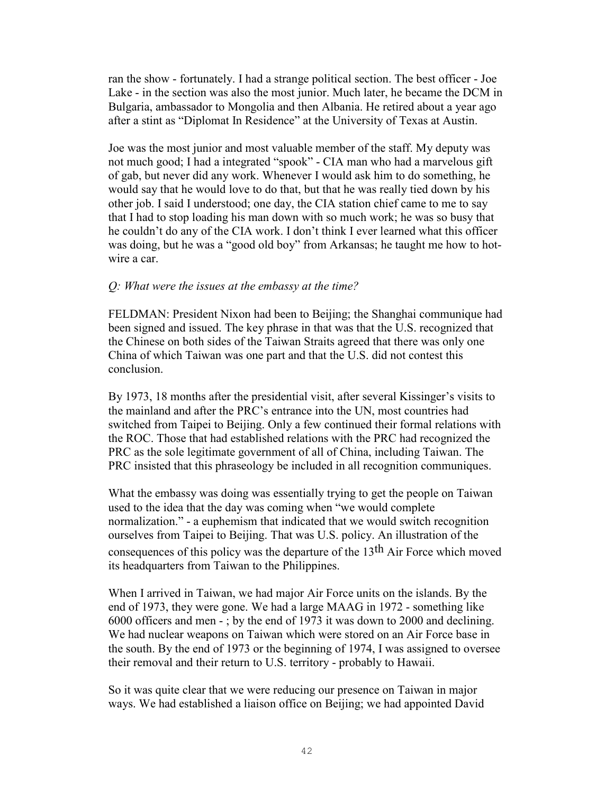ran the show - fortunately. I had a strange political section. The best officer - Joe Lake - in the section was also the most junior. Much later, he became the DCM in Bulgaria, ambassador to Mongolia and then Albania. He retired about a year ago after a stint as "Diplomat In Residence" at the University of Texas at Austin.

Joe was the most junior and most valuable member of the staff. My deputy was not much good; I had a integrated "spook" - CIA man who had a marvelous gift of gab, but never did any work. Whenever I would ask him to do something, he would say that he would love to do that, but that he was really tied down by his other job. I said I understood; one day, the CIA station chief came to me to say that I had to stop loading his man down with so much work; he was so busy that he couldn't do any of the CIA work. I don't think I ever learned what this officer was doing, but he was a "good old boy" from Arkansas; he taught me how to hotwire a car.

### *Q: What were the issues at the embassy at the time?*

FELDMAN: President Nixon had been to Beijing; the Shanghai communique had been signed and issued. The key phrase in that was that the U.S. recognized that the Chinese on both sides of the Taiwan Straits agreed that there was only one China of which Taiwan was one part and that the U.S. did not contest this conclusion.

By 1973, 18 months after the presidential visit, after several Kissinger's visits to the mainland and after the PRC's entrance into the UN, most countries had switched from Taipei to Beijing. Only a few continued their formal relations with the ROC. Those that had established relations with the PRC had recognized the PRC as the sole legitimate government of all of China, including Taiwan. The PRC insisted that this phraseology be included in all recognition communiques.

What the embassy was doing was essentially trying to get the people on Taiwan used to the idea that the day was coming when "we would complete normalization." - a euphemism that indicated that we would switch recognition ourselves from Taipei to Beijing. That was U.S. policy. An illustration of the consequences of this policy was the departure of the 13th Air Force which moved its headquarters from Taiwan to the Philippines.

When I arrived in Taiwan, we had major Air Force units on the islands. By the end of 1973, they were gone. We had a large MAAG in 1972 - something like 6000 officers and men - ; by the end of 1973 it was down to 2000 and declining. We had nuclear weapons on Taiwan which were stored on an Air Force base in the south. By the end of 1973 or the beginning of 1974, I was assigned to oversee their removal and their return to U.S. territory - probably to Hawaii.

So it was quite clear that we were reducing our presence on Taiwan in major ways. We had established a liaison office on Beijing; we had appointed David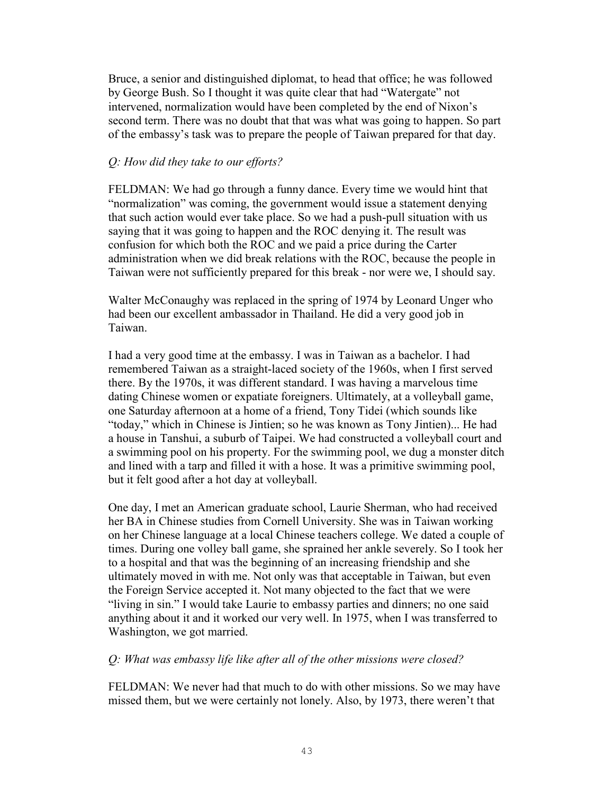Bruce, a senior and distinguished diplomat, to head that office; he was followed by George Bush. So I thought it was quite clear that had "Watergate" not intervened, normalization would have been completed by the end of Nixon's second term. There was no doubt that that was what was going to happen. So part of the embassy's task was to prepare the people of Taiwan prepared for that day.

### *Q: How did they take to our efforts?*

FELDMAN: We had go through a funny dance. Every time we would hint that "normalization" was coming, the government would issue a statement denying that such action would ever take place. So we had a push-pull situation with us saying that it was going to happen and the ROC denying it. The result was confusion for which both the ROC and we paid a price during the Carter administration when we did break relations with the ROC, because the people in Taiwan were not sufficiently prepared for this break - nor were we, I should say.

Walter McConaughy was replaced in the spring of 1974 by Leonard Unger who had been our excellent ambassador in Thailand. He did a very good job in Taiwan.

I had a very good time at the embassy. I was in Taiwan as a bachelor. I had remembered Taiwan as a straight-laced society of the 1960s, when I first served there. By the 1970s, it was different standard. I was having a marvelous time dating Chinese women or expatiate foreigners. Ultimately, at a volleyball game, one Saturday afternoon at a home of a friend, Tony Tidei (which sounds like "today," which in Chinese is Jintien; so he was known as Tony Jintien)... He had a house in Tanshui, a suburb of Taipei. We had constructed a volleyball court and a swimming pool on his property. For the swimming pool, we dug a monster ditch and lined with a tarp and filled it with a hose. It was a primitive swimming pool, but it felt good after a hot day at volleyball.

One day, I met an American graduate school, Laurie Sherman, who had received her BA in Chinese studies from Cornell University. She was in Taiwan working on her Chinese language at a local Chinese teachers college. We dated a couple of times. During one volley ball game, she sprained her ankle severely. So I took her to a hospital and that was the beginning of an increasing friendship and she ultimately moved in with me. Not only was that acceptable in Taiwan, but even the Foreign Service accepted it. Not many objected to the fact that we were "living in sin." I would take Laurie to embassy parties and dinners; no one said anything about it and it worked our very well. In 1975, when I was transferred to Washington, we got married.

### *Q: What was embassy life like after all of the other missions were closed?*

FELDMAN: We never had that much to do with other missions. So we may have missed them, but we were certainly not lonely. Also, by 1973, there weren't that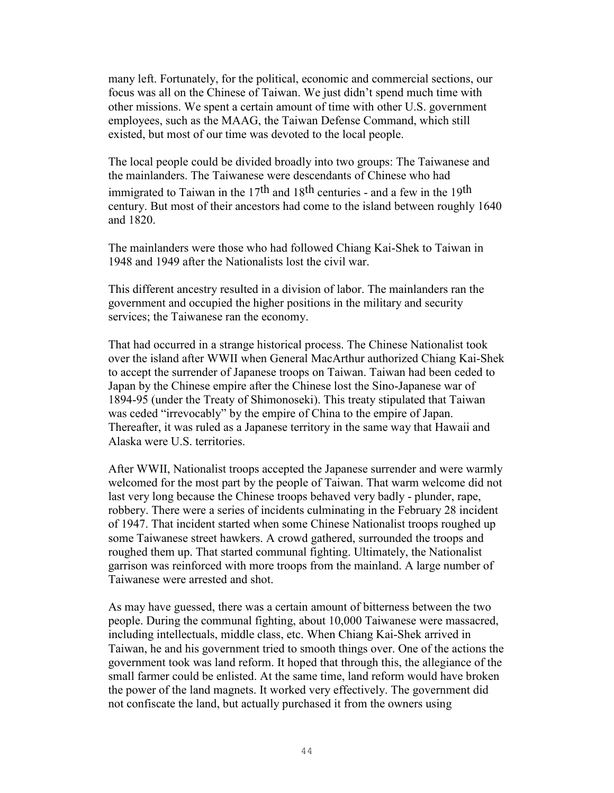many left. Fortunately, for the political, economic and commercial sections, our focus was all on the Chinese of Taiwan. We just didn't spend much time with other missions. We spent a certain amount of time with other U.S. government employees, such as the MAAG, the Taiwan Defense Command, which still existed, but most of our time was devoted to the local people.

The local people could be divided broadly into two groups: The Taiwanese and the mainlanders. The Taiwanese were descendants of Chinese who had immigrated to Taiwan in the 17<sup>th</sup> and 18<sup>th</sup> centuries - and a few in the 19<sup>th</sup> century. But most of their ancestors had come to the island between roughly 1640 and 1820.

The mainlanders were those who had followed Chiang Kai-Shek to Taiwan in 1948 and 1949 after the Nationalists lost the civil war.

This different ancestry resulted in a division of labor. The mainlanders ran the government and occupied the higher positions in the military and security services; the Taiwanese ran the economy.

That had occurred in a strange historical process. The Chinese Nationalist took over the island after WWII when General MacArthur authorized Chiang Kai-Shek to accept the surrender of Japanese troops on Taiwan. Taiwan had been ceded to Japan by the Chinese empire after the Chinese lost the Sino-Japanese war of 1894-95 (under the Treaty of Shimonoseki). This treaty stipulated that Taiwan was ceded "irrevocably" by the empire of China to the empire of Japan. Thereafter, it was ruled as a Japanese territory in the same way that Hawaii and Alaska were U.S. territories.

After WWII, Nationalist troops accepted the Japanese surrender and were warmly welcomed for the most part by the people of Taiwan. That warm welcome did not last very long because the Chinese troops behaved very badly - plunder, rape, robbery. There were a series of incidents culminating in the February 28 incident of 1947. That incident started when some Chinese Nationalist troops roughed up some Taiwanese street hawkers. A crowd gathered, surrounded the troops and roughed them up. That started communal fighting. Ultimately, the Nationalist garrison was reinforced with more troops from the mainland. A large number of Taiwanese were arrested and shot.

As may have guessed, there was a certain amount of bitterness between the two people. During the communal fighting, about 10,000 Taiwanese were massacred, including intellectuals, middle class, etc. When Chiang Kai-Shek arrived in Taiwan, he and his government tried to smooth things over. One of the actions the government took was land reform. It hoped that through this, the allegiance of the small farmer could be enlisted. At the same time, land reform would have broken the power of the land magnets. It worked very effectively. The government did not confiscate the land, but actually purchased it from the owners using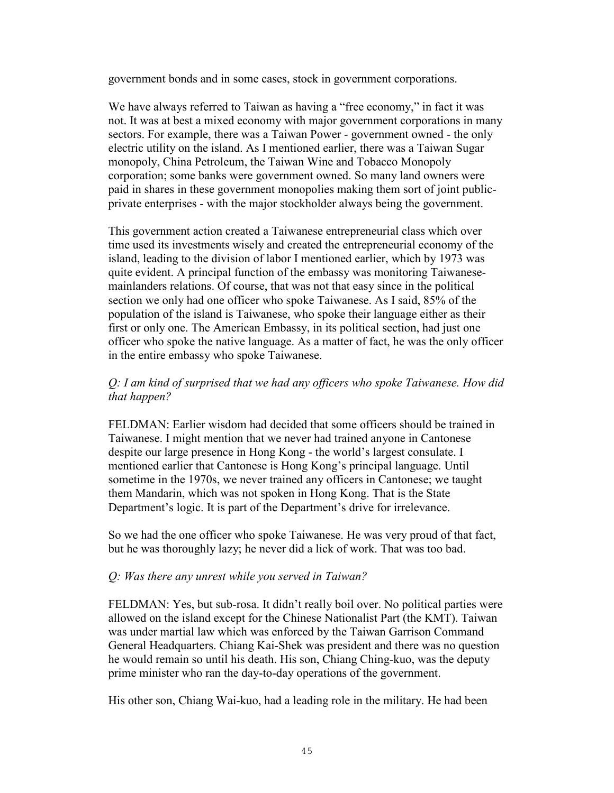government bonds and in some cases, stock in government corporations.

We have always referred to Taiwan as having a "free economy," in fact it was not. It was at best a mixed economy with major government corporations in many sectors. For example, there was a Taiwan Power - government owned - the only electric utility on the island. As I mentioned earlier, there was a Taiwan Sugar monopoly, China Petroleum, the Taiwan Wine and Tobacco Monopoly corporation; some banks were government owned. So many land owners were paid in shares in these government monopolies making them sort of joint publicprivate enterprises - with the major stockholder always being the government.

This government action created a Taiwanese entrepreneurial class which over time used its investments wisely and created the entrepreneurial economy of the island, leading to the division of labor I mentioned earlier, which by 1973 was quite evident. A principal function of the embassy was monitoring Taiwanesemainlanders relations. Of course, that was not that easy since in the political section we only had one officer who spoke Taiwanese. As I said, 85% of the population of the island is Taiwanese, who spoke their language either as their first or only one. The American Embassy, in its political section, had just one officer who spoke the native language. As a matter of fact, he was the only officer in the entire embassy who spoke Taiwanese.

# *Q: I am kind of surprised that we had any officers who spoke Taiwanese. How did that happen?*

FELDMAN: Earlier wisdom had decided that some officers should be trained in Taiwanese. I might mention that we never had trained anyone in Cantonese despite our large presence in Hong Kong - the world's largest consulate. I mentioned earlier that Cantonese is Hong Kong's principal language. Until sometime in the 1970s, we never trained any officers in Cantonese; we taught them Mandarin, which was not spoken in Hong Kong. That is the State Department's logic. It is part of the Department's drive for irrelevance.

So we had the one officer who spoke Taiwanese. He was very proud of that fact, but he was thoroughly lazy; he never did a lick of work. That was too bad.

# *Q: Was there any unrest while you served in Taiwan?*

FELDMAN: Yes, but sub-rosa. It didn't really boil over. No political parties were allowed on the island except for the Chinese Nationalist Part (the KMT). Taiwan was under martial law which was enforced by the Taiwan Garrison Command General Headquarters. Chiang Kai-Shek was president and there was no question he would remain so until his death. His son, Chiang Ching-kuo, was the deputy prime minister who ran the day-to-day operations of the government.

His other son, Chiang Wai-kuo, had a leading role in the military. He had been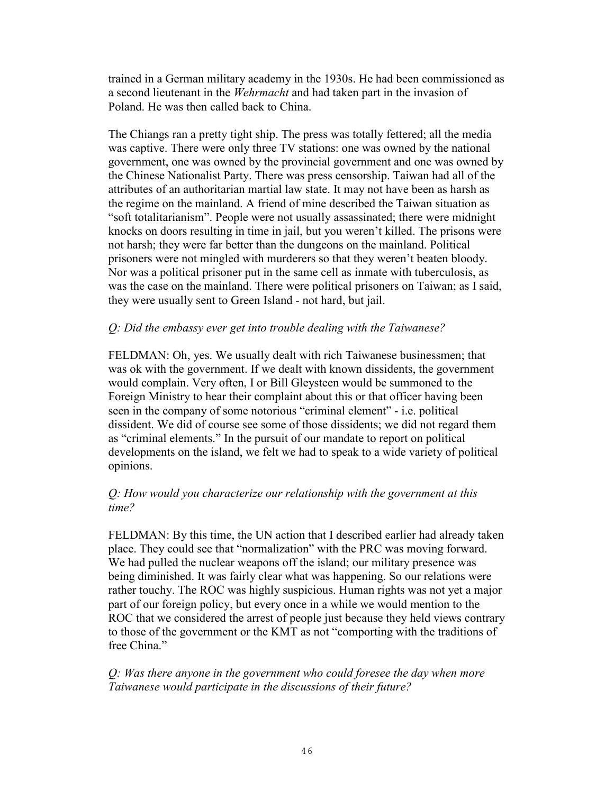trained in a German military academy in the 1930s. He had been commissioned as a second lieutenant in the *Wehrmacht* and had taken part in the invasion of Poland. He was then called back to China.

The Chiangs ran a pretty tight ship. The press was totally fettered; all the media was captive. There were only three TV stations: one was owned by the national government, one was owned by the provincial government and one was owned by the Chinese Nationalist Party. There was press censorship. Taiwan had all of the attributes of an authoritarian martial law state. It may not have been as harsh as the regime on the mainland. A friend of mine described the Taiwan situation as "soft totalitarianism". People were not usually assassinated; there were midnight knocks on doors resulting in time in jail, but you weren't killed. The prisons were not harsh; they were far better than the dungeons on the mainland. Political prisoners were not mingled with murderers so that they weren't beaten bloody. Nor was a political prisoner put in the same cell as inmate with tuberculosis, as was the case on the mainland. There were political prisoners on Taiwan; as I said, they were usually sent to Green Island - not hard, but jail.

# *Q: Did the embassy ever get into trouble dealing with the Taiwanese?*

FELDMAN: Oh, yes. We usually dealt with rich Taiwanese businessmen; that was ok with the government. If we dealt with known dissidents, the government would complain. Very often, I or Bill Gleysteen would be summoned to the Foreign Ministry to hear their complaint about this or that officer having been seen in the company of some notorious "criminal element" - i.e. political dissident. We did of course see some of those dissidents; we did not regard them as "criminal elements." In the pursuit of our mandate to report on political developments on the island, we felt we had to speak to a wide variety of political opinions.

# *Q: How would you characterize our relationship with the government at this time?*

FELDMAN: By this time, the UN action that I described earlier had already taken place. They could see that "normalization" with the PRC was moving forward. We had pulled the nuclear weapons off the island; our military presence was being diminished. It was fairly clear what was happening. So our relations were rather touchy. The ROC was highly suspicious. Human rights was not yet a major part of our foreign policy, but every once in a while we would mention to the ROC that we considered the arrest of people just because they held views contrary to those of the government or the KMT as not "comporting with the traditions of free China."

*Q: Was there anyone in the government who could foresee the day when more Taiwanese would participate in the discussions of their future?*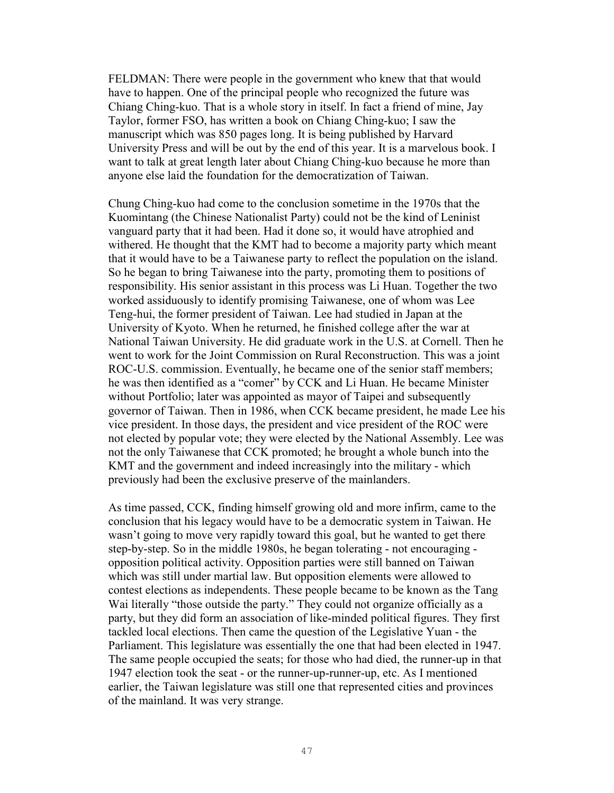FELDMAN: There were people in the government who knew that that would have to happen. One of the principal people who recognized the future was Chiang Ching-kuo. That is a whole story in itself. In fact a friend of mine, Jay Taylor, former FSO, has written a book on Chiang Ching-kuo; I saw the manuscript which was 850 pages long. It is being published by Harvard University Press and will be out by the end of this year. It is a marvelous book. I want to talk at great length later about Chiang Ching-kuo because he more than anyone else laid the foundation for the democratization of Taiwan.

Chung Ching-kuo had come to the conclusion sometime in the 1970s that the Kuomintang (the Chinese Nationalist Party) could not be the kind of Leninist vanguard party that it had been. Had it done so, it would have atrophied and withered. He thought that the KMT had to become a majority party which meant that it would have to be a Taiwanese party to reflect the population on the island. So he began to bring Taiwanese into the party, promoting them to positions of responsibility. His senior assistant in this process was Li Huan. Together the two worked assiduously to identify promising Taiwanese, one of whom was Lee Teng-hui, the former president of Taiwan. Lee had studied in Japan at the University of Kyoto. When he returned, he finished college after the war at National Taiwan University. He did graduate work in the U.S. at Cornell. Then he went to work for the Joint Commission on Rural Reconstruction. This was a joint ROC-U.S. commission. Eventually, he became one of the senior staff members; he was then identified as a "comer" by CCK and Li Huan. He became Minister without Portfolio; later was appointed as mayor of Taipei and subsequently governor of Taiwan. Then in 1986, when CCK became president, he made Lee his vice president. In those days, the president and vice president of the ROC were not elected by popular vote; they were elected by the National Assembly. Lee was not the only Taiwanese that CCK promoted; he brought a whole bunch into the KMT and the government and indeed increasingly into the military - which previously had been the exclusive preserve of the mainlanders.

As time passed, CCK, finding himself growing old and more infirm, came to the conclusion that his legacy would have to be a democratic system in Taiwan. He wasn't going to move very rapidly toward this goal, but he wanted to get there step-by-step. So in the middle 1980s, he began tolerating - not encouraging opposition political activity. Opposition parties were still banned on Taiwan which was still under martial law. But opposition elements were allowed to contest elections as independents. These people became to be known as the Tang Wai literally "those outside the party." They could not organize officially as a party, but they did form an association of like-minded political figures. They first tackled local elections. Then came the question of the Legislative Yuan - the Parliament. This legislature was essentially the one that had been elected in 1947. The same people occupied the seats; for those who had died, the runner-up in that 1947 election took the seat - or the runner-up-runner-up, etc. As I mentioned earlier, the Taiwan legislature was still one that represented cities and provinces of the mainland. It was very strange.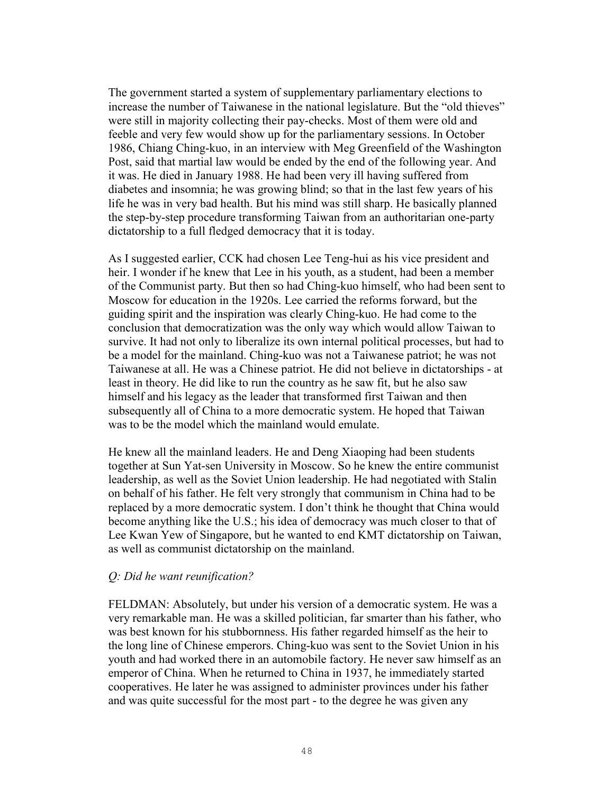The government started a system of supplementary parliamentary elections to increase the number of Taiwanese in the national legislature. But the "old thieves" were still in majority collecting their pay-checks. Most of them were old and feeble and very few would show up for the parliamentary sessions. In October 1986, Chiang Ching-kuo, in an interview with Meg Greenfield of the Washington Post, said that martial law would be ended by the end of the following year. And it was. He died in January 1988. He had been very ill having suffered from diabetes and insomnia; he was growing blind; so that in the last few years of his life he was in very bad health. But his mind was still sharp. He basically planned the step-by-step procedure transforming Taiwan from an authoritarian one-party dictatorship to a full fledged democracy that it is today.

As I suggested earlier, CCK had chosen Lee Teng-hui as his vice president and heir. I wonder if he knew that Lee in his youth, as a student, had been a member of the Communist party. But then so had Ching-kuo himself, who had been sent to Moscow for education in the 1920s. Lee carried the reforms forward, but the guiding spirit and the inspiration was clearly Ching-kuo. He had come to the conclusion that democratization was the only way which would allow Taiwan to survive. It had not only to liberalize its own internal political processes, but had to be a model for the mainland. Ching-kuo was not a Taiwanese patriot; he was not Taiwanese at all. He was a Chinese patriot. He did not believe in dictatorships - at least in theory. He did like to run the country as he saw fit, but he also saw himself and his legacy as the leader that transformed first Taiwan and then subsequently all of China to a more democratic system. He hoped that Taiwan was to be the model which the mainland would emulate.

He knew all the mainland leaders. He and Deng Xiaoping had been students together at Sun Yat-sen University in Moscow. So he knew the entire communist leadership, as well as the Soviet Union leadership. He had negotiated with Stalin on behalf of his father. He felt very strongly that communism in China had to be replaced by a more democratic system. I don't think he thought that China would become anything like the U.S.; his idea of democracy was much closer to that of Lee Kwan Yew of Singapore, but he wanted to end KMT dictatorship on Taiwan, as well as communist dictatorship on the mainland.

### *Q: Did he want reunification?*

FELDMAN: Absolutely, but under his version of a democratic system. He was a very remarkable man. He was a skilled politician, far smarter than his father, who was best known for his stubbornness. His father regarded himself as the heir to the long line of Chinese emperors. Ching-kuo was sent to the Soviet Union in his youth and had worked there in an automobile factory. He never saw himself as an emperor of China. When he returned to China in 1937, he immediately started cooperatives. He later he was assigned to administer provinces under his father and was quite successful for the most part - to the degree he was given any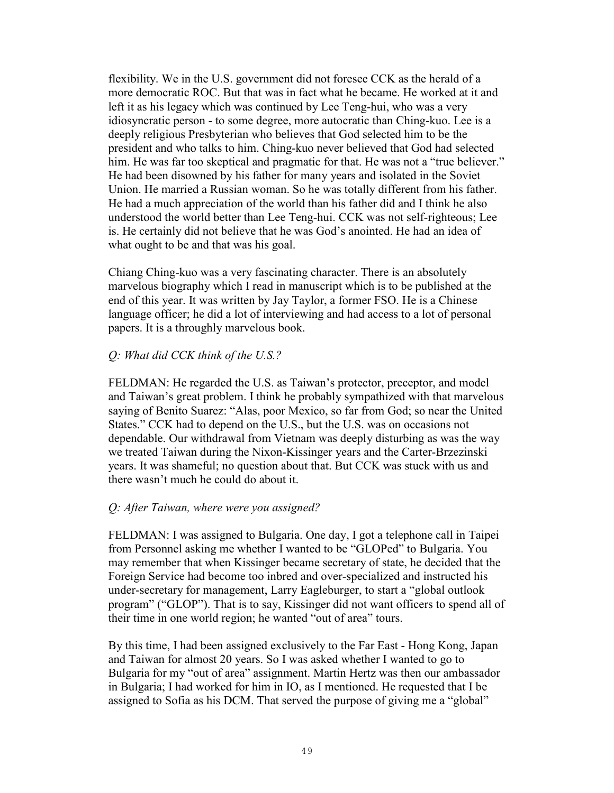flexibility. We in the U.S. government did not foresee CCK as the herald of a more democratic ROC. But that was in fact what he became. He worked at it and left it as his legacy which was continued by Lee Teng-hui, who was a very idiosyncratic person - to some degree, more autocratic than Ching-kuo. Lee is a deeply religious Presbyterian who believes that God selected him to be the president and who talks to him. Ching-kuo never believed that God had selected him. He was far too skeptical and pragmatic for that. He was not a "true believer." He had been disowned by his father for many years and isolated in the Soviet Union. He married a Russian woman. So he was totally different from his father. He had a much appreciation of the world than his father did and I think he also understood the world better than Lee Teng-hui. CCK was not self-righteous; Lee is. He certainly did not believe that he was God's anointed. He had an idea of what ought to be and that was his goal.

Chiang Ching-kuo was a very fascinating character. There is an absolutely marvelous biography which I read in manuscript which is to be published at the end of this year. It was written by Jay Taylor, a former FSO. He is a Chinese language officer; he did a lot of interviewing and had access to a lot of personal papers. It is a throughly marvelous book.

### *Q: What did CCK think of the U.S.?*

FELDMAN: He regarded the U.S. as Taiwan's protector, preceptor, and model and Taiwan's great problem. I think he probably sympathized with that marvelous saying of Benito Suarez: "Alas, poor Mexico, so far from God; so near the United States." CCK had to depend on the U.S., but the U.S. was on occasions not dependable. Our withdrawal from Vietnam was deeply disturbing as was the way we treated Taiwan during the Nixon-Kissinger years and the Carter-Brzezinski years. It was shameful; no question about that. But CCK was stuck with us and there wasn't much he could do about it.

# *Q: After Taiwan, where were you assigned?*

FELDMAN: I was assigned to Bulgaria. One day, I got a telephone call in Taipei from Personnel asking me whether I wanted to be "GLOPed" to Bulgaria. You may remember that when Kissinger became secretary of state, he decided that the Foreign Service had become too inbred and over-specialized and instructed his under-secretary for management, Larry Eagleburger, to start a "global outlook program" ("GLOP"). That is to say, Kissinger did not want officers to spend all of their time in one world region; he wanted "out of area" tours.

By this time, I had been assigned exclusively to the Far East - Hong Kong, Japan and Taiwan for almost 20 years. So I was asked whether I wanted to go to Bulgaria for my "out of area" assignment. Martin Hertz was then our ambassador in Bulgaria; I had worked for him in IO, as I mentioned. He requested that I be assigned to Sofia as his DCM. That served the purpose of giving me a "global"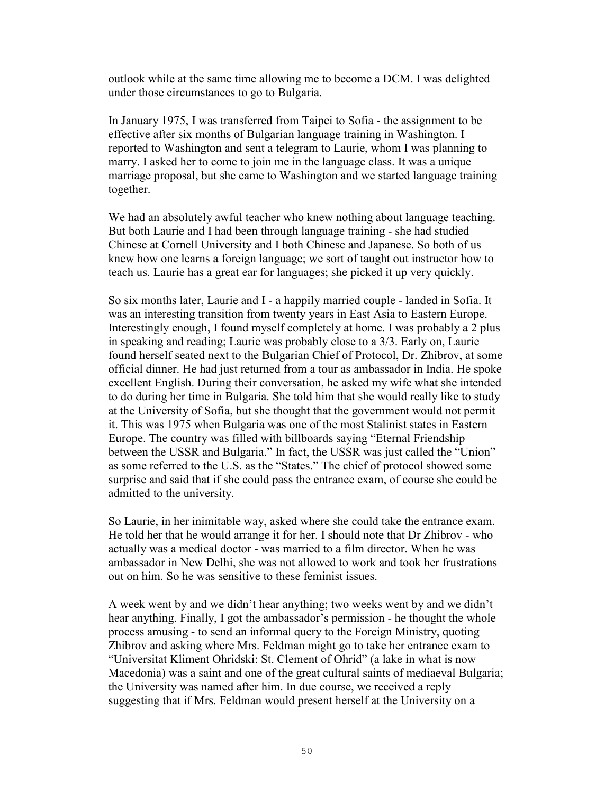outlook while at the same time allowing me to become a DCM. I was delighted under those circumstances to go to Bulgaria.

In January 1975, I was transferred from Taipei to Sofia - the assignment to be effective after six months of Bulgarian language training in Washington. I reported to Washington and sent a telegram to Laurie, whom I was planning to marry. I asked her to come to join me in the language class. It was a unique marriage proposal, but she came to Washington and we started language training together.

We had an absolutely awful teacher who knew nothing about language teaching. But both Laurie and I had been through language training - she had studied Chinese at Cornell University and I both Chinese and Japanese. So both of us knew how one learns a foreign language; we sort of taught out instructor how to teach us. Laurie has a great ear for languages; she picked it up very quickly.

So six months later, Laurie and I - a happily married couple - landed in Sofia. It was an interesting transition from twenty years in East Asia to Eastern Europe. Interestingly enough, I found myself completely at home. I was probably a 2 plus in speaking and reading; Laurie was probably close to a 3/3. Early on, Laurie found herself seated next to the Bulgarian Chief of Protocol, Dr. Zhibrov, at some official dinner. He had just returned from a tour as ambassador in India. He spoke excellent English. During their conversation, he asked my wife what she intended to do during her time in Bulgaria. She told him that she would really like to study at the University of Sofia, but she thought that the government would not permit it. This was 1975 when Bulgaria was one of the most Stalinist states in Eastern Europe. The country was filled with billboards saying "Eternal Friendship between the USSR and Bulgaria." In fact, the USSR was just called the "Union" as some referred to the U.S. as the "States." The chief of protocol showed some surprise and said that if she could pass the entrance exam, of course she could be admitted to the university.

So Laurie, in her inimitable way, asked where she could take the entrance exam. He told her that he would arrange it for her. I should note that Dr Zhibrov - who actually was a medical doctor - was married to a film director. When he was ambassador in New Delhi, she was not allowed to work and took her frustrations out on him. So he was sensitive to these feminist issues.

A week went by and we didn't hear anything; two weeks went by and we didn't hear anything. Finally, I got the ambassador's permission - he thought the whole process amusing - to send an informal query to the Foreign Ministry, quoting Zhibrov and asking where Mrs. Feldman might go to take her entrance exam to "Universitat Kliment Ohridski: St. Clement of Ohrid" (a lake in what is now Macedonia) was a saint and one of the great cultural saints of mediaeval Bulgaria; the University was named after him. In due course, we received a reply suggesting that if Mrs. Feldman would present herself at the University on a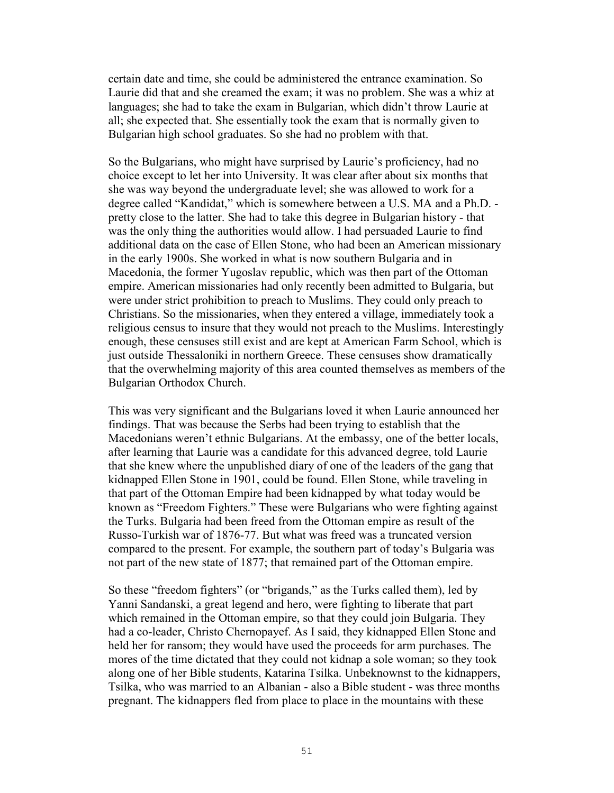certain date and time, she could be administered the entrance examination. So Laurie did that and she creamed the exam; it was no problem. She was a whiz at languages; she had to take the exam in Bulgarian, which didn't throw Laurie at all; she expected that. She essentially took the exam that is normally given to Bulgarian high school graduates. So she had no problem with that.

So the Bulgarians, who might have surprised by Laurie's proficiency, had no choice except to let her into University. It was clear after about six months that she was way beyond the undergraduate level; she was allowed to work for a degree called "Kandidat," which is somewhere between a U.S. MA and a Ph.D. pretty close to the latter. She had to take this degree in Bulgarian history - that was the only thing the authorities would allow. I had persuaded Laurie to find additional data on the case of Ellen Stone, who had been an American missionary in the early 1900s. She worked in what is now southern Bulgaria and in Macedonia, the former Yugoslav republic, which was then part of the Ottoman empire. American missionaries had only recently been admitted to Bulgaria, but were under strict prohibition to preach to Muslims. They could only preach to Christians. So the missionaries, when they entered a village, immediately took a religious census to insure that they would not preach to the Muslims. Interestingly enough, these censuses still exist and are kept at American Farm School, which is just outside Thessaloniki in northern Greece. These censuses show dramatically that the overwhelming majority of this area counted themselves as members of the Bulgarian Orthodox Church.

This was very significant and the Bulgarians loved it when Laurie announced her findings. That was because the Serbs had been trying to establish that the Macedonians weren't ethnic Bulgarians. At the embassy, one of the better locals, after learning that Laurie was a candidate for this advanced degree, told Laurie that she knew where the unpublished diary of one of the leaders of the gang that kidnapped Ellen Stone in 1901, could be found. Ellen Stone, while traveling in that part of the Ottoman Empire had been kidnapped by what today would be known as "Freedom Fighters." These were Bulgarians who were fighting against the Turks. Bulgaria had been freed from the Ottoman empire as result of the Russo-Turkish war of 1876-77. But what was freed was a truncated version compared to the present. For example, the southern part of today's Bulgaria was not part of the new state of 1877; that remained part of the Ottoman empire.

So these "freedom fighters" (or "brigands," as the Turks called them), led by Yanni Sandanski, a great legend and hero, were fighting to liberate that part which remained in the Ottoman empire, so that they could join Bulgaria. They had a co-leader, Christo Chernopayef. As I said, they kidnapped Ellen Stone and held her for ransom; they would have used the proceeds for arm purchases. The mores of the time dictated that they could not kidnap a sole woman; so they took along one of her Bible students, Katarina Tsilka. Unbeknownst to the kidnappers, Tsilka, who was married to an Albanian - also a Bible student - was three months pregnant. The kidnappers fled from place to place in the mountains with these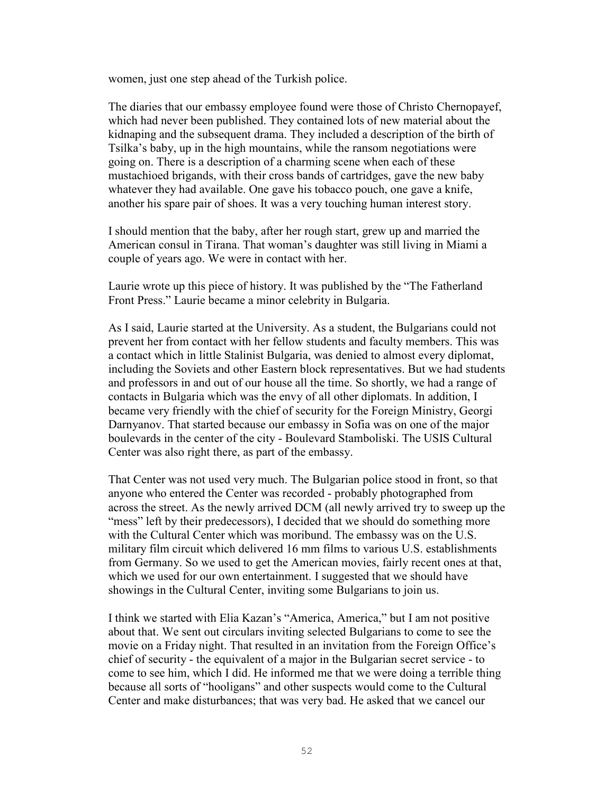women, just one step ahead of the Turkish police.

The diaries that our embassy employee found were those of Christo Chernopayef, which had never been published. They contained lots of new material about the kidnaping and the subsequent drama. They included a description of the birth of Tsilka's baby, up in the high mountains, while the ransom negotiations were going on. There is a description of a charming scene when each of these mustachioed brigands, with their cross bands of cartridges, gave the new baby whatever they had available. One gave his tobacco pouch, one gave a knife, another his spare pair of shoes. It was a very touching human interest story.

I should mention that the baby, after her rough start, grew up and married the American consul in Tirana. That woman's daughter was still living in Miami a couple of years ago. We were in contact with her.

Laurie wrote up this piece of history. It was published by the "The Fatherland Front Press." Laurie became a minor celebrity in Bulgaria.

As I said, Laurie started at the University. As a student, the Bulgarians could not prevent her from contact with her fellow students and faculty members. This was a contact which in little Stalinist Bulgaria, was denied to almost every diplomat, including the Soviets and other Eastern block representatives. But we had students and professors in and out of our house all the time. So shortly, we had a range of contacts in Bulgaria which was the envy of all other diplomats. In addition, I became very friendly with the chief of security for the Foreign Ministry, Georgi Darnyanov. That started because our embassy in Sofia was on one of the major boulevards in the center of the city - Boulevard Stamboliski. The USIS Cultural Center was also right there, as part of the embassy.

That Center was not used very much. The Bulgarian police stood in front, so that anyone who entered the Center was recorded - probably photographed from across the street. As the newly arrived DCM (all newly arrived try to sweep up the "mess" left by their predecessors), I decided that we should do something more with the Cultural Center which was moribund. The embassy was on the U.S. military film circuit which delivered 16 mm films to various U.S. establishments from Germany. So we used to get the American movies, fairly recent ones at that, which we used for our own entertainment. I suggested that we should have showings in the Cultural Center, inviting some Bulgarians to join us.

I think we started with Elia Kazan's "America, America," but I am not positive about that. We sent out circulars inviting selected Bulgarians to come to see the movie on a Friday night. That resulted in an invitation from the Foreign Office's chief of security - the equivalent of a major in the Bulgarian secret service - to come to see him, which I did. He informed me that we were doing a terrible thing because all sorts of "hooligans" and other suspects would come to the Cultural Center and make disturbances; that was very bad. He asked that we cancel our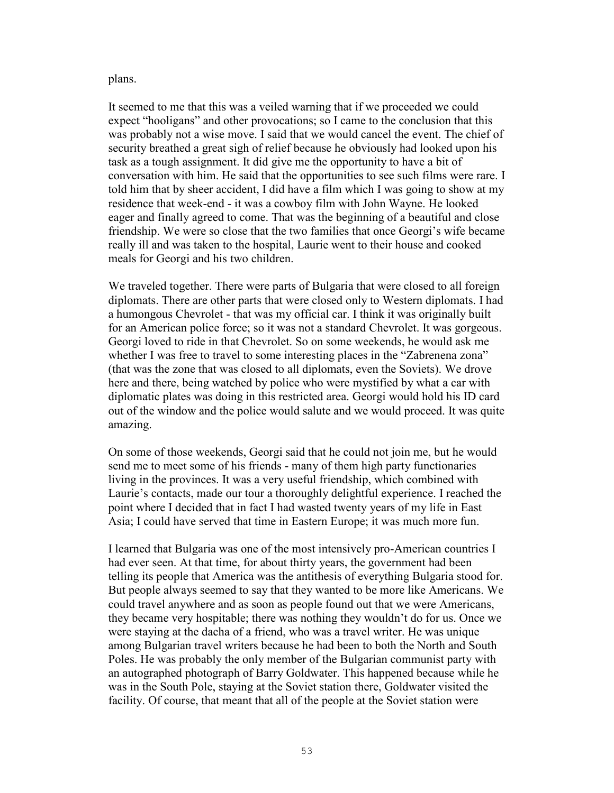#### plans.

It seemed to me that this was a veiled warning that if we proceeded we could expect "hooligans" and other provocations; so I came to the conclusion that this was probably not a wise move. I said that we would cancel the event. The chief of security breathed a great sigh of relief because he obviously had looked upon his task as a tough assignment. It did give me the opportunity to have a bit of conversation with him. He said that the opportunities to see such films were rare. I told him that by sheer accident, I did have a film which I was going to show at my residence that week-end - it was a cowboy film with John Wayne. He looked eager and finally agreed to come. That was the beginning of a beautiful and close friendship. We were so close that the two families that once Georgi's wife became really ill and was taken to the hospital, Laurie went to their house and cooked meals for Georgi and his two children.

We traveled together. There were parts of Bulgaria that were closed to all foreign diplomats. There are other parts that were closed only to Western diplomats. I had a humongous Chevrolet - that was my official car. I think it was originally built for an American police force; so it was not a standard Chevrolet. It was gorgeous. Georgi loved to ride in that Chevrolet. So on some weekends, he would ask me whether I was free to travel to some interesting places in the "Zabrenena zona" (that was the zone that was closed to all diplomats, even the Soviets). We drove here and there, being watched by police who were mystified by what a car with diplomatic plates was doing in this restricted area. Georgi would hold his ID card out of the window and the police would salute and we would proceed. It was quite amazing.

On some of those weekends, Georgi said that he could not join me, but he would send me to meet some of his friends - many of them high party functionaries living in the provinces. It was a very useful friendship, which combined with Laurie's contacts, made our tour a thoroughly delightful experience. I reached the point where I decided that in fact I had wasted twenty years of my life in East Asia; I could have served that time in Eastern Europe; it was much more fun.

I learned that Bulgaria was one of the most intensively pro-American countries I had ever seen. At that time, for about thirty years, the government had been telling its people that America was the antithesis of everything Bulgaria stood for. But people always seemed to say that they wanted to be more like Americans. We could travel anywhere and as soon as people found out that we were Americans, they became very hospitable; there was nothing they wouldn't do for us. Once we were staying at the dacha of a friend, who was a travel writer. He was unique among Bulgarian travel writers because he had been to both the North and South Poles. He was probably the only member of the Bulgarian communist party with an autographed photograph of Barry Goldwater. This happened because while he was in the South Pole, staying at the Soviet station there, Goldwater visited the facility. Of course, that meant that all of the people at the Soviet station were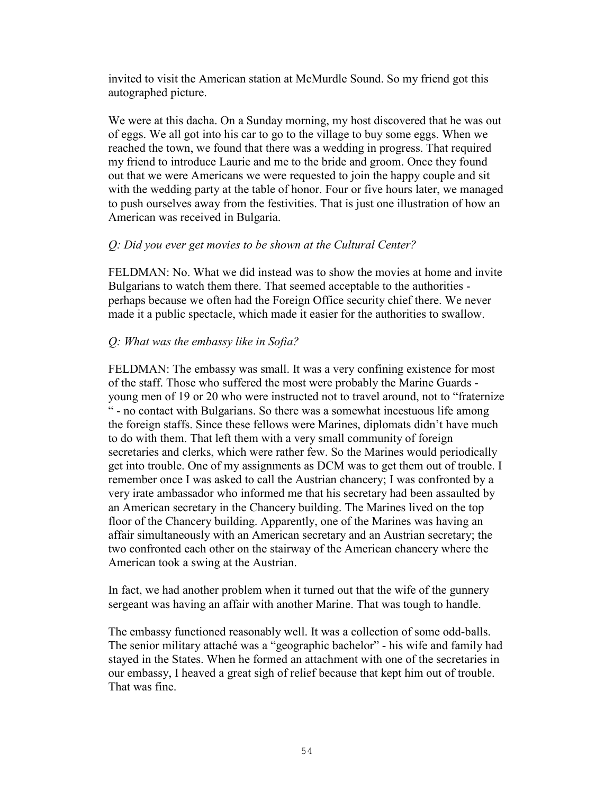invited to visit the American station at McMurdle Sound. So my friend got this autographed picture.

We were at this dacha. On a Sunday morning, my host discovered that he was out of eggs. We all got into his car to go to the village to buy some eggs. When we reached the town, we found that there was a wedding in progress. That required my friend to introduce Laurie and me to the bride and groom. Once they found out that we were Americans we were requested to join the happy couple and sit with the wedding party at the table of honor. Four or five hours later, we managed to push ourselves away from the festivities. That is just one illustration of how an American was received in Bulgaria.

### *Q: Did you ever get movies to be shown at the Cultural Center?*

FELDMAN: No. What we did instead was to show the movies at home and invite Bulgarians to watch them there. That seemed acceptable to the authorities perhaps because we often had the Foreign Office security chief there. We never made it a public spectacle, which made it easier for the authorities to swallow.

# *Q: What was the embassy like in Sofia?*

FELDMAN: The embassy was small. It was a very confining existence for most of the staff. Those who suffered the most were probably the Marine Guards young men of 19 or 20 who were instructed not to travel around, not to "fraternize" " - no contact with Bulgarians. So there was a somewhat incestuous life among the foreign staffs. Since these fellows were Marines, diplomats didn't have much to do with them. That left them with a very small community of foreign secretaries and clerks, which were rather few. So the Marines would periodically get into trouble. One of my assignments as DCM was to get them out of trouble. I remember once I was asked to call the Austrian chancery; I was confronted by a very irate ambassador who informed me that his secretary had been assaulted by an American secretary in the Chancery building. The Marines lived on the top floor of the Chancery building. Apparently, one of the Marines was having an affair simultaneously with an American secretary and an Austrian secretary; the two confronted each other on the stairway of the American chancery where the American took a swing at the Austrian.

In fact, we had another problem when it turned out that the wife of the gunnery sergeant was having an affair with another Marine. That was tough to handle.

The embassy functioned reasonably well. It was a collection of some odd-balls. The senior military attaché was a "geographic bachelor" - his wife and family had stayed in the States. When he formed an attachment with one of the secretaries in our embassy, I heaved a great sigh of relief because that kept him out of trouble. That was fine.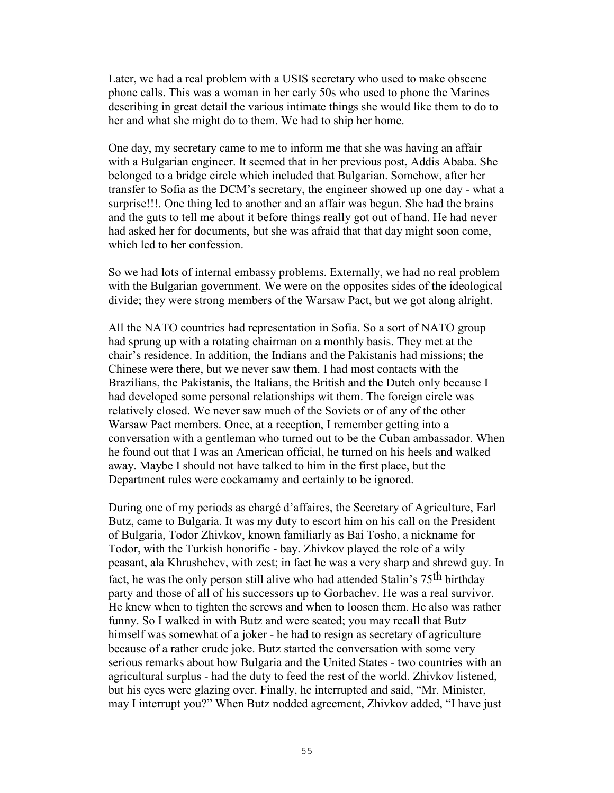Later, we had a real problem with a USIS secretary who used to make obscene phone calls. This was a woman in her early 50s who used to phone the Marines describing in great detail the various intimate things she would like them to do to her and what she might do to them. We had to ship her home.

One day, my secretary came to me to inform me that she was having an affair with a Bulgarian engineer. It seemed that in her previous post, Addis Ababa. She belonged to a bridge circle which included that Bulgarian. Somehow, after her transfer to Sofia as the DCM's secretary, the engineer showed up one day - what a surprise!!!. One thing led to another and an affair was begun. She had the brains and the guts to tell me about it before things really got out of hand. He had never had asked her for documents, but she was afraid that that day might soon come, which led to her confession.

So we had lots of internal embassy problems. Externally, we had no real problem with the Bulgarian government. We were on the opposites sides of the ideological divide; they were strong members of the Warsaw Pact, but we got along alright.

All the NATO countries had representation in Sofia. So a sort of NATO group had sprung up with a rotating chairman on a monthly basis. They met at the chair's residence. In addition, the Indians and the Pakistanis had missions; the Chinese were there, but we never saw them. I had most contacts with the Brazilians, the Pakistanis, the Italians, the British and the Dutch only because I had developed some personal relationships wit them. The foreign circle was relatively closed. We never saw much of the Soviets or of any of the other Warsaw Pact members. Once, at a reception, I remember getting into a conversation with a gentleman who turned out to be the Cuban ambassador. When he found out that I was an American official, he turned on his heels and walked away. Maybe I should not have talked to him in the first place, but the Department rules were cockamamy and certainly to be ignored.

During one of my periods as chargé d'affaires, the Secretary of Agriculture, Earl Butz, came to Bulgaria. It was my duty to escort him on his call on the President of Bulgaria, Todor Zhivkov, known familiarly as Bai Tosho, a nickname for Todor, with the Turkish honorific - bay. Zhivkov played the role of a wily peasant, ala Khrushchev, with zest; in fact he was a very sharp and shrewd guy. In fact, he was the only person still alive who had attended Stalin's 75th birthday party and those of all of his successors up to Gorbachev. He was a real survivor. He knew when to tighten the screws and when to loosen them. He also was rather funny. So I walked in with Butz and were seated; you may recall that Butz himself was somewhat of a joker - he had to resign as secretary of agriculture because of a rather crude joke. Butz started the conversation with some very serious remarks about how Bulgaria and the United States - two countries with an agricultural surplus - had the duty to feed the rest of the world. Zhivkov listened, but his eyes were glazing over. Finally, he interrupted and said, "Mr. Minister, may I interrupt you?" When Butz nodded agreement, Zhivkov added, "I have just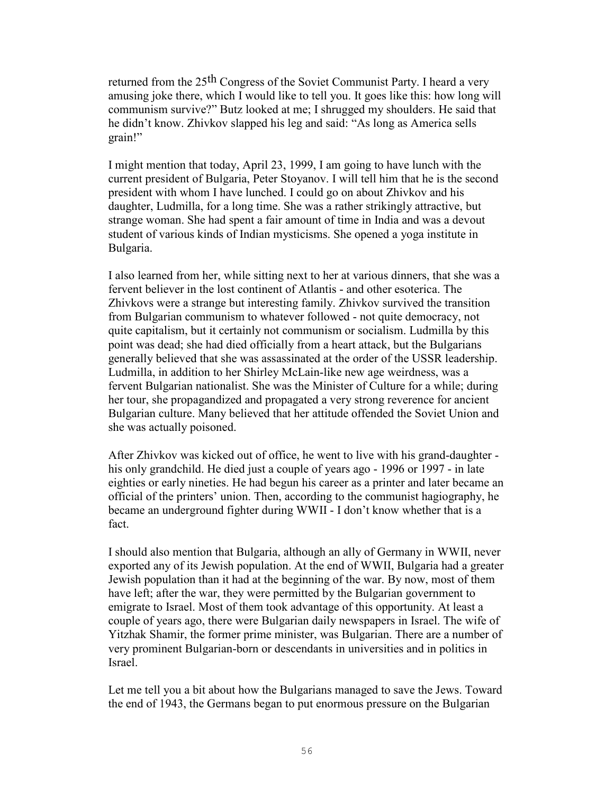returned from the 25th Congress of the Soviet Communist Party. I heard a very amusing joke there, which I would like to tell you. It goes like this: how long will communism survive?" Butz looked at me; I shrugged my shoulders. He said that he didn't know. Zhivkov slapped his leg and said: "As long as America sells grain!"

I might mention that today, April 23, 1999, I am going to have lunch with the current president of Bulgaria, Peter Stoyanov. I will tell him that he is the second president with whom I have lunched. I could go on about Zhivkov and his daughter, Ludmilla, for a long time. She was a rather strikingly attractive, but strange woman. She had spent a fair amount of time in India and was a devout student of various kinds of Indian mysticisms. She opened a yoga institute in Bulgaria.

I also learned from her, while sitting next to her at various dinners, that she was a fervent believer in the lost continent of Atlantis - and other esoterica. The Zhivkovs were a strange but interesting family. Zhivkov survived the transition from Bulgarian communism to whatever followed - not quite democracy, not quite capitalism, but it certainly not communism or socialism. Ludmilla by this point was dead; she had died officially from a heart attack, but the Bulgarians generally believed that she was assassinated at the order of the USSR leadership. Ludmilla, in addition to her Shirley McLain-like new age weirdness, was a fervent Bulgarian nationalist. She was the Minister of Culture for a while; during her tour, she propagandized and propagated a very strong reverence for ancient Bulgarian culture. Many believed that her attitude offended the Soviet Union and she was actually poisoned.

After Zhivkov was kicked out of office, he went to live with his grand-daughter his only grandchild. He died just a couple of years ago - 1996 or 1997 - in late eighties or early nineties. He had begun his career as a printer and later became an official of the printers' union. Then, according to the communist hagiography, he became an underground fighter during WWII - I don't know whether that is a fact.

I should also mention that Bulgaria, although an ally of Germany in WWII, never exported any of its Jewish population. At the end of WWII, Bulgaria had a greater Jewish population than it had at the beginning of the war. By now, most of them have left; after the war, they were permitted by the Bulgarian government to emigrate to Israel. Most of them took advantage of this opportunity. At least a couple of years ago, there were Bulgarian daily newspapers in Israel. The wife of Yitzhak Shamir, the former prime minister, was Bulgarian. There are a number of very prominent Bulgarian-born or descendants in universities and in politics in Israel.

Let me tell you a bit about how the Bulgarians managed to save the Jews. Toward the end of 1943, the Germans began to put enormous pressure on the Bulgarian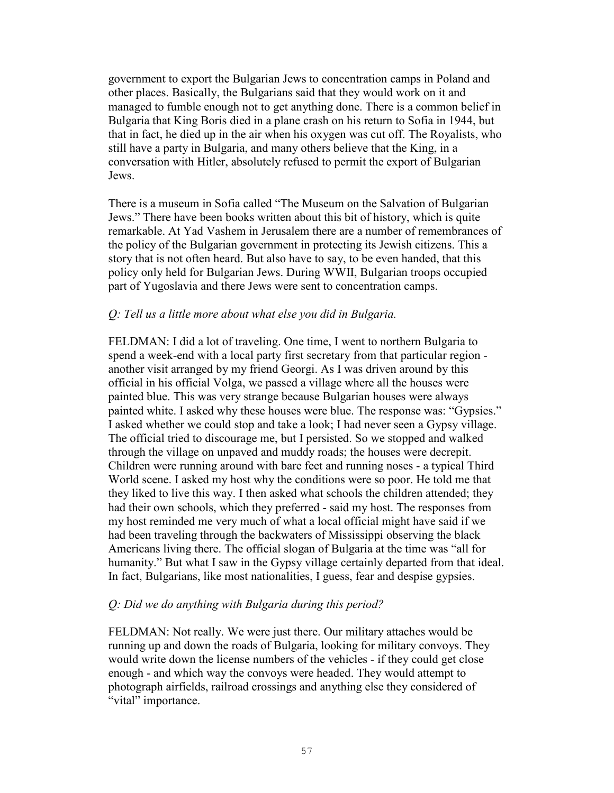government to export the Bulgarian Jews to concentration camps in Poland and other places. Basically, the Bulgarians said that they would work on it and managed to fumble enough not to get anything done. There is a common belief in Bulgaria that King Boris died in a plane crash on his return to Sofia in 1944, but that in fact, he died up in the air when his oxygen was cut off. The Royalists, who still have a party in Bulgaria, and many others believe that the King, in a conversation with Hitler, absolutely refused to permit the export of Bulgarian Jews.

There is a museum in Sofia called "The Museum on the Salvation of Bulgarian Jews." There have been books written about this bit of history, which is quite remarkable. At Yad Vashem in Jerusalem there are a number of remembrances of the policy of the Bulgarian government in protecting its Jewish citizens. This a story that is not often heard. But also have to say, to be even handed, that this policy only held for Bulgarian Jews. During WWII, Bulgarian troops occupied part of Yugoslavia and there Jews were sent to concentration camps.

### *Q: Tell us a little more about what else you did in Bulgaria.*

FELDMAN: I did a lot of traveling. One time, I went to northern Bulgaria to spend a week-end with a local party first secretary from that particular region another visit arranged by my friend Georgi. As I was driven around by this official in his official Volga, we passed a village where all the houses were painted blue. This was very strange because Bulgarian houses were always painted white. I asked why these houses were blue. The response was: "Gypsies." I asked whether we could stop and take a look; I had never seen a Gypsy village. The official tried to discourage me, but I persisted. So we stopped and walked through the village on unpaved and muddy roads; the houses were decrepit. Children were running around with bare feet and running noses - a typical Third World scene. I asked my host why the conditions were so poor. He told me that they liked to live this way. I then asked what schools the children attended; they had their own schools, which they preferred - said my host. The responses from my host reminded me very much of what a local official might have said if we had been traveling through the backwaters of Mississippi observing the black Americans living there. The official slogan of Bulgaria at the time was "all for humanity." But what I saw in the Gypsy village certainly departed from that ideal. In fact, Bulgarians, like most nationalities, I guess, fear and despise gypsies.

### *Q: Did we do anything with Bulgaria during this period?*

FELDMAN: Not really. We were just there. Our military attaches would be running up and down the roads of Bulgaria, looking for military convoys. They would write down the license numbers of the vehicles - if they could get close enough - and which way the convoys were headed. They would attempt to photograph airfields, railroad crossings and anything else they considered of "vital" importance.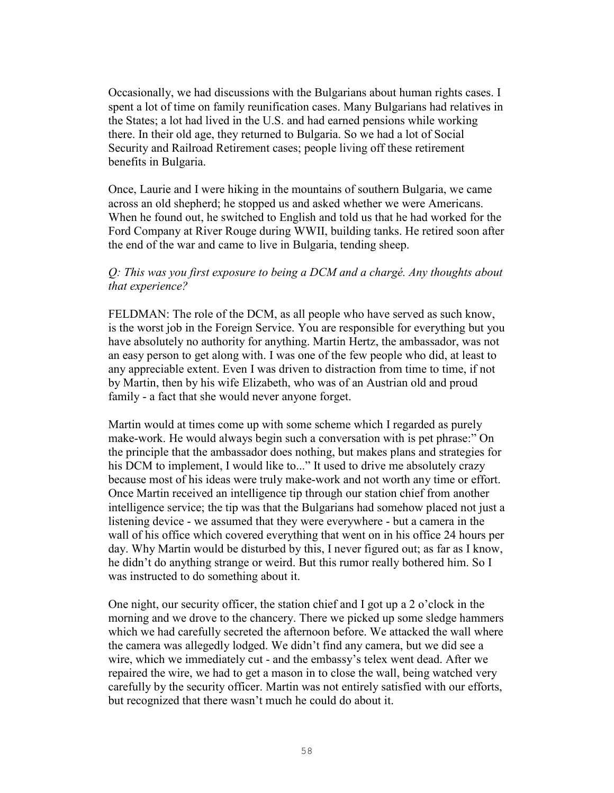Occasionally, we had discussions with the Bulgarians about human rights cases. I spent a lot of time on family reunification cases. Many Bulgarians had relatives in the States; a lot had lived in the U.S. and had earned pensions while working there. In their old age, they returned to Bulgaria. So we had a lot of Social Security and Railroad Retirement cases; people living off these retirement benefits in Bulgaria.

Once, Laurie and I were hiking in the mountains of southern Bulgaria, we came across an old shepherd; he stopped us and asked whether we were Americans. When he found out, he switched to English and told us that he had worked for the Ford Company at River Rouge during WWII, building tanks. He retired soon after the end of the war and came to live in Bulgaria, tending sheep.

#### *Q: This was you first exposure to being a DCM and a chargé. Any thoughts about that experience?*

FELDMAN: The role of the DCM, as all people who have served as such know, is the worst job in the Foreign Service. You are responsible for everything but you have absolutely no authority for anything. Martin Hertz, the ambassador, was not an easy person to get along with. I was one of the few people who did, at least to any appreciable extent. Even I was driven to distraction from time to time, if not by Martin, then by his wife Elizabeth, who was of an Austrian old and proud family - a fact that she would never anyone forget.

Martin would at times come up with some scheme which I regarded as purely make-work. He would always begin such a conversation with is pet phrase:" On the principle that the ambassador does nothing, but makes plans and strategies for his DCM to implement, I would like to..." It used to drive me absolutely crazy because most of his ideas were truly make-work and not worth any time or effort. Once Martin received an intelligence tip through our station chief from another intelligence service; the tip was that the Bulgarians had somehow placed not just a listening device - we assumed that they were everywhere - but a camera in the wall of his office which covered everything that went on in his office 24 hours per day. Why Martin would be disturbed by this, I never figured out; as far as I know, he didn't do anything strange or weird. But this rumor really bothered him. So I was instructed to do something about it.

One night, our security officer, the station chief and I got up a 2 o'clock in the morning and we drove to the chancery. There we picked up some sledge hammers which we had carefully secreted the afternoon before. We attacked the wall where the camera was allegedly lodged. We didn't find any camera, but we did see a wire, which we immediately cut - and the embassy's telex went dead. After we repaired the wire, we had to get a mason in to close the wall, being watched very carefully by the security officer. Martin was not entirely satisfied with our efforts, but recognized that there wasn't much he could do about it.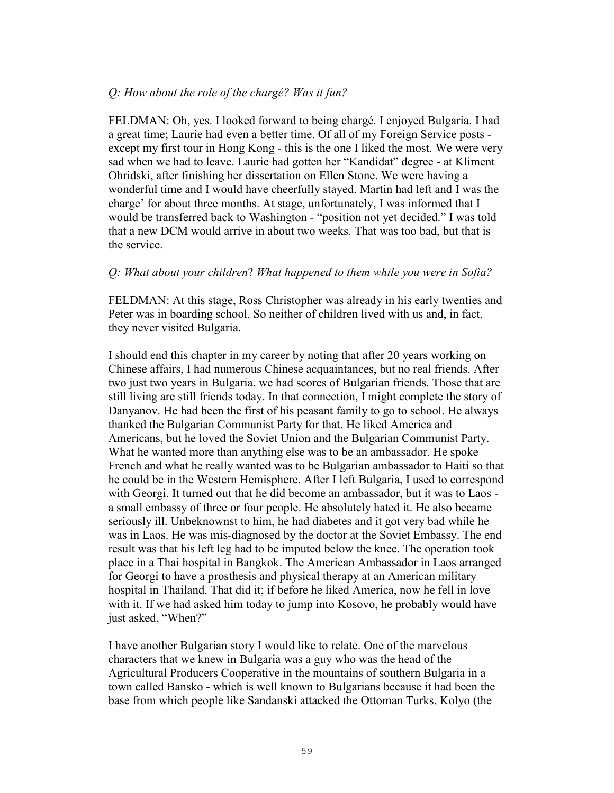### *Q: How about the role of the chargé? Was it fun?*

FELDMAN: Oh, yes. I looked forward to being chargé. I enjoyed Bulgaria. I had a great time; Laurie had even a better time. Of all of my Foreign Service posts except my first tour in Hong Kong - this is the one I liked the most. We were very sad when we had to leave. Laurie had gotten her "Kandidat" degree - at Kliment Ohridski, after finishing her dissertation on Ellen Stone. We were having a wonderful time and I would have cheerfully stayed. Martin had left and I was the charge' for about three months. At stage, unfortunately, I was informed that I would be transferred back to Washington - "position not yet decided." I was told that a new DCM would arrive in about two weeks. That was too bad, but that is the service.

#### *Q: What about your children*? *What happened to them while you were in Sofia?*

FELDMAN: At this stage, Ross Christopher was already in his early twenties and Peter was in boarding school. So neither of children lived with us and, in fact, they never visited Bulgaria.

I should end this chapter in my career by noting that after 20 years working on Chinese affairs, I had numerous Chinese acquaintances, but no real friends. After two just two years in Bulgaria, we had scores of Bulgarian friends. Those that are still living are still friends today. In that connection, I might complete the story of Danyanov. He had been the first of his peasant family to go to school. He always thanked the Bulgarian Communist Party for that. He liked America and Americans, but he loved the Soviet Union and the Bulgarian Communist Party. What he wanted more than anything else was to be an ambassador. He spoke French and what he really wanted was to be Bulgarian ambassador to Haiti so that he could be in the Western Hemisphere. After I left Bulgaria, I used to correspond with Georgi. It turned out that he did become an ambassador, but it was to Laos a small embassy of three or four people. He absolutely hated it. He also became seriously ill. Unbeknownst to him, he had diabetes and it got very bad while he was in Laos. He was mis-diagnosed by the doctor at the Soviet Embassy. The end result was that his left leg had to be imputed below the knee. The operation took place in a Thai hospital in Bangkok. The American Ambassador in Laos arranged for Georgi to have a prosthesis and physical therapy at an American military hospital in Thailand. That did it; if before he liked America, now he fell in love with it. If we had asked him today to jump into Kosovo, he probably would have just asked, "When?"

I have another Bulgarian story I would like to relate. One of the marvelous characters that we knew in Bulgaria was a guy who was the head of the Agricultural Producers Cooperative in the mountains of southern Bulgaria in a town called Bansko - which is well known to Bulgarians because it had been the base from which people like Sandanski attacked the Ottoman Turks. Kolyo (the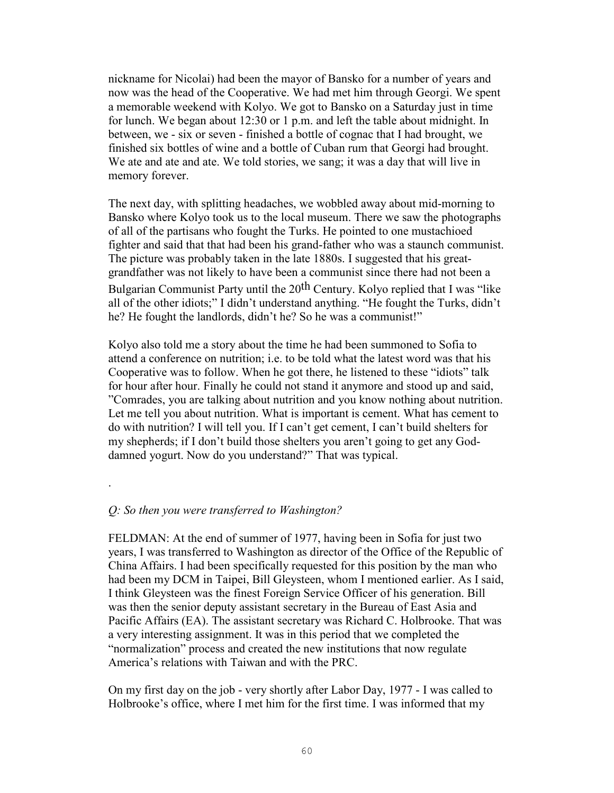nickname for Nicolai) had been the mayor of Bansko for a number of years and now was the head of the Cooperative. We had met him through Georgi. We spent a memorable weekend with Kolyo. We got to Bansko on a Saturday just in time for lunch. We began about 12:30 or 1 p.m. and left the table about midnight. In between, we - six or seven - finished a bottle of cognac that I had brought, we finished six bottles of wine and a bottle of Cuban rum that Georgi had brought. We ate and ate and ate. We told stories, we sang; it was a day that will live in memory forever.

The next day, with splitting headaches, we wobbled away about mid-morning to Bansko where Kolyo took us to the local museum. There we saw the photographs of all of the partisans who fought the Turks. He pointed to one mustachioed fighter and said that that had been his grand-father who was a staunch communist. The picture was probably taken in the late 1880s. I suggested that his greatgrandfather was not likely to have been a communist since there had not been a Bulgarian Communist Party until the 20th Century. Kolyo replied that I was "like all of the other idiots;" I didn't understand anything. "He fought the Turks, didn't he? He fought the landlords, didn't he? So he was a communist!"

Kolyo also told me a story about the time he had been summoned to Sofia to attend a conference on nutrition; i.e. to be told what the latest word was that his Cooperative was to follow. When he got there, he listened to these "idiots" talk for hour after hour. Finally he could not stand it anymore and stood up and said, "Comrades, you are talking about nutrition and you know nothing about nutrition. Let me tell you about nutrition. What is important is cement. What has cement to do with nutrition? I will tell you. If I can't get cement, I can't build shelters for my shepherds; if I don't build those shelters you aren't going to get any Goddamned yogurt. Now do you understand?" That was typical.

### *Q: So then you were transferred to Washington?*

.

FELDMAN: At the end of summer of 1977, having been in Sofia for just two years, I was transferred to Washington as director of the Office of the Republic of China Affairs. I had been specifically requested for this position by the man who had been my DCM in Taipei, Bill Gleysteen, whom I mentioned earlier. As I said, I think Gleysteen was the finest Foreign Service Officer of his generation. Bill was then the senior deputy assistant secretary in the Bureau of East Asia and Pacific Affairs (EA). The assistant secretary was Richard C. Holbrooke. That was a very interesting assignment. It was in this period that we completed the "normalization" process and created the new institutions that now regulate America's relations with Taiwan and with the PRC.

On my first day on the job - very shortly after Labor Day, 1977 - I was called to Holbrooke's office, where I met him for the first time. I was informed that my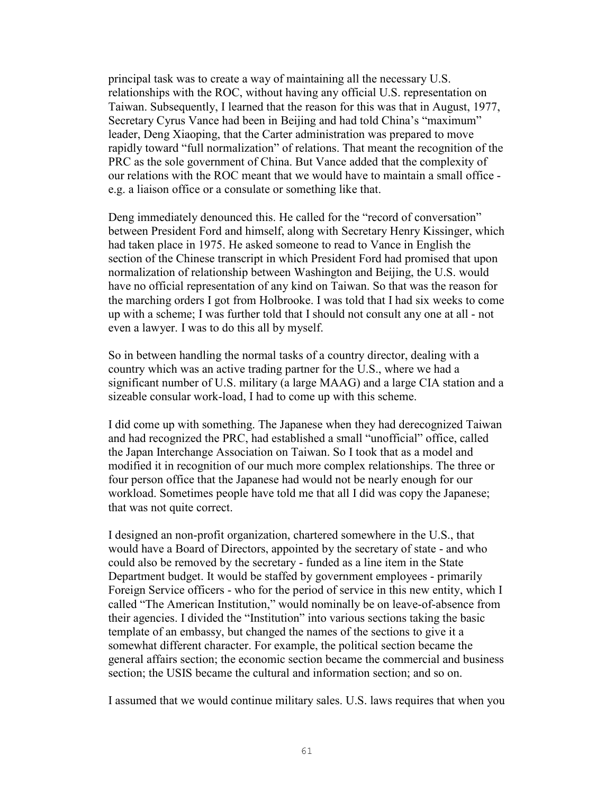principal task was to create a way of maintaining all the necessary U.S. relationships with the ROC, without having any official U.S. representation on Taiwan. Subsequently, I learned that the reason for this was that in August, 1977, Secretary Cyrus Vance had been in Beijing and had told China's "maximum" leader, Deng Xiaoping, that the Carter administration was prepared to move rapidly toward "full normalization" of relations. That meant the recognition of the PRC as the sole government of China. But Vance added that the complexity of our relations with the ROC meant that we would have to maintain a small office e.g. a liaison office or a consulate or something like that.

Deng immediately denounced this. He called for the "record of conversation" between President Ford and himself, along with Secretary Henry Kissinger, which had taken place in 1975. He asked someone to read to Vance in English the section of the Chinese transcript in which President Ford had promised that upon normalization of relationship between Washington and Beijing, the U.S. would have no official representation of any kind on Taiwan. So that was the reason for the marching orders I got from Holbrooke. I was told that I had six weeks to come up with a scheme; I was further told that I should not consult any one at all - not even a lawyer. I was to do this all by myself.

So in between handling the normal tasks of a country director, dealing with a country which was an active trading partner for the U.S., where we had a significant number of U.S. military (a large MAAG) and a large CIA station and a sizeable consular work-load, I had to come up with this scheme.

I did come up with something. The Japanese when they had derecognized Taiwan and had recognized the PRC, had established a small "unofficial" office, called the Japan Interchange Association on Taiwan. So I took that as a model and modified it in recognition of our much more complex relationships. The three or four person office that the Japanese had would not be nearly enough for our workload. Sometimes people have told me that all I did was copy the Japanese; that was not quite correct.

I designed an non-profit organization, chartered somewhere in the U.S., that would have a Board of Directors, appointed by the secretary of state - and who could also be removed by the secretary - funded as a line item in the State Department budget. It would be staffed by government employees - primarily Foreign Service officers - who for the period of service in this new entity, which I called "The American Institution," would nominally be on leave-of-absence from their agencies. I divided the "Institution" into various sections taking the basic template of an embassy, but changed the names of the sections to give it a somewhat different character. For example, the political section became the general affairs section; the economic section became the commercial and business section; the USIS became the cultural and information section; and so on.

I assumed that we would continue military sales. U.S. laws requires that when you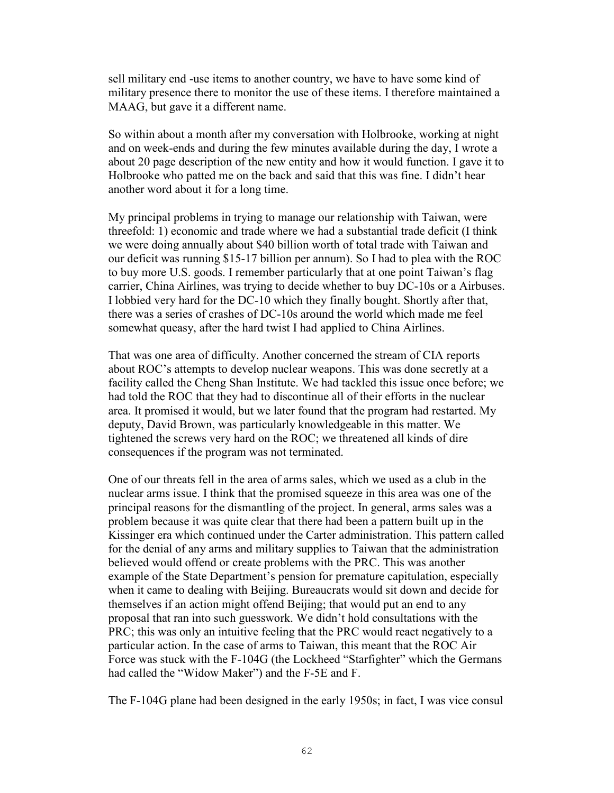sell military end -use items to another country, we have to have some kind of military presence there to monitor the use of these items. I therefore maintained a MAAG, but gave it a different name.

So within about a month after my conversation with Holbrooke, working at night and on week-ends and during the few minutes available during the day, I wrote a about 20 page description of the new entity and how it would function. I gave it to Holbrooke who patted me on the back and said that this was fine. I didn't hear another word about it for a long time.

My principal problems in trying to manage our relationship with Taiwan, were threefold: 1) economic and trade where we had a substantial trade deficit (I think we were doing annually about \$40 billion worth of total trade with Taiwan and our deficit was running \$15-17 billion per annum). So I had to plea with the ROC to buy more U.S. goods. I remember particularly that at one point Taiwan's flag carrier, China Airlines, was trying to decide whether to buy DC-10s or a Airbuses. I lobbied very hard for the DC-10 which they finally bought. Shortly after that, there was a series of crashes of DC-10s around the world which made me feel somewhat queasy, after the hard twist I had applied to China Airlines.

That was one area of difficulty. Another concerned the stream of CIA reports about ROC's attempts to develop nuclear weapons. This was done secretly at a facility called the Cheng Shan Institute. We had tackled this issue once before; we had told the ROC that they had to discontinue all of their efforts in the nuclear area. It promised it would, but we later found that the program had restarted. My deputy, David Brown, was particularly knowledgeable in this matter. We tightened the screws very hard on the ROC; we threatened all kinds of dire consequences if the program was not terminated.

One of our threats fell in the area of arms sales, which we used as a club in the nuclear arms issue. I think that the promised squeeze in this area was one of the principal reasons for the dismantling of the project. In general, arms sales was a problem because it was quite clear that there had been a pattern built up in the Kissinger era which continued under the Carter administration. This pattern called for the denial of any arms and military supplies to Taiwan that the administration believed would offend or create problems with the PRC. This was another example of the State Department's pension for premature capitulation, especially when it came to dealing with Beijing. Bureaucrats would sit down and decide for themselves if an action might offend Beijing; that would put an end to any proposal that ran into such guesswork. We didn't hold consultations with the PRC; this was only an intuitive feeling that the PRC would react negatively to a particular action. In the case of arms to Taiwan, this meant that the ROC Air Force was stuck with the F-104G (the Lockheed "Starfighter" which the Germans had called the "Widow Maker") and the F-5E and F.

The F-104G plane had been designed in the early 1950s; in fact, I was vice consul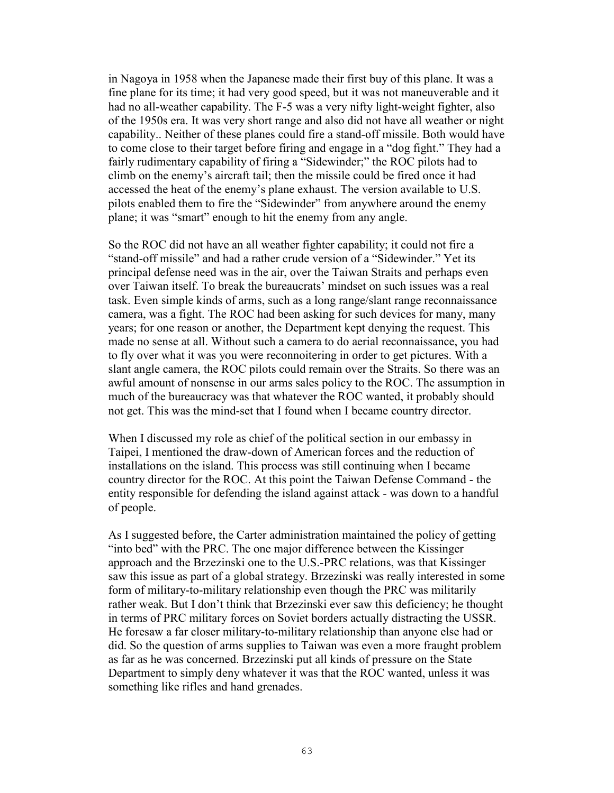in Nagoya in 1958 when the Japanese made their first buy of this plane. It was a fine plane for its time; it had very good speed, but it was not maneuverable and it had no all-weather capability. The F-5 was a very nifty light-weight fighter, also of the 1950s era. It was very short range and also did not have all weather or night capability.. Neither of these planes could fire a stand-off missile. Both would have to come close to their target before firing and engage in a "dog fight." They had a fairly rudimentary capability of firing a "Sidewinder;" the ROC pilots had to climb on the enemy's aircraft tail; then the missile could be fired once it had accessed the heat of the enemy's plane exhaust. The version available to U.S. pilots enabled them to fire the "Sidewinder" from anywhere around the enemy plane; it was "smart" enough to hit the enemy from any angle.

So the ROC did not have an all weather fighter capability; it could not fire a "stand-off missile" and had a rather crude version of a "Sidewinder." Yet its principal defense need was in the air, over the Taiwan Straits and perhaps even over Taiwan itself. To break the bureaucrats' mindset on such issues was a real task. Even simple kinds of arms, such as a long range/slant range reconnaissance camera, was a fight. The ROC had been asking for such devices for many, many years; for one reason or another, the Department kept denying the request. This made no sense at all. Without such a camera to do aerial reconnaissance, you had to fly over what it was you were reconnoitering in order to get pictures. With a slant angle camera, the ROC pilots could remain over the Straits. So there was an awful amount of nonsense in our arms sales policy to the ROC. The assumption in much of the bureaucracy was that whatever the ROC wanted, it probably should not get. This was the mind-set that I found when I became country director.

When I discussed my role as chief of the political section in our embassy in Taipei, I mentioned the draw-down of American forces and the reduction of installations on the island. This process was still continuing when I became country director for the ROC. At this point the Taiwan Defense Command - the entity responsible for defending the island against attack - was down to a handful of people.

As I suggested before, the Carter administration maintained the policy of getting "into bed" with the PRC. The one major difference between the Kissinger approach and the Brzezinski one to the U.S.-PRC relations, was that Kissinger saw this issue as part of a global strategy. Brzezinski was really interested in some form of military-to-military relationship even though the PRC was militarily rather weak. But I don't think that Brzezinski ever saw this deficiency; he thought in terms of PRC military forces on Soviet borders actually distracting the USSR. He foresaw a far closer military-to-military relationship than anyone else had or did. So the question of arms supplies to Taiwan was even a more fraught problem as far as he was concerned. Brzezinski put all kinds of pressure on the State Department to simply deny whatever it was that the ROC wanted, unless it was something like rifles and hand grenades.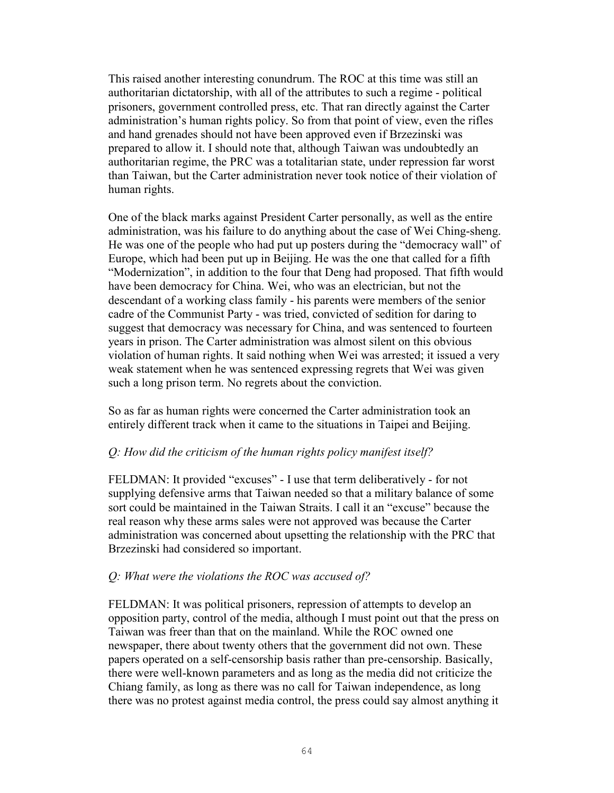This raised another interesting conundrum. The ROC at this time was still an authoritarian dictatorship, with all of the attributes to such a regime - political prisoners, government controlled press, etc. That ran directly against the Carter administration's human rights policy. So from that point of view, even the rifles and hand grenades should not have been approved even if Brzezinski was prepared to allow it. I should note that, although Taiwan was undoubtedly an authoritarian regime, the PRC was a totalitarian state, under repression far worst than Taiwan, but the Carter administration never took notice of their violation of human rights.

One of the black marks against President Carter personally, as well as the entire administration, was his failure to do anything about the case of Wei Ching-sheng. He was one of the people who had put up posters during the "democracy wall" of Europe, which had been put up in Beijing. He was the one that called for a fifth "Modernization", in addition to the four that Deng had proposed. That fifth would have been democracy for China. Wei, who was an electrician, but not the descendant of a working class family - his parents were members of the senior cadre of the Communist Party - was tried, convicted of sedition for daring to suggest that democracy was necessary for China, and was sentenced to fourteen years in prison. The Carter administration was almost silent on this obvious violation of human rights. It said nothing when Wei was arrested; it issued a very weak statement when he was sentenced expressing regrets that Wei was given such a long prison term. No regrets about the conviction.

So as far as human rights were concerned the Carter administration took an entirely different track when it came to the situations in Taipei and Beijing.

# *Q: How did the criticism of the human rights policy manifest itself?*

FELDMAN: It provided "excuses" - I use that term deliberatively - for not supplying defensive arms that Taiwan needed so that a military balance of some sort could be maintained in the Taiwan Straits. I call it an "excuse" because the real reason why these arms sales were not approved was because the Carter administration was concerned about upsetting the relationship with the PRC that Brzezinski had considered so important.

### *Q: What were the violations the ROC was accused of?*

FELDMAN: It was political prisoners, repression of attempts to develop an opposition party, control of the media, although I must point out that the press on Taiwan was freer than that on the mainland. While the ROC owned one newspaper, there about twenty others that the government did not own. These papers operated on a self-censorship basis rather than pre-censorship. Basically, there were well-known parameters and as long as the media did not criticize the Chiang family, as long as there was no call for Taiwan independence, as long there was no protest against media control, the press could say almost anything it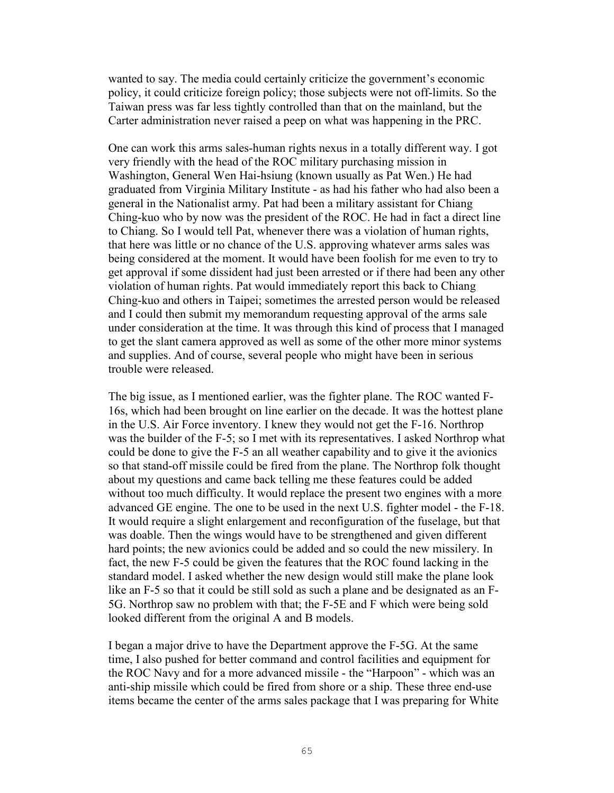wanted to say. The media could certainly criticize the government's economic policy, it could criticize foreign policy; those subjects were not off-limits. So the Taiwan press was far less tightly controlled than that on the mainland, but the Carter administration never raised a peep on what was happening in the PRC.

One can work this arms sales-human rights nexus in a totally different way. I got very friendly with the head of the ROC military purchasing mission in Washington, General Wen Hai-hsiung (known usually as Pat Wen.) He had graduated from Virginia Military Institute - as had his father who had also been a general in the Nationalist army. Pat had been a military assistant for Chiang Ching-kuo who by now was the president of the ROC. He had in fact a direct line to Chiang. So I would tell Pat, whenever there was a violation of human rights, that here was little or no chance of the U.S. approving whatever arms sales was being considered at the moment. It would have been foolish for me even to try to get approval if some dissident had just been arrested or if there had been any other violation of human rights. Pat would immediately report this back to Chiang Ching-kuo and others in Taipei; sometimes the arrested person would be released and I could then submit my memorandum requesting approval of the arms sale under consideration at the time. It was through this kind of process that I managed to get the slant camera approved as well as some of the other more minor systems and supplies. And of course, several people who might have been in serious trouble were released.

The big issue, as I mentioned earlier, was the fighter plane. The ROC wanted F-16s, which had been brought on line earlier on the decade. It was the hottest plane in the U.S. Air Force inventory. I knew they would not get the F-16. Northrop was the builder of the F-5; so I met with its representatives. I asked Northrop what could be done to give the F-5 an all weather capability and to give it the avionics so that stand-off missile could be fired from the plane. The Northrop folk thought about my questions and came back telling me these features could be added without too much difficulty. It would replace the present two engines with a more advanced GE engine. The one to be used in the next U.S. fighter model - the F-18. It would require a slight enlargement and reconfiguration of the fuselage, but that was doable. Then the wings would have to be strengthened and given different hard points; the new avionics could be added and so could the new missilery. In fact, the new F-5 could be given the features that the ROC found lacking in the standard model. I asked whether the new design would still make the plane look like an F-5 so that it could be still sold as such a plane and be designated as an F-5G. Northrop saw no problem with that; the F-5E and F which were being sold looked different from the original A and B models.

I began a major drive to have the Department approve the F-5G. At the same time, I also pushed for better command and control facilities and equipment for the ROC Navy and for a more advanced missile - the "Harpoon" - which was an anti-ship missile which could be fired from shore or a ship. These three end-use items became the center of the arms sales package that I was preparing for White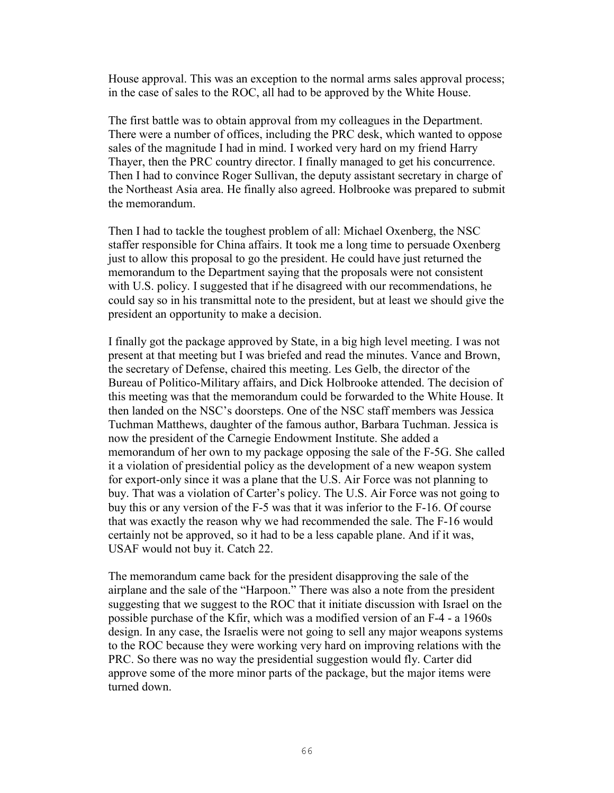House approval. This was an exception to the normal arms sales approval process; in the case of sales to the ROC, all had to be approved by the White House.

The first battle was to obtain approval from my colleagues in the Department. There were a number of offices, including the PRC desk, which wanted to oppose sales of the magnitude I had in mind. I worked very hard on my friend Harry Thayer, then the PRC country director. I finally managed to get his concurrence. Then I had to convince Roger Sullivan, the deputy assistant secretary in charge of the Northeast Asia area. He finally also agreed. Holbrooke was prepared to submit the memorandum.

Then I had to tackle the toughest problem of all: Michael Oxenberg, the NSC staffer responsible for China affairs. It took me a long time to persuade Oxenberg just to allow this proposal to go the president. He could have just returned the memorandum to the Department saying that the proposals were not consistent with U.S. policy. I suggested that if he disagreed with our recommendations, he could say so in his transmittal note to the president, but at least we should give the president an opportunity to make a decision.

I finally got the package approved by State, in a big high level meeting. I was not present at that meeting but I was briefed and read the minutes. Vance and Brown, the secretary of Defense, chaired this meeting. Les Gelb, the director of the Bureau of Politico-Military affairs, and Dick Holbrooke attended. The decision of this meeting was that the memorandum could be forwarded to the White House. It then landed on the NSC's doorsteps. One of the NSC staff members was Jessica Tuchman Matthews, daughter of the famous author, Barbara Tuchman. Jessica is now the president of the Carnegie Endowment Institute. She added a memorandum of her own to my package opposing the sale of the F-5G. She called it a violation of presidential policy as the development of a new weapon system for export-only since it was a plane that the U.S. Air Force was not planning to buy. That was a violation of Carter's policy. The U.S. Air Force was not going to buy this or any version of the F-5 was that it was inferior to the F-16. Of course that was exactly the reason why we had recommended the sale. The F-16 would certainly not be approved, so it had to be a less capable plane. And if it was, USAF would not buy it. Catch 22.

The memorandum came back for the president disapproving the sale of the airplane and the sale of the "Harpoon." There was also a note from the president suggesting that we suggest to the ROC that it initiate discussion with Israel on the possible purchase of the Kfir, which was a modified version of an F-4 - a 1960s design. In any case, the Israelis were not going to sell any major weapons systems to the ROC because they were working very hard on improving relations with the PRC. So there was no way the presidential suggestion would fly. Carter did approve some of the more minor parts of the package, but the major items were turned down.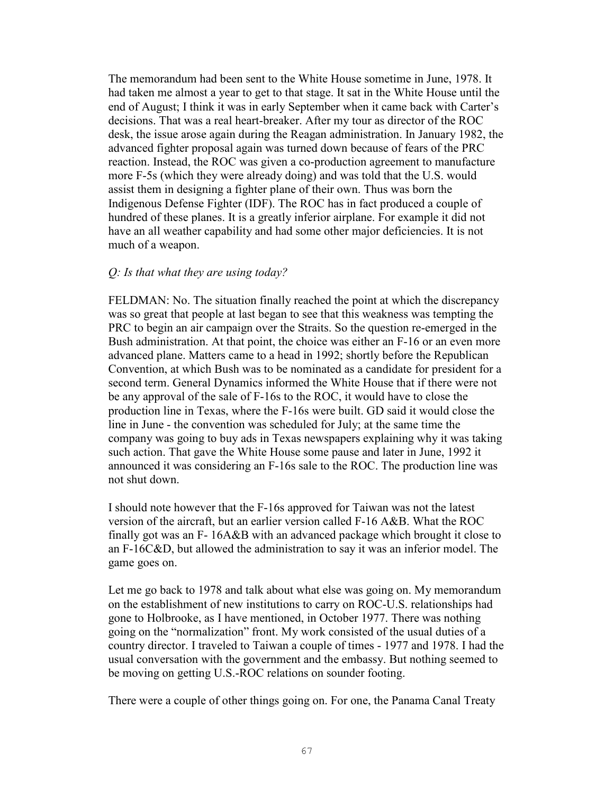The memorandum had been sent to the White House sometime in June, 1978. It had taken me almost a year to get to that stage. It sat in the White House until the end of August; I think it was in early September when it came back with Carter's decisions. That was a real heart-breaker. After my tour as director of the ROC desk, the issue arose again during the Reagan administration. In January 1982, the advanced fighter proposal again was turned down because of fears of the PRC reaction. Instead, the ROC was given a co-production agreement to manufacture more F-5s (which they were already doing) and was told that the U.S. would assist them in designing a fighter plane of their own. Thus was born the Indigenous Defense Fighter (IDF). The ROC has in fact produced a couple of hundred of these planes. It is a greatly inferior airplane. For example it did not have an all weather capability and had some other major deficiencies. It is not much of a weapon.

#### *Q: Is that what they are using today?*

FELDMAN: No. The situation finally reached the point at which the discrepancy was so great that people at last began to see that this weakness was tempting the PRC to begin an air campaign over the Straits. So the question re-emerged in the Bush administration. At that point, the choice was either an F-16 or an even more advanced plane. Matters came to a head in 1992; shortly before the Republican Convention, at which Bush was to be nominated as a candidate for president for a second term. General Dynamics informed the White House that if there were not be any approval of the sale of F-16s to the ROC, it would have to close the production line in Texas, where the F-16s were built. GD said it would close the line in June - the convention was scheduled for July; at the same time the company was going to buy ads in Texas newspapers explaining why it was taking such action. That gave the White House some pause and later in June, 1992 it announced it was considering an F-16s sale to the ROC. The production line was not shut down.

I should note however that the F-16s approved for Taiwan was not the latest version of the aircraft, but an earlier version called F-16 A&B. What the ROC finally got was an F- 16A&B with an advanced package which brought it close to an F-16C&D, but allowed the administration to say it was an inferior model. The game goes on.

Let me go back to 1978 and talk about what else was going on. My memorandum on the establishment of new institutions to carry on ROC-U.S. relationships had gone to Holbrooke, as I have mentioned, in October 1977. There was nothing going on the "normalization" front. My work consisted of the usual duties of a country director. I traveled to Taiwan a couple of times - 1977 and 1978. I had the usual conversation with the government and the embassy. But nothing seemed to be moving on getting U.S.-ROC relations on sounder footing.

There were a couple of other things going on. For one, the Panama Canal Treaty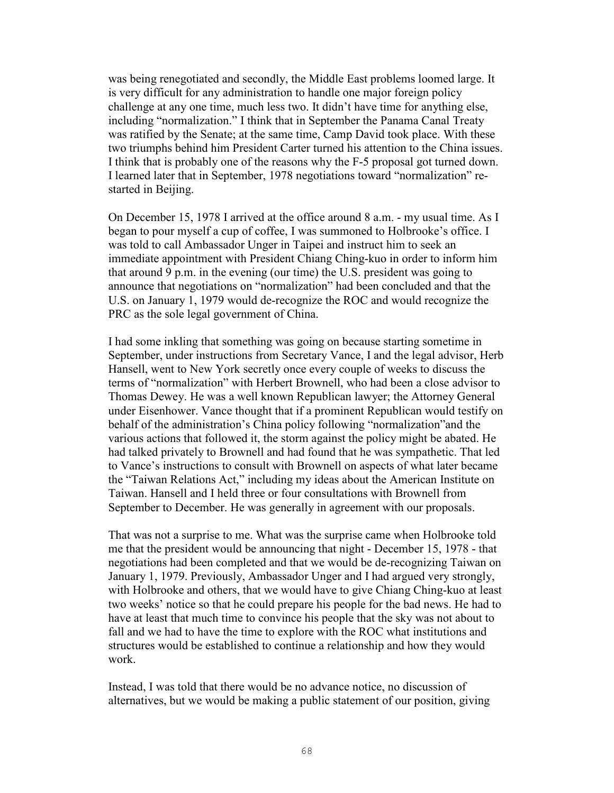was being renegotiated and secondly, the Middle East problems loomed large. It is very difficult for any administration to handle one major foreign policy challenge at any one time, much less two. It didn't have time for anything else, including "normalization." I think that in September the Panama Canal Treaty was ratified by the Senate; at the same time, Camp David took place. With these two triumphs behind him President Carter turned his attention to the China issues. I think that is probably one of the reasons why the F-5 proposal got turned down. I learned later that in September, 1978 negotiations toward "normalization" restarted in Beijing.

On December 15, 1978 I arrived at the office around 8 a.m. - my usual time. As I began to pour myself a cup of coffee, I was summoned to Holbrooke's office. I was told to call Ambassador Unger in Taipei and instruct him to seek an immediate appointment with President Chiang Ching-kuo in order to inform him that around 9 p.m. in the evening (our time) the U.S. president was going to announce that negotiations on "normalization" had been concluded and that the U.S. on January 1, 1979 would de-recognize the ROC and would recognize the PRC as the sole legal government of China.

I had some inkling that something was going on because starting sometime in September, under instructions from Secretary Vance, I and the legal advisor, Herb Hansell, went to New York secretly once every couple of weeks to discuss the terms of "normalization" with Herbert Brownell, who had been a close advisor to Thomas Dewey. He was a well known Republican lawyer; the Attorney General under Eisenhower. Vance thought that if a prominent Republican would testify on behalf of the administration's China policy following "normalization"and the various actions that followed it, the storm against the policy might be abated. He had talked privately to Brownell and had found that he was sympathetic. That led to Vance's instructions to consult with Brownell on aspects of what later became the "Taiwan Relations Act," including my ideas about the American Institute on Taiwan. Hansell and I held three or four consultations with Brownell from September to December. He was generally in agreement with our proposals.

That was not a surprise to me. What was the surprise came when Holbrooke told me that the president would be announcing that night - December 15, 1978 - that negotiations had been completed and that we would be de-recognizing Taiwan on January 1, 1979. Previously, Ambassador Unger and I had argued very strongly, with Holbrooke and others, that we would have to give Chiang Ching-kuo at least two weeks' notice so that he could prepare his people for the bad news. He had to have at least that much time to convince his people that the sky was not about to fall and we had to have the time to explore with the ROC what institutions and structures would be established to continue a relationship and how they would work.

Instead, I was told that there would be no advance notice, no discussion of alternatives, but we would be making a public statement of our position, giving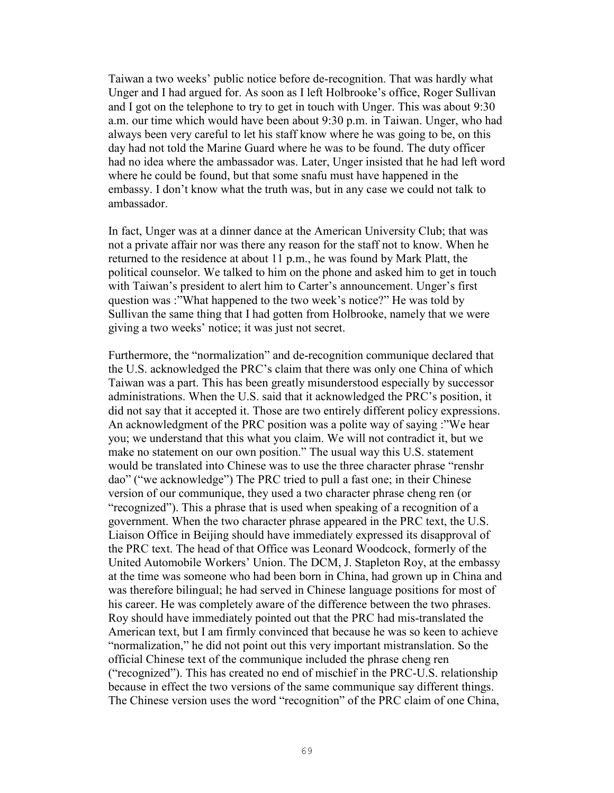Taiwan a two weeks' public notice before de-recognition. That was hardly what Unger and I had argued for. As soon as I left Holbrooke's office, Roger Sullivan and I got on the telephone to try to get in touch with Unger. This was about 9:30 a.m. our time which would have been about 9:30 p.m. in Taiwan. Unger, who had always been very careful to let his staff know where he was going to be, on this day had not told the Marine Guard where he was to be found. The duty officer had no idea where the ambassador was. Later, Unger insisted that he had left word where he could be found, but that some snafu must have happened in the embassy. I don't know what the truth was, but in any case we could not talk to ambassador.

In fact, Unger was at a dinner dance at the American University Club; that was not a private affair nor was there any reason for the staff not to know. When he returned to the residence at about 11 p.m., he was found by Mark Platt, the political counselor. We talked to him on the phone and asked him to get in touch with Taiwan's president to alert him to Carter's announcement. Unger's first question was :"What happened to the two week's notice?" He was told by Sullivan the same thing that I had gotten from Holbrooke, namely that we were giving a two weeks' notice; it was just not secret.

Furthermore, the "normalization" and de-recognition communique declared that the U.S. acknowledged the PRC's claim that there was only one China of which Taiwan was a part. This has been greatly misunderstood especially by successor administrations. When the U.S. said that it acknowledged the PRC's position, it did not say that it accepted it. Those are two entirely different policy expressions. An acknowledgment of the PRC position was a polite way of saying :"We hear you; we understand that this what you claim. We will not contradict it, but we make no statement on our own position." The usual way this U.S. statement would be translated into Chinese was to use the three character phrase "renshr dao" ("we acknowledge") The PRC tried to pull a fast one; in their Chinese version of our communique, they used a two character phrase cheng ren (or "recognized"). This a phrase that is used when speaking of a recognition of a government. When the two character phrase appeared in the PRC text, the U.S. Liaison Office in Beijing should have immediately expressed its disapproval of the PRC text. The head of that Office was Leonard Woodcock, formerly of the United Automobile Workers' Union. The DCM, J. Stapleton Roy, at the embassy at the time was someone who had been born in China, had grown up in China and was therefore bilingual; he had served in Chinese language positions for most of his career. He was completely aware of the difference between the two phrases. Roy should have immediately pointed out that the PRC had mis-translated the American text, but I am firmly convinced that because he was so keen to achieve "normalization," he did not point out this very important mistranslation. So the official Chinese text of the communique included the phrase cheng ren ("recognized"). This has created no end of mischief in the PRC-U.S. relationship because in effect the two versions of the same communique say different things. The Chinese version uses the word "recognition" of the PRC claim of one China,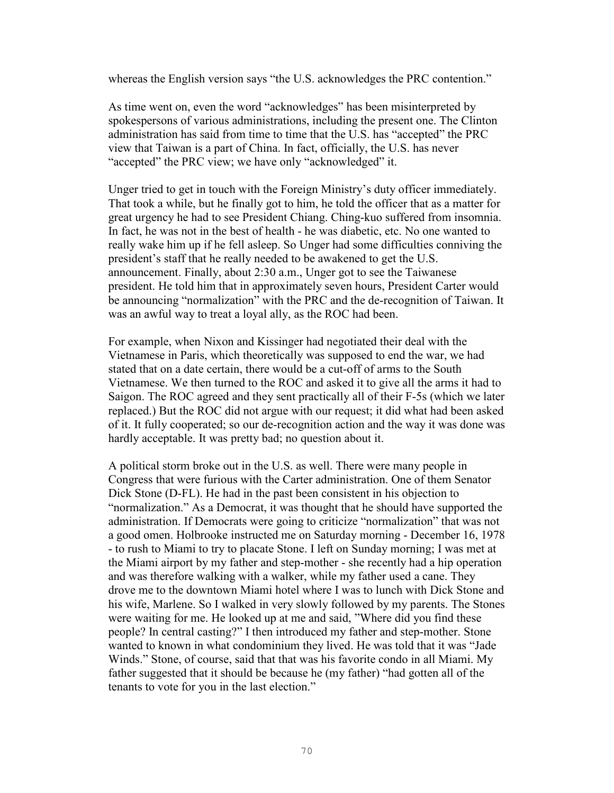whereas the English version says "the U.S. acknowledges the PRC contention."

As time went on, even the word "acknowledges" has been misinterpreted by spokespersons of various administrations, including the present one. The Clinton administration has said from time to time that the U.S. has "accepted" the PRC view that Taiwan is a part of China. In fact, officially, the U.S. has never "accepted" the PRC view; we have only "acknowledged" it.

Unger tried to get in touch with the Foreign Ministry's duty officer immediately. That took a while, but he finally got to him, he told the officer that as a matter for great urgency he had to see President Chiang. Ching-kuo suffered from insomnia. In fact, he was not in the best of health - he was diabetic, etc. No one wanted to really wake him up if he fell asleep. So Unger had some difficulties conniving the president's staff that he really needed to be awakened to get the U.S. announcement. Finally, about 2:30 a.m., Unger got to see the Taiwanese president. He told him that in approximately seven hours, President Carter would be announcing "normalization" with the PRC and the de-recognition of Taiwan. It was an awful way to treat a loyal ally, as the ROC had been.

For example, when Nixon and Kissinger had negotiated their deal with the Vietnamese in Paris, which theoretically was supposed to end the war, we had stated that on a date certain, there would be a cut-off of arms to the South Vietnamese. We then turned to the ROC and asked it to give all the arms it had to Saigon. The ROC agreed and they sent practically all of their F-5s (which we later replaced.) But the ROC did not argue with our request; it did what had been asked of it. It fully cooperated; so our de-recognition action and the way it was done was hardly acceptable. It was pretty bad; no question about it.

A political storm broke out in the U.S. as well. There were many people in Congress that were furious with the Carter administration. One of them Senator Dick Stone (D-FL). He had in the past been consistent in his objection to "normalization." As a Democrat, it was thought that he should have supported the administration. If Democrats were going to criticize "normalization" that was not a good omen. Holbrooke instructed me on Saturday morning - December 16, 1978 - to rush to Miami to try to placate Stone. I left on Sunday morning; I was met at the Miami airport by my father and step-mother - she recently had a hip operation and was therefore walking with a walker, while my father used a cane. They drove me to the downtown Miami hotel where I was to lunch with Dick Stone and his wife, Marlene. So I walked in very slowly followed by my parents. The Stones were waiting for me. He looked up at me and said, "Where did you find these people? In central casting?" I then introduced my father and step-mother. Stone wanted to known in what condominium they lived. He was told that it was "Jade Winds." Stone, of course, said that that was his favorite condo in all Miami. My father suggested that it should be because he (my father) "had gotten all of the tenants to vote for you in the last election."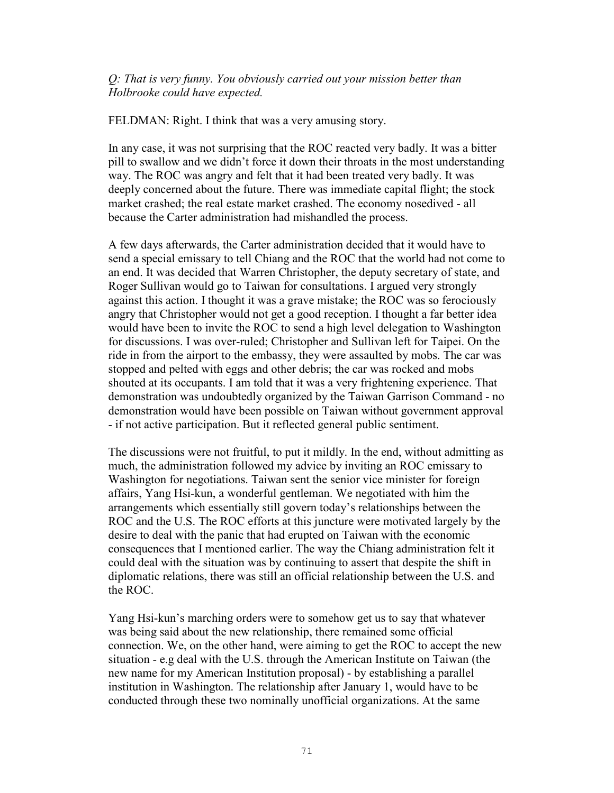### *Q: That is very funny. You obviously carried out your mission better than Holbrooke could have expected.*

FELDMAN: Right. I think that was a very amusing story.

In any case, it was not surprising that the ROC reacted very badly. It was a bitter pill to swallow and we didn't force it down their throats in the most understanding way. The ROC was angry and felt that it had been treated very badly. It was deeply concerned about the future. There was immediate capital flight; the stock market crashed; the real estate market crashed. The economy nosedived - all because the Carter administration had mishandled the process.

A few days afterwards, the Carter administration decided that it would have to send a special emissary to tell Chiang and the ROC that the world had not come to an end. It was decided that Warren Christopher, the deputy secretary of state, and Roger Sullivan would go to Taiwan for consultations. I argued very strongly against this action. I thought it was a grave mistake; the ROC was so ferociously angry that Christopher would not get a good reception. I thought a far better idea would have been to invite the ROC to send a high level delegation to Washington for discussions. I was over-ruled; Christopher and Sullivan left for Taipei. On the ride in from the airport to the embassy, they were assaulted by mobs. The car was stopped and pelted with eggs and other debris; the car was rocked and mobs shouted at its occupants. I am told that it was a very frightening experience. That demonstration was undoubtedly organized by the Taiwan Garrison Command - no demonstration would have been possible on Taiwan without government approval - if not active participation. But it reflected general public sentiment.

The discussions were not fruitful, to put it mildly. In the end, without admitting as much, the administration followed my advice by inviting an ROC emissary to Washington for negotiations. Taiwan sent the senior vice minister for foreign affairs, Yang Hsi-kun, a wonderful gentleman. We negotiated with him the arrangements which essentially still govern today's relationships between the ROC and the U.S. The ROC efforts at this juncture were motivated largely by the desire to deal with the panic that had erupted on Taiwan with the economic consequences that I mentioned earlier. The way the Chiang administration felt it could deal with the situation was by continuing to assert that despite the shift in diplomatic relations, there was still an official relationship between the U.S. and the ROC.

Yang Hsi-kun's marching orders were to somehow get us to say that whatever was being said about the new relationship, there remained some official connection. We, on the other hand, were aiming to get the ROC to accept the new situation - e.g deal with the U.S. through the American Institute on Taiwan (the new name for my American Institution proposal) - by establishing a parallel institution in Washington. The relationship after January 1, would have to be conducted through these two nominally unofficial organizations. At the same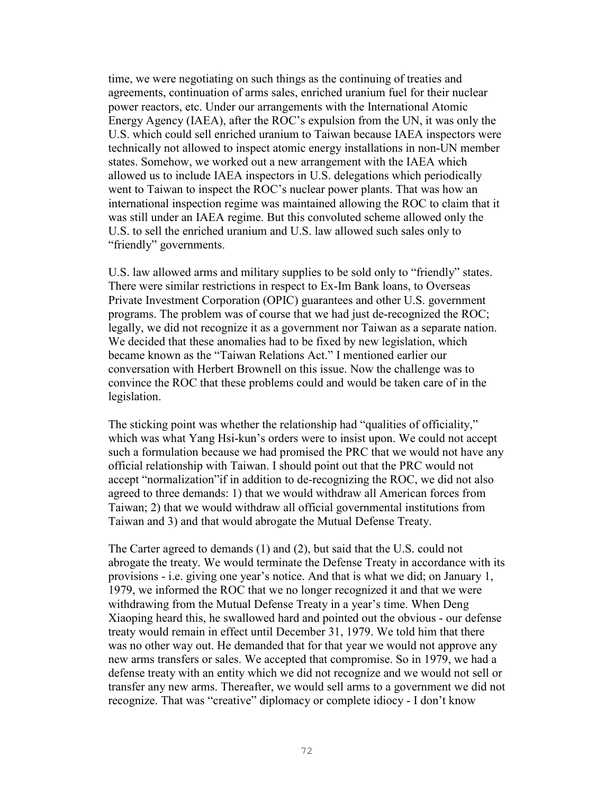time, we were negotiating on such things as the continuing of treaties and agreements, continuation of arms sales, enriched uranium fuel for their nuclear power reactors, etc. Under our arrangements with the International Atomic Energy Agency (IAEA), after the ROC's expulsion from the UN, it was only the U.S. which could sell enriched uranium to Taiwan because IAEA inspectors were technically not allowed to inspect atomic energy installations in non-UN member states. Somehow, we worked out a new arrangement with the IAEA which allowed us to include IAEA inspectors in U.S. delegations which periodically went to Taiwan to inspect the ROC's nuclear power plants. That was how an international inspection regime was maintained allowing the ROC to claim that it was still under an IAEA regime. But this convoluted scheme allowed only the U.S. to sell the enriched uranium and U.S. law allowed such sales only to "friendly" governments.

U.S. law allowed arms and military supplies to be sold only to "friendly" states. There were similar restrictions in respect to Ex-Im Bank loans, to Overseas Private Investment Corporation (OPIC) guarantees and other U.S. government programs. The problem was of course that we had just de-recognized the ROC; legally, we did not recognize it as a government nor Taiwan as a separate nation. We decided that these anomalies had to be fixed by new legislation, which became known as the "Taiwan Relations Act." I mentioned earlier our conversation with Herbert Brownell on this issue. Now the challenge was to convince the ROC that these problems could and would be taken care of in the legislation.

The sticking point was whether the relationship had "qualities of officiality," which was what Yang Hsi-kun's orders were to insist upon. We could not accept such a formulation because we had promised the PRC that we would not have any official relationship with Taiwan. I should point out that the PRC would not accept "normalization"if in addition to de-recognizing the ROC, we did not also agreed to three demands: 1) that we would withdraw all American forces from Taiwan; 2) that we would withdraw all official governmental institutions from Taiwan and 3) and that would abrogate the Mutual Defense Treaty.

The Carter agreed to demands (1) and (2), but said that the U.S. could not abrogate the treaty. We would terminate the Defense Treaty in accordance with its provisions - i.e. giving one year's notice. And that is what we did; on January 1, 1979, we informed the ROC that we no longer recognized it and that we were withdrawing from the Mutual Defense Treaty in a year's time. When Deng Xiaoping heard this, he swallowed hard and pointed out the obvious - our defense treaty would remain in effect until December 31, 1979. We told him that there was no other way out. He demanded that for that year we would not approve any new arms transfers or sales. We accepted that compromise. So in 1979, we had a defense treaty with an entity which we did not recognize and we would not sell or transfer any new arms. Thereafter, we would sell arms to a government we did not recognize. That was "creative" diplomacy or complete idiocy - I don't know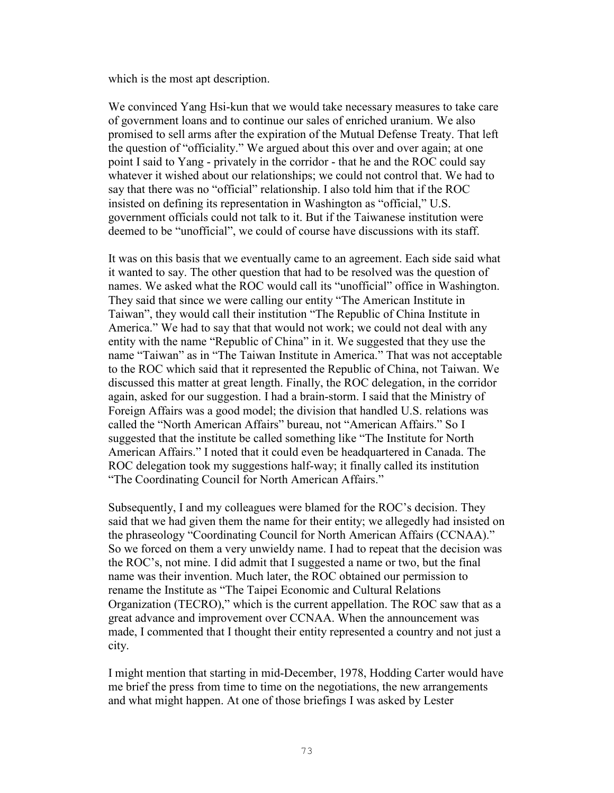which is the most apt description.

We convinced Yang Hsi-kun that we would take necessary measures to take care of government loans and to continue our sales of enriched uranium. We also promised to sell arms after the expiration of the Mutual Defense Treaty. That left the question of "officiality." We argued about this over and over again; at one point I said to Yang - privately in the corridor - that he and the ROC could say whatever it wished about our relationships; we could not control that. We had to say that there was no "official" relationship. I also told him that if the ROC insisted on defining its representation in Washington as "official," U.S. government officials could not talk to it. But if the Taiwanese institution were deemed to be "unofficial", we could of course have discussions with its staff.

It was on this basis that we eventually came to an agreement. Each side said what it wanted to say. The other question that had to be resolved was the question of names. We asked what the ROC would call its "unofficial" office in Washington. They said that since we were calling our entity "The American Institute in Taiwan", they would call their institution "The Republic of China Institute in America." We had to say that that would not work; we could not deal with any entity with the name "Republic of China" in it. We suggested that they use the name "Taiwan" as in "The Taiwan Institute in America." That was not acceptable to the ROC which said that it represented the Republic of China, not Taiwan. We discussed this matter at great length. Finally, the ROC delegation, in the corridor again, asked for our suggestion. I had a brain-storm. I said that the Ministry of Foreign Affairs was a good model; the division that handled U.S. relations was called the "North American Affairs" bureau, not "American Affairs." So I suggested that the institute be called something like "The Institute for North American Affairs." I noted that it could even be headquartered in Canada. The ROC delegation took my suggestions half-way; it finally called its institution "The Coordinating Council for North American Affairs."

Subsequently, I and my colleagues were blamed for the ROC's decision. They said that we had given them the name for their entity; we allegedly had insisted on the phraseology "Coordinating Council for North American Affairs (CCNAA)." So we forced on them a very unwieldy name. I had to repeat that the decision was the ROC's, not mine. I did admit that I suggested a name or two, but the final name was their invention. Much later, the ROC obtained our permission to rename the Institute as "The Taipei Economic and Cultural Relations Organization (TECRO)," which is the current appellation. The ROC saw that as a great advance and improvement over CCNAA. When the announcement was made, I commented that I thought their entity represented a country and not just a city.

I might mention that starting in mid-December, 1978, Hodding Carter would have me brief the press from time to time on the negotiations, the new arrangements and what might happen. At one of those briefings I was asked by Lester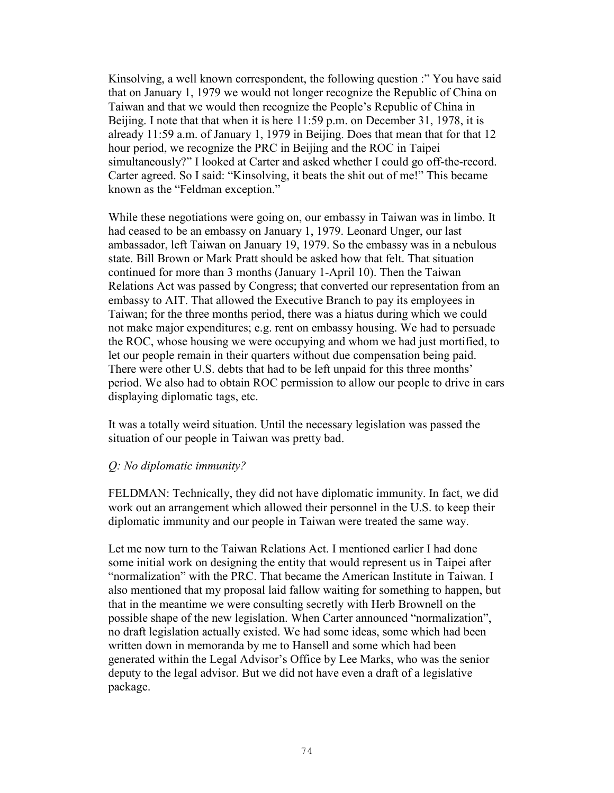Kinsolving, a well known correspondent, the following question :" You have said that on January 1, 1979 we would not longer recognize the Republic of China on Taiwan and that we would then recognize the People's Republic of China in Beijing. I note that that when it is here 11:59 p.m. on December 31, 1978, it is already 11:59 a.m. of January 1, 1979 in Beijing. Does that mean that for that 12 hour period, we recognize the PRC in Beijing and the ROC in Taipei simultaneously?" I looked at Carter and asked whether I could go off-the-record. Carter agreed. So I said: "Kinsolving, it beats the shit out of me!" This became known as the "Feldman exception."

While these negotiations were going on, our embassy in Taiwan was in limbo. It had ceased to be an embassy on January 1, 1979. Leonard Unger, our last ambassador, left Taiwan on January 19, 1979. So the embassy was in a nebulous state. Bill Brown or Mark Pratt should be asked how that felt. That situation continued for more than 3 months (January 1-April 10). Then the Taiwan Relations Act was passed by Congress; that converted our representation from an embassy to AIT. That allowed the Executive Branch to pay its employees in Taiwan; for the three months period, there was a hiatus during which we could not make major expenditures; e.g. rent on embassy housing. We had to persuade the ROC, whose housing we were occupying and whom we had just mortified, to let our people remain in their quarters without due compensation being paid. There were other U.S. debts that had to be left unpaid for this three months' period. We also had to obtain ROC permission to allow our people to drive in cars displaying diplomatic tags, etc.

It was a totally weird situation. Until the necessary legislation was passed the situation of our people in Taiwan was pretty bad.

### *Q: No diplomatic immunity?*

FELDMAN: Technically, they did not have diplomatic immunity. In fact, we did work out an arrangement which allowed their personnel in the U.S. to keep their diplomatic immunity and our people in Taiwan were treated the same way.

Let me now turn to the Taiwan Relations Act. I mentioned earlier I had done some initial work on designing the entity that would represent us in Taipei after "normalization" with the PRC. That became the American Institute in Taiwan. I also mentioned that my proposal laid fallow waiting for something to happen, but that in the meantime we were consulting secretly with Herb Brownell on the possible shape of the new legislation. When Carter announced "normalization", no draft legislation actually existed. We had some ideas, some which had been written down in memoranda by me to Hansell and some which had been generated within the Legal Advisor's Office by Lee Marks, who was the senior deputy to the legal advisor. But we did not have even a draft of a legislative package.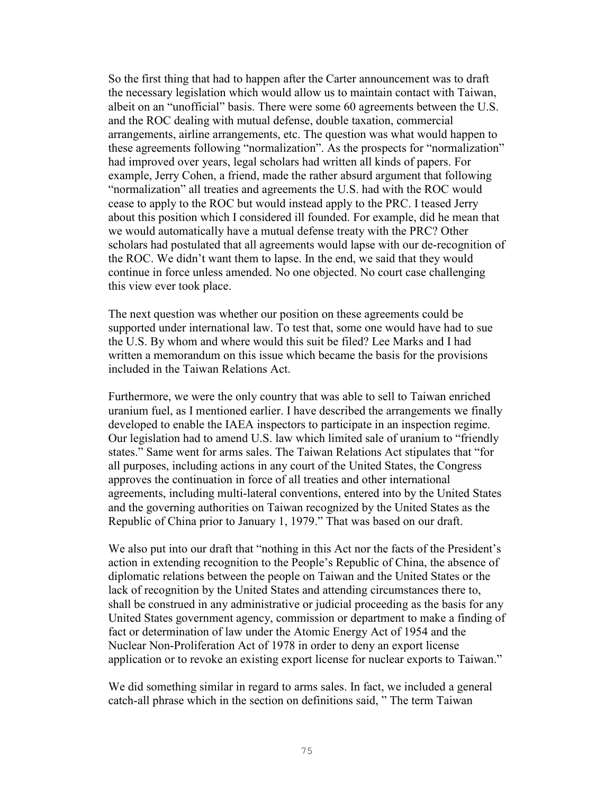So the first thing that had to happen after the Carter announcement was to draft the necessary legislation which would allow us to maintain contact with Taiwan, albeit on an "unofficial" basis. There were some 60 agreements between the U.S. and the ROC dealing with mutual defense, double taxation, commercial arrangements, airline arrangements, etc. The question was what would happen to these agreements following "normalization". As the prospects for "normalization" had improved over years, legal scholars had written all kinds of papers. For example, Jerry Cohen, a friend, made the rather absurd argument that following "normalization" all treaties and agreements the U.S. had with the ROC would cease to apply to the ROC but would instead apply to the PRC. I teased Jerry about this position which I considered ill founded. For example, did he mean that we would automatically have a mutual defense treaty with the PRC? Other scholars had postulated that all agreements would lapse with our de-recognition of the ROC. We didn't want them to lapse. In the end, we said that they would continue in force unless amended. No one objected. No court case challenging this view ever took place.

The next question was whether our position on these agreements could be supported under international law. To test that, some one would have had to sue the U.S. By whom and where would this suit be filed? Lee Marks and I had written a memorandum on this issue which became the basis for the provisions included in the Taiwan Relations Act.

Furthermore, we were the only country that was able to sell to Taiwan enriched uranium fuel, as I mentioned earlier. I have described the arrangements we finally developed to enable the IAEA inspectors to participate in an inspection regime. Our legislation had to amend U.S. law which limited sale of uranium to "friendly states." Same went for arms sales. The Taiwan Relations Act stipulates that "for all purposes, including actions in any court of the United States, the Congress approves the continuation in force of all treaties and other international agreements, including multi-lateral conventions, entered into by the United States and the governing authorities on Taiwan recognized by the United States as the Republic of China prior to January 1, 1979." That was based on our draft.

We also put into our draft that "nothing in this Act nor the facts of the President's action in extending recognition to the People's Republic of China, the absence of diplomatic relations between the people on Taiwan and the United States or the lack of recognition by the United States and attending circumstances there to, shall be construed in any administrative or judicial proceeding as the basis for any United States government agency, commission or department to make a finding of fact or determination of law under the Atomic Energy Act of 1954 and the Nuclear Non-Proliferation Act of 1978 in order to deny an export license application or to revoke an existing export license for nuclear exports to Taiwan."

We did something similar in regard to arms sales. In fact, we included a general catch-all phrase which in the section on definitions said, " The term Taiwan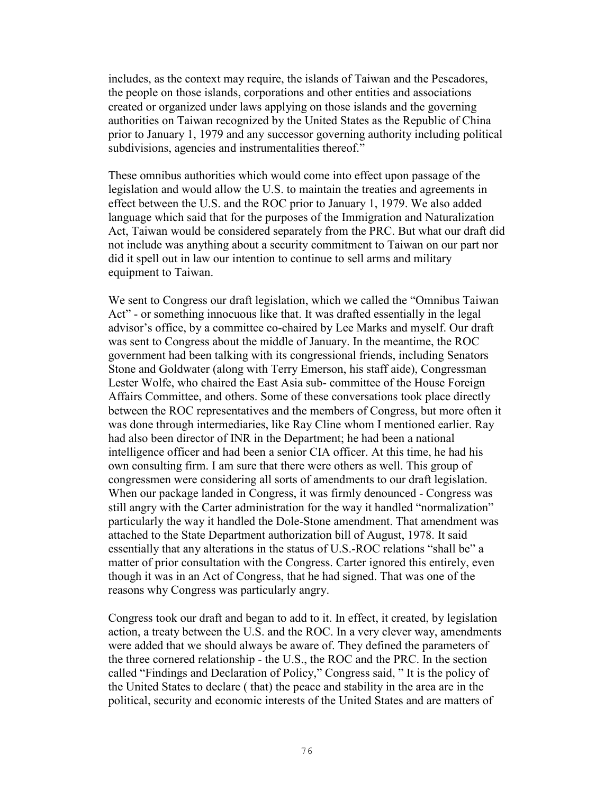includes, as the context may require, the islands of Taiwan and the Pescadores, the people on those islands, corporations and other entities and associations created or organized under laws applying on those islands and the governing authorities on Taiwan recognized by the United States as the Republic of China prior to January 1, 1979 and any successor governing authority including political subdivisions, agencies and instrumentalities thereof."

These omnibus authorities which would come into effect upon passage of the legislation and would allow the U.S. to maintain the treaties and agreements in effect between the U.S. and the ROC prior to January 1, 1979. We also added language which said that for the purposes of the Immigration and Naturalization Act, Taiwan would be considered separately from the PRC. But what our draft did not include was anything about a security commitment to Taiwan on our part nor did it spell out in law our intention to continue to sell arms and military equipment to Taiwan.

We sent to Congress our draft legislation, which we called the "Omnibus Taiwan Act" - or something innocuous like that. It was drafted essentially in the legal advisor's office, by a committee co-chaired by Lee Marks and myself. Our draft was sent to Congress about the middle of January. In the meantime, the ROC government had been talking with its congressional friends, including Senators Stone and Goldwater (along with Terry Emerson, his staff aide), Congressman Lester Wolfe, who chaired the East Asia sub- committee of the House Foreign Affairs Committee, and others. Some of these conversations took place directly between the ROC representatives and the members of Congress, but more often it was done through intermediaries, like Ray Cline whom I mentioned earlier. Ray had also been director of INR in the Department; he had been a national intelligence officer and had been a senior CIA officer. At this time, he had his own consulting firm. I am sure that there were others as well. This group of congressmen were considering all sorts of amendments to our draft legislation. When our package landed in Congress, it was firmly denounced - Congress was still angry with the Carter administration for the way it handled "normalization" particularly the way it handled the Dole-Stone amendment. That amendment was attached to the State Department authorization bill of August, 1978. It said essentially that any alterations in the status of U.S.-ROC relations "shall be" a matter of prior consultation with the Congress. Carter ignored this entirely, even though it was in an Act of Congress, that he had signed. That was one of the reasons why Congress was particularly angry.

Congress took our draft and began to add to it. In effect, it created, by legislation action, a treaty between the U.S. and the ROC. In a very clever way, amendments were added that we should always be aware of. They defined the parameters of the three cornered relationship - the U.S., the ROC and the PRC. In the section called "Findings and Declaration of Policy," Congress said, " It is the policy of the United States to declare ( that) the peace and stability in the area are in the political, security and economic interests of the United States and are matters of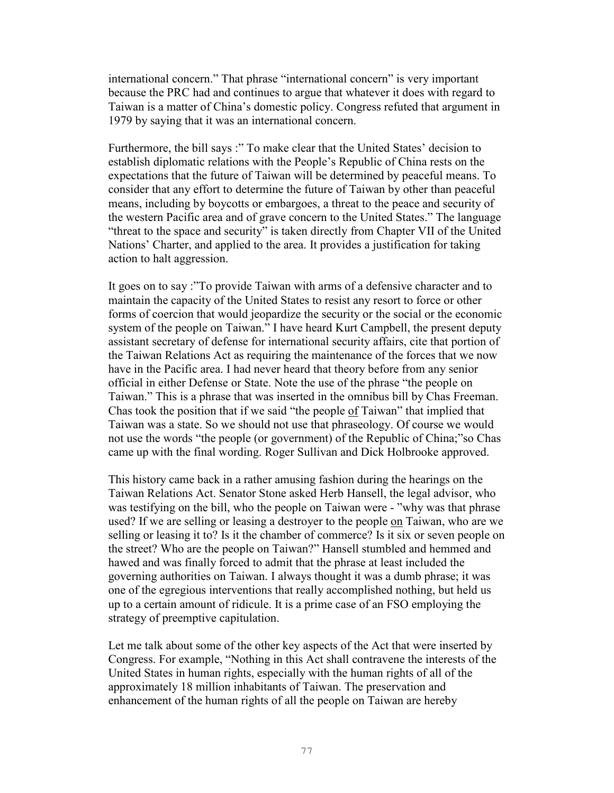international concern." That phrase "international concern" is very important because the PRC had and continues to argue that whatever it does with regard to Taiwan is a matter of China's domestic policy. Congress refuted that argument in 1979 by saying that it was an international concern.

Furthermore, the bill says :" To make clear that the United States' decision to establish diplomatic relations with the People's Republic of China rests on the expectations that the future of Taiwan will be determined by peaceful means. To consider that any effort to determine the future of Taiwan by other than peaceful means, including by boycotts or embargoes, a threat to the peace and security of the western Pacific area and of grave concern to the United States." The language "threat to the space and security" is taken directly from Chapter VII of the United Nations' Charter, and applied to the area. It provides a justification for taking action to halt aggression.

It goes on to say :"To provide Taiwan with arms of a defensive character and to maintain the capacity of the United States to resist any resort to force or other forms of coercion that would jeopardize the security or the social or the economic system of the people on Taiwan." I have heard Kurt Campbell, the present deputy assistant secretary of defense for international security affairs, cite that portion of the Taiwan Relations Act as requiring the maintenance of the forces that we now have in the Pacific area. I had never heard that theory before from any senior official in either Defense or State. Note the use of the phrase "the people on Taiwan." This is a phrase that was inserted in the omnibus bill by Chas Freeman. Chas took the position that if we said "the people of Taiwan" that implied that Taiwan was a state. So we should not use that phraseology. Of course we would not use the words "the people (or government) of the Republic of China;"so Chas came up with the final wording. Roger Sullivan and Dick Holbrooke approved.

This history came back in a rather amusing fashion during the hearings on the Taiwan Relations Act. Senator Stone asked Herb Hansell, the legal advisor, who was testifying on the bill, who the people on Taiwan were - "why was that phrase used? If we are selling or leasing a destroyer to the people on Taiwan, who are we selling or leasing it to? Is it the chamber of commerce? Is it six or seven people on the street? Who are the people on Taiwan?" Hansell stumbled and hemmed and hawed and was finally forced to admit that the phrase at least included the governing authorities on Taiwan. I always thought it was a dumb phrase; it was one of the egregious interventions that really accomplished nothing, but held us up to a certain amount of ridicule. It is a prime case of an FSO employing the strategy of preemptive capitulation.

Let me talk about some of the other key aspects of the Act that were inserted by Congress. For example, "Nothing in this Act shall contravene the interests of the United States in human rights, especially with the human rights of all of the approximately 18 million inhabitants of Taiwan. The preservation and enhancement of the human rights of all the people on Taiwan are hereby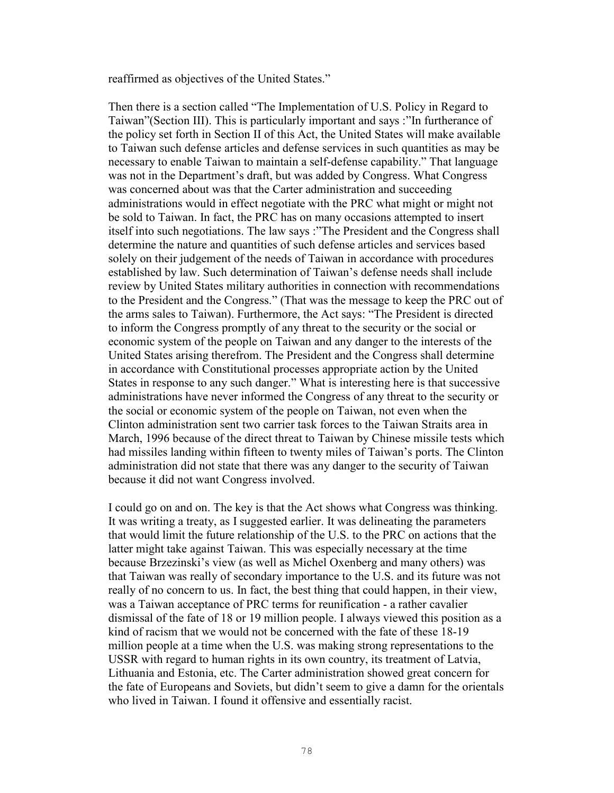reaffirmed as objectives of the United States."

Then there is a section called "The Implementation of U.S. Policy in Regard to Taiwan"(Section III). This is particularly important and says :"In furtherance of the policy set forth in Section II of this Act, the United States will make available to Taiwan such defense articles and defense services in such quantities as may be necessary to enable Taiwan to maintain a self-defense capability." That language was not in the Department's draft, but was added by Congress. What Congress was concerned about was that the Carter administration and succeeding administrations would in effect negotiate with the PRC what might or might not be sold to Taiwan. In fact, the PRC has on many occasions attempted to insert itself into such negotiations. The law says :"The President and the Congress shall determine the nature and quantities of such defense articles and services based solely on their judgement of the needs of Taiwan in accordance with procedures established by law. Such determination of Taiwan's defense needs shall include review by United States military authorities in connection with recommendations to the President and the Congress." (That was the message to keep the PRC out of the arms sales to Taiwan). Furthermore, the Act says: "The President is directed to inform the Congress promptly of any threat to the security or the social or economic system of the people on Taiwan and any danger to the interests of the United States arising therefrom. The President and the Congress shall determine in accordance with Constitutional processes appropriate action by the United States in response to any such danger." What is interesting here is that successive administrations have never informed the Congress of any threat to the security or the social or economic system of the people on Taiwan, not even when the Clinton administration sent two carrier task forces to the Taiwan Straits area in March, 1996 because of the direct threat to Taiwan by Chinese missile tests which had missiles landing within fifteen to twenty miles of Taiwan's ports. The Clinton administration did not state that there was any danger to the security of Taiwan because it did not want Congress involved.

I could go on and on. The key is that the Act shows what Congress was thinking. It was writing a treaty, as I suggested earlier. It was delineating the parameters that would limit the future relationship of the U.S. to the PRC on actions that the latter might take against Taiwan. This was especially necessary at the time because Brzezinski's view (as well as Michel Oxenberg and many others) was that Taiwan was really of secondary importance to the U.S. and its future was not really of no concern to us. In fact, the best thing that could happen, in their view, was a Taiwan acceptance of PRC terms for reunification - a rather cavalier dismissal of the fate of 18 or 19 million people. I always viewed this position as a kind of racism that we would not be concerned with the fate of these 18-19 million people at a time when the U.S. was making strong representations to the USSR with regard to human rights in its own country, its treatment of Latvia, Lithuania and Estonia, etc. The Carter administration showed great concern for the fate of Europeans and Soviets, but didn't seem to give a damn for the orientals who lived in Taiwan. I found it offensive and essentially racist.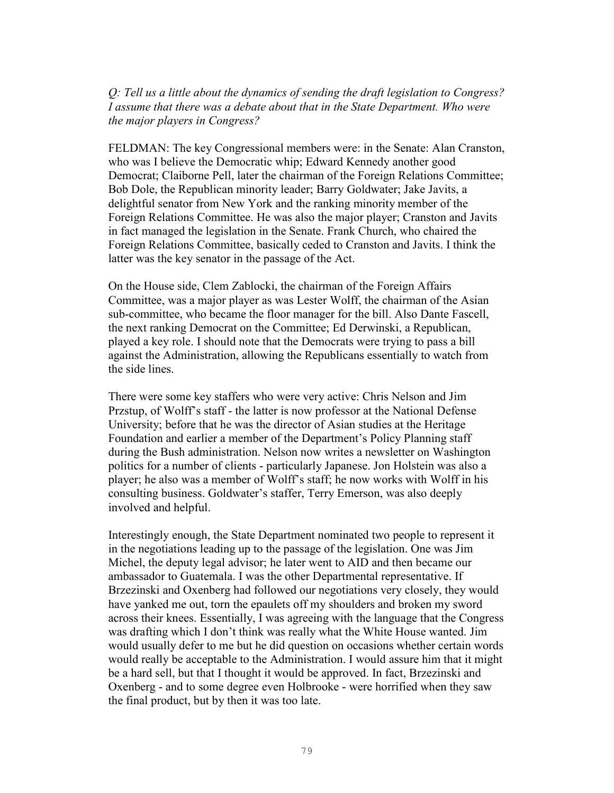*Q: Tell us a little about the dynamics of sending the draft legislation to Congress? I assume that there was a debate about that in the State Department. Who were the major players in Congress?* 

FELDMAN: The key Congressional members were: in the Senate: Alan Cranston, who was I believe the Democratic whip; Edward Kennedy another good Democrat; Claiborne Pell, later the chairman of the Foreign Relations Committee; Bob Dole, the Republican minority leader; Barry Goldwater; Jake Javits, a delightful senator from New York and the ranking minority member of the Foreign Relations Committee. He was also the major player; Cranston and Javits in fact managed the legislation in the Senate. Frank Church, who chaired the Foreign Relations Committee, basically ceded to Cranston and Javits. I think the latter was the key senator in the passage of the Act.

On the House side, Clem Zablocki, the chairman of the Foreign Affairs Committee, was a major player as was Lester Wolff, the chairman of the Asian sub-committee, who became the floor manager for the bill. Also Dante Fascell, the next ranking Democrat on the Committee; Ed Derwinski, a Republican, played a key role. I should note that the Democrats were trying to pass a bill against the Administration, allowing the Republicans essentially to watch from the side lines.

There were some key staffers who were very active: Chris Nelson and Jim Przstup, of Wolff's staff - the latter is now professor at the National Defense University; before that he was the director of Asian studies at the Heritage Foundation and earlier a member of the Department's Policy Planning staff during the Bush administration. Nelson now writes a newsletter on Washington politics for a number of clients - particularly Japanese. Jon Holstein was also a player; he also was a member of Wolff's staff; he now works with Wolff in his consulting business. Goldwater's staffer, Terry Emerson, was also deeply involved and helpful.

Interestingly enough, the State Department nominated two people to represent it in the negotiations leading up to the passage of the legislation. One was Jim Michel, the deputy legal advisor; he later went to AID and then became our ambassador to Guatemala. I was the other Departmental representative. If Brzezinski and Oxenberg had followed our negotiations very closely, they would have yanked me out, torn the epaulets off my shoulders and broken my sword across their knees. Essentially, I was agreeing with the language that the Congress was drafting which I don't think was really what the White House wanted. Jim would usually defer to me but he did question on occasions whether certain words would really be acceptable to the Administration. I would assure him that it might be a hard sell, but that I thought it would be approved. In fact, Brzezinski and Oxenberg - and to some degree even Holbrooke - were horrified when they saw the final product, but by then it was too late.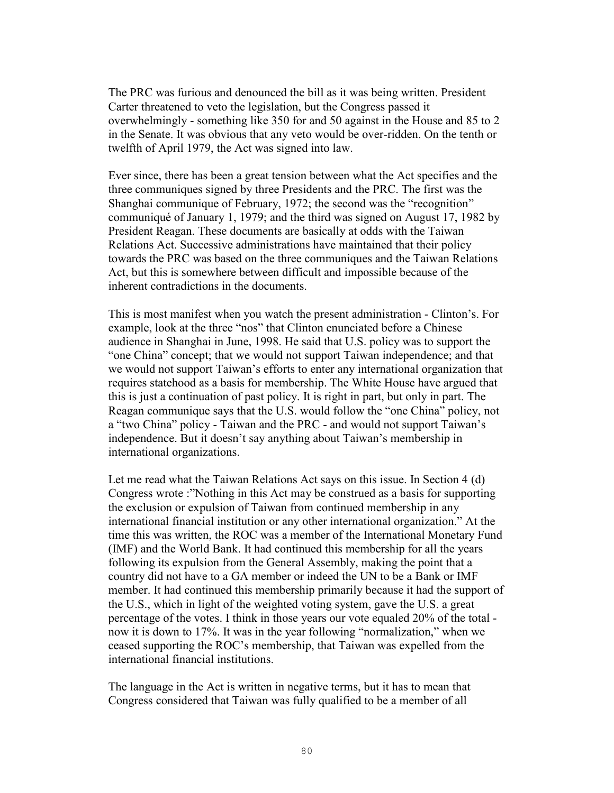The PRC was furious and denounced the bill as it was being written. President Carter threatened to veto the legislation, but the Congress passed it overwhelmingly - something like 350 for and 50 against in the House and 85 to 2 in the Senate. It was obvious that any veto would be over-ridden. On the tenth or twelfth of April 1979, the Act was signed into law.

Ever since, there has been a great tension between what the Act specifies and the three communiques signed by three Presidents and the PRC. The first was the Shanghai communique of February, 1972; the second was the "recognition" communiqué of January 1, 1979; and the third was signed on August 17, 1982 by President Reagan. These documents are basically at odds with the Taiwan Relations Act. Successive administrations have maintained that their policy towards the PRC was based on the three communiques and the Taiwan Relations Act, but this is somewhere between difficult and impossible because of the inherent contradictions in the documents.

This is most manifest when you watch the present administration - Clinton's. For example, look at the three "nos" that Clinton enunciated before a Chinese audience in Shanghai in June, 1998. He said that U.S. policy was to support the "one China" concept; that we would not support Taiwan independence; and that we would not support Taiwan's efforts to enter any international organization that requires statehood as a basis for membership. The White House have argued that this is just a continuation of past policy. It is right in part, but only in part. The Reagan communique says that the U.S. would follow the "one China" policy, not a "two China" policy - Taiwan and the PRC - and would not support Taiwan's independence. But it doesn't say anything about Taiwan's membership in international organizations.

Let me read what the Taiwan Relations Act says on this issue. In Section 4 (d) Congress wrote :"Nothing in this Act may be construed as a basis for supporting the exclusion or expulsion of Taiwan from continued membership in any international financial institution or any other international organization." At the time this was written, the ROC was a member of the International Monetary Fund (IMF) and the World Bank. It had continued this membership for all the years following its expulsion from the General Assembly, making the point that a country did not have to a GA member or indeed the UN to be a Bank or IMF member. It had continued this membership primarily because it had the support of the U.S., which in light of the weighted voting system, gave the U.S. a great percentage of the votes. I think in those years our vote equaled 20% of the total now it is down to 17%. It was in the year following "normalization," when we ceased supporting the ROC's membership, that Taiwan was expelled from the international financial institutions.

The language in the Act is written in negative terms, but it has to mean that Congress considered that Taiwan was fully qualified to be a member of all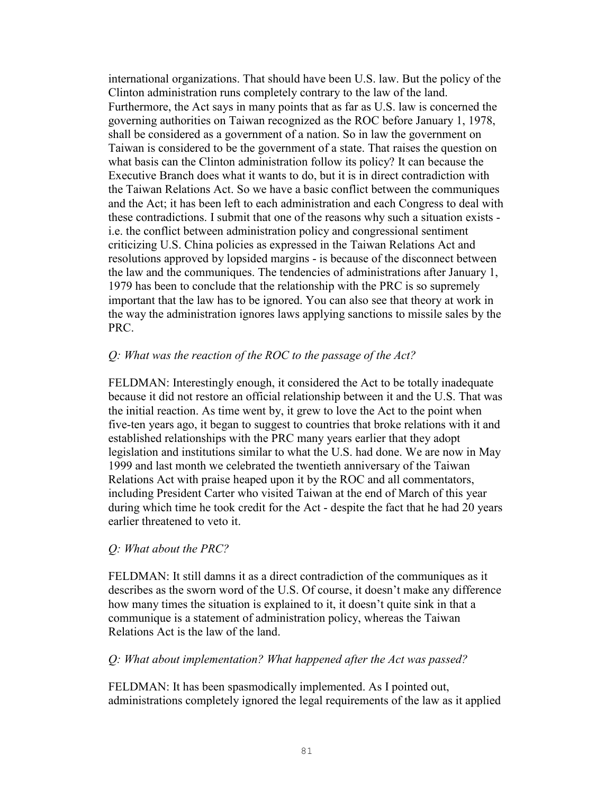international organizations. That should have been U.S. law. But the policy of the Clinton administration runs completely contrary to the law of the land. Furthermore, the Act says in many points that as far as U.S. law is concerned the governing authorities on Taiwan recognized as the ROC before January 1, 1978, shall be considered as a government of a nation. So in law the government on Taiwan is considered to be the government of a state. That raises the question on what basis can the Clinton administration follow its policy? It can because the Executive Branch does what it wants to do, but it is in direct contradiction with the Taiwan Relations Act. So we have a basic conflict between the communiques and the Act; it has been left to each administration and each Congress to deal with these contradictions. I submit that one of the reasons why such a situation exists i.e. the conflict between administration policy and congressional sentiment criticizing U.S. China policies as expressed in the Taiwan Relations Act and resolutions approved by lopsided margins - is because of the disconnect between the law and the communiques. The tendencies of administrations after January 1, 1979 has been to conclude that the relationship with the PRC is so supremely important that the law has to be ignored. You can also see that theory at work in the way the administration ignores laws applying sanctions to missile sales by the PRC.

#### *Q: What was the reaction of the ROC to the passage of the Act?*

FELDMAN: Interestingly enough, it considered the Act to be totally inadequate because it did not restore an official relationship between it and the U.S. That was the initial reaction. As time went by, it grew to love the Act to the point when five-ten years ago, it began to suggest to countries that broke relations with it and established relationships with the PRC many years earlier that they adopt legislation and institutions similar to what the U.S. had done. We are now in May 1999 and last month we celebrated the twentieth anniversary of the Taiwan Relations Act with praise heaped upon it by the ROC and all commentators, including President Carter who visited Taiwan at the end of March of this year during which time he took credit for the Act - despite the fact that he had 20 years earlier threatened to veto it.

#### *Q: What about the PRC?*

FELDMAN: It still damns it as a direct contradiction of the communiques as it describes as the sworn word of the U.S. Of course, it doesn't make any difference how many times the situation is explained to it, it doesn't quite sink in that a communique is a statement of administration policy, whereas the Taiwan Relations Act is the law of the land.

#### *Q: What about implementation? What happened after the Act was passed?*

FELDMAN: It has been spasmodically implemented. As I pointed out, administrations completely ignored the legal requirements of the law as it applied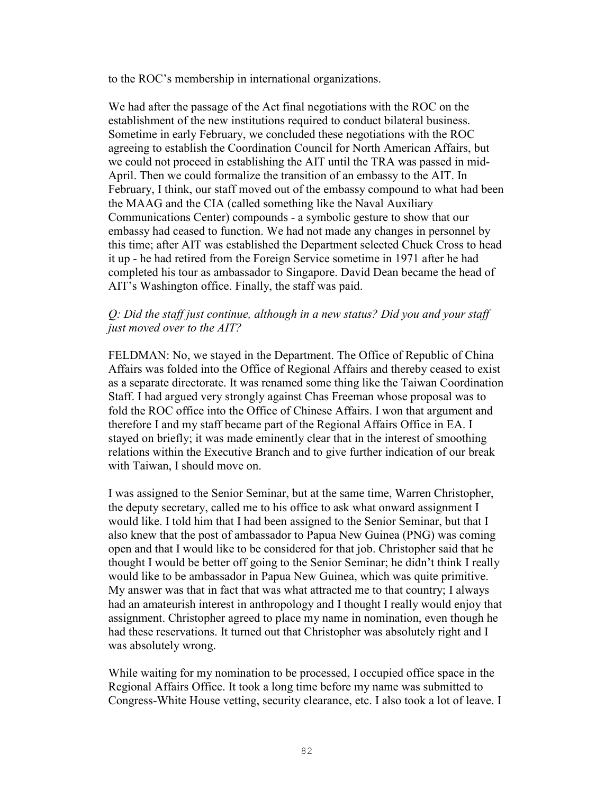to the ROC's membership in international organizations.

We had after the passage of the Act final negotiations with the ROC on the establishment of the new institutions required to conduct bilateral business. Sometime in early February, we concluded these negotiations with the ROC agreeing to establish the Coordination Council for North American Affairs, but we could not proceed in establishing the AIT until the TRA was passed in mid-April. Then we could formalize the transition of an embassy to the AIT. In February, I think, our staff moved out of the embassy compound to what had been the MAAG and the CIA (called something like the Naval Auxiliary Communications Center) compounds - a symbolic gesture to show that our embassy had ceased to function. We had not made any changes in personnel by this time; after AIT was established the Department selected Chuck Cross to head it up - he had retired from the Foreign Service sometime in 1971 after he had completed his tour as ambassador to Singapore. David Dean became the head of AIT's Washington office. Finally, the staff was paid.

## *Q: Did the staff just continue, although in a new status? Did you and your staff just moved over to the AIT?*

FELDMAN: No, we stayed in the Department. The Office of Republic of China Affairs was folded into the Office of Regional Affairs and thereby ceased to exist as a separate directorate. It was renamed some thing like the Taiwan Coordination Staff. I had argued very strongly against Chas Freeman whose proposal was to fold the ROC office into the Office of Chinese Affairs. I won that argument and therefore I and my staff became part of the Regional Affairs Office in EA. I stayed on briefly; it was made eminently clear that in the interest of smoothing relations within the Executive Branch and to give further indication of our break with Taiwan, I should move on.

I was assigned to the Senior Seminar, but at the same time, Warren Christopher, the deputy secretary, called me to his office to ask what onward assignment I would like. I told him that I had been assigned to the Senior Seminar, but that I also knew that the post of ambassador to Papua New Guinea (PNG) was coming open and that I would like to be considered for that job. Christopher said that he thought I would be better off going to the Senior Seminar; he didn't think I really would like to be ambassador in Papua New Guinea, which was quite primitive. My answer was that in fact that was what attracted me to that country; I always had an amateurish interest in anthropology and I thought I really would enjoy that assignment. Christopher agreed to place my name in nomination, even though he had these reservations. It turned out that Christopher was absolutely right and I was absolutely wrong.

While waiting for my nomination to be processed, I occupied office space in the Regional Affairs Office. It took a long time before my name was submitted to Congress-White House vetting, security clearance, etc. I also took a lot of leave. I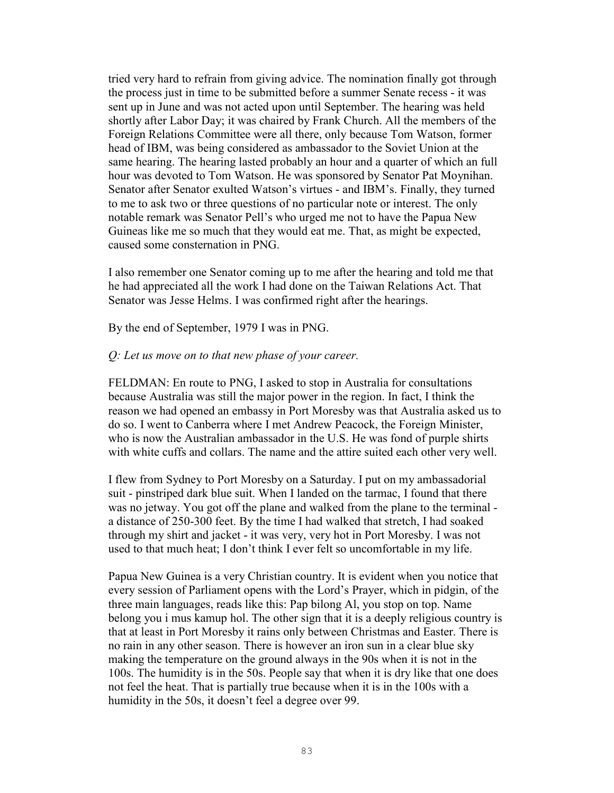tried very hard to refrain from giving advice. The nomination finally got through the process just in time to be submitted before a summer Senate recess - it was sent up in June and was not acted upon until September. The hearing was held shortly after Labor Day; it was chaired by Frank Church. All the members of the Foreign Relations Committee were all there, only because Tom Watson, former head of IBM, was being considered as ambassador to the Soviet Union at the same hearing. The hearing lasted probably an hour and a quarter of which an full hour was devoted to Tom Watson. He was sponsored by Senator Pat Moynihan. Senator after Senator exulted Watson's virtues - and IBM's. Finally, they turned to me to ask two or three questions of no particular note or interest. The only notable remark was Senator Pell's who urged me not to have the Papua New Guineas like me so much that they would eat me. That, as might be expected, caused some consternation in PNG.

I also remember one Senator coming up to me after the hearing and told me that he had appreciated all the work I had done on the Taiwan Relations Act. That Senator was Jesse Helms. I was confirmed right after the hearings.

By the end of September, 1979 I was in PNG.

#### *Q: Let us move on to that new phase of your career.*

FELDMAN: En route to PNG, I asked to stop in Australia for consultations because Australia was still the major power in the region. In fact, I think the reason we had opened an embassy in Port Moresby was that Australia asked us to do so. I went to Canberra where I met Andrew Peacock, the Foreign Minister, who is now the Australian ambassador in the U.S. He was fond of purple shirts with white cuffs and collars. The name and the attire suited each other very well.

I flew from Sydney to Port Moresby on a Saturday. I put on my ambassadorial suit - pinstriped dark blue suit. When I landed on the tarmac, I found that there was no jetway. You got off the plane and walked from the plane to the terminal a distance of 250-300 feet. By the time I had walked that stretch, I had soaked through my shirt and jacket - it was very, very hot in Port Moresby. I was not used to that much heat; I don't think I ever felt so uncomfortable in my life.

Papua New Guinea is a very Christian country. It is evident when you notice that every session of Parliament opens with the Lord's Prayer, which in pidgin, of the three main languages, reads like this: Pap bilong Al, you stop on top. Name belong you i mus kamup hol. The other sign that it is a deeply religious country is that at least in Port Moresby it rains only between Christmas and Easter. There is no rain in any other season. There is however an iron sun in a clear blue sky making the temperature on the ground always in the 90s when it is not in the 100s. The humidity is in the 50s. People say that when it is dry like that one does not feel the heat. That is partially true because when it is in the 100s with a humidity in the 50s, it doesn't feel a degree over 99.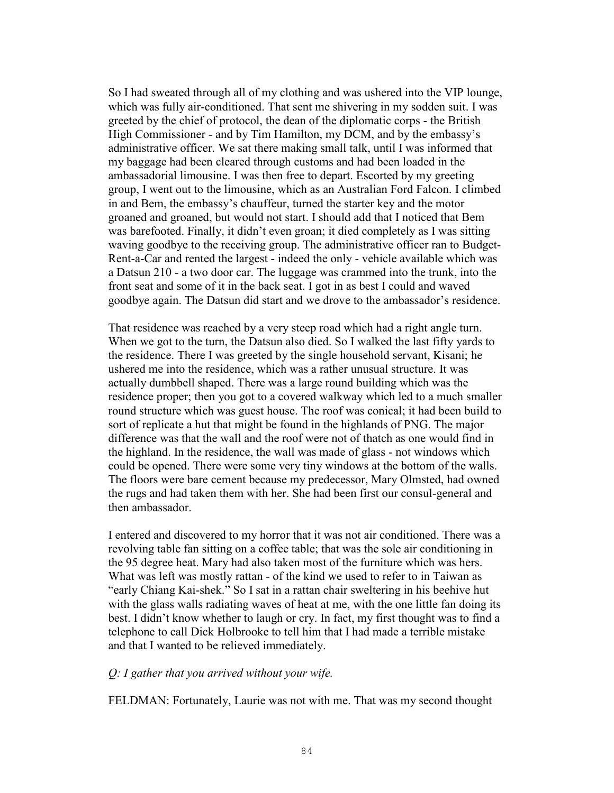So I had sweated through all of my clothing and was ushered into the VIP lounge, which was fully air-conditioned. That sent me shivering in my sodden suit. I was greeted by the chief of protocol, the dean of the diplomatic corps - the British High Commissioner - and by Tim Hamilton, my DCM, and by the embassy's administrative officer. We sat there making small talk, until I was informed that my baggage had been cleared through customs and had been loaded in the ambassadorial limousine. I was then free to depart. Escorted by my greeting group, I went out to the limousine, which as an Australian Ford Falcon. I climbed in and Bem, the embassy's chauffeur, turned the starter key and the motor groaned and groaned, but would not start. I should add that I noticed that Bem was barefooted. Finally, it didn't even groan; it died completely as I was sitting waving goodbye to the receiving group. The administrative officer ran to Budget-Rent-a-Car and rented the largest - indeed the only - vehicle available which was a Datsun 210 - a two door car. The luggage was crammed into the trunk, into the front seat and some of it in the back seat. I got in as best I could and waved goodbye again. The Datsun did start and we drove to the ambassador's residence.

That residence was reached by a very steep road which had a right angle turn. When we got to the turn, the Datsun also died. So I walked the last fifty yards to the residence. There I was greeted by the single household servant, Kisani; he ushered me into the residence, which was a rather unusual structure. It was actually dumbbell shaped. There was a large round building which was the residence proper; then you got to a covered walkway which led to a much smaller round structure which was guest house. The roof was conical; it had been build to sort of replicate a hut that might be found in the highlands of PNG. The major difference was that the wall and the roof were not of thatch as one would find in the highland. In the residence, the wall was made of glass - not windows which could be opened. There were some very tiny windows at the bottom of the walls. The floors were bare cement because my predecessor, Mary Olmsted, had owned the rugs and had taken them with her. She had been first our consul-general and then ambassador.

I entered and discovered to my horror that it was not air conditioned. There was a revolving table fan sitting on a coffee table; that was the sole air conditioning in the 95 degree heat. Mary had also taken most of the furniture which was hers. What was left was mostly rattan - of the kind we used to refer to in Taiwan as "early Chiang Kai-shek." So I sat in a rattan chair sweltering in his beehive hut with the glass walls radiating waves of heat at me, with the one little fan doing its best. I didn't know whether to laugh or cry. In fact, my first thought was to find a telephone to call Dick Holbrooke to tell him that I had made a terrible mistake and that I wanted to be relieved immediately.

#### *Q: I gather that you arrived without your wife.*

FELDMAN: Fortunately, Laurie was not with me. That was my second thought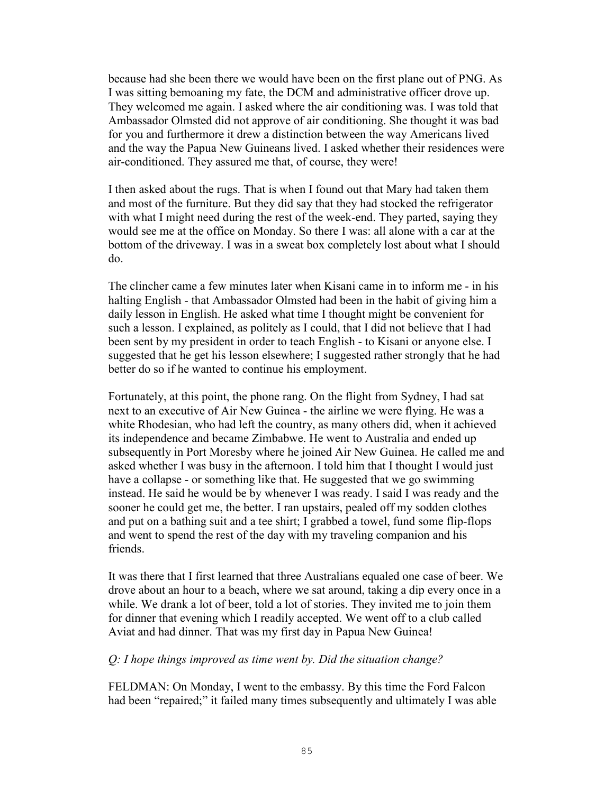because had she been there we would have been on the first plane out of PNG. As I was sitting bemoaning my fate, the DCM and administrative officer drove up. They welcomed me again. I asked where the air conditioning was. I was told that Ambassador Olmsted did not approve of air conditioning. She thought it was bad for you and furthermore it drew a distinction between the way Americans lived and the way the Papua New Guineans lived. I asked whether their residences were air-conditioned. They assured me that, of course, they were!

I then asked about the rugs. That is when I found out that Mary had taken them and most of the furniture. But they did say that they had stocked the refrigerator with what I might need during the rest of the week-end. They parted, saying they would see me at the office on Monday. So there I was: all alone with a car at the bottom of the driveway. I was in a sweat box completely lost about what I should do.

The clincher came a few minutes later when Kisani came in to inform me - in his halting English - that Ambassador Olmsted had been in the habit of giving him a daily lesson in English. He asked what time I thought might be convenient for such a lesson. I explained, as politely as I could, that I did not believe that I had been sent by my president in order to teach English - to Kisani or anyone else. I suggested that he get his lesson elsewhere; I suggested rather strongly that he had better do so if he wanted to continue his employment.

Fortunately, at this point, the phone rang. On the flight from Sydney, I had sat next to an executive of Air New Guinea - the airline we were flying. He was a white Rhodesian, who had left the country, as many others did, when it achieved its independence and became Zimbabwe. He went to Australia and ended up subsequently in Port Moresby where he joined Air New Guinea. He called me and asked whether I was busy in the afternoon. I told him that I thought I would just have a collapse - or something like that. He suggested that we go swimming instead. He said he would be by whenever I was ready. I said I was ready and the sooner he could get me, the better. I ran upstairs, pealed off my sodden clothes and put on a bathing suit and a tee shirt; I grabbed a towel, fund some flip-flops and went to spend the rest of the day with my traveling companion and his friends.

It was there that I first learned that three Australians equaled one case of beer. We drove about an hour to a beach, where we sat around, taking a dip every once in a while. We drank a lot of beer, told a lot of stories. They invited me to join them for dinner that evening which I readily accepted. We went off to a club called Aviat and had dinner. That was my first day in Papua New Guinea!

#### *Q: I hope things improved as time went by. Did the situation change?*

FELDMAN: On Monday, I went to the embassy. By this time the Ford Falcon had been "repaired;" it failed many times subsequently and ultimately I was able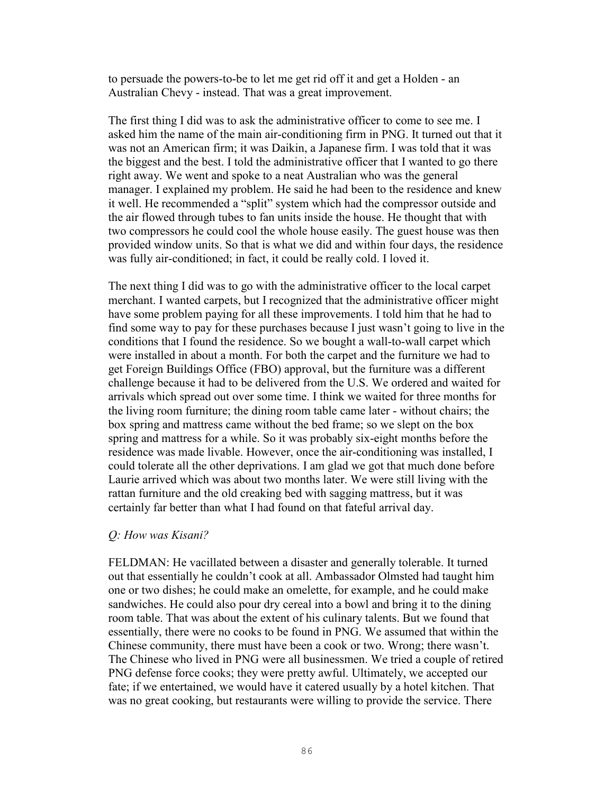to persuade the powers-to-be to let me get rid off it and get a Holden - an Australian Chevy - instead. That was a great improvement.

The first thing I did was to ask the administrative officer to come to see me. I asked him the name of the main air-conditioning firm in PNG. It turned out that it was not an American firm; it was Daikin, a Japanese firm. I was told that it was the biggest and the best. I told the administrative officer that I wanted to go there right away. We went and spoke to a neat Australian who was the general manager. I explained my problem. He said he had been to the residence and knew it well. He recommended a "split" system which had the compressor outside and the air flowed through tubes to fan units inside the house. He thought that with two compressors he could cool the whole house easily. The guest house was then provided window units. So that is what we did and within four days, the residence was fully air-conditioned; in fact, it could be really cold. I loved it.

The next thing I did was to go with the administrative officer to the local carpet merchant. I wanted carpets, but I recognized that the administrative officer might have some problem paying for all these improvements. I told him that he had to find some way to pay for these purchases because I just wasn't going to live in the conditions that I found the residence. So we bought a wall-to-wall carpet which were installed in about a month. For both the carpet and the furniture we had to get Foreign Buildings Office (FBO) approval, but the furniture was a different challenge because it had to be delivered from the U.S. We ordered and waited for arrivals which spread out over some time. I think we waited for three months for the living room furniture; the dining room table came later - without chairs; the box spring and mattress came without the bed frame; so we slept on the box spring and mattress for a while. So it was probably six-eight months before the residence was made livable. However, once the air-conditioning was installed, I could tolerate all the other deprivations. I am glad we got that much done before Laurie arrived which was about two months later. We were still living with the rattan furniture and the old creaking bed with sagging mattress, but it was certainly far better than what I had found on that fateful arrival day.

### *Q: How was Kisani?*

FELDMAN: He vacillated between a disaster and generally tolerable. It turned out that essentially he couldn't cook at all. Ambassador Olmsted had taught him one or two dishes; he could make an omelette, for example, and he could make sandwiches. He could also pour dry cereal into a bowl and bring it to the dining room table. That was about the extent of his culinary talents. But we found that essentially, there were no cooks to be found in PNG. We assumed that within the Chinese community, there must have been a cook or two. Wrong; there wasn't. The Chinese who lived in PNG were all businessmen. We tried a couple of retired PNG defense force cooks; they were pretty awful. Ultimately, we accepted our fate; if we entertained, we would have it catered usually by a hotel kitchen. That was no great cooking, but restaurants were willing to provide the service. There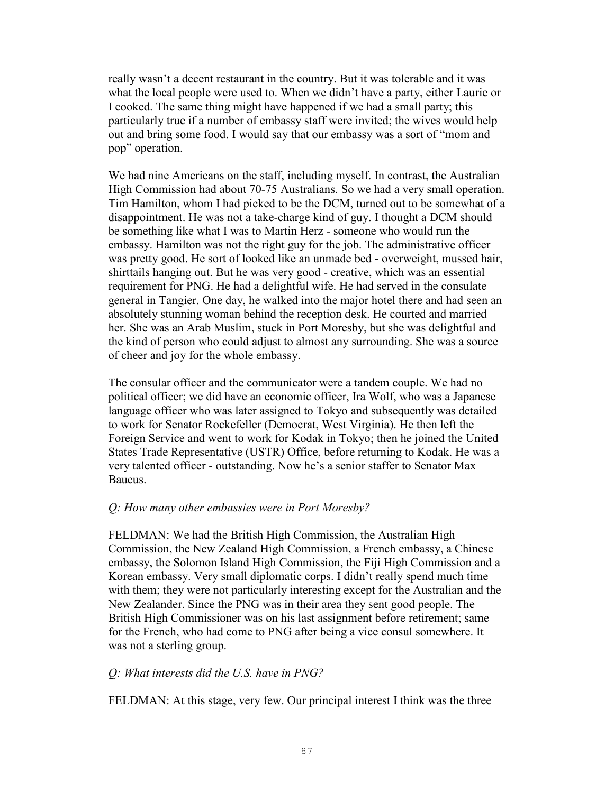really wasn't a decent restaurant in the country. But it was tolerable and it was what the local people were used to. When we didn't have a party, either Laurie or I cooked. The same thing might have happened if we had a small party; this particularly true if a number of embassy staff were invited; the wives would help out and bring some food. I would say that our embassy was a sort of "mom and pop" operation.

We had nine Americans on the staff, including myself. In contrast, the Australian High Commission had about 70-75 Australians. So we had a very small operation. Tim Hamilton, whom I had picked to be the DCM, turned out to be somewhat of a disappointment. He was not a take-charge kind of guy. I thought a DCM should be something like what I was to Martin Herz - someone who would run the embassy. Hamilton was not the right guy for the job. The administrative officer was pretty good. He sort of looked like an unmade bed - overweight, mussed hair, shirttails hanging out. But he was very good - creative, which was an essential requirement for PNG. He had a delightful wife. He had served in the consulate general in Tangier. One day, he walked into the major hotel there and had seen an absolutely stunning woman behind the reception desk. He courted and married her. She was an Arab Muslim, stuck in Port Moresby, but she was delightful and the kind of person who could adjust to almost any surrounding. She was a source of cheer and joy for the whole embassy.

The consular officer and the communicator were a tandem couple. We had no political officer; we did have an economic officer, Ira Wolf, who was a Japanese language officer who was later assigned to Tokyo and subsequently was detailed to work for Senator Rockefeller (Democrat, West Virginia). He then left the Foreign Service and went to work for Kodak in Tokyo; then he joined the United States Trade Representative (USTR) Office, before returning to Kodak. He was a very talented officer - outstanding. Now he's a senior staffer to Senator Max Baucus.

# *Q: How many other embassies were in Port Moresby?*

FELDMAN: We had the British High Commission, the Australian High Commission, the New Zealand High Commission, a French embassy, a Chinese embassy, the Solomon Island High Commission, the Fiji High Commission and a Korean embassy. Very small diplomatic corps. I didn't really spend much time with them; they were not particularly interesting except for the Australian and the New Zealander. Since the PNG was in their area they sent good people. The British High Commissioner was on his last assignment before retirement; same for the French, who had come to PNG after being a vice consul somewhere. It was not a sterling group.

### *Q: What interests did the U.S. have in PNG?*

FELDMAN: At this stage, very few. Our principal interest I think was the three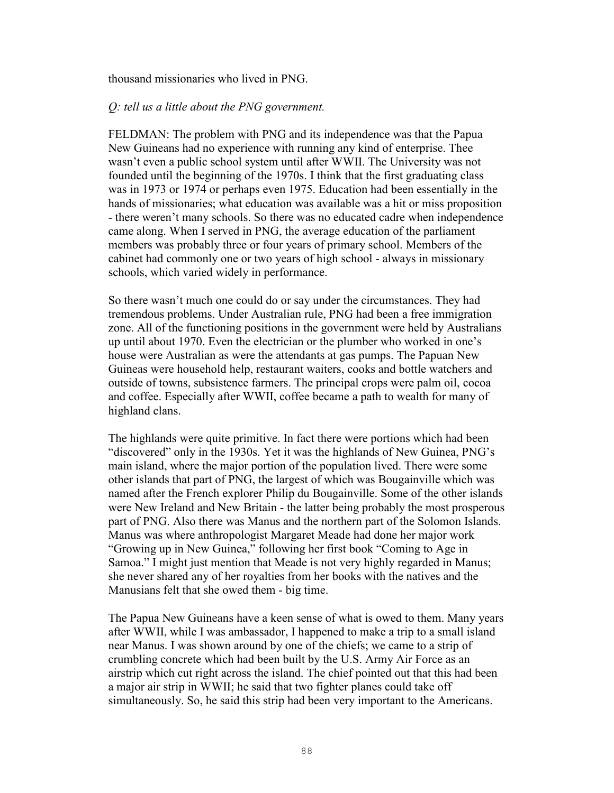thousand missionaries who lived in PNG.

### *Q: tell us a little about the PNG government.*

FELDMAN: The problem with PNG and its independence was that the Papua New Guineans had no experience with running any kind of enterprise. Thee wasn't even a public school system until after WWII. The University was not founded until the beginning of the 1970s. I think that the first graduating class was in 1973 or 1974 or perhaps even 1975. Education had been essentially in the hands of missionaries; what education was available was a hit or miss proposition - there weren't many schools. So there was no educated cadre when independence came along. When I served in PNG, the average education of the parliament members was probably three or four years of primary school. Members of the cabinet had commonly one or two years of high school - always in missionary schools, which varied widely in performance.

So there wasn't much one could do or say under the circumstances. They had tremendous problems. Under Australian rule, PNG had been a free immigration zone. All of the functioning positions in the government were held by Australians up until about 1970. Even the electrician or the plumber who worked in one's house were Australian as were the attendants at gas pumps. The Papuan New Guineas were household help, restaurant waiters, cooks and bottle watchers and outside of towns, subsistence farmers. The principal crops were palm oil, cocoa and coffee. Especially after WWII, coffee became a path to wealth for many of highland clans.

The highlands were quite primitive. In fact there were portions which had been "discovered" only in the 1930s. Yet it was the highlands of New Guinea, PNG's main island, where the major portion of the population lived. There were some other islands that part of PNG, the largest of which was Bougainville which was named after the French explorer Philip du Bougainville. Some of the other islands were New Ireland and New Britain - the latter being probably the most prosperous part of PNG. Also there was Manus and the northern part of the Solomon Islands. Manus was where anthropologist Margaret Meade had done her major work "Growing up in New Guinea," following her first book "Coming to Age in Samoa." I might just mention that Meade is not very highly regarded in Manus; she never shared any of her royalties from her books with the natives and the Manusians felt that she owed them - big time.

The Papua New Guineans have a keen sense of what is owed to them. Many years after WWII, while I was ambassador, I happened to make a trip to a small island near Manus. I was shown around by one of the chiefs; we came to a strip of crumbling concrete which had been built by the U.S. Army Air Force as an airstrip which cut right across the island. The chief pointed out that this had been a major air strip in WWII; he said that two fighter planes could take off simultaneously. So, he said this strip had been very important to the Americans.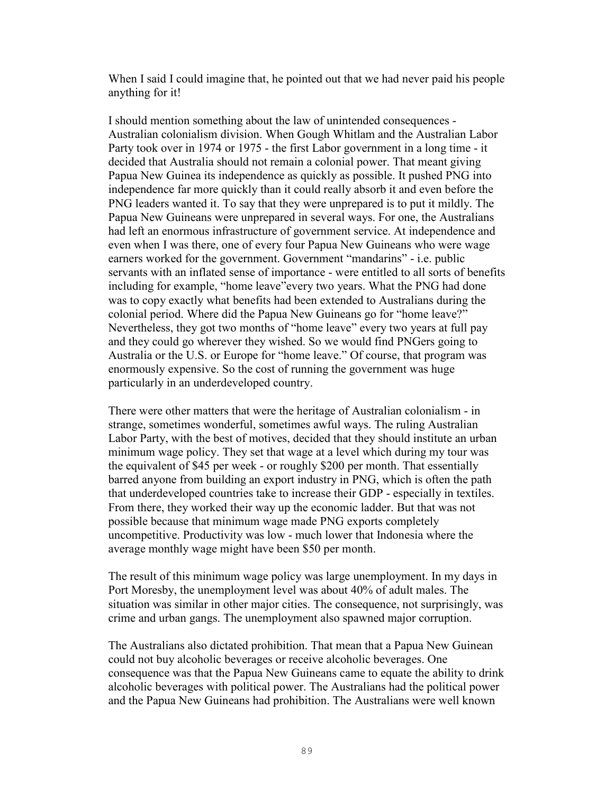When I said I could imagine that, he pointed out that we had never paid his people anything for it!

I should mention something about the law of unintended consequences - Australian colonialism division. When Gough Whitlam and the Australian Labor Party took over in 1974 or 1975 - the first Labor government in a long time - it decided that Australia should not remain a colonial power. That meant giving Papua New Guinea its independence as quickly as possible. It pushed PNG into independence far more quickly than it could really absorb it and even before the PNG leaders wanted it. To say that they were unprepared is to put it mildly. The Papua New Guineans were unprepared in several ways. For one, the Australians had left an enormous infrastructure of government service. At independence and even when I was there, one of every four Papua New Guineans who were wage earners worked for the government. Government "mandarins" - i.e. public servants with an inflated sense of importance - were entitled to all sorts of benefits including for example, "home leave"every two years. What the PNG had done was to copy exactly what benefits had been extended to Australians during the colonial period. Where did the Papua New Guineans go for "home leave?" Nevertheless, they got two months of "home leave" every two years at full pay and they could go wherever they wished. So we would find PNGers going to Australia or the U.S. or Europe for "home leave." Of course, that program was enormously expensive. So the cost of running the government was huge particularly in an underdeveloped country.

There were other matters that were the heritage of Australian colonialism - in strange, sometimes wonderful, sometimes awful ways. The ruling Australian Labor Party, with the best of motives, decided that they should institute an urban minimum wage policy. They set that wage at a level which during my tour was the equivalent of \$45 per week - or roughly \$200 per month. That essentially barred anyone from building an export industry in PNG, which is often the path that underdeveloped countries take to increase their GDP - especially in textiles. From there, they worked their way up the economic ladder. But that was not possible because that minimum wage made PNG exports completely uncompetitive. Productivity was low - much lower that Indonesia where the average monthly wage might have been \$50 per month.

The result of this minimum wage policy was large unemployment. In my days in Port Moresby, the unemployment level was about 40% of adult males. The situation was similar in other major cities. The consequence, not surprisingly, was crime and urban gangs. The unemployment also spawned major corruption.

The Australians also dictated prohibition. That mean that a Papua New Guinean could not buy alcoholic beverages or receive alcoholic beverages. One consequence was that the Papua New Guineans came to equate the ability to drink alcoholic beverages with political power. The Australians had the political power and the Papua New Guineans had prohibition. The Australians were well known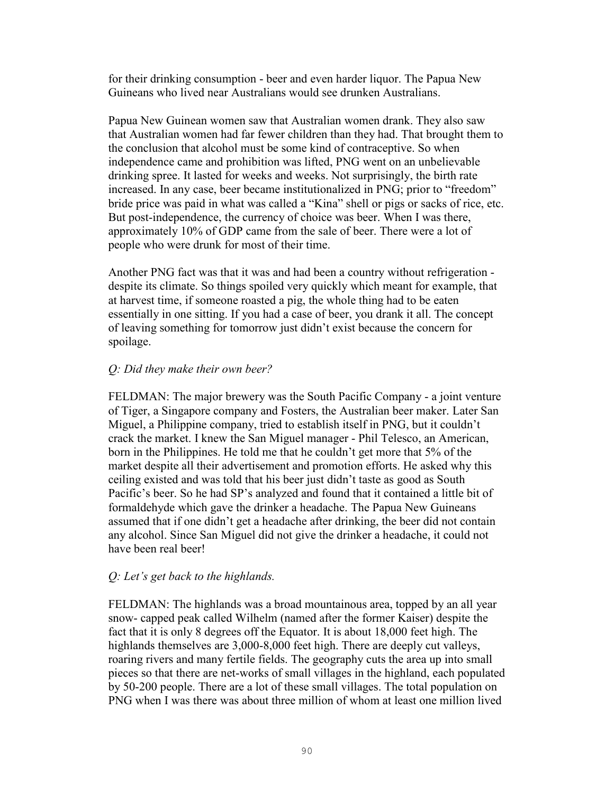for their drinking consumption - beer and even harder liquor. The Papua New Guineans who lived near Australians would see drunken Australians.

Papua New Guinean women saw that Australian women drank. They also saw that Australian women had far fewer children than they had. That brought them to the conclusion that alcohol must be some kind of contraceptive. So when independence came and prohibition was lifted, PNG went on an unbelievable drinking spree. It lasted for weeks and weeks. Not surprisingly, the birth rate increased. In any case, beer became institutionalized in PNG; prior to "freedom" bride price was paid in what was called a "Kina" shell or pigs or sacks of rice, etc. But post-independence, the currency of choice was beer. When I was there, approximately 10% of GDP came from the sale of beer. There were a lot of people who were drunk for most of their time.

Another PNG fact was that it was and had been a country without refrigeration despite its climate. So things spoiled very quickly which meant for example, that at harvest time, if someone roasted a pig, the whole thing had to be eaten essentially in one sitting. If you had a case of beer, you drank it all. The concept of leaving something for tomorrow just didn't exist because the concern for spoilage.

# *Q: Did they make their own beer?*

FELDMAN: The major brewery was the South Pacific Company - a joint venture of Tiger, a Singapore company and Fosters, the Australian beer maker. Later San Miguel, a Philippine company, tried to establish itself in PNG, but it couldn't crack the market. I knew the San Miguel manager - Phil Telesco, an American, born in the Philippines. He told me that he couldn't get more that 5% of the market despite all their advertisement and promotion efforts. He asked why this ceiling existed and was told that his beer just didn't taste as good as South Pacific's beer. So he had SP's analyzed and found that it contained a little bit of formaldehyde which gave the drinker a headache. The Papua New Guineans assumed that if one didn't get a headache after drinking, the beer did not contain any alcohol. Since San Miguel did not give the drinker a headache, it could not have been real beer!

# *Q: Let's get back to the highlands.*

FELDMAN: The highlands was a broad mountainous area, topped by an all year snow- capped peak called Wilhelm (named after the former Kaiser) despite the fact that it is only 8 degrees off the Equator. It is about 18,000 feet high. The highlands themselves are 3,000-8,000 feet high. There are deeply cut valleys, roaring rivers and many fertile fields. The geography cuts the area up into small pieces so that there are net-works of small villages in the highland, each populated by 50-200 people. There are a lot of these small villages. The total population on PNG when I was there was about three million of whom at least one million lived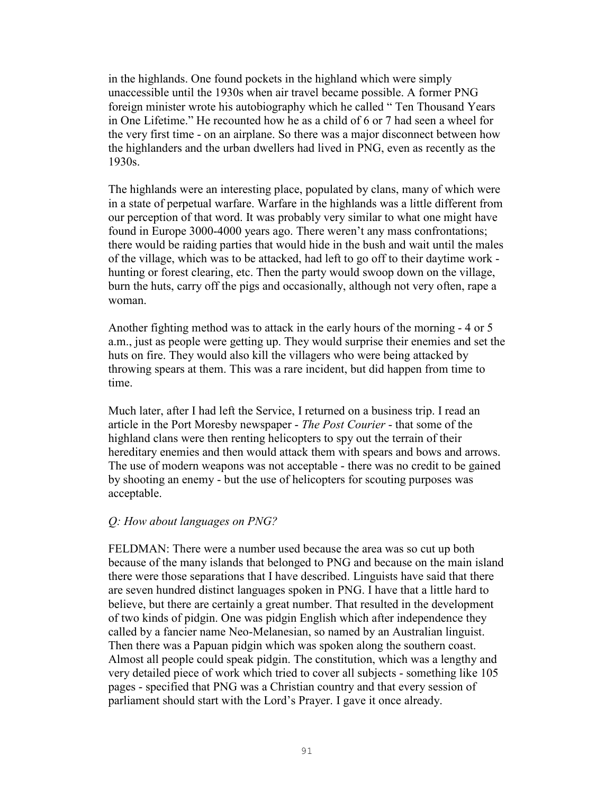in the highlands. One found pockets in the highland which were simply unaccessible until the 1930s when air travel became possible. A former PNG foreign minister wrote his autobiography which he called " Ten Thousand Years in One Lifetime." He recounted how he as a child of 6 or 7 had seen a wheel for the very first time - on an airplane. So there was a major disconnect between how the highlanders and the urban dwellers had lived in PNG, even as recently as the 1930s.

The highlands were an interesting place, populated by clans, many of which were in a state of perpetual warfare. Warfare in the highlands was a little different from our perception of that word. It was probably very similar to what one might have found in Europe 3000-4000 years ago. There weren't any mass confrontations; there would be raiding parties that would hide in the bush and wait until the males of the village, which was to be attacked, had left to go off to their daytime work hunting or forest clearing, etc. Then the party would swoop down on the village, burn the huts, carry off the pigs and occasionally, although not very often, rape a woman.

Another fighting method was to attack in the early hours of the morning - 4 or 5 a.m., just as people were getting up. They would surprise their enemies and set the huts on fire. They would also kill the villagers who were being attacked by throwing spears at them. This was a rare incident, but did happen from time to time.

Much later, after I had left the Service, I returned on a business trip. I read an article in the Port Moresby newspaper - *The Post Courier* - that some of the highland clans were then renting helicopters to spy out the terrain of their hereditary enemies and then would attack them with spears and bows and arrows. The use of modern weapons was not acceptable - there was no credit to be gained by shooting an enemy - but the use of helicopters for scouting purposes was acceptable.

#### *Q: How about languages on PNG?*

FELDMAN: There were a number used because the area was so cut up both because of the many islands that belonged to PNG and because on the main island there were those separations that I have described. Linguists have said that there are seven hundred distinct languages spoken in PNG. I have that a little hard to believe, but there are certainly a great number. That resulted in the development of two kinds of pidgin. One was pidgin English which after independence they called by a fancier name Neo-Melanesian, so named by an Australian linguist. Then there was a Papuan pidgin which was spoken along the southern coast. Almost all people could speak pidgin. The constitution, which was a lengthy and very detailed piece of work which tried to cover all subjects - something like 105 pages - specified that PNG was a Christian country and that every session of parliament should start with the Lord's Prayer. I gave it once already.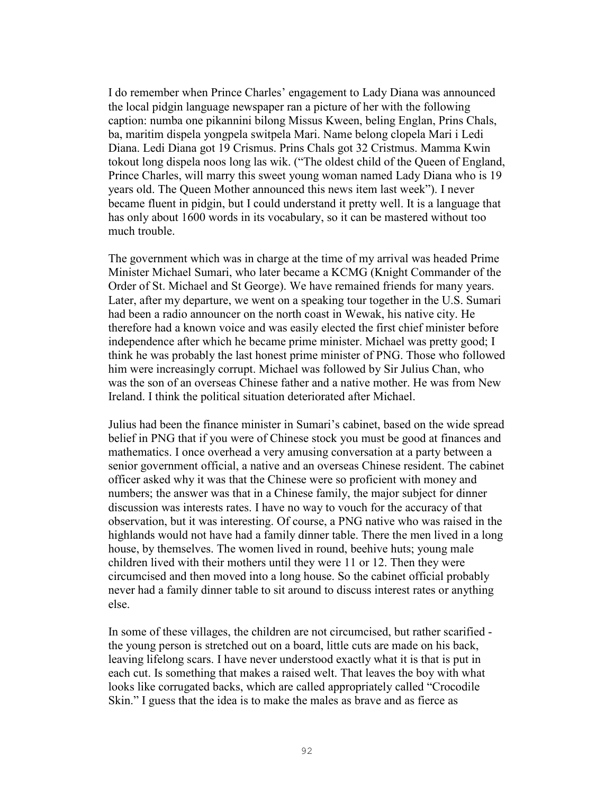I do remember when Prince Charles' engagement to Lady Diana was announced the local pidgin language newspaper ran a picture of her with the following caption: numba one pikannini bilong Missus Kween, beling Englan, Prins Chals, ba, maritim dispela yongpela switpela Mari. Name belong clopela Mari i Ledi Diana. Ledi Diana got 19 Crismus. Prins Chals got 32 Cristmus. Mamma Kwin tokout long dispela noos long las wik. ("The oldest child of the Queen of England, Prince Charles, will marry this sweet young woman named Lady Diana who is 19 years old. The Queen Mother announced this news item last week"). I never became fluent in pidgin, but I could understand it pretty well. It is a language that has only about 1600 words in its vocabulary, so it can be mastered without too much trouble.

The government which was in charge at the time of my arrival was headed Prime Minister Michael Sumari, who later became a KCMG (Knight Commander of the Order of St. Michael and St George). We have remained friends for many years. Later, after my departure, we went on a speaking tour together in the U.S. Sumari had been a radio announcer on the north coast in Wewak, his native city. He therefore had a known voice and was easily elected the first chief minister before independence after which he became prime minister. Michael was pretty good; I think he was probably the last honest prime minister of PNG. Those who followed him were increasingly corrupt. Michael was followed by Sir Julius Chan, who was the son of an overseas Chinese father and a native mother. He was from New Ireland. I think the political situation deteriorated after Michael.

Julius had been the finance minister in Sumari's cabinet, based on the wide spread belief in PNG that if you were of Chinese stock you must be good at finances and mathematics. I once overhead a very amusing conversation at a party between a senior government official, a native and an overseas Chinese resident. The cabinet officer asked why it was that the Chinese were so proficient with money and numbers; the answer was that in a Chinese family, the major subject for dinner discussion was interests rates. I have no way to vouch for the accuracy of that observation, but it was interesting. Of course, a PNG native who was raised in the highlands would not have had a family dinner table. There the men lived in a long house, by themselves. The women lived in round, beehive huts; young male children lived with their mothers until they were 11 or 12. Then they were circumcised and then moved into a long house. So the cabinet official probably never had a family dinner table to sit around to discuss interest rates or anything else.

In some of these villages, the children are not circumcised, but rather scarified the young person is stretched out on a board, little cuts are made on his back, leaving lifelong scars. I have never understood exactly what it is that is put in each cut. Is something that makes a raised welt. That leaves the boy with what looks like corrugated backs, which are called appropriately called "Crocodile Skin." I guess that the idea is to make the males as brave and as fierce as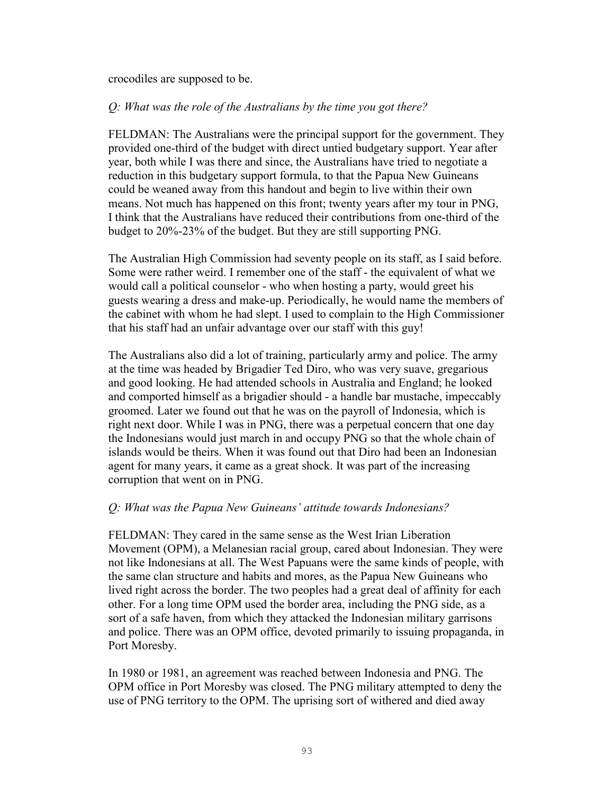crocodiles are supposed to be.

### *Q: What was the role of the Australians by the time you got there?*

FELDMAN: The Australians were the principal support for the government. They provided one-third of the budget with direct untied budgetary support. Year after year, both while I was there and since, the Australians have tried to negotiate a reduction in this budgetary support formula, to that the Papua New Guineans could be weaned away from this handout and begin to live within their own means. Not much has happened on this front; twenty years after my tour in PNG, I think that the Australians have reduced their contributions from one-third of the budget to 20%-23% of the budget. But they are still supporting PNG.

The Australian High Commission had seventy people on its staff, as I said before. Some were rather weird. I remember one of the staff - the equivalent of what we would call a political counselor - who when hosting a party, would greet his guests wearing a dress and make-up. Periodically, he would name the members of the cabinet with whom he had slept. I used to complain to the High Commissioner that his staff had an unfair advantage over our staff with this guy!

The Australians also did a lot of training, particularly army and police. The army at the time was headed by Brigadier Ted Diro, who was very suave, gregarious and good looking. He had attended schools in Australia and England; he looked and comported himself as a brigadier should - a handle bar mustache, impeccably groomed. Later we found out that he was on the payroll of Indonesia, which is right next door. While I was in PNG, there was a perpetual concern that one day the Indonesians would just march in and occupy PNG so that the whole chain of islands would be theirs. When it was found out that Diro had been an Indonesian agent for many years, it came as a great shock. It was part of the increasing corruption that went on in PNG.

# *Q: What was the Papua New Guineans' attitude towards Indonesians?*

FELDMAN: They cared in the same sense as the West Irian Liberation Movement (OPM), a Melanesian racial group, cared about Indonesian. They were not like Indonesians at all. The West Papuans were the same kinds of people, with the same clan structure and habits and mores, as the Papua New Guineans who lived right across the border. The two peoples had a great deal of affinity for each other. For a long time OPM used the border area, including the PNG side, as a sort of a safe haven, from which they attacked the Indonesian military garrisons and police. There was an OPM office, devoted primarily to issuing propaganda, in Port Moresby.

In 1980 or 1981, an agreement was reached between Indonesia and PNG. The OPM office in Port Moresby was closed. The PNG military attempted to deny the use of PNG territory to the OPM. The uprising sort of withered and died away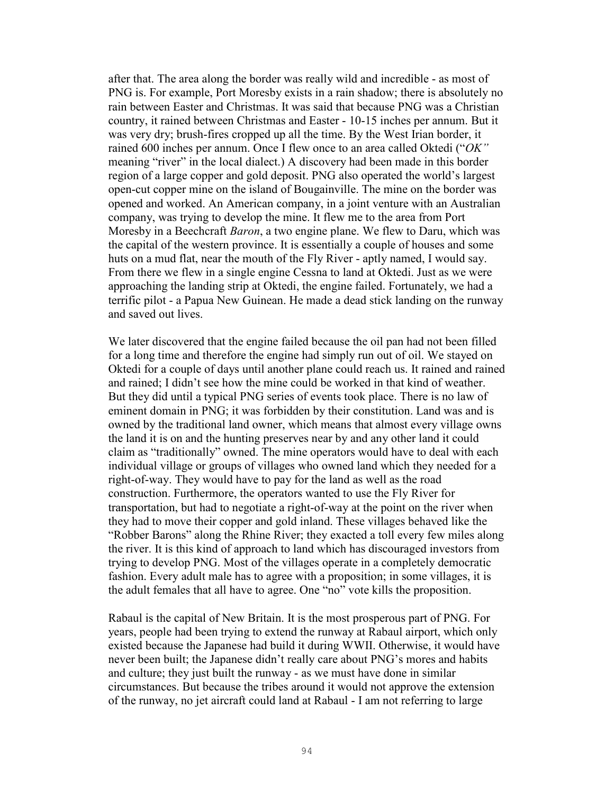after that. The area along the border was really wild and incredible - as most of PNG is. For example, Port Moresby exists in a rain shadow; there is absolutely no rain between Easter and Christmas. It was said that because PNG was a Christian country, it rained between Christmas and Easter - 10-15 inches per annum. But it was very dry; brush-fires cropped up all the time. By the West Irian border, it rained 600 inches per annum. Once I flew once to an area called Oktedi ("*OK"*  meaning "river" in the local dialect.) A discovery had been made in this border region of a large copper and gold deposit. PNG also operated the world's largest open-cut copper mine on the island of Bougainville. The mine on the border was opened and worked. An American company, in a joint venture with an Australian company, was trying to develop the mine. It flew me to the area from Port Moresby in a Beechcraft *Baron*, a two engine plane. We flew to Daru, which was the capital of the western province. It is essentially a couple of houses and some huts on a mud flat, near the mouth of the Fly River - aptly named, I would say. From there we flew in a single engine Cessna to land at Oktedi. Just as we were approaching the landing strip at Oktedi, the engine failed. Fortunately, we had a terrific pilot - a Papua New Guinean. He made a dead stick landing on the runway and saved out lives.

We later discovered that the engine failed because the oil pan had not been filled for a long time and therefore the engine had simply run out of oil. We stayed on Oktedi for a couple of days until another plane could reach us. It rained and rained and rained; I didn't see how the mine could be worked in that kind of weather. But they did until a typical PNG series of events took place. There is no law of eminent domain in PNG; it was forbidden by their constitution. Land was and is owned by the traditional land owner, which means that almost every village owns the land it is on and the hunting preserves near by and any other land it could claim as "traditionally" owned. The mine operators would have to deal with each individual village or groups of villages who owned land which they needed for a right-of-way. They would have to pay for the land as well as the road construction. Furthermore, the operators wanted to use the Fly River for transportation, but had to negotiate a right-of-way at the point on the river when they had to move their copper and gold inland. These villages behaved like the "Robber Barons" along the Rhine River; they exacted a toll every few miles along the river. It is this kind of approach to land which has discouraged investors from trying to develop PNG. Most of the villages operate in a completely democratic fashion. Every adult male has to agree with a proposition; in some villages, it is the adult females that all have to agree. One "no" vote kills the proposition.

Rabaul is the capital of New Britain. It is the most prosperous part of PNG. For years, people had been trying to extend the runway at Rabaul airport, which only existed because the Japanese had build it during WWII. Otherwise, it would have never been built; the Japanese didn't really care about PNG's mores and habits and culture; they just built the runway - as we must have done in similar circumstances. But because the tribes around it would not approve the extension of the runway, no jet aircraft could land at Rabaul - I am not referring to large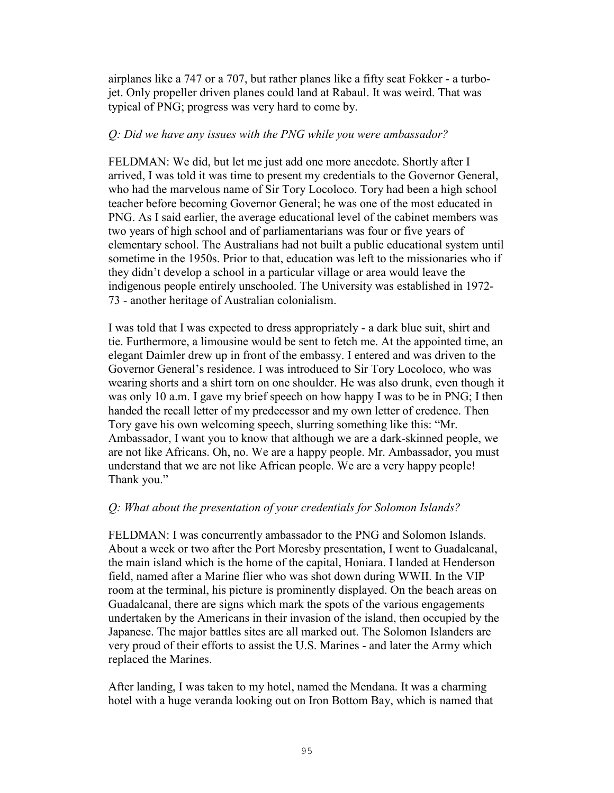airplanes like a 747 or a 707, but rather planes like a fifty seat Fokker - a turbojet. Only propeller driven planes could land at Rabaul. It was weird. That was typical of PNG; progress was very hard to come by.

### *Q: Did we have any issues with the PNG while you were ambassador?*

FELDMAN: We did, but let me just add one more anecdote. Shortly after I arrived, I was told it was time to present my credentials to the Governor General, who had the marvelous name of Sir Tory Locoloco. Tory had been a high school teacher before becoming Governor General; he was one of the most educated in PNG. As I said earlier, the average educational level of the cabinet members was two years of high school and of parliamentarians was four or five years of elementary school. The Australians had not built a public educational system until sometime in the 1950s. Prior to that, education was left to the missionaries who if they didn't develop a school in a particular village or area would leave the indigenous people entirely unschooled. The University was established in 1972- 73 - another heritage of Australian colonialism.

I was told that I was expected to dress appropriately - a dark blue suit, shirt and tie. Furthermore, a limousine would be sent to fetch me. At the appointed time, an elegant Daimler drew up in front of the embassy. I entered and was driven to the Governor General's residence. I was introduced to Sir Tory Locoloco, who was wearing shorts and a shirt torn on one shoulder. He was also drunk, even though it was only 10 a.m. I gave my brief speech on how happy I was to be in PNG; I then handed the recall letter of my predecessor and my own letter of credence. Then Tory gave his own welcoming speech, slurring something like this: "Mr. Ambassador, I want you to know that although we are a dark-skinned people, we are not like Africans. Oh, no. We are a happy people. Mr. Ambassador, you must understand that we are not like African people. We are a very happy people! Thank you."

# *Q: What about the presentation of your credentials for Solomon Islands?*

FELDMAN: I was concurrently ambassador to the PNG and Solomon Islands. About a week or two after the Port Moresby presentation, I went to Guadalcanal, the main island which is the home of the capital, Honiara. I landed at Henderson field, named after a Marine flier who was shot down during WWII. In the VIP room at the terminal, his picture is prominently displayed. On the beach areas on Guadalcanal, there are signs which mark the spots of the various engagements undertaken by the Americans in their invasion of the island, then occupied by the Japanese. The major battles sites are all marked out. The Solomon Islanders are very proud of their efforts to assist the U.S. Marines - and later the Army which replaced the Marines.

After landing, I was taken to my hotel, named the Mendana. It was a charming hotel with a huge veranda looking out on Iron Bottom Bay, which is named that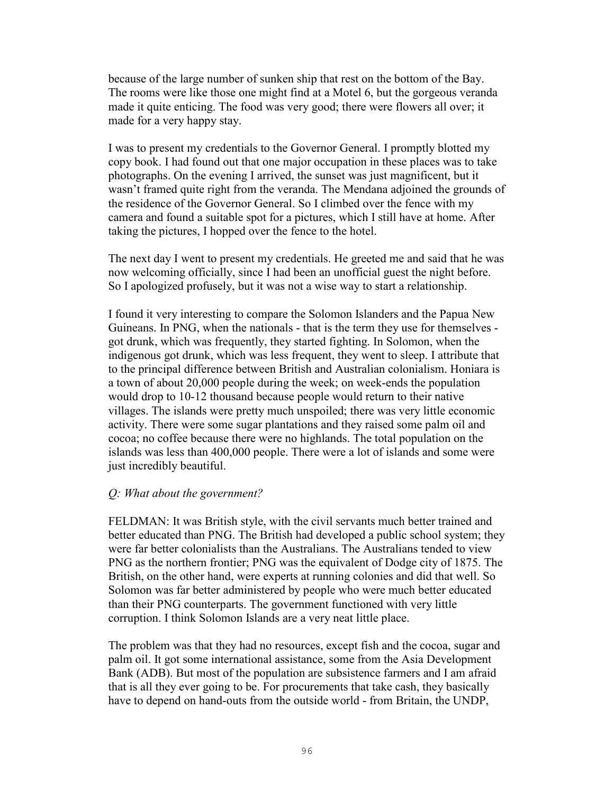because of the large number of sunken ship that rest on the bottom of the Bay. The rooms were like those one might find at a Motel 6, but the gorgeous veranda made it quite enticing. The food was very good; there were flowers all over; it made for a very happy stay.

I was to present my credentials to the Governor General. I promptly blotted my copy book. I had found out that one major occupation in these places was to take photographs. On the evening I arrived, the sunset was just magnificent, but it wasn't framed quite right from the veranda. The Mendana adjoined the grounds of the residence of the Governor General. So I climbed over the fence with my camera and found a suitable spot for a pictures, which I still have at home. After taking the pictures, I hopped over the fence to the hotel.

The next day I went to present my credentials. He greeted me and said that he was now welcoming officially, since I had been an unofficial guest the night before. So I apologized profusely, but it was not a wise way to start a relationship.

I found it very interesting to compare the Solomon Islanders and the Papua New Guineans. In PNG, when the nationals - that is the term they use for themselves got drunk, which was frequently, they started fighting. In Solomon, when the indigenous got drunk, which was less frequent, they went to sleep. I attribute that to the principal difference between British and Australian colonialism. Honiara is a town of about 20,000 people during the week; on week-ends the population would drop to 10-12 thousand because people would return to their native villages. The islands were pretty much unspoiled; there was very little economic activity. There were some sugar plantations and they raised some palm oil and cocoa; no coffee because there were no highlands. The total population on the islands was less than 400,000 people. There were a lot of islands and some were just incredibly beautiful.

# *Q: What about the government?*

FELDMAN: It was British style, with the civil servants much better trained and better educated than PNG. The British had developed a public school system; they were far better colonialists than the Australians. The Australians tended to view PNG as the northern frontier; PNG was the equivalent of Dodge city of 1875. The British, on the other hand, were experts at running colonies and did that well. So Solomon was far better administered by people who were much better educated than their PNG counterparts. The government functioned with very little corruption. I think Solomon Islands are a very neat little place.

The problem was that they had no resources, except fish and the cocoa, sugar and palm oil. It got some international assistance, some from the Asia Development Bank (ADB). But most of the population are subsistence farmers and I am afraid that is all they ever going to be. For procurements that take cash, they basically have to depend on hand-outs from the outside world - from Britain, the UNDP,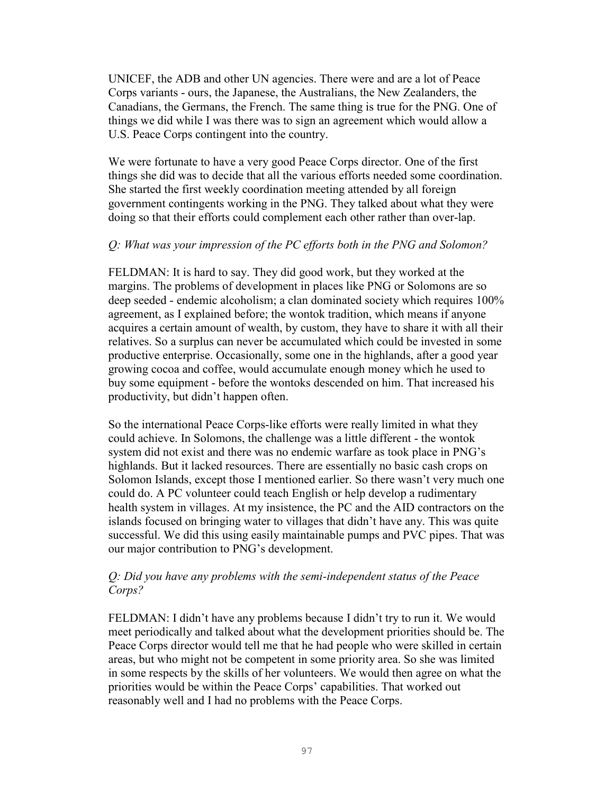UNICEF, the ADB and other UN agencies. There were and are a lot of Peace Corps variants - ours, the Japanese, the Australians, the New Zealanders, the Canadians, the Germans, the French. The same thing is true for the PNG. One of things we did while I was there was to sign an agreement which would allow a U.S. Peace Corps contingent into the country.

We were fortunate to have a very good Peace Corps director. One of the first things she did was to decide that all the various efforts needed some coordination. She started the first weekly coordination meeting attended by all foreign government contingents working in the PNG. They talked about what they were doing so that their efforts could complement each other rather than over-lap.

### *Q: What was your impression of the PC efforts both in the PNG and Solomon?*

FELDMAN: It is hard to say. They did good work, but they worked at the margins. The problems of development in places like PNG or Solomons are so deep seeded - endemic alcoholism; a clan dominated society which requires 100% agreement, as I explained before; the wontok tradition, which means if anyone acquires a certain amount of wealth, by custom, they have to share it with all their relatives. So a surplus can never be accumulated which could be invested in some productive enterprise. Occasionally, some one in the highlands, after a good year growing cocoa and coffee, would accumulate enough money which he used to buy some equipment - before the wontoks descended on him. That increased his productivity, but didn't happen often.

So the international Peace Corps-like efforts were really limited in what they could achieve. In Solomons, the challenge was a little different - the wontok system did not exist and there was no endemic warfare as took place in PNG's highlands. But it lacked resources. There are essentially no basic cash crops on Solomon Islands, except those I mentioned earlier. So there wasn't very much one could do. A PC volunteer could teach English or help develop a rudimentary health system in villages. At my insistence, the PC and the AID contractors on the islands focused on bringing water to villages that didn't have any. This was quite successful. We did this using easily maintainable pumps and PVC pipes. That was our major contribution to PNG's development.

## *Q: Did you have any problems with the semi-independent status of the Peace Corps?*

FELDMAN: I didn't have any problems because I didn't try to run it. We would meet periodically and talked about what the development priorities should be. The Peace Corps director would tell me that he had people who were skilled in certain areas, but who might not be competent in some priority area. So she was limited in some respects by the skills of her volunteers. We would then agree on what the priorities would be within the Peace Corps' capabilities. That worked out reasonably well and I had no problems with the Peace Corps.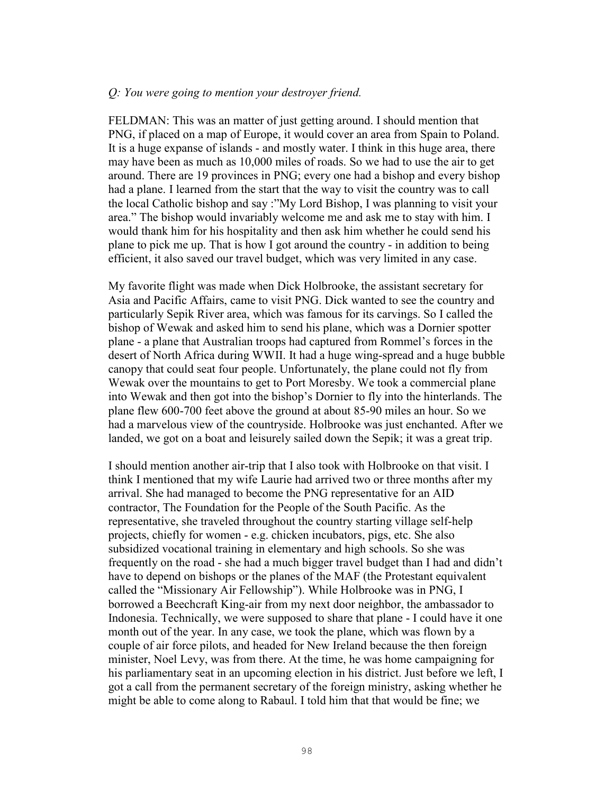#### *Q: You were going to mention your destroyer friend.*

FELDMAN: This was an matter of just getting around. I should mention that PNG, if placed on a map of Europe, it would cover an area from Spain to Poland. It is a huge expanse of islands - and mostly water. I think in this huge area, there may have been as much as 10,000 miles of roads. So we had to use the air to get around. There are 19 provinces in PNG; every one had a bishop and every bishop had a plane. I learned from the start that the way to visit the country was to call the local Catholic bishop and say :"My Lord Bishop, I was planning to visit your area." The bishop would invariably welcome me and ask me to stay with him. I would thank him for his hospitality and then ask him whether he could send his plane to pick me up. That is how I got around the country - in addition to being efficient, it also saved our travel budget, which was very limited in any case.

My favorite flight was made when Dick Holbrooke, the assistant secretary for Asia and Pacific Affairs, came to visit PNG. Dick wanted to see the country and particularly Sepik River area, which was famous for its carvings. So I called the bishop of Wewak and asked him to send his plane, which was a Dornier spotter plane - a plane that Australian troops had captured from Rommel's forces in the desert of North Africa during WWII. It had a huge wing-spread and a huge bubble canopy that could seat four people. Unfortunately, the plane could not fly from Wewak over the mountains to get to Port Moresby. We took a commercial plane into Wewak and then got into the bishop's Dornier to fly into the hinterlands. The plane flew 600-700 feet above the ground at about 85-90 miles an hour. So we had a marvelous view of the countryside. Holbrooke was just enchanted. After we landed, we got on a boat and leisurely sailed down the Sepik; it was a great trip.

I should mention another air-trip that I also took with Holbrooke on that visit. I think I mentioned that my wife Laurie had arrived two or three months after my arrival. She had managed to become the PNG representative for an AID contractor, The Foundation for the People of the South Pacific. As the representative, she traveled throughout the country starting village self-help projects, chiefly for women - e.g. chicken incubators, pigs, etc. She also subsidized vocational training in elementary and high schools. So she was frequently on the road - she had a much bigger travel budget than I had and didn't have to depend on bishops or the planes of the MAF (the Protestant equivalent called the "Missionary Air Fellowship"). While Holbrooke was in PNG, I borrowed a Beechcraft King-air from my next door neighbor, the ambassador to Indonesia. Technically, we were supposed to share that plane - I could have it one month out of the year. In any case, we took the plane, which was flown by a couple of air force pilots, and headed for New Ireland because the then foreign minister, Noel Levy, was from there. At the time, he was home campaigning for his parliamentary seat in an upcoming election in his district. Just before we left, I got a call from the permanent secretary of the foreign ministry, asking whether he might be able to come along to Rabaul. I told him that that would be fine; we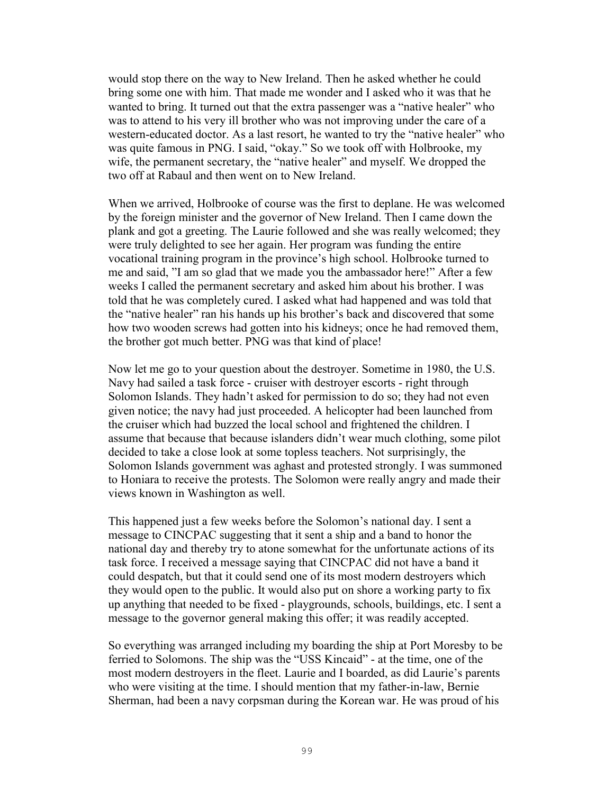would stop there on the way to New Ireland. Then he asked whether he could bring some one with him. That made me wonder and I asked who it was that he wanted to bring. It turned out that the extra passenger was a "native healer" who was to attend to his very ill brother who was not improving under the care of a western-educated doctor. As a last resort, he wanted to try the "native healer" who was quite famous in PNG. I said, "okay." So we took off with Holbrooke, my wife, the permanent secretary, the "native healer" and myself. We dropped the two off at Rabaul and then went on to New Ireland.

When we arrived, Holbrooke of course was the first to deplane. He was welcomed by the foreign minister and the governor of New Ireland. Then I came down the plank and got a greeting. The Laurie followed and she was really welcomed; they were truly delighted to see her again. Her program was funding the entire vocational training program in the province's high school. Holbrooke turned to me and said, "I am so glad that we made you the ambassador here!" After a few weeks I called the permanent secretary and asked him about his brother. I was told that he was completely cured. I asked what had happened and was told that the "native healer" ran his hands up his brother's back and discovered that some how two wooden screws had gotten into his kidneys; once he had removed them, the brother got much better. PNG was that kind of place!

Now let me go to your question about the destroyer. Sometime in 1980, the U.S. Navy had sailed a task force - cruiser with destroyer escorts - right through Solomon Islands. They hadn't asked for permission to do so; they had not even given notice; the navy had just proceeded. A helicopter had been launched from the cruiser which had buzzed the local school and frightened the children. I assume that because that because islanders didn't wear much clothing, some pilot decided to take a close look at some topless teachers. Not surprisingly, the Solomon Islands government was aghast and protested strongly. I was summoned to Honiara to receive the protests. The Solomon were really angry and made their views known in Washington as well.

This happened just a few weeks before the Solomon's national day. I sent a message to CINCPAC suggesting that it sent a ship and a band to honor the national day and thereby try to atone somewhat for the unfortunate actions of its task force. I received a message saying that CINCPAC did not have a band it could despatch, but that it could send one of its most modern destroyers which they would open to the public. It would also put on shore a working party to fix up anything that needed to be fixed - playgrounds, schools, buildings, etc. I sent a message to the governor general making this offer; it was readily accepted.

So everything was arranged including my boarding the ship at Port Moresby to be ferried to Solomons. The ship was the "USS Kincaid" - at the time, one of the most modern destroyers in the fleet. Laurie and I boarded, as did Laurie's parents who were visiting at the time. I should mention that my father-in-law, Bernie Sherman, had been a navy corpsman during the Korean war. He was proud of his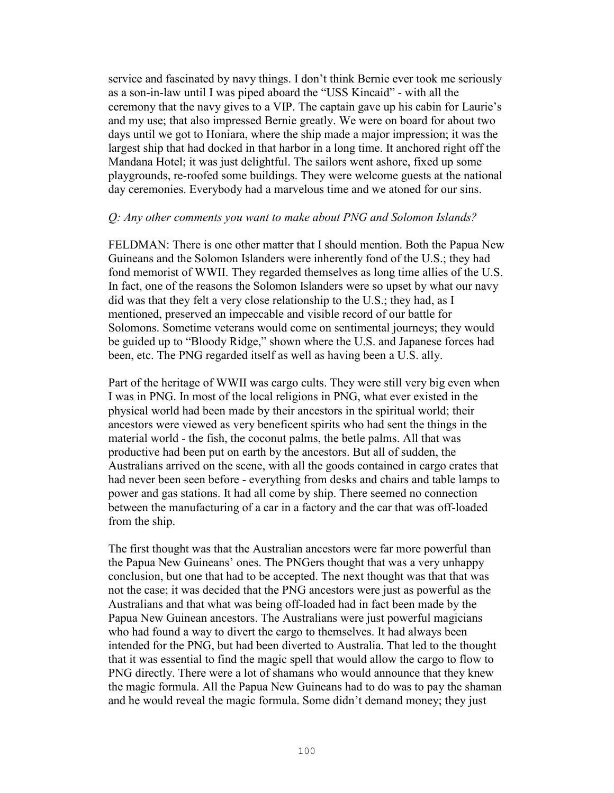service and fascinated by navy things. I don't think Bernie ever took me seriously as a son-in-law until I was piped aboard the "USS Kincaid" - with all the ceremony that the navy gives to a VIP. The captain gave up his cabin for Laurie's and my use; that also impressed Bernie greatly. We were on board for about two days until we got to Honiara, where the ship made a major impression; it was the largest ship that had docked in that harbor in a long time. It anchored right off the Mandana Hotel; it was just delightful. The sailors went ashore, fixed up some playgrounds, re-roofed some buildings. They were welcome guests at the national day ceremonies. Everybody had a marvelous time and we atoned for our sins.

### *Q: Any other comments you want to make about PNG and Solomon Islands?*

FELDMAN: There is one other matter that I should mention. Both the Papua New Guineans and the Solomon Islanders were inherently fond of the U.S.; they had fond memorist of WWII. They regarded themselves as long time allies of the U.S. In fact, one of the reasons the Solomon Islanders were so upset by what our navy did was that they felt a very close relationship to the U.S.; they had, as I mentioned, preserved an impeccable and visible record of our battle for Solomons. Sometime veterans would come on sentimental journeys; they would be guided up to "Bloody Ridge," shown where the U.S. and Japanese forces had been, etc. The PNG regarded itself as well as having been a U.S. ally.

Part of the heritage of WWII was cargo cults. They were still very big even when I was in PNG. In most of the local religions in PNG, what ever existed in the physical world had been made by their ancestors in the spiritual world; their ancestors were viewed as very beneficent spirits who had sent the things in the material world - the fish, the coconut palms, the betle palms. All that was productive had been put on earth by the ancestors. But all of sudden, the Australians arrived on the scene, with all the goods contained in cargo crates that had never been seen before - everything from desks and chairs and table lamps to power and gas stations. It had all come by ship. There seemed no connection between the manufacturing of a car in a factory and the car that was off-loaded from the ship.

The first thought was that the Australian ancestors were far more powerful than the Papua New Guineans' ones. The PNGers thought that was a very unhappy conclusion, but one that had to be accepted. The next thought was that that was not the case; it was decided that the PNG ancestors were just as powerful as the Australians and that what was being off-loaded had in fact been made by the Papua New Guinean ancestors. The Australians were just powerful magicians who had found a way to divert the cargo to themselves. It had always been intended for the PNG, but had been diverted to Australia. That led to the thought that it was essential to find the magic spell that would allow the cargo to flow to PNG directly. There were a lot of shamans who would announce that they knew the magic formula. All the Papua New Guineans had to do was to pay the shaman and he would reveal the magic formula. Some didn't demand money; they just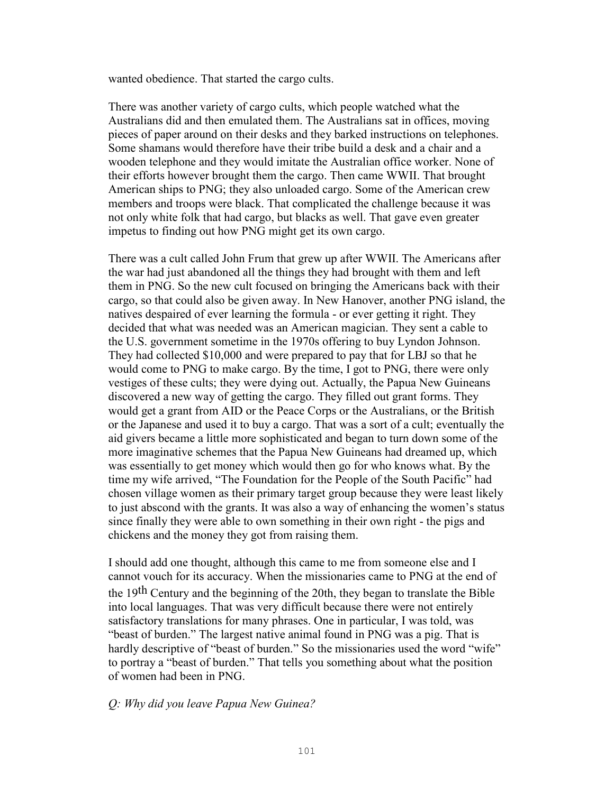wanted obedience. That started the cargo cults.

There was another variety of cargo cults, which people watched what the Australians did and then emulated them. The Australians sat in offices, moving pieces of paper around on their desks and they barked instructions on telephones. Some shamans would therefore have their tribe build a desk and a chair and a wooden telephone and they would imitate the Australian office worker. None of their efforts however brought them the cargo. Then came WWII. That brought American ships to PNG; they also unloaded cargo. Some of the American crew members and troops were black. That complicated the challenge because it was not only white folk that had cargo, but blacks as well. That gave even greater impetus to finding out how PNG might get its own cargo.

There was a cult called John Frum that grew up after WWII. The Americans after the war had just abandoned all the things they had brought with them and left them in PNG. So the new cult focused on bringing the Americans back with their cargo, so that could also be given away. In New Hanover, another PNG island, the natives despaired of ever learning the formula - or ever getting it right. They decided that what was needed was an American magician. They sent a cable to the U.S. government sometime in the 1970s offering to buy Lyndon Johnson. They had collected \$10,000 and were prepared to pay that for LBJ so that he would come to PNG to make cargo. By the time, I got to PNG, there were only vestiges of these cults; they were dying out. Actually, the Papua New Guineans discovered a new way of getting the cargo. They filled out grant forms. They would get a grant from AID or the Peace Corps or the Australians, or the British or the Japanese and used it to buy a cargo. That was a sort of a cult; eventually the aid givers became a little more sophisticated and began to turn down some of the more imaginative schemes that the Papua New Guineans had dreamed up, which was essentially to get money which would then go for who knows what. By the time my wife arrived, "The Foundation for the People of the South Pacific" had chosen village women as their primary target group because they were least likely to just abscond with the grants. It was also a way of enhancing the women's status since finally they were able to own something in their own right - the pigs and chickens and the money they got from raising them.

I should add one thought, although this came to me from someone else and I cannot vouch for its accuracy. When the missionaries came to PNG at the end of the 19th Century and the beginning of the 20th, they began to translate the Bible into local languages. That was very difficult because there were not entirely satisfactory translations for many phrases. One in particular, I was told, was "beast of burden." The largest native animal found in PNG was a pig. That is hardly descriptive of "beast of burden." So the missionaries used the word "wife" to portray a "beast of burden." That tells you something about what the position of women had been in PNG.

### *Q: Why did you leave Papua New Guinea?*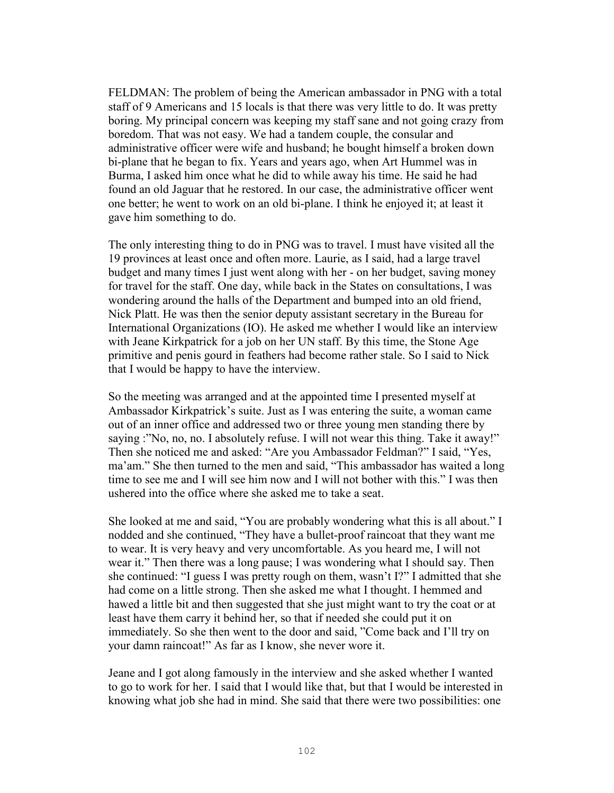FELDMAN: The problem of being the American ambassador in PNG with a total staff of 9 Americans and 15 locals is that there was very little to do. It was pretty boring. My principal concern was keeping my staff sane and not going crazy from boredom. That was not easy. We had a tandem couple, the consular and administrative officer were wife and husband; he bought himself a broken down bi-plane that he began to fix. Years and years ago, when Art Hummel was in Burma, I asked him once what he did to while away his time. He said he had found an old Jaguar that he restored. In our case, the administrative officer went one better; he went to work on an old bi-plane. I think he enjoyed it; at least it gave him something to do.

The only interesting thing to do in PNG was to travel. I must have visited all the 19 provinces at least once and often more. Laurie, as I said, had a large travel budget and many times I just went along with her - on her budget, saving money for travel for the staff. One day, while back in the States on consultations, I was wondering around the halls of the Department and bumped into an old friend, Nick Platt. He was then the senior deputy assistant secretary in the Bureau for International Organizations (IO). He asked me whether I would like an interview with Jeane Kirkpatrick for a job on her UN staff. By this time, the Stone Age primitive and penis gourd in feathers had become rather stale. So I said to Nick that I would be happy to have the interview.

So the meeting was arranged and at the appointed time I presented myself at Ambassador Kirkpatrick's suite. Just as I was entering the suite, a woman came out of an inner office and addressed two or three young men standing there by saying :"No, no, no. I absolutely refuse. I will not wear this thing. Take it away!" Then she noticed me and asked: "Are you Ambassador Feldman?" I said, "Yes, ma'am." She then turned to the men and said, "This ambassador has waited a long time to see me and I will see him now and I will not bother with this." I was then ushered into the office where she asked me to take a seat.

She looked at me and said, "You are probably wondering what this is all about." I nodded and she continued, "They have a bullet-proof raincoat that they want me to wear. It is very heavy and very uncomfortable. As you heard me, I will not wear it." Then there was a long pause; I was wondering what I should say. Then she continued: "I guess I was pretty rough on them, wasn't I?" I admitted that she had come on a little strong. Then she asked me what I thought. I hemmed and hawed a little bit and then suggested that she just might want to try the coat or at least have them carry it behind her, so that if needed she could put it on immediately. So she then went to the door and said, "Come back and I'll try on your damn raincoat!" As far as I know, she never wore it.

Jeane and I got along famously in the interview and she asked whether I wanted to go to work for her. I said that I would like that, but that I would be interested in knowing what job she had in mind. She said that there were two possibilities: one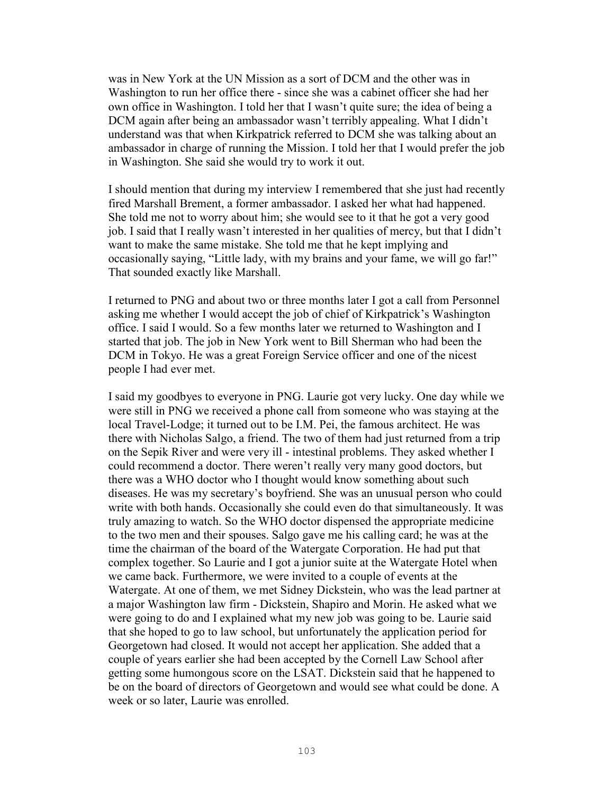was in New York at the UN Mission as a sort of DCM and the other was in Washington to run her office there - since she was a cabinet officer she had her own office in Washington. I told her that I wasn't quite sure; the idea of being a DCM again after being an ambassador wasn't terribly appealing. What I didn't understand was that when Kirkpatrick referred to DCM she was talking about an ambassador in charge of running the Mission. I told her that I would prefer the job in Washington. She said she would try to work it out.

I should mention that during my interview I remembered that she just had recently fired Marshall Brement, a former ambassador. I asked her what had happened. She told me not to worry about him; she would see to it that he got a very good job. I said that I really wasn't interested in her qualities of mercy, but that I didn't want to make the same mistake. She told me that he kept implying and occasionally saying, "Little lady, with my brains and your fame, we will go far!" That sounded exactly like Marshall.

I returned to PNG and about two or three months later I got a call from Personnel asking me whether I would accept the job of chief of Kirkpatrick's Washington office. I said I would. So a few months later we returned to Washington and I started that job. The job in New York went to Bill Sherman who had been the DCM in Tokyo. He was a great Foreign Service officer and one of the nicest people I had ever met.

I said my goodbyes to everyone in PNG. Laurie got very lucky. One day while we were still in PNG we received a phone call from someone who was staying at the local Travel-Lodge; it turned out to be I.M. Pei, the famous architect. He was there with Nicholas Salgo, a friend. The two of them had just returned from a trip on the Sepik River and were very ill - intestinal problems. They asked whether I could recommend a doctor. There weren't really very many good doctors, but there was a WHO doctor who I thought would know something about such diseases. He was my secretary's boyfriend. She was an unusual person who could write with both hands. Occasionally she could even do that simultaneously. It was truly amazing to watch. So the WHO doctor dispensed the appropriate medicine to the two men and their spouses. Salgo gave me his calling card; he was at the time the chairman of the board of the Watergate Corporation. He had put that complex together. So Laurie and I got a junior suite at the Watergate Hotel when we came back. Furthermore, we were invited to a couple of events at the Watergate. At one of them, we met Sidney Dickstein, who was the lead partner at a major Washington law firm - Dickstein, Shapiro and Morin. He asked what we were going to do and I explained what my new job was going to be. Laurie said that she hoped to go to law school, but unfortunately the application period for Georgetown had closed. It would not accept her application. She added that a couple of years earlier she had been accepted by the Cornell Law School after getting some humongous score on the LSAT. Dickstein said that he happened to be on the board of directors of Georgetown and would see what could be done. A week or so later, Laurie was enrolled.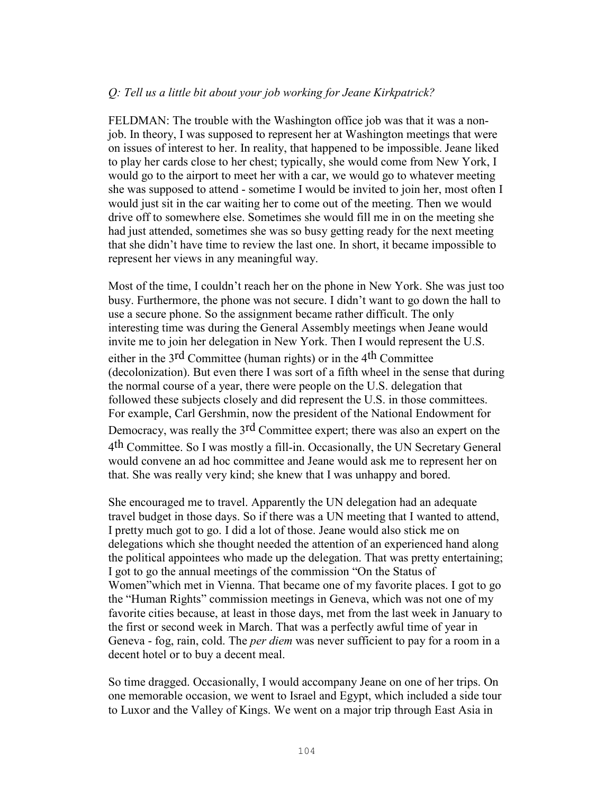### *Q: Tell us a little bit about your job working for Jeane Kirkpatrick?*

FELDMAN: The trouble with the Washington office job was that it was a nonjob. In theory, I was supposed to represent her at Washington meetings that were on issues of interest to her. In reality, that happened to be impossible. Jeane liked to play her cards close to her chest; typically, she would come from New York, I would go to the airport to meet her with a car, we would go to whatever meeting she was supposed to attend - sometime I would be invited to join her, most often I would just sit in the car waiting her to come out of the meeting. Then we would drive off to somewhere else. Sometimes she would fill me in on the meeting she had just attended, sometimes she was so busy getting ready for the next meeting that she didn't have time to review the last one. In short, it became impossible to represent her views in any meaningful way.

Most of the time, I couldn't reach her on the phone in New York. She was just too busy. Furthermore, the phone was not secure. I didn't want to go down the hall to use a secure phone. So the assignment became rather difficult. The only interesting time was during the General Assembly meetings when Jeane would invite me to join her delegation in New York. Then I would represent the U.S. either in the  $3<sup>rd</sup>$  Committee (human rights) or in the  $4<sup>th</sup>$  Committee (decolonization). But even there I was sort of a fifth wheel in the sense that during the normal course of a year, there were people on the U.S. delegation that followed these subjects closely and did represent the U.S. in those committees. For example, Carl Gershmin, now the president of the National Endowment for Democracy, was really the 3rd Committee expert; there was also an expert on the 4th Committee. So I was mostly a fill-in. Occasionally, the UN Secretary General would convene an ad hoc committee and Jeane would ask me to represent her on that. She was really very kind; she knew that I was unhappy and bored.

She encouraged me to travel. Apparently the UN delegation had an adequate travel budget in those days. So if there was a UN meeting that I wanted to attend, I pretty much got to go. I did a lot of those. Jeane would also stick me on delegations which she thought needed the attention of an experienced hand along the political appointees who made up the delegation. That was pretty entertaining; I got to go the annual meetings of the commission "On the Status of Women"which met in Vienna. That became one of my favorite places. I got to go the "Human Rights" commission meetings in Geneva, which was not one of my favorite cities because, at least in those days, met from the last week in January to the first or second week in March. That was a perfectly awful time of year in Geneva - fog, rain, cold. The *per diem* was never sufficient to pay for a room in a decent hotel or to buy a decent meal.

So time dragged. Occasionally, I would accompany Jeane on one of her trips. On one memorable occasion, we went to Israel and Egypt, which included a side tour to Luxor and the Valley of Kings. We went on a major trip through East Asia in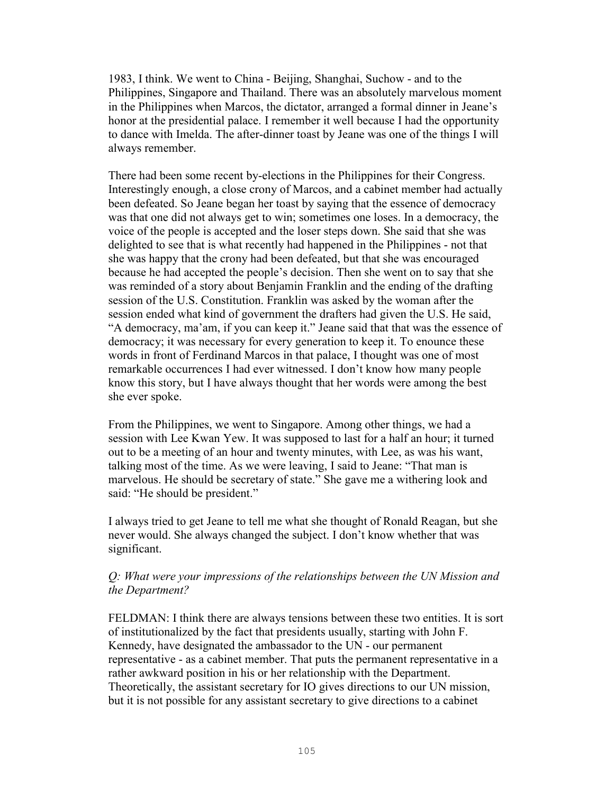1983, I think. We went to China - Beijing, Shanghai, Suchow - and to the Philippines, Singapore and Thailand. There was an absolutely marvelous moment in the Philippines when Marcos, the dictator, arranged a formal dinner in Jeane's honor at the presidential palace. I remember it well because I had the opportunity to dance with Imelda. The after-dinner toast by Jeane was one of the things I will always remember.

There had been some recent by-elections in the Philippines for their Congress. Interestingly enough, a close crony of Marcos, and a cabinet member had actually been defeated. So Jeane began her toast by saying that the essence of democracy was that one did not always get to win; sometimes one loses. In a democracy, the voice of the people is accepted and the loser steps down. She said that she was delighted to see that is what recently had happened in the Philippines - not that she was happy that the crony had been defeated, but that she was encouraged because he had accepted the people's decision. Then she went on to say that she was reminded of a story about Benjamin Franklin and the ending of the drafting session of the U.S. Constitution. Franklin was asked by the woman after the session ended what kind of government the drafters had given the U.S. He said, "A democracy, ma'am, if you can keep it." Jeane said that that was the essence of democracy; it was necessary for every generation to keep it. To enounce these words in front of Ferdinand Marcos in that palace, I thought was one of most remarkable occurrences I had ever witnessed. I don't know how many people know this story, but I have always thought that her words were among the best she ever spoke.

From the Philippines, we went to Singapore. Among other things, we had a session with Lee Kwan Yew. It was supposed to last for a half an hour; it turned out to be a meeting of an hour and twenty minutes, with Lee, as was his want, talking most of the time. As we were leaving, I said to Jeane: "That man is marvelous. He should be secretary of state." She gave me a withering look and said: "He should be president."

I always tried to get Jeane to tell me what she thought of Ronald Reagan, but she never would. She always changed the subject. I don't know whether that was significant.

## *Q: What were your impressions of the relationships between the UN Mission and the Department?*

FELDMAN: I think there are always tensions between these two entities. It is sort of institutionalized by the fact that presidents usually, starting with John F. Kennedy, have designated the ambassador to the UN - our permanent representative - as a cabinet member. That puts the permanent representative in a rather awkward position in his or her relationship with the Department. Theoretically, the assistant secretary for IO gives directions to our UN mission, but it is not possible for any assistant secretary to give directions to a cabinet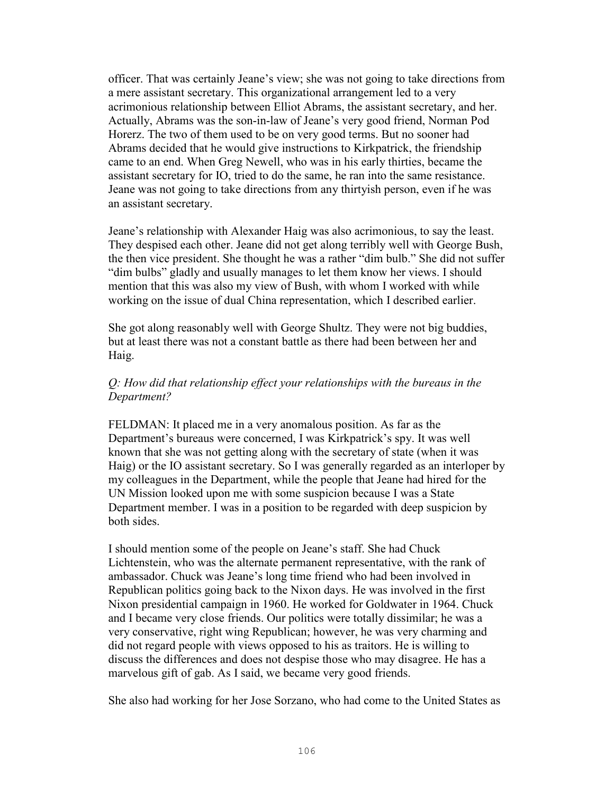officer. That was certainly Jeane's view; she was not going to take directions from a mere assistant secretary. This organizational arrangement led to a very acrimonious relationship between Elliot Abrams, the assistant secretary, and her. Actually, Abrams was the son-in-law of Jeane's very good friend, Norman Pod Horerz. The two of them used to be on very good terms. But no sooner had Abrams decided that he would give instructions to Kirkpatrick, the friendship came to an end. When Greg Newell, who was in his early thirties, became the assistant secretary for IO, tried to do the same, he ran into the same resistance. Jeane was not going to take directions from any thirtyish person, even if he was an assistant secretary.

Jeane's relationship with Alexander Haig was also acrimonious, to say the least. They despised each other. Jeane did not get along terribly well with George Bush, the then vice president. She thought he was a rather "dim bulb." She did not suffer "dim bulbs" gladly and usually manages to let them know her views. I should mention that this was also my view of Bush, with whom I worked with while working on the issue of dual China representation, which I described earlier.

She got along reasonably well with George Shultz. They were not big buddies, but at least there was not a constant battle as there had been between her and Haig.

## *Q: How did that relationship effect your relationships with the bureaus in the Department?*

FELDMAN: It placed me in a very anomalous position. As far as the Department's bureaus were concerned, I was Kirkpatrick's spy. It was well known that she was not getting along with the secretary of state (when it was Haig) or the IO assistant secretary. So I was generally regarded as an interloper by my colleagues in the Department, while the people that Jeane had hired for the UN Mission looked upon me with some suspicion because I was a State Department member. I was in a position to be regarded with deep suspicion by both sides.

I should mention some of the people on Jeane's staff. She had Chuck Lichtenstein, who was the alternate permanent representative, with the rank of ambassador. Chuck was Jeane's long time friend who had been involved in Republican politics going back to the Nixon days. He was involved in the first Nixon presidential campaign in 1960. He worked for Goldwater in 1964. Chuck and I became very close friends. Our politics were totally dissimilar; he was a very conservative, right wing Republican; however, he was very charming and did not regard people with views opposed to his as traitors. He is willing to discuss the differences and does not despise those who may disagree. He has a marvelous gift of gab. As I said, we became very good friends.

She also had working for her Jose Sorzano, who had come to the United States as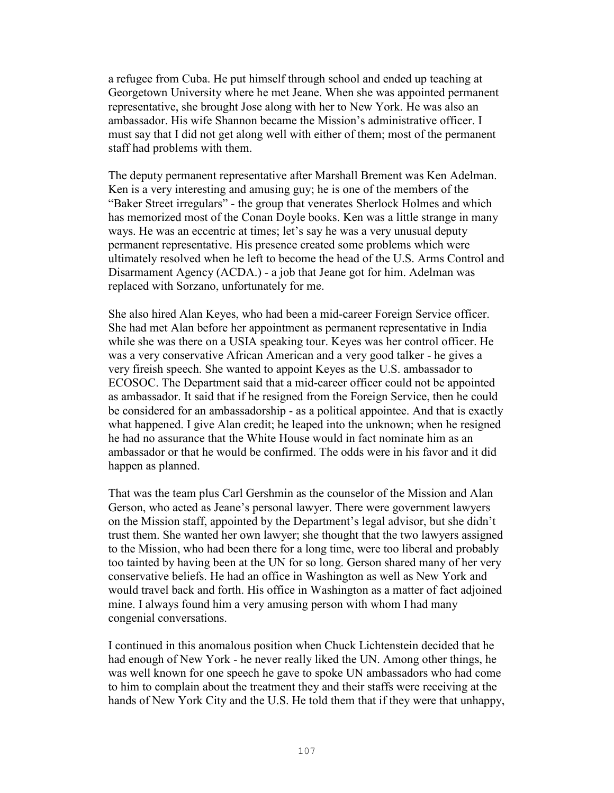a refugee from Cuba. He put himself through school and ended up teaching at Georgetown University where he met Jeane. When she was appointed permanent representative, she brought Jose along with her to New York. He was also an ambassador. His wife Shannon became the Mission's administrative officer. I must say that I did not get along well with either of them; most of the permanent staff had problems with them.

The deputy permanent representative after Marshall Brement was Ken Adelman. Ken is a very interesting and amusing guy; he is one of the members of the "Baker Street irregulars" - the group that venerates Sherlock Holmes and which has memorized most of the Conan Doyle books. Ken was a little strange in many ways. He was an eccentric at times; let's say he was a very unusual deputy permanent representative. His presence created some problems which were ultimately resolved when he left to become the head of the U.S. Arms Control and Disarmament Agency (ACDA.) - a job that Jeane got for him. Adelman was replaced with Sorzano, unfortunately for me.

She also hired Alan Keyes, who had been a mid-career Foreign Service officer. She had met Alan before her appointment as permanent representative in India while she was there on a USIA speaking tour. Keyes was her control officer. He was a very conservative African American and a very good talker - he gives a very fireish speech. She wanted to appoint Keyes as the U.S. ambassador to ECOSOC. The Department said that a mid-career officer could not be appointed as ambassador. It said that if he resigned from the Foreign Service, then he could be considered for an ambassadorship - as a political appointee. And that is exactly what happened. I give Alan credit; he leaped into the unknown; when he resigned he had no assurance that the White House would in fact nominate him as an ambassador or that he would be confirmed. The odds were in his favor and it did happen as planned.

That was the team plus Carl Gershmin as the counselor of the Mission and Alan Gerson, who acted as Jeane's personal lawyer. There were government lawyers on the Mission staff, appointed by the Department's legal advisor, but she didn't trust them. She wanted her own lawyer; she thought that the two lawyers assigned to the Mission, who had been there for a long time, were too liberal and probably too tainted by having been at the UN for so long. Gerson shared many of her very conservative beliefs. He had an office in Washington as well as New York and would travel back and forth. His office in Washington as a matter of fact adjoined mine. I always found him a very amusing person with whom I had many congenial conversations.

I continued in this anomalous position when Chuck Lichtenstein decided that he had enough of New York - he never really liked the UN. Among other things, he was well known for one speech he gave to spoke UN ambassadors who had come to him to complain about the treatment they and their staffs were receiving at the hands of New York City and the U.S. He told them that if they were that unhappy,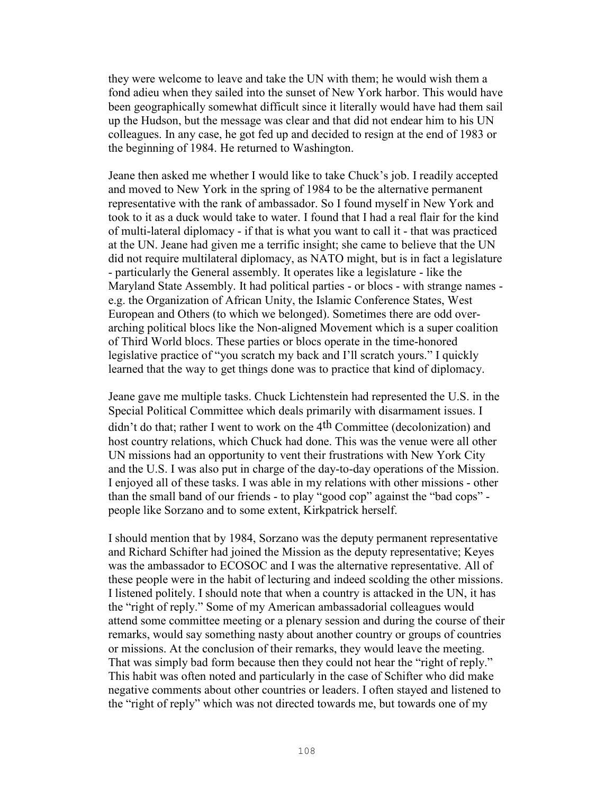they were welcome to leave and take the UN with them; he would wish them a fond adieu when they sailed into the sunset of New York harbor. This would have been geographically somewhat difficult since it literally would have had them sail up the Hudson, but the message was clear and that did not endear him to his UN colleagues. In any case, he got fed up and decided to resign at the end of 1983 or the beginning of 1984. He returned to Washington.

Jeane then asked me whether I would like to take Chuck's job. I readily accepted and moved to New York in the spring of 1984 to be the alternative permanent representative with the rank of ambassador. So I found myself in New York and took to it as a duck would take to water. I found that I had a real flair for the kind of multi-lateral diplomacy - if that is what you want to call it - that was practiced at the UN. Jeane had given me a terrific insight; she came to believe that the UN did not require multilateral diplomacy, as NATO might, but is in fact a legislature - particularly the General assembly. It operates like a legislature - like the Maryland State Assembly. It had political parties - or blocs - with strange names e.g. the Organization of African Unity, the Islamic Conference States, West European and Others (to which we belonged). Sometimes there are odd overarching political blocs like the Non-aligned Movement which is a super coalition of Third World blocs. These parties or blocs operate in the time-honored legislative practice of "you scratch my back and I'll scratch yours." I quickly learned that the way to get things done was to practice that kind of diplomacy.

Jeane gave me multiple tasks. Chuck Lichtenstein had represented the U.S. in the Special Political Committee which deals primarily with disarmament issues. I didn't do that; rather I went to work on the 4th Committee (decolonization) and host country relations, which Chuck had done. This was the venue were all other UN missions had an opportunity to vent their frustrations with New York City and the U.S. I was also put in charge of the day-to-day operations of the Mission. I enjoyed all of these tasks. I was able in my relations with other missions - other than the small band of our friends - to play "good cop" against the "bad cops" people like Sorzano and to some extent, Kirkpatrick herself.

I should mention that by 1984, Sorzano was the deputy permanent representative and Richard Schifter had joined the Mission as the deputy representative; Keyes was the ambassador to ECOSOC and I was the alternative representative. All of these people were in the habit of lecturing and indeed scolding the other missions. I listened politely. I should note that when a country is attacked in the UN, it has the "right of reply." Some of my American ambassadorial colleagues would attend some committee meeting or a plenary session and during the course of their remarks, would say something nasty about another country or groups of countries or missions. At the conclusion of their remarks, they would leave the meeting. That was simply bad form because then they could not hear the "right of reply." This habit was often noted and particularly in the case of Schifter who did make negative comments about other countries or leaders. I often stayed and listened to the "right of reply" which was not directed towards me, but towards one of my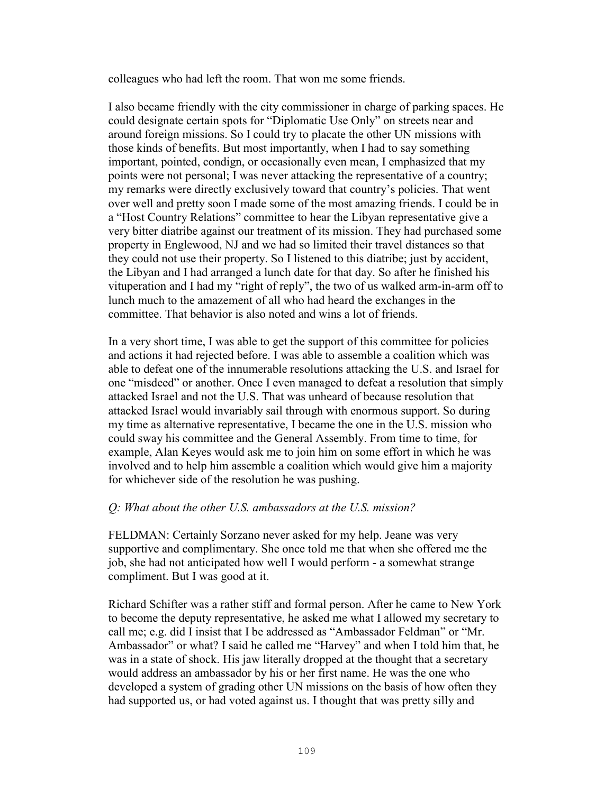colleagues who had left the room. That won me some friends.

I also became friendly with the city commissioner in charge of parking spaces. He could designate certain spots for "Diplomatic Use Only" on streets near and around foreign missions. So I could try to placate the other UN missions with those kinds of benefits. But most importantly, when I had to say something important, pointed, condign, or occasionally even mean, I emphasized that my points were not personal; I was never attacking the representative of a country; my remarks were directly exclusively toward that country's policies. That went over well and pretty soon I made some of the most amazing friends. I could be in a "Host Country Relations" committee to hear the Libyan representative give a very bitter diatribe against our treatment of its mission. They had purchased some property in Englewood, NJ and we had so limited their travel distances so that they could not use their property. So I listened to this diatribe; just by accident, the Libyan and I had arranged a lunch date for that day. So after he finished his vituperation and I had my "right of reply", the two of us walked arm-in-arm off to lunch much to the amazement of all who had heard the exchanges in the committee. That behavior is also noted and wins a lot of friends.

In a very short time, I was able to get the support of this committee for policies and actions it had rejected before. I was able to assemble a coalition which was able to defeat one of the innumerable resolutions attacking the U.S. and Israel for one "misdeed" or another. Once I even managed to defeat a resolution that simply attacked Israel and not the U.S. That was unheard of because resolution that attacked Israel would invariably sail through with enormous support. So during my time as alternative representative, I became the one in the U.S. mission who could sway his committee and the General Assembly. From time to time, for example, Alan Keyes would ask me to join him on some effort in which he was involved and to help him assemble a coalition which would give him a majority for whichever side of the resolution he was pushing.

# *Q: What about the other U.S. ambassadors at the U.S. mission?*

FELDMAN: Certainly Sorzano never asked for my help. Jeane was very supportive and complimentary. She once told me that when she offered me the job, she had not anticipated how well I would perform - a somewhat strange compliment. But I was good at it.

Richard Schifter was a rather stiff and formal person. After he came to New York to become the deputy representative, he asked me what I allowed my secretary to call me; e.g. did I insist that I be addressed as "Ambassador Feldman" or "Mr. Ambassador" or what? I said he called me "Harvey" and when I told him that, he was in a state of shock. His jaw literally dropped at the thought that a secretary would address an ambassador by his or her first name. He was the one who developed a system of grading other UN missions on the basis of how often they had supported us, or had voted against us. I thought that was pretty silly and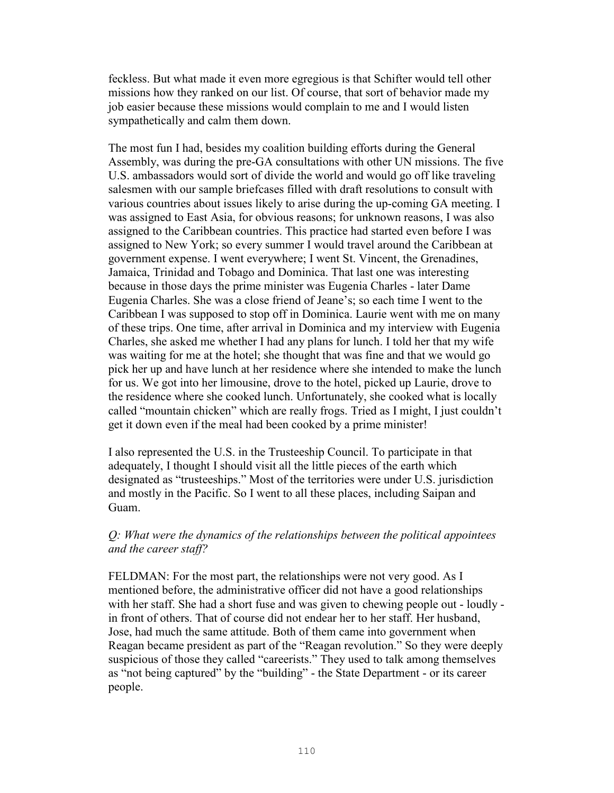feckless. But what made it even more egregious is that Schifter would tell other missions how they ranked on our list. Of course, that sort of behavior made my job easier because these missions would complain to me and I would listen sympathetically and calm them down.

The most fun I had, besides my coalition building efforts during the General Assembly, was during the pre-GA consultations with other UN missions. The five U.S. ambassadors would sort of divide the world and would go off like traveling salesmen with our sample briefcases filled with draft resolutions to consult with various countries about issues likely to arise during the up-coming GA meeting. I was assigned to East Asia, for obvious reasons; for unknown reasons, I was also assigned to the Caribbean countries. This practice had started even before I was assigned to New York; so every summer I would travel around the Caribbean at government expense. I went everywhere; I went St. Vincent, the Grenadines, Jamaica, Trinidad and Tobago and Dominica. That last one was interesting because in those days the prime minister was Eugenia Charles - later Dame Eugenia Charles. She was a close friend of Jeane's; so each time I went to the Caribbean I was supposed to stop off in Dominica. Laurie went with me on many of these trips. One time, after arrival in Dominica and my interview with Eugenia Charles, she asked me whether I had any plans for lunch. I told her that my wife was waiting for me at the hotel; she thought that was fine and that we would go pick her up and have lunch at her residence where she intended to make the lunch for us. We got into her limousine, drove to the hotel, picked up Laurie, drove to the residence where she cooked lunch. Unfortunately, she cooked what is locally called "mountain chicken" which are really frogs. Tried as I might, I just couldn't get it down even if the meal had been cooked by a prime minister!

I also represented the U.S. in the Trusteeship Council. To participate in that adequately, I thought I should visit all the little pieces of the earth which designated as "trusteeships." Most of the territories were under U.S. jurisdiction and mostly in the Pacific. So I went to all these places, including Saipan and Guam.

## *Q: What were the dynamics of the relationships between the political appointees and the career staff?*

FELDMAN: For the most part, the relationships were not very good. As I mentioned before, the administrative officer did not have a good relationships with her staff. She had a short fuse and was given to chewing people out - loudly in front of others. That of course did not endear her to her staff. Her husband, Jose, had much the same attitude. Both of them came into government when Reagan became president as part of the "Reagan revolution." So they were deeply suspicious of those they called "careerists." They used to talk among themselves as "not being captured" by the "building" - the State Department - or its career people.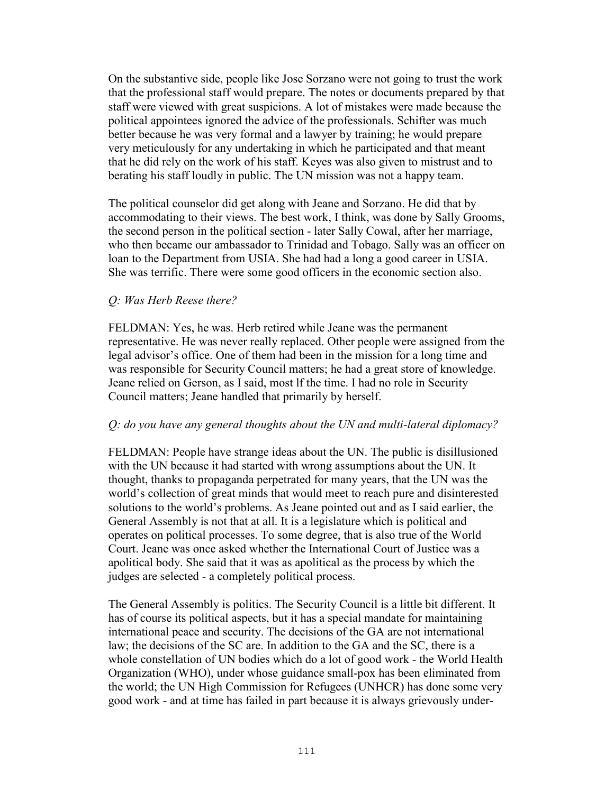On the substantive side, people like Jose Sorzano were not going to trust the work that the professional staff would prepare. The notes or documents prepared by that staff were viewed with great suspicions. A lot of mistakes were made because the political appointees ignored the advice of the professionals. Schifter was much better because he was very formal and a lawyer by training; he would prepare very meticulously for any undertaking in which he participated and that meant that he did rely on the work of his staff. Keyes was also given to mistrust and to berating his staff loudly in public. The UN mission was not a happy team.

The political counselor did get along with Jeane and Sorzano. He did that by accommodating to their views. The best work, I think, was done by Sally Grooms, the second person in the political section - later Sally Cowal, after her marriage, who then became our ambassador to Trinidad and Tobago. Sally was an officer on loan to the Department from USIA. She had had a long a good career in USIA. She was terrific. There were some good officers in the economic section also.

# *Q: Was Herb Reese there?*

FELDMAN: Yes, he was. Herb retired while Jeane was the permanent representative. He was never really replaced. Other people were assigned from the legal advisor's office. One of them had been in the mission for a long time and was responsible for Security Council matters; he had a great store of knowledge. Jeane relied on Gerson, as I said, most lf the time. I had no role in Security Council matters; Jeane handled that primarily by herself.

# *Q: do you have any general thoughts about the UN and multi-lateral diplomacy?*

FELDMAN: People have strange ideas about the UN. The public is disillusioned with the UN because it had started with wrong assumptions about the UN. It thought, thanks to propaganda perpetrated for many years, that the UN was the world's collection of great minds that would meet to reach pure and disinterested solutions to the world's problems. As Jeane pointed out and as I said earlier, the General Assembly is not that at all. It is a legislature which is political and operates on political processes. To some degree, that is also true of the World Court. Jeane was once asked whether the International Court of Justice was a apolitical body. She said that it was as apolitical as the process by which the judges are selected - a completely political process.

The General Assembly is politics. The Security Council is a little bit different. It has of course its political aspects, but it has a special mandate for maintaining international peace and security. The decisions of the GA are not international law; the decisions of the SC are. In addition to the GA and the SC, there is a whole constellation of UN bodies which do a lot of good work - the World Health Organization (WHO), under whose guidance small-pox has been eliminated from the world; the UN High Commission for Refugees (UNHCR) has done some very good work - and at time has failed in part because it is always grievously under-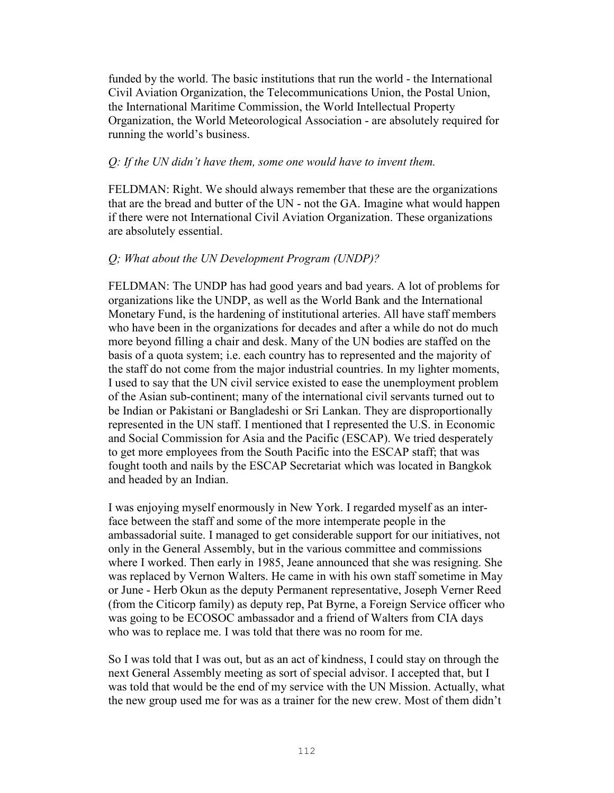funded by the world. The basic institutions that run the world - the International Civil Aviation Organization, the Telecommunications Union, the Postal Union, the International Maritime Commission, the World Intellectual Property Organization, the World Meteorological Association - are absolutely required for running the world's business.

## *Q: If the UN didn't have them, some one would have to invent them.*

FELDMAN: Right. We should always remember that these are the organizations that are the bread and butter of the UN - not the GA. Imagine what would happen if there were not International Civil Aviation Organization. These organizations are absolutely essential.

# *Q; What about the UN Development Program (UNDP)?*

FELDMAN: The UNDP has had good years and bad years. A lot of problems for organizations like the UNDP, as well as the World Bank and the International Monetary Fund, is the hardening of institutional arteries. All have staff members who have been in the organizations for decades and after a while do not do much more beyond filling a chair and desk. Many of the UN bodies are staffed on the basis of a quota system; i.e. each country has to represented and the majority of the staff do not come from the major industrial countries. In my lighter moments, I used to say that the UN civil service existed to ease the unemployment problem of the Asian sub-continent; many of the international civil servants turned out to be Indian or Pakistani or Bangladeshi or Sri Lankan. They are disproportionally represented in the UN staff. I mentioned that I represented the U.S. in Economic and Social Commission for Asia and the Pacific (ESCAP). We tried desperately to get more employees from the South Pacific into the ESCAP staff; that was fought tooth and nails by the ESCAP Secretariat which was located in Bangkok and headed by an Indian.

I was enjoying myself enormously in New York. I regarded myself as an interface between the staff and some of the more intemperate people in the ambassadorial suite. I managed to get considerable support for our initiatives, not only in the General Assembly, but in the various committee and commissions where I worked. Then early in 1985, Jeane announced that she was resigning. She was replaced by Vernon Walters. He came in with his own staff sometime in May or June - Herb Okun as the deputy Permanent representative, Joseph Verner Reed (from the Citicorp family) as deputy rep, Pat Byrne, a Foreign Service officer who was going to be ECOSOC ambassador and a friend of Walters from CIA days who was to replace me. I was told that there was no room for me.

So I was told that I was out, but as an act of kindness, I could stay on through the next General Assembly meeting as sort of special advisor. I accepted that, but I was told that would be the end of my service with the UN Mission. Actually, what the new group used me for was as a trainer for the new crew. Most of them didn't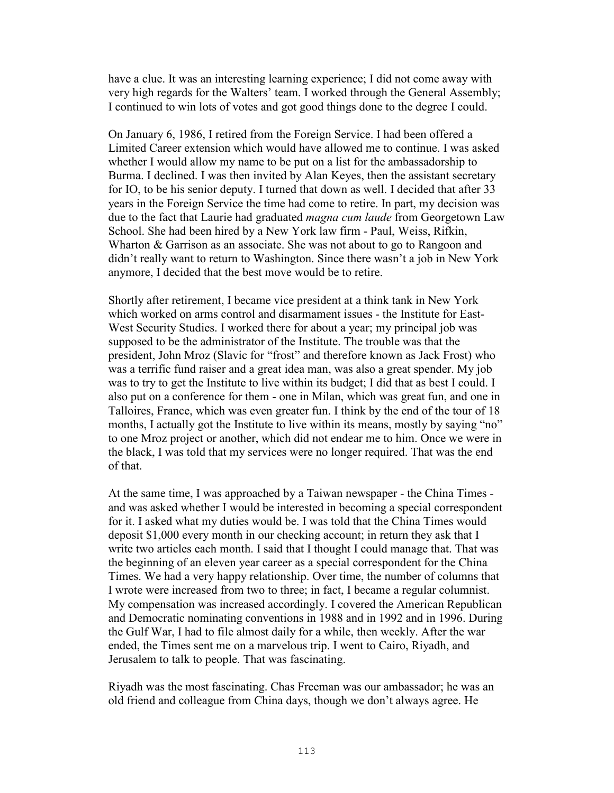have a clue. It was an interesting learning experience; I did not come away with very high regards for the Walters' team. I worked through the General Assembly; I continued to win lots of votes and got good things done to the degree I could.

On January 6, 1986, I retired from the Foreign Service. I had been offered a Limited Career extension which would have allowed me to continue. I was asked whether I would allow my name to be put on a list for the ambassadorship to Burma. I declined. I was then invited by Alan Keyes, then the assistant secretary for IO, to be his senior deputy. I turned that down as well. I decided that after 33 years in the Foreign Service the time had come to retire. In part, my decision was due to the fact that Laurie had graduated *magna cum laude* from Georgetown Law School. She had been hired by a New York law firm - Paul, Weiss, Rifkin, Wharton & Garrison as an associate. She was not about to go to Rangoon and didn't really want to return to Washington. Since there wasn't a job in New York anymore, I decided that the best move would be to retire.

Shortly after retirement, I became vice president at a think tank in New York which worked on arms control and disarmament issues - the Institute for East-West Security Studies. I worked there for about a year; my principal job was supposed to be the administrator of the Institute. The trouble was that the president, John Mroz (Slavic for "frost" and therefore known as Jack Frost) who was a terrific fund raiser and a great idea man, was also a great spender. My job was to try to get the Institute to live within its budget; I did that as best I could. I also put on a conference for them - one in Milan, which was great fun, and one in Talloires, France, which was even greater fun. I think by the end of the tour of 18 months, I actually got the Institute to live within its means, mostly by saying "no" to one Mroz project or another, which did not endear me to him. Once we were in the black, I was told that my services were no longer required. That was the end of that.

At the same time, I was approached by a Taiwan newspaper - the China Times and was asked whether I would be interested in becoming a special correspondent for it. I asked what my duties would be. I was told that the China Times would deposit \$1,000 every month in our checking account; in return they ask that I write two articles each month. I said that I thought I could manage that. That was the beginning of an eleven year career as a special correspondent for the China Times. We had a very happy relationship. Over time, the number of columns that I wrote were increased from two to three; in fact, I became a regular columnist. My compensation was increased accordingly. I covered the American Republican and Democratic nominating conventions in 1988 and in 1992 and in 1996. During the Gulf War, I had to file almost daily for a while, then weekly. After the war ended, the Times sent me on a marvelous trip. I went to Cairo, Riyadh, and Jerusalem to talk to people. That was fascinating.

Riyadh was the most fascinating. Chas Freeman was our ambassador; he was an old friend and colleague from China days, though we don't always agree. He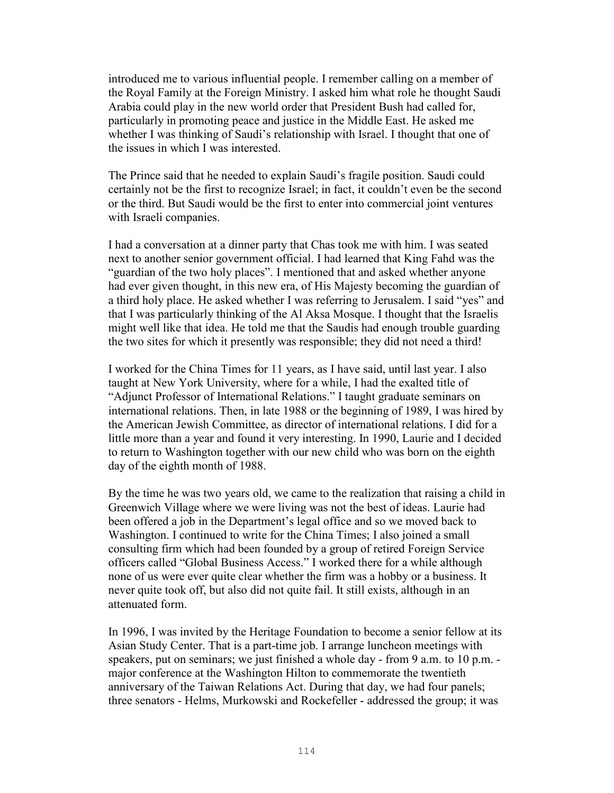introduced me to various influential people. I remember calling on a member of the Royal Family at the Foreign Ministry. I asked him what role he thought Saudi Arabia could play in the new world order that President Bush had called for, particularly in promoting peace and justice in the Middle East. He asked me whether I was thinking of Saudi's relationship with Israel. I thought that one of the issues in which I was interested.

The Prince said that he needed to explain Saudi's fragile position. Saudi could certainly not be the first to recognize Israel; in fact, it couldn't even be the second or the third. But Saudi would be the first to enter into commercial joint ventures with Israeli companies.

I had a conversation at a dinner party that Chas took me with him. I was seated next to another senior government official. I had learned that King Fahd was the "guardian of the two holy places". I mentioned that and asked whether anyone had ever given thought, in this new era, of His Majesty becoming the guardian of a third holy place. He asked whether I was referring to Jerusalem. I said "yes" and that I was particularly thinking of the Al Aksa Mosque. I thought that the Israelis might well like that idea. He told me that the Saudis had enough trouble guarding the two sites for which it presently was responsible; they did not need a third!

I worked for the China Times for 11 years, as I have said, until last year. I also taught at New York University, where for a while, I had the exalted title of "Adjunct Professor of International Relations." I taught graduate seminars on international relations. Then, in late 1988 or the beginning of 1989, I was hired by the American Jewish Committee, as director of international relations. I did for a little more than a year and found it very interesting. In 1990, Laurie and I decided to return to Washington together with our new child who was born on the eighth day of the eighth month of 1988.

By the time he was two years old, we came to the realization that raising a child in Greenwich Village where we were living was not the best of ideas. Laurie had been offered a job in the Department's legal office and so we moved back to Washington. I continued to write for the China Times; I also joined a small consulting firm which had been founded by a group of retired Foreign Service officers called "Global Business Access." I worked there for a while although none of us were ever quite clear whether the firm was a hobby or a business. It never quite took off, but also did not quite fail. It still exists, although in an attenuated form.

In 1996, I was invited by the Heritage Foundation to become a senior fellow at its Asian Study Center. That is a part-time job. I arrange luncheon meetings with speakers, put on seminars; we just finished a whole day - from 9 a.m. to 10 p.m. major conference at the Washington Hilton to commemorate the twentieth anniversary of the Taiwan Relations Act. During that day, we had four panels; three senators - Helms, Murkowski and Rockefeller - addressed the group; it was